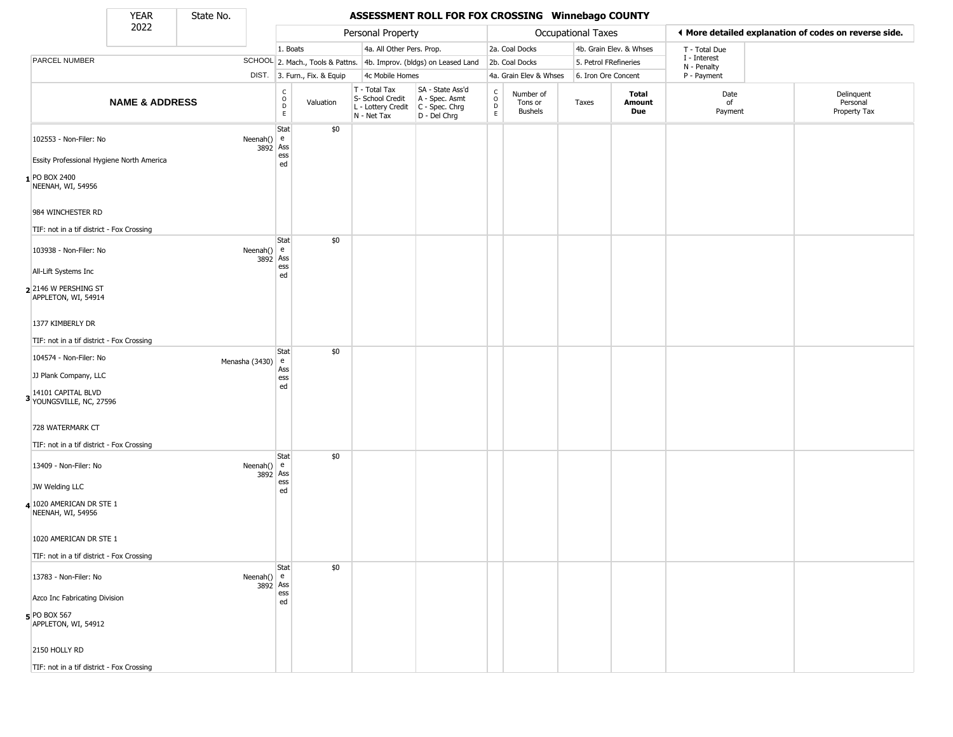State No.

н

## YEAR State No. **ASSESSMENT ROLL FOR FOX CROSSING Winnebago COUNTY**

|                                                           | 2022                      |                                                               |                                                          |                              | Personal Property                                                      |                                                                        |                                            |                                        | Occupational Taxes    |                         |                             | ♦ More detailed explanation of codes on reverse side. |
|-----------------------------------------------------------|---------------------------|---------------------------------------------------------------|----------------------------------------------------------|------------------------------|------------------------------------------------------------------------|------------------------------------------------------------------------|--------------------------------------------|----------------------------------------|-----------------------|-------------------------|-----------------------------|-------------------------------------------------------|
|                                                           |                           |                                                               | 1. Boats                                                 |                              | 4a. All Other Pers. Prop.                                              |                                                                        |                                            | 2a. Coal Docks                         |                       | 4b. Grain Elev. & Whses | T - Total Due               |                                                       |
| PARCEL NUMBER                                             |                           |                                                               |                                                          |                              |                                                                        | SCHOOL 2. Mach., Tools & Pattns. 4b. Improv. (bldgs) on Leased Land    |                                            | 2b. Coal Docks                         | 5. Petrol FRefineries |                         | I - Interest<br>N - Penalty |                                                       |
|                                                           |                           |                                                               |                                                          | DIST. 3. Furn., Fix. & Equip | 4c Mobile Homes                                                        |                                                                        |                                            | 4a. Grain Elev & Whses                 | 6. Iron Ore Concent   |                         | P - Payment                 |                                                       |
|                                                           | <b>NAME &amp; ADDRESS</b> |                                                               | $\begin{matrix} 0 \\ 0 \\ D \end{matrix}$<br>$\mathsf E$ | Valuation                    | T - Total Tax<br>S- School Credit<br>L - Lottery Credit<br>N - Net Tax | SA - State Ass'd<br>A - Spec. Asmt<br>$C - Spec. Chrg$<br>D - Del Chrg | $\begin{array}{c} C \\ O \\ E \end{array}$ | Number of<br>Tons or<br><b>Bushels</b> | Taxes                 | Total<br>Amount<br>Due  | Date<br>of<br>Payment       | Delinquent<br>Personal<br>Property Tax                |
| 102553 - Non-Filer: No                                    |                           | Neenah()                                                      | Stat<br>e<br>3892 Ass<br>ess                             | \$0                          |                                                                        |                                                                        |                                            |                                        |                       |                         |                             |                                                       |
| Essity Professional Hygiene North America                 |                           |                                                               | ed                                                       |                              |                                                                        |                                                                        |                                            |                                        |                       |                         |                             |                                                       |
| <b>PO BOX 2400</b><br>NEENAH, WI, 54956                   |                           |                                                               |                                                          |                              |                                                                        |                                                                        |                                            |                                        |                       |                         |                             |                                                       |
| 984 WINCHESTER RD                                         |                           |                                                               |                                                          |                              |                                                                        |                                                                        |                                            |                                        |                       |                         |                             |                                                       |
| TIF: not in a tif district - Fox Crossing                 |                           |                                                               |                                                          |                              |                                                                        |                                                                        |                                            |                                        |                       |                         |                             |                                                       |
| 103938 - Non-Filer: No                                    |                           | Neenah() $e$                                                  | Stat<br>3892 Ass                                         | \$0                          |                                                                        |                                                                        |                                            |                                        |                       |                         |                             |                                                       |
| All-Lift Systems Inc                                      |                           |                                                               | ess<br>ed                                                |                              |                                                                        |                                                                        |                                            |                                        |                       |                         |                             |                                                       |
| 22146 W PERSHING ST<br>APPLETON, WI, 54914                |                           |                                                               |                                                          |                              |                                                                        |                                                                        |                                            |                                        |                       |                         |                             |                                                       |
| 1377 KIMBERLY DR                                          |                           |                                                               |                                                          |                              |                                                                        |                                                                        |                                            |                                        |                       |                         |                             |                                                       |
| TIF: not in a tif district - Fox Crossing                 |                           |                                                               |                                                          |                              |                                                                        |                                                                        |                                            |                                        |                       |                         |                             |                                                       |
| 104574 - Non-Filer: No                                    |                           | Menasha (3430)                                                | Stat<br>e                                                | \$0                          |                                                                        |                                                                        |                                            |                                        |                       |                         |                             |                                                       |
| JJ Plank Company, LLC                                     |                           |                                                               | Ass<br>ess                                               |                              |                                                                        |                                                                        |                                            |                                        |                       |                         |                             |                                                       |
| 14101 CAPITAL BLVD<br><sup>3</sup> YOUNGSVILLE, NC, 27596 |                           |                                                               | ed                                                       |                              |                                                                        |                                                                        |                                            |                                        |                       |                         |                             |                                                       |
| 728 WATERMARK CT                                          |                           |                                                               |                                                          |                              |                                                                        |                                                                        |                                            |                                        |                       |                         |                             |                                                       |
| TIF: not in a tif district - Fox Crossing                 |                           |                                                               |                                                          |                              |                                                                        |                                                                        |                                            |                                        |                       |                         |                             |                                                       |
| 13409 - Non-Filer: No                                     |                           | Neenah() $e$<br>3892                                          | Stat<br>Ass                                              | \$0                          |                                                                        |                                                                        |                                            |                                        |                       |                         |                             |                                                       |
| JW Welding LLC                                            |                           |                                                               | ess<br>ed                                                |                              |                                                                        |                                                                        |                                            |                                        |                       |                         |                             |                                                       |
| 4 1020 AMERICAN DR STE 1<br>NEENAH, WI, 54956             |                           |                                                               |                                                          |                              |                                                                        |                                                                        |                                            |                                        |                       |                         |                             |                                                       |
| 1020 AMERICAN DR STE 1                                    |                           |                                                               |                                                          |                              |                                                                        |                                                                        |                                            |                                        |                       |                         |                             |                                                       |
| TIF: not in a tif district - Fox Crossing                 |                           |                                                               |                                                          |                              |                                                                        |                                                                        |                                            |                                        |                       |                         |                             |                                                       |
| 13783 - Non-Filer: No                                     |                           | Neenah() $\left  \begin{array}{c} e \\ e \end{array} \right $ | Stat<br>3892 Ass                                         | \$0                          |                                                                        |                                                                        |                                            |                                        |                       |                         |                             |                                                       |
| Azco Inc Fabricating Division                             |                           |                                                               | ess<br>ed                                                |                              |                                                                        |                                                                        |                                            |                                        |                       |                         |                             |                                                       |
| $5$ PO BOX 567<br>APPLETON, WI, 54912                     |                           |                                                               |                                                          |                              |                                                                        |                                                                        |                                            |                                        |                       |                         |                             |                                                       |
| 2150 HOLLY RD                                             |                           |                                                               |                                                          |                              |                                                                        |                                                                        |                                            |                                        |                       |                         |                             |                                                       |
| TIF: not in a tif district - Fox Crossing                 |                           |                                                               |                                                          |                              |                                                                        |                                                                        |                                            |                                        |                       |                         |                             |                                                       |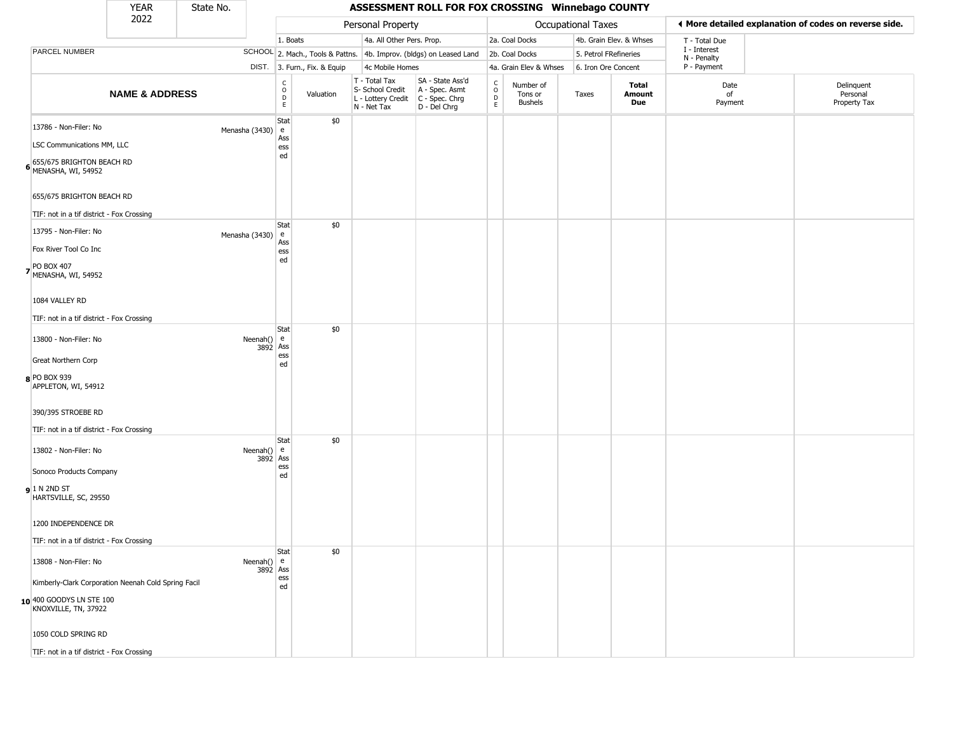| YFAR | State No. |
|------|-----------|
| วกวว |           |

## **ASSESSMENT ROLL FOR FOX CROSSING Winnebago COUNTY**

|                                                                                                          | 2022                                                |                                                                            |                               |                              | Personal Property                                                      |                                                                      |                                                |                                        | Occupational Taxes    |                         | ◀ More detailed explanation of codes on reverse side. |                                        |
|----------------------------------------------------------------------------------------------------------|-----------------------------------------------------|----------------------------------------------------------------------------|-------------------------------|------------------------------|------------------------------------------------------------------------|----------------------------------------------------------------------|------------------------------------------------|----------------------------------------|-----------------------|-------------------------|-------------------------------------------------------|----------------------------------------|
|                                                                                                          |                                                     |                                                                            | 1. Boats                      |                              | 4a. All Other Pers. Prop.                                              |                                                                      |                                                | 2a. Coal Docks                         |                       | 4b. Grain Elev. & Whses | T - Total Due                                         |                                        |
| <b>PARCEL NUMBER</b>                                                                                     |                                                     |                                                                            |                               |                              |                                                                        | SCHOOL 2. Mach., Tools & Pattns. 4b. Improv. (bldgs) on Leased Land  |                                                | 2b. Coal Docks                         | 5. Petrol FRefineries |                         | I - Interest<br>N - Penalty                           |                                        |
|                                                                                                          |                                                     |                                                                            |                               | DIST. 3. Furn., Fix. & Equip | 4c Mobile Homes                                                        |                                                                      |                                                | 4a. Grain Elev & Whses                 | 6. Iron Ore Concent   |                         | P - Payment                                           |                                        |
|                                                                                                          | <b>NAME &amp; ADDRESS</b>                           |                                                                            | C<br>D<br>D<br>E              | Valuation                    | T - Total Tax<br>S- School Credit<br>L - Lottery Credit<br>N - Net Tax | SA - State Ass'd<br>A - Spec. Asmt<br>C - Spec. Chrg<br>D - Del Chrg | $\begin{matrix} 0 \\ 0 \\ D \end{matrix}$<br>E | Number of<br>Tons or<br><b>Bushels</b> | Taxes                 | Total<br>Amount<br>Due  | Date<br>of<br>Payment                                 | Delinquent<br>Personal<br>Property Tax |
| 13786 - Non-Filer: No<br>LSC Communications MM, LLC<br>655/675 BRIGHTON BEACH RD<br>6 MENASHA, WI, 54952 |                                                     | Menasha (3430)                                                             | Stat<br>e<br>Ass<br>ess<br>ed | \$0                          |                                                                        |                                                                      |                                                |                                        |                       |                         |                                                       |                                        |
| 655/675 BRIGHTON BEACH RD<br>TIF: not in a tif district - Fox Crossing                                   |                                                     |                                                                            |                               |                              |                                                                        |                                                                      |                                                |                                        |                       |                         |                                                       |                                        |
| 13795 - Non-Filer: No<br>Fox River Tool Co Inc<br>PO BOX 407<br>7 MENASHA, WI, 54952                     |                                                     | Menasha (3430)                                                             | Stat<br>e<br>Ass<br>ess<br>ed | \$0                          |                                                                        |                                                                      |                                                |                                        |                       |                         |                                                       |                                        |
| 1084 VALLEY RD<br>TIF: not in a tif district - Fox Crossing                                              |                                                     |                                                                            | Stat                          | \$0                          |                                                                        |                                                                      |                                                |                                        |                       |                         |                                                       |                                        |
| 13800 - Non-Filer: No<br>Great Northern Corp                                                             |                                                     | Neenah() $e$<br>3892 Ass                                                   | ess<br>ed                     |                              |                                                                        |                                                                      |                                                |                                        |                       |                         |                                                       |                                        |
| 8 PO BOX 939<br>APPLETON, WI, 54912<br>390/395 STROEBE RD                                                |                                                     |                                                                            |                               |                              |                                                                        |                                                                      |                                                |                                        |                       |                         |                                                       |                                        |
| TIF: not in a tif district - Fox Crossing                                                                |                                                     |                                                                            | Stat                          | \$0                          |                                                                        |                                                                      |                                                |                                        |                       |                         |                                                       |                                        |
| 13802 - Non-Filer: No<br>Sonoco Products Company                                                         |                                                     | Neenah() $e$<br>3892 Ass                                                   | ess                           |                              |                                                                        |                                                                      |                                                |                                        |                       |                         |                                                       |                                        |
| <b>g</b> 1 N 2ND ST<br>HARTSVILLE, SC, 29550                                                             |                                                     |                                                                            | ed                            |                              |                                                                        |                                                                      |                                                |                                        |                       |                         |                                                       |                                        |
| 1200 INDEPENDENCE DR<br>TIF: not in a tif district - Fox Crossing                                        |                                                     |                                                                            |                               |                              |                                                                        |                                                                      |                                                |                                        |                       |                         |                                                       |                                        |
| 13808 - Non-Filer: No                                                                                    | Kimberly-Clark Corporation Neenah Cold Spring Facil | Neenah() $\left  \begin{array}{c} e \\ -e \end{array} \right $<br>3892 Ass | Stat<br>ess<br>ed             | \$0                          |                                                                        |                                                                      |                                                |                                        |                       |                         |                                                       |                                        |
| 10 400 GOODYS LN STE 100<br>KNOXVILLE, TN, 37922<br>1050 COLD SPRING RD                                  |                                                     |                                                                            |                               |                              |                                                                        |                                                                      |                                                |                                        |                       |                         |                                                       |                                        |
| TIF: not in a tif district - Fox Crossing                                                                |                                                     |                                                                            |                               |                              |                                                                        |                                                                      |                                                |                                        |                       |                         |                                                       |                                        |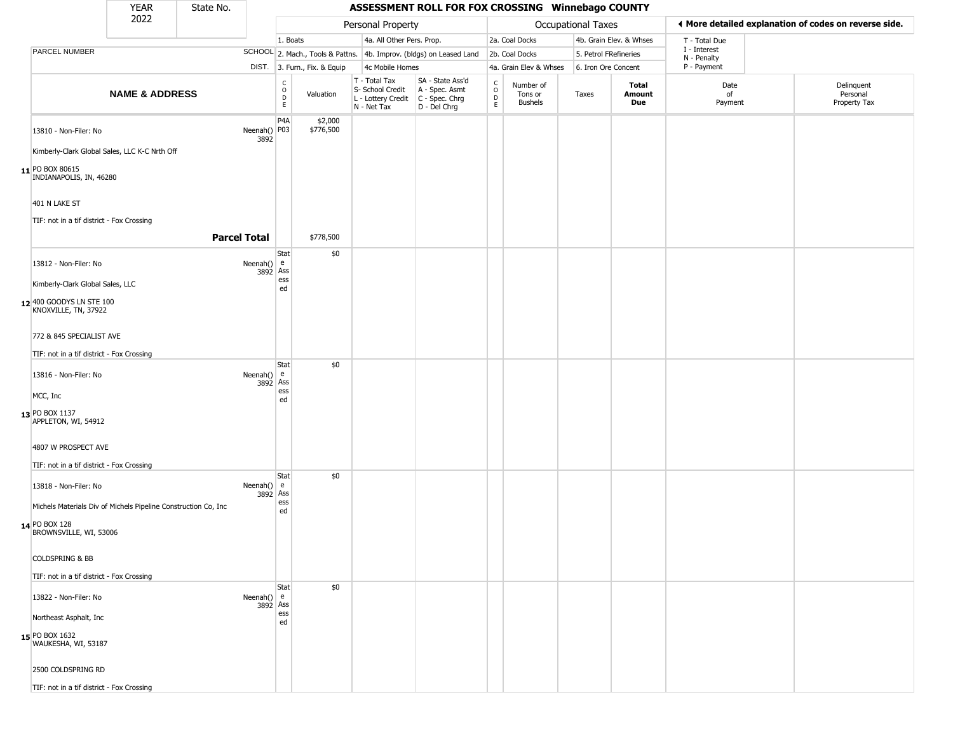|                                                  | <b>YEAR</b>                                                     | State No. |                          |                                   |                              |                                                  | ASSESSMENT ROLL FOR FOX CROSSING Winnebago COUNTY                                         |                            |                                        |                       |                         |                             |                                                       |
|--------------------------------------------------|-----------------------------------------------------------------|-----------|--------------------------|-----------------------------------|------------------------------|--------------------------------------------------|-------------------------------------------------------------------------------------------|----------------------------|----------------------------------------|-----------------------|-------------------------|-----------------------------|-------------------------------------------------------|
|                                                  | 2022                                                            |           |                          |                                   |                              | Personal Property                                |                                                                                           |                            |                                        | Occupational Taxes    |                         |                             | ◀ More detailed explanation of codes on reverse side. |
|                                                  |                                                                 |           |                          | 1. Boats                          |                              | 4a. All Other Pers. Prop.                        |                                                                                           |                            | 2a. Coal Docks                         |                       | 4b. Grain Elev. & Whses | T - Total Due               |                                                       |
| PARCEL NUMBER                                    |                                                                 |           |                          |                                   |                              |                                                  | SCHOOL 2. Mach., Tools & Pattns. 4b. Improv. (bldgs) on Leased Land                       |                            | 2b. Coal Docks                         | 5. Petrol FRefineries |                         | I - Interest<br>N - Penalty |                                                       |
|                                                  |                                                                 |           |                          |                                   | DIST. 3. Furn., Fix. & Equip | 4c Mobile Homes                                  |                                                                                           |                            | 4a. Grain Elev & Whses                 | 6. Iron Ore Concent   |                         | P - Payment                 |                                                       |
|                                                  | <b>NAME &amp; ADDRESS</b>                                       |           |                          | $\frac{C}{O}$<br>$\mathsf D$<br>E | Valuation                    | T - Total Tax<br>S- School Credit<br>N - Net Tax | SA - State Ass'd<br>A - Spec. Asmt<br>L - Lottery Credit   C - Spec. Chrg<br>D - Del Chrg | C<br>$\mathsf O$<br>D<br>E | Number of<br>Tons or<br><b>Bushels</b> | Taxes                 | Total<br>Amount<br>Due  | Date<br>of<br>Payment       | Delinguent<br>Personal<br>Property Tax                |
| 13810 - Non-Filer: No                            |                                                                 |           | Neenah() P03<br>3892     | P <sub>4</sub> A                  | \$2,000<br>\$776,500         |                                                  |                                                                                           |                            |                                        |                       |                         |                             |                                                       |
|                                                  | Kimberly-Clark Global Sales, LLC K-C Nrth Off                   |           |                          |                                   |                              |                                                  |                                                                                           |                            |                                        |                       |                         |                             |                                                       |
| 11 PO BOX 80615<br>INDIANAPOLIS, IN, 46280       |                                                                 |           |                          |                                   |                              |                                                  |                                                                                           |                            |                                        |                       |                         |                             |                                                       |
| 401 N LAKE ST                                    |                                                                 |           |                          |                                   |                              |                                                  |                                                                                           |                            |                                        |                       |                         |                             |                                                       |
| TIF: not in a tif district - Fox Crossing        |                                                                 |           |                          |                                   |                              |                                                  |                                                                                           |                            |                                        |                       |                         |                             |                                                       |
|                                                  |                                                                 |           | <b>Parcel Total</b>      |                                   | \$778,500                    |                                                  |                                                                                           |                            |                                        |                       |                         |                             |                                                       |
|                                                  |                                                                 |           |                          | Stat                              | \$0                          |                                                  |                                                                                           |                            |                                        |                       |                         |                             |                                                       |
| 13812 - Non-Filer: No                            |                                                                 |           | Neenah() $e$<br>3892 Ass | ess                               |                              |                                                  |                                                                                           |                            |                                        |                       |                         |                             |                                                       |
| Kimberly-Clark Global Sales, LLC                 |                                                                 |           |                          | ed                                |                              |                                                  |                                                                                           |                            |                                        |                       |                         |                             |                                                       |
| 12 400 GOODYS LN STE 100<br>KNOXVILLE, TN, 37922 |                                                                 |           |                          |                                   |                              |                                                  |                                                                                           |                            |                                        |                       |                         |                             |                                                       |
| 772 & 845 SPECIALIST AVE                         |                                                                 |           |                          |                                   |                              |                                                  |                                                                                           |                            |                                        |                       |                         |                             |                                                       |
| TIF: not in a tif district - Fox Crossing        |                                                                 |           |                          | Stat                              | \$0                          |                                                  |                                                                                           |                            |                                        |                       |                         |                             |                                                       |
| 13816 - Non-Filer: No                            |                                                                 |           | Neenah() $e$             | 3892 Ass<br>ess                   |                              |                                                  |                                                                                           |                            |                                        |                       |                         |                             |                                                       |
| MCC, Inc                                         |                                                                 |           |                          | ed                                |                              |                                                  |                                                                                           |                            |                                        |                       |                         |                             |                                                       |
| 13 PO BOX 1137<br>APPLETON, WI, 54912            |                                                                 |           |                          |                                   |                              |                                                  |                                                                                           |                            |                                        |                       |                         |                             |                                                       |
| 4807 W PROSPECT AVE                              |                                                                 |           |                          |                                   |                              |                                                  |                                                                                           |                            |                                        |                       |                         |                             |                                                       |
| TIF: not in a tif district - Fox Crossing        |                                                                 |           |                          | Stat                              | \$0                          |                                                  |                                                                                           |                            |                                        |                       |                         |                             |                                                       |
| 13818 - Non-Filer: No                            |                                                                 |           | Neenah() $e$             | 3892 Ass<br>ess                   |                              |                                                  |                                                                                           |                            |                                        |                       |                         |                             |                                                       |
|                                                  | Michels Materials Div of Michels Pipeline Construction Co, Inc. |           |                          | ed                                |                              |                                                  |                                                                                           |                            |                                        |                       |                         |                             |                                                       |
| 14 PO BOX 128<br>BROWNSVILLE, WI, 53006          |                                                                 |           |                          |                                   |                              |                                                  |                                                                                           |                            |                                        |                       |                         |                             |                                                       |
| <b>COLDSPRING &amp; BB</b>                       |                                                                 |           |                          |                                   |                              |                                                  |                                                                                           |                            |                                        |                       |                         |                             |                                                       |
| TIF: not in a tif district - Fox Crossing        |                                                                 |           |                          |                                   |                              |                                                  |                                                                                           |                            |                                        |                       |                         |                             |                                                       |
|                                                  |                                                                 |           |                          | Stat                              | \$0                          |                                                  |                                                                                           |                            |                                        |                       |                         |                             |                                                       |
| 13822 - Non-Filer: No                            |                                                                 |           | Neenah() $e$             | 3892 Ass                          |                              |                                                  |                                                                                           |                            |                                        |                       |                         |                             |                                                       |
| Northeast Asphalt, Inc                           |                                                                 |           |                          | ess<br>ed                         |                              |                                                  |                                                                                           |                            |                                        |                       |                         |                             |                                                       |
| 15 PO BOX 1632<br>WAUKESHA, WI, 53187            |                                                                 |           |                          |                                   |                              |                                                  |                                                                                           |                            |                                        |                       |                         |                             |                                                       |
| 2500 COLDSPRING RD                               |                                                                 |           |                          |                                   |                              |                                                  |                                                                                           |                            |                                        |                       |                         |                             |                                                       |
| TIF: not in a tif district - Fox Crossing        |                                                                 |           |                          |                                   |                              |                                                  |                                                                                           |                            |                                        |                       |                         |                             |                                                       |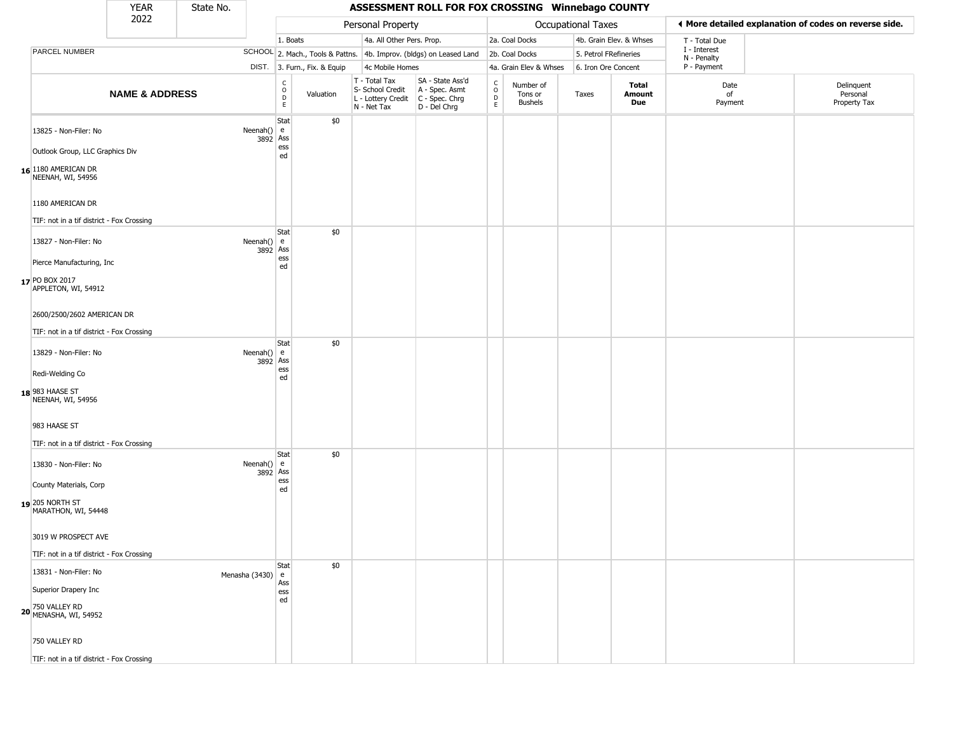|                                                                                                          | <b>YEAR</b>               | State No. |                          |                                                 |                              |                                                                                         | ASSESSMENT ROLL FOR FOX CROSSING Winnebago COUNTY                   |                        |                                        |                       |                         |                             |                                                       |  |
|----------------------------------------------------------------------------------------------------------|---------------------------|-----------|--------------------------|-------------------------------------------------|------------------------------|-----------------------------------------------------------------------------------------|---------------------------------------------------------------------|------------------------|----------------------------------------|-----------------------|-------------------------|-----------------------------|-------------------------------------------------------|--|
|                                                                                                          | 2022                      |           |                          |                                                 |                              | Personal Property                                                                       |                                                                     |                        |                                        | Occupational Taxes    |                         |                             | I More detailed explanation of codes on reverse side. |  |
|                                                                                                          |                           |           |                          | 1. Boats                                        |                              | 4a. All Other Pers. Prop.                                                               |                                                                     |                        | 2a. Coal Docks                         |                       | 4b. Grain Elev. & Whses | T - Total Due               |                                                       |  |
| PARCEL NUMBER                                                                                            |                           |           |                          |                                                 |                              |                                                                                         | SCHOOL 2. Mach., Tools & Pattns. 4b. Improv. (bldgs) on Leased Land |                        | 2b. Coal Docks                         | 5. Petrol FRefineries |                         | I - Interest<br>N - Penalty |                                                       |  |
|                                                                                                          |                           |           |                          |                                                 | DIST. 3. Furn., Fix. & Equip | 4c Mobile Homes                                                                         |                                                                     |                        | 4a. Grain Elev & Whses                 | 6. Iron Ore Concent   |                         | P - Payment                 |                                                       |  |
|                                                                                                          | <b>NAME &amp; ADDRESS</b> |           |                          | $\begin{array}{c} C \\ O \\ D \\ E \end{array}$ | Valuation                    | T - Total Tax<br>S- School Credit<br>L - Lottery Credit   C - Spec. Chrg<br>N - Net Tax | SA - State Ass'd<br>A - Spec. Asmt<br>$D - Del Chrg$                | C<br>$\circ$<br>D<br>E | Number of<br>Tons or<br><b>Bushels</b> | Taxes                 | Total<br>Amount<br>Due  | Date<br>of<br>Payment       | Delinquent<br>Personal<br>Property Tax                |  |
| 13825 - Non-Filer: No<br>Outlook Group, LLC Graphics Div<br>16 1180 AMERICAN DR<br>NEENAH, WI, 54956     |                           |           | Neenah()<br>3892 Ass     | Stat<br>e<br>ess<br>ed                          | \$0                          |                                                                                         |                                                                     |                        |                                        |                       |                         |                             |                                                       |  |
| 1180 AMERICAN DR<br>TIF: not in a tif district - Fox Crossing                                            |                           |           |                          |                                                 |                              |                                                                                         |                                                                     |                        |                                        |                       |                         |                             |                                                       |  |
| 13827 - Non-Filer: No<br>Pierce Manufacturing, Inc<br>17 PO BOX 2017<br>APPLETON, WI, 54912              |                           |           | Neenah() $e$<br>3892 Ass | Stat<br>ess<br>ed                               | \$0                          |                                                                                         |                                                                     |                        |                                        |                       |                         |                             |                                                       |  |
| 2600/2500/2602 AMERICAN DR<br>TIF: not in a tif district - Fox Crossing                                  |                           |           |                          |                                                 |                              |                                                                                         |                                                                     |                        |                                        |                       |                         |                             |                                                       |  |
| 13829 - Non-Filer: No<br>Redi-Welding Co<br>18 983 HAASE ST<br>NEENAH, WI, 54956                         |                           |           | Neenah()<br>3892         | Stat<br>e<br>Ass<br>ess<br>ed                   | \$0                          |                                                                                         |                                                                     |                        |                                        |                       |                         |                             |                                                       |  |
| 983 HAASE ST<br>TIF: not in a tif district - Fox Crossing                                                |                           |           |                          |                                                 |                              |                                                                                         |                                                                     |                        |                                        |                       |                         |                             |                                                       |  |
| 13830 - Non-Filer: No<br>County Materials, Corp<br>$19$ <sup>205</sup> NORTH ST<br>MARATHON, WI, 54448   |                           |           | Neenah()<br>3892         | Stat<br>e<br>Ass<br>ess<br>ed                   | \$0                          |                                                                                         |                                                                     |                        |                                        |                       |                         |                             |                                                       |  |
| 3019 W PROSPECT AVE<br>TIF: not in a tif district - Fox Crossing                                         |                           |           |                          |                                                 |                              |                                                                                         |                                                                     |                        |                                        |                       |                         |                             |                                                       |  |
| 13831 - Non-Filer: No<br>Superior Drapery Inc<br><b>20</b> 750 VALLEY RD<br><b>20</b> MENASHA, WI, 54952 |                           |           | Menasha (3430)           | Stat<br>e<br>Ass<br>ess<br>ed                   | \$0                          |                                                                                         |                                                                     |                        |                                        |                       |                         |                             |                                                       |  |
| 750 VALLEY RD<br>TIF: not in a tif district - Fox Crossing                                               |                           |           |                          |                                                 |                              |                                                                                         |                                                                     |                        |                                        |                       |                         |                             |                                                       |  |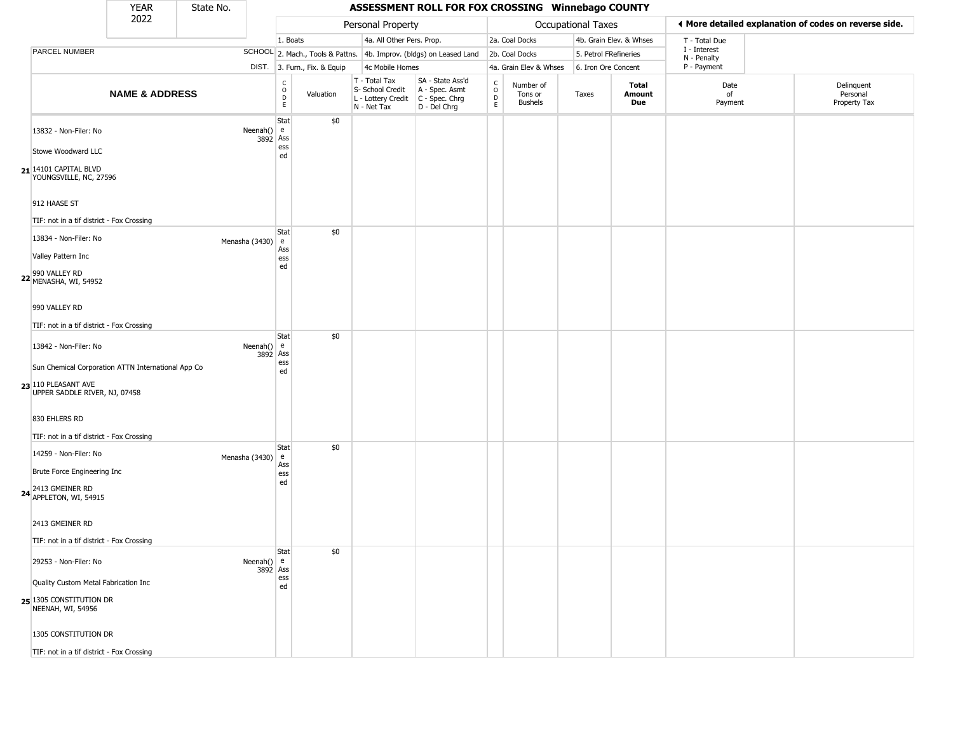|                                                                                    | <b>YEAR</b>                                        | State No.      |                          |                                                |                              |                                                  | ASSESSMENT ROLL FOR FOX CROSSING Winnebago COUNTY                                         |                         |                                 |                       |                         |                             |                                                       |
|------------------------------------------------------------------------------------|----------------------------------------------------|----------------|--------------------------|------------------------------------------------|------------------------------|--------------------------------------------------|-------------------------------------------------------------------------------------------|-------------------------|---------------------------------|-----------------------|-------------------------|-----------------------------|-------------------------------------------------------|
|                                                                                    | 2022                                               |                |                          |                                                |                              | Personal Property                                |                                                                                           |                         |                                 | Occupational Taxes    |                         |                             | ♦ More detailed explanation of codes on reverse side. |
|                                                                                    |                                                    |                |                          | 1. Boats                                       |                              | 4a. All Other Pers. Prop.                        |                                                                                           |                         | 2a. Coal Docks                  |                       | 4b. Grain Elev. & Whses | T - Total Due               |                                                       |
| PARCEL NUMBER                                                                      |                                                    |                |                          |                                                |                              |                                                  | SCHOOL 2. Mach., Tools & Pattns. 4b. Improv. (bldgs) on Leased Land                       |                         | 2b. Coal Docks                  | 5. Petrol FRefineries |                         | I - Interest<br>N - Penalty |                                                       |
|                                                                                    |                                                    |                |                          |                                                | DIST. 3. Furn., Fix. & Equip | 4c Mobile Homes                                  |                                                                                           |                         | 4a. Grain Elev & Whses          | 6. Iron Ore Concent   |                         | P - Payment                 |                                                       |
|                                                                                    | <b>NAME &amp; ADDRESS</b>                          |                |                          | $\begin{matrix} 0 \\ 0 \\ 0 \end{matrix}$<br>E | Valuation                    | T - Total Tax<br>S- School Credit<br>N - Net Tax | SA - State Ass'd<br>A - Spec. Asmt<br>L - Lottery Credit   C - Spec. Chrg<br>D - Del Chrg | c<br>$\circ$<br>D<br>E. | Number of<br>Tons or<br>Bushels | Taxes                 | Total<br>Amount<br>Due  | Date<br>of<br>Payment       | Delinquent<br>Personal<br>Property Tax                |
| 13832 - Non-Filer: No                                                              |                                                    |                | Neenah()<br>3892         | Stat<br>l e<br>Ass<br>ess                      | \$0                          |                                                  |                                                                                           |                         |                                 |                       |                         |                             |                                                       |
| Stowe Woodward LLC<br>$21$ <sup>14101</sup> CAPITAL BLVD<br>YOUNGSVILLE, NC, 27596 |                                                    |                |                          | ed                                             |                              |                                                  |                                                                                           |                         |                                 |                       |                         |                             |                                                       |
| 912 HAASE ST<br>TIF: not in a tif district - Fox Crossing                          |                                                    |                |                          |                                                |                              |                                                  |                                                                                           |                         |                                 |                       |                         |                             |                                                       |
| 13834 - Non-Filer: No                                                              |                                                    |                |                          | Stat<br>e                                      | \$0                          |                                                  |                                                                                           |                         |                                 |                       |                         |                             |                                                       |
| Valley Pattern Inc                                                                 |                                                    | Menasha (3430) |                          | Ass                                            |                              |                                                  |                                                                                           |                         |                                 |                       |                         |                             |                                                       |
| 990 VALLEY RD<br>22 MENASHA, WI, 54952                                             |                                                    |                |                          | ess<br>ed                                      |                              |                                                  |                                                                                           |                         |                                 |                       |                         |                             |                                                       |
| 990 VALLEY RD                                                                      |                                                    |                |                          |                                                |                              |                                                  |                                                                                           |                         |                                 |                       |                         |                             |                                                       |
| TIF: not in a tif district - Fox Crossing                                          |                                                    |                |                          |                                                |                              |                                                  |                                                                                           |                         |                                 |                       |                         |                             |                                                       |
| 13842 - Non-Filer: No                                                              |                                                    |                | Neenah()<br>3892 Ass     | Stat<br>e                                      | \$0                          |                                                  |                                                                                           |                         |                                 |                       |                         |                             |                                                       |
|                                                                                    | Sun Chemical Corporation ATTN International App Co |                |                          | ess<br>ed                                      |                              |                                                  |                                                                                           |                         |                                 |                       |                         |                             |                                                       |
| 23 110 PLEASANT AVE<br>UPPER SADDLE RIVER, NJ, 07458                               |                                                    |                |                          |                                                |                              |                                                  |                                                                                           |                         |                                 |                       |                         |                             |                                                       |
| 830 EHLERS RD                                                                      |                                                    |                |                          |                                                |                              |                                                  |                                                                                           |                         |                                 |                       |                         |                             |                                                       |
| TIF: not in a tif district - Fox Crossing                                          |                                                    |                |                          |                                                |                              |                                                  |                                                                                           |                         |                                 |                       |                         |                             |                                                       |
| 14259 - Non-Filer: No                                                              |                                                    | Menasha (3430) |                          | Stat<br>e                                      | \$0                          |                                                  |                                                                                           |                         |                                 |                       |                         |                             |                                                       |
| Brute Force Engineering Inc                                                        |                                                    |                |                          | Ass<br>ess                                     |                              |                                                  |                                                                                           |                         |                                 |                       |                         |                             |                                                       |
| 2413 GMEINER RD<br>24 APPLETON, WI, 54915                                          |                                                    |                |                          | ed                                             |                              |                                                  |                                                                                           |                         |                                 |                       |                         |                             |                                                       |
| 2413 GMEINER RD                                                                    |                                                    |                |                          |                                                |                              |                                                  |                                                                                           |                         |                                 |                       |                         |                             |                                                       |
| TIF: not in a tif district - Fox Crossing                                          |                                                    |                |                          |                                                |                              |                                                  |                                                                                           |                         |                                 |                       |                         |                             |                                                       |
| 29253 - Non-Filer: No                                                              |                                                    |                | Neenah() $e$<br>3892 Ass | Stat                                           | \$0                          |                                                  |                                                                                           |                         |                                 |                       |                         |                             |                                                       |
| Quality Custom Metal Fabrication Inc                                               |                                                    |                |                          | ess<br>ed                                      |                              |                                                  |                                                                                           |                         |                                 |                       |                         |                             |                                                       |
| 25 1305 CONSTITUTION DR<br>NEENAH, WI, 54956                                       |                                                    |                |                          |                                                |                              |                                                  |                                                                                           |                         |                                 |                       |                         |                             |                                                       |
| 1305 CONSTITUTION DR                                                               |                                                    |                |                          |                                                |                              |                                                  |                                                                                           |                         |                                 |                       |                         |                             |                                                       |
| TIF: not in a tif district - Fox Crossing                                          |                                                    |                |                          |                                                |                              |                                                  |                                                                                           |                         |                                 |                       |                         |                             |                                                       |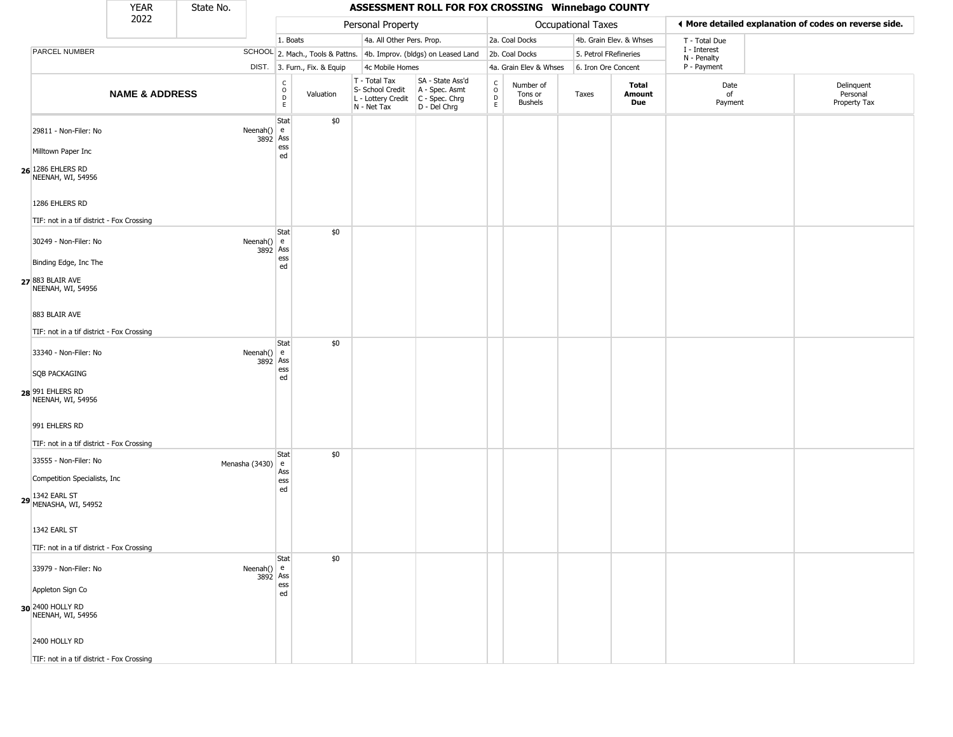|                                                             | <b>YEAR</b>               | State No.      |                                                 |                                  |                                                  | ASSESSMENT ROLL FOR FOX CROSSING Winnebago COUNTY                                         |                        |                                 |                       |                         |                             |                                                       |
|-------------------------------------------------------------|---------------------------|----------------|-------------------------------------------------|----------------------------------|--------------------------------------------------|-------------------------------------------------------------------------------------------|------------------------|---------------------------------|-----------------------|-------------------------|-----------------------------|-------------------------------------------------------|
|                                                             | 2022                      |                |                                                 |                                  | Personal Property                                |                                                                                           |                        |                                 | Occupational Taxes    |                         |                             | ◀ More detailed explanation of codes on reverse side. |
|                                                             |                           |                |                                                 | 1. Boats                         | 4a. All Other Pers. Prop.                        |                                                                                           |                        | 2a. Coal Docks                  |                       | 4b. Grain Elev. & Whses | T - Total Due               |                                                       |
| PARCEL NUMBER                                               |                           |                |                                                 | SCHOOL 2. Mach., Tools & Pattns. |                                                  | 4b. Improv. (bldgs) on Leased Land                                                        |                        | 2b. Coal Docks                  | 5. Petrol FRefineries |                         | I - Interest<br>N - Penalty |                                                       |
|                                                             |                           |                |                                                 | DIST. 3. Furn., Fix. & Equip     | 4c Mobile Homes                                  |                                                                                           |                        | 4a. Grain Elev & Whses          | 6. Iron Ore Concent   |                         | P - Payment                 |                                                       |
|                                                             | <b>NAME &amp; ADDRESS</b> |                | $\begin{array}{c} C \\ O \\ D \\ E \end{array}$ | Valuation                        | T - Total Tax<br>S- School Credit<br>N - Net Tax | SA - State Ass'd<br>A - Spec. Asmt<br>L - Lottery Credit   C - Spec. Chrg<br>D - Del Chrg | C<br>$\circ$<br>D<br>E | Number of<br>Tons or<br>Bushels | Taxes                 | Total<br>Amount<br>Due  | Date<br>of<br>Payment       | Delinquent<br>Personal<br>Property Tax                |
| 29811 - Non-Filer: No<br>Milltown Paper Inc                 |                           | Neenah()       | Stat<br>e<br>Ass<br>3892<br>ess                 | \$0                              |                                                  |                                                                                           |                        |                                 |                       |                         |                             |                                                       |
| $26$ <sup>1286</sup> EHLERS RD<br>NEENAH, WI, 54956         |                           |                | ed                                              |                                  |                                                  |                                                                                           |                        |                                 |                       |                         |                             |                                                       |
| 1286 EHLERS RD<br>TIF: not in a tif district - Fox Crossing |                           |                |                                                 |                                  |                                                  |                                                                                           |                        |                                 |                       |                         |                             |                                                       |
|                                                             |                           |                | Stat                                            | \$0                              |                                                  |                                                                                           |                        |                                 |                       |                         |                             |                                                       |
| 30249 - Non-Filer: No                                       |                           | Neenah()       | e<br>3892 Ass                                   |                                  |                                                  |                                                                                           |                        |                                 |                       |                         |                             |                                                       |
| Binding Edge, Inc The                                       |                           |                | ess<br>ed                                       |                                  |                                                  |                                                                                           |                        |                                 |                       |                         |                             |                                                       |
| 27 883 BLAIR AVE<br>NEENAH, WI, 54956                       |                           |                |                                                 |                                  |                                                  |                                                                                           |                        |                                 |                       |                         |                             |                                                       |
| 883 BLAIR AVE                                               |                           |                |                                                 |                                  |                                                  |                                                                                           |                        |                                 |                       |                         |                             |                                                       |
| TIF: not in a tif district - Fox Crossing                   |                           |                |                                                 |                                  |                                                  |                                                                                           |                        |                                 |                       |                         |                             |                                                       |
| 33340 - Non-Filer: No                                       |                           | Neenah()       | Stat<br>e                                       | \$0                              |                                                  |                                                                                           |                        |                                 |                       |                         |                             |                                                       |
|                                                             |                           |                | 3892<br>Ass<br>ess                              |                                  |                                                  |                                                                                           |                        |                                 |                       |                         |                             |                                                       |
| <b>SQB PACKAGING</b>                                        |                           |                | ed                                              |                                  |                                                  |                                                                                           |                        |                                 |                       |                         |                             |                                                       |
| 28 991 EHLERS RD<br>NEENAH, WI, 54956                       |                           |                |                                                 |                                  |                                                  |                                                                                           |                        |                                 |                       |                         |                             |                                                       |
| 991 EHLERS RD                                               |                           |                |                                                 |                                  |                                                  |                                                                                           |                        |                                 |                       |                         |                             |                                                       |
| TIF: not in a tif district - Fox Crossing                   |                           |                |                                                 |                                  |                                                  |                                                                                           |                        |                                 |                       |                         |                             |                                                       |
| 33555 - Non-Filer: No                                       |                           | Menasha (3430) | Stat<br>e                                       | \$0                              |                                                  |                                                                                           |                        |                                 |                       |                         |                             |                                                       |
| Competition Specialists, Inc.                               |                           |                | Ass<br>ess                                      |                                  |                                                  |                                                                                           |                        |                                 |                       |                         |                             |                                                       |
| 1342 EARL ST<br>$29$ MENASHA, WI, 54952                     |                           |                | ed                                              |                                  |                                                  |                                                                                           |                        |                                 |                       |                         |                             |                                                       |
| 1342 EARL ST                                                |                           |                |                                                 |                                  |                                                  |                                                                                           |                        |                                 |                       |                         |                             |                                                       |
| TIF: not in a tif district - Fox Crossing                   |                           |                |                                                 |                                  |                                                  |                                                                                           |                        |                                 |                       |                         |                             |                                                       |
| 33979 - Non-Filer: No                                       |                           | Neenah()       | Stat<br>e<br>Ass<br>3892                        | \$0                              |                                                  |                                                                                           |                        |                                 |                       |                         |                             |                                                       |
| Appleton Sign Co                                            |                           |                | ess<br>ed                                       |                                  |                                                  |                                                                                           |                        |                                 |                       |                         |                             |                                                       |
| 30 2400 HOLLY RD<br>NEENAH, WI, 54956                       |                           |                |                                                 |                                  |                                                  |                                                                                           |                        |                                 |                       |                         |                             |                                                       |
| 2400 HOLLY RD                                               |                           |                |                                                 |                                  |                                                  |                                                                                           |                        |                                 |                       |                         |                             |                                                       |
| TIF: not in a tif district - Fox Crossing                   |                           |                |                                                 |                                  |                                                  |                                                                                           |                        |                                 |                       |                         |                             |                                                       |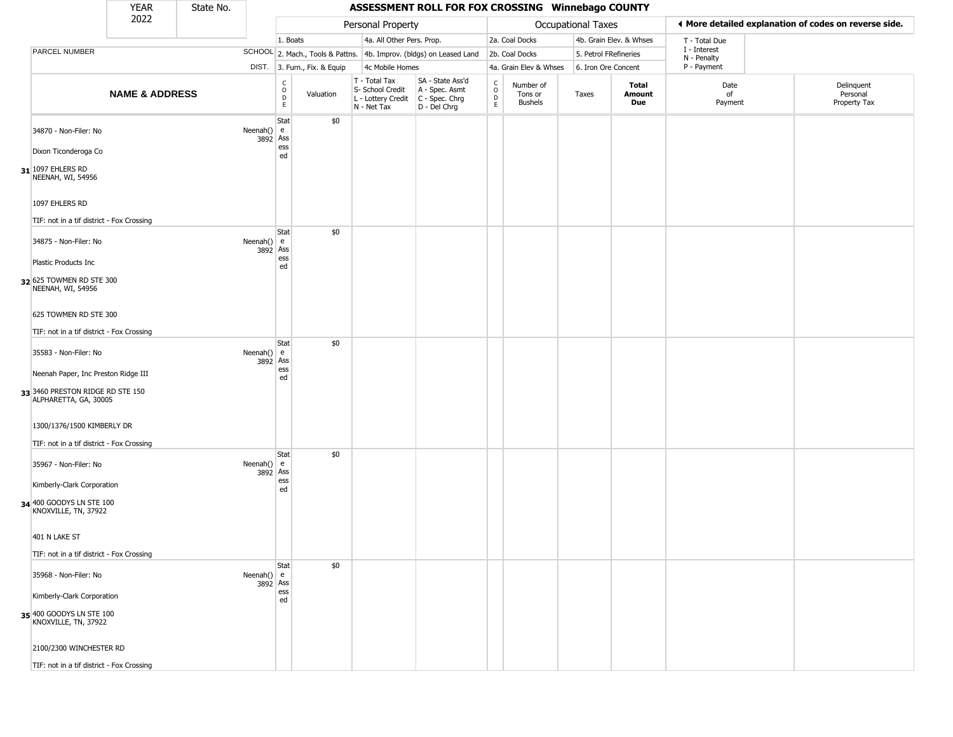|                                                                                                  | <b>YEAR</b>               | State No. |                          |                                             |                              |                                                                        | ASSESSMENT ROLL FOR FOX CROSSING Winnebago COUNTY                    |                             |                                        |                       |                         |                             |                                                       |
|--------------------------------------------------------------------------------------------------|---------------------------|-----------|--------------------------|---------------------------------------------|------------------------------|------------------------------------------------------------------------|----------------------------------------------------------------------|-----------------------------|----------------------------------------|-----------------------|-------------------------|-----------------------------|-------------------------------------------------------|
|                                                                                                  | 2022                      |           |                          |                                             |                              | Personal Property                                                      |                                                                      |                             |                                        | Occupational Taxes    |                         |                             | ♦ More detailed explanation of codes on reverse side. |
|                                                                                                  |                           |           |                          | 1. Boats                                    |                              | 4a. All Other Pers. Prop.                                              |                                                                      |                             | 2a. Coal Docks                         |                       | 4b. Grain Elev. & Whses | T - Total Due               |                                                       |
| PARCEL NUMBER                                                                                    |                           |           |                          |                                             |                              |                                                                        | SCHOOL 2. Mach., Tools & Pattns. 4b. Improv. (bldgs) on Leased Land  |                             | 2b. Coal Docks                         | 5. Petrol FRefineries |                         | I - Interest<br>N - Penalty |                                                       |
|                                                                                                  |                           |           |                          |                                             | DIST. 3. Furn., Fix. & Equip | 4c Mobile Homes                                                        |                                                                      |                             | 4a. Grain Elev & Whses                 | 6. Iron Ore Concent   |                         | P - Payment                 |                                                       |
|                                                                                                  | <b>NAME &amp; ADDRESS</b> |           |                          | $\frac{c}{0}$<br>$\mathsf D$<br>$\mathsf E$ | Valuation                    | T - Total Tax<br>S- School Credit<br>L - Lottery Credit<br>N - Net Tax | SA - State Ass'd<br>A - Spec. Asmt<br>C - Spec. Chrg<br>D - Del Chrg | C<br>$\mathsf{o}$<br>D<br>E | Number of<br>Tons or<br><b>Bushels</b> | Taxes                 | Total<br>Amount<br>Due  | Date<br>of<br>Payment       | Delinquent<br>Personal<br>Property Tax                |
| 34870 - Non-Filer: No<br>Dixon Ticonderoga Co<br>31 1097 EHLERS RD<br>NEENAH, WI, 54956          |                           |           | Neenah() $e$<br>3892 Ass | Stat<br>ess<br>ed                           | \$0                          |                                                                        |                                                                      |                             |                                        |                       |                         |                             |                                                       |
| 1097 EHLERS RD                                                                                   |                           |           |                          |                                             |                              |                                                                        |                                                                      |                             |                                        |                       |                         |                             |                                                       |
| TIF: not in a tif district - Fox Crossing<br>34875 - Non-Filer: No                               |                           |           | Neenah() $e$<br>3892 Ass | Stat<br>ess                                 | \$0                          |                                                                        |                                                                      |                             |                                        |                       |                         |                             |                                                       |
| Plastic Products Inc<br>32 625 TOWMEN RD STE 300<br>NEENAH, WI, 54956                            |                           |           |                          | ed                                          |                              |                                                                        |                                                                      |                             |                                        |                       |                         |                             |                                                       |
| 625 TOWMEN RD STE 300                                                                            |                           |           |                          |                                             |                              |                                                                        |                                                                      |                             |                                        |                       |                         |                             |                                                       |
| TIF: not in a tif district - Fox Crossing                                                        |                           |           |                          |                                             |                              |                                                                        |                                                                      |                             |                                        |                       |                         |                             |                                                       |
| 35583 - Non-Filer: No                                                                            |                           |           | Neenah() $e$<br>3892 Ass | Stat<br>ess                                 | \$0                          |                                                                        |                                                                      |                             |                                        |                       |                         |                             |                                                       |
| Neenah Paper, Inc Preston Ridge III<br>33 3460 PRESTON RIDGE RD STE 150<br>ALPHARETTA, GA, 30005 |                           |           |                          | ed                                          |                              |                                                                        |                                                                      |                             |                                        |                       |                         |                             |                                                       |
| 1300/1376/1500 KIMBERLY DR                                                                       |                           |           |                          |                                             |                              |                                                                        |                                                                      |                             |                                        |                       |                         |                             |                                                       |
| TIF: not in a tif district - Fox Crossing                                                        |                           |           |                          |                                             |                              |                                                                        |                                                                      |                             |                                        |                       |                         |                             |                                                       |
| 35967 - Non-Filer: No                                                                            |                           |           | Neenah() $e$<br>3892 Ass | Stat<br>ess                                 | \$0                          |                                                                        |                                                                      |                             |                                        |                       |                         |                             |                                                       |
| Kimberly-Clark Corporation<br>34 400 GOODYS LN STE 100<br>KNOXVILLE, TN, 37922                   |                           |           |                          | ed                                          |                              |                                                                        |                                                                      |                             |                                        |                       |                         |                             |                                                       |
| 401 N LAKE ST                                                                                    |                           |           |                          |                                             |                              |                                                                        |                                                                      |                             |                                        |                       |                         |                             |                                                       |
| TIF: not in a tif district - Fox Crossing                                                        |                           |           |                          |                                             |                              |                                                                        |                                                                      |                             |                                        |                       |                         |                             |                                                       |
| 35968 - Non-Filer: No                                                                            |                           |           | Neenah() $e$<br>3892 Ass | Stat                                        | \$0                          |                                                                        |                                                                      |                             |                                        |                       |                         |                             |                                                       |
| Kimberly-Clark Corporation                                                                       |                           |           |                          | ess<br>ed                                   |                              |                                                                        |                                                                      |                             |                                        |                       |                         |                             |                                                       |
| 35 400 GOODYS LN STE 100<br>KNOXVILLE, TN, 37922                                                 |                           |           |                          |                                             |                              |                                                                        |                                                                      |                             |                                        |                       |                         |                             |                                                       |
| 2100/2300 WINCHESTER RD                                                                          |                           |           |                          |                                             |                              |                                                                        |                                                                      |                             |                                        |                       |                         |                             |                                                       |
| TIF: not in a tif district - Fox Crossing                                                        |                           |           |                          |                                             |                              |                                                                        |                                                                      |                             |                                        |                       |                         |                             |                                                       |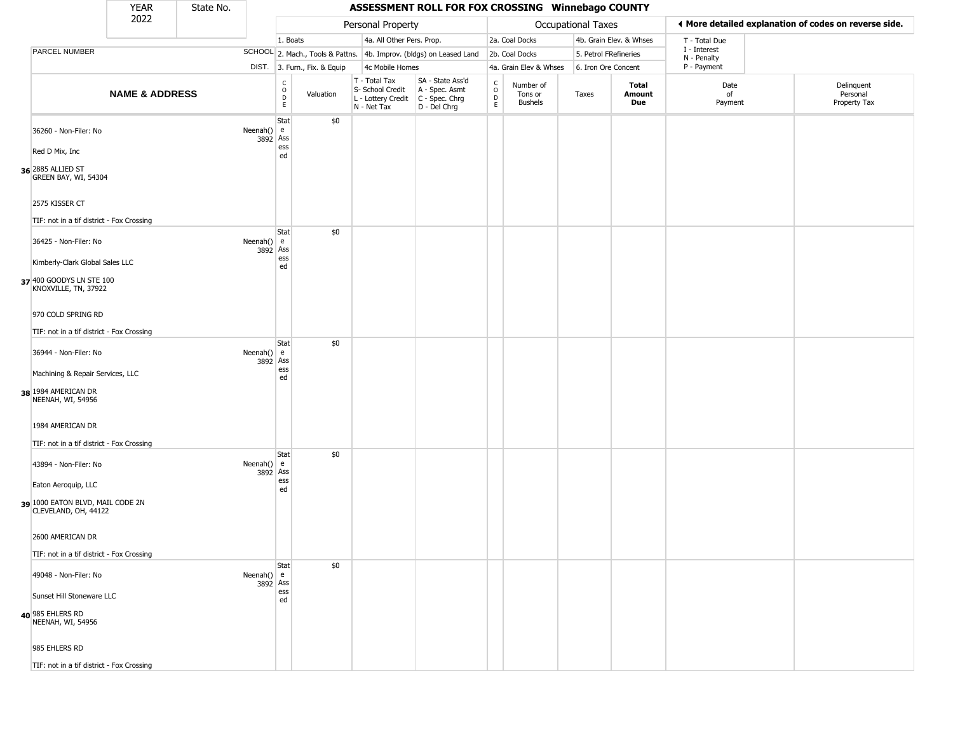|                                                          | <b>YEAR</b>               | State No. |                          |                                                 |                              |                                                                        | ASSESSMENT ROLL FOR FOX CROSSING Winnebago COUNTY                    |                                |                                        |                       |                         |                             |                                                       |
|----------------------------------------------------------|---------------------------|-----------|--------------------------|-------------------------------------------------|------------------------------|------------------------------------------------------------------------|----------------------------------------------------------------------|--------------------------------|----------------------------------------|-----------------------|-------------------------|-----------------------------|-------------------------------------------------------|
|                                                          | 2022                      |           |                          |                                                 |                              | Personal Property                                                      |                                                                      |                                |                                        | Occupational Taxes    |                         |                             | ◀ More detailed explanation of codes on reverse side. |
|                                                          |                           |           |                          | 1. Boats                                        |                              | 4a. All Other Pers. Prop.                                              |                                                                      |                                | 2a. Coal Docks                         |                       | 4b. Grain Elev. & Whses | T - Total Due               |                                                       |
| PARCEL NUMBER                                            |                           |           |                          |                                                 |                              |                                                                        | SCHOOL 2. Mach., Tools & Pattns. 4b. Improv. (bldgs) on Leased Land  |                                | 2b. Coal Docks                         | 5. Petrol FRefineries |                         | I - Interest<br>N - Penalty |                                                       |
|                                                          |                           |           |                          |                                                 | DIST. 3. Furn., Fix. & Equip | 4c Mobile Homes                                                        |                                                                      |                                | 4a. Grain Elev & Whses                 | 6. Iron Ore Concent   |                         | P - Payment                 |                                                       |
|                                                          | <b>NAME &amp; ADDRESS</b> |           |                          | $_{\rm o}^{\rm c}$<br>$\mathsf{D}_{\mathsf{E}}$ | Valuation                    | T - Total Tax<br>S- School Credit<br>L - Lottery Credit<br>N - Net Tax | SA - State Ass'd<br>A - Spec. Asmt<br>C - Spec. Chrg<br>D - Del Chrg | $\rm ^c_o$<br>$\mathsf D$<br>E | Number of<br>Tons or<br><b>Bushels</b> | Taxes                 | Total<br>Amount<br>Due  | Date<br>of<br>Payment       | Delinquent<br>Personal<br>Property Tax                |
| 36260 - Non-Filer: No<br>Red D Mix, Inc                  |                           |           | Neenah() $e$<br>3892 Ass | Stat<br>ess                                     | \$0                          |                                                                        |                                                                      |                                |                                        |                       |                         |                             |                                                       |
| 36 2885 ALLIED ST<br>GREEN BAY, WI, 54304                |                           |           |                          | ed                                              |                              |                                                                        |                                                                      |                                |                                        |                       |                         |                             |                                                       |
| 2575 KISSER CT                                           |                           |           |                          |                                                 |                              |                                                                        |                                                                      |                                |                                        |                       |                         |                             |                                                       |
| TIF: not in a tif district - Fox Crossing                |                           |           |                          |                                                 |                              |                                                                        |                                                                      |                                |                                        |                       |                         |                             |                                                       |
| 36425 - Non-Filer: No                                    |                           |           | Neenah() $e$<br>3892 Ass | Stat                                            | \$0                          |                                                                        |                                                                      |                                |                                        |                       |                         |                             |                                                       |
| Kimberly-Clark Global Sales LLC                          |                           |           |                          | ess<br>ed                                       |                              |                                                                        |                                                                      |                                |                                        |                       |                         |                             |                                                       |
| 37 400 GOODYS LN STE 100<br>KNOXVILLE, TN, 37922         |                           |           |                          |                                                 |                              |                                                                        |                                                                      |                                |                                        |                       |                         |                             |                                                       |
| 970 COLD SPRING RD                                       |                           |           |                          |                                                 |                              |                                                                        |                                                                      |                                |                                        |                       |                         |                             |                                                       |
| TIF: not in a tif district - Fox Crossing                |                           |           |                          | Stat                                            | \$0                          |                                                                        |                                                                      |                                |                                        |                       |                         |                             |                                                       |
| 36944 - Non-Filer: No                                    |                           |           | Neenah() $e$<br>3892 Ass | ess                                             |                              |                                                                        |                                                                      |                                |                                        |                       |                         |                             |                                                       |
| Machining & Repair Services, LLC                         |                           |           |                          | ed                                              |                              |                                                                        |                                                                      |                                |                                        |                       |                         |                             |                                                       |
| 38 1984 AMERICAN DR<br>NEENAH, WI, 54956                 |                           |           |                          |                                                 |                              |                                                                        |                                                                      |                                |                                        |                       |                         |                             |                                                       |
| 1984 AMERICAN DR                                         |                           |           |                          |                                                 |                              |                                                                        |                                                                      |                                |                                        |                       |                         |                             |                                                       |
| TIF: not in a tif district - Fox Crossing                |                           |           |                          | Stat                                            | \$0                          |                                                                        |                                                                      |                                |                                        |                       |                         |                             |                                                       |
| 43894 - Non-Filer: No                                    |                           |           | Neenah() $e$<br>3892     | Ass<br>ess                                      |                              |                                                                        |                                                                      |                                |                                        |                       |                         |                             |                                                       |
| Eaton Aeroquip, LLC                                      |                           |           |                          | ed                                              |                              |                                                                        |                                                                      |                                |                                        |                       |                         |                             |                                                       |
| 39 1000 EATON BLVD, MAIL CODE 2N<br>CLEVELAND, OH, 44122 |                           |           |                          |                                                 |                              |                                                                        |                                                                      |                                |                                        |                       |                         |                             |                                                       |
| 2600 AMERICAN DR                                         |                           |           |                          |                                                 |                              |                                                                        |                                                                      |                                |                                        |                       |                         |                             |                                                       |
| TIF: not in a tif district - Fox Crossing                |                           |           |                          |                                                 |                              |                                                                        |                                                                      |                                |                                        |                       |                         |                             |                                                       |
| 49048 - Non-Filer: No                                    |                           |           | Neenah() $e$<br>3892 Ass | Stat                                            | \$0                          |                                                                        |                                                                      |                                |                                        |                       |                         |                             |                                                       |
| Sunset Hill Stoneware LLC                                |                           |           |                          | ess<br>ed                                       |                              |                                                                        |                                                                      |                                |                                        |                       |                         |                             |                                                       |
| 40 985 EHLERS RD<br>NEENAH, WI, 54956                    |                           |           |                          |                                                 |                              |                                                                        |                                                                      |                                |                                        |                       |                         |                             |                                                       |
| 985 EHLERS RD                                            |                           |           |                          |                                                 |                              |                                                                        |                                                                      |                                |                                        |                       |                         |                             |                                                       |
| TIF: not in a tif district - Fox Crossing                |                           |           |                          |                                                 |                              |                                                                        |                                                                      |                                |                                        |                       |                         |                             |                                                       |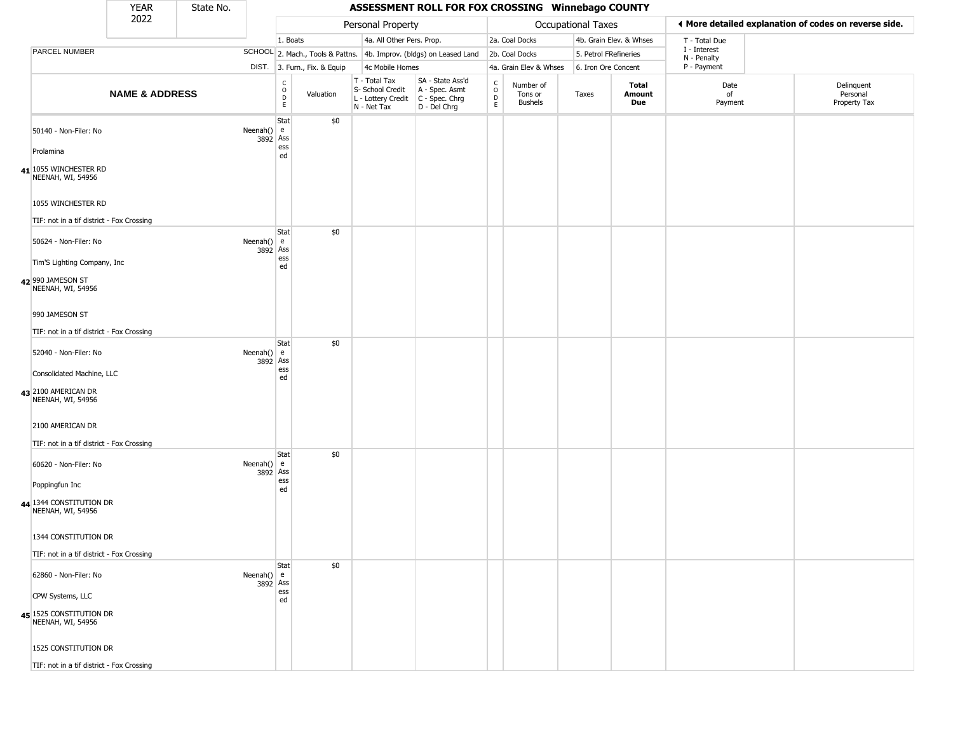|                                                                                                                   | <b>YEAR</b>               | State No. |                    |                                       |                              |                                                  | ASSESSMENT ROLL FOR FOX CROSSING Winnebago COUNTY                                         |                         |                                 |                       |                         |                             |                                                       |
|-------------------------------------------------------------------------------------------------------------------|---------------------------|-----------|--------------------|---------------------------------------|------------------------------|--------------------------------------------------|-------------------------------------------------------------------------------------------|-------------------------|---------------------------------|-----------------------|-------------------------|-----------------------------|-------------------------------------------------------|
|                                                                                                                   | 2022                      |           |                    |                                       |                              | Personal Property                                |                                                                                           |                         |                                 | Occupational Taxes    |                         |                             | ◀ More detailed explanation of codes on reverse side. |
|                                                                                                                   |                           |           |                    | 1. Boats                              |                              | 4a. All Other Pers. Prop.                        |                                                                                           |                         | 2a. Coal Docks                  |                       | 4b. Grain Elev. & Whses | T - Total Due               |                                                       |
| PARCEL NUMBER                                                                                                     |                           |           |                    |                                       |                              |                                                  | SCHOOL 2. Mach., Tools & Pattns. 4b. Improv. (bldgs) on Leased Land                       |                         | 2b. Coal Docks                  | 5. Petrol FRefineries |                         | I - Interest<br>N - Penalty |                                                       |
|                                                                                                                   |                           |           |                    |                                       | DIST. 3. Furn., Fix. & Equip | 4c Mobile Homes                                  |                                                                                           |                         | 4a. Grain Elev & Whses          | 6. Iron Ore Concent   |                         | P - Payment                 |                                                       |
|                                                                                                                   | <b>NAME &amp; ADDRESS</b> |           |                    | C<br>$\mathsf O$<br>$\mathsf{D}$<br>E | Valuation                    | T - Total Tax<br>S- School Credit<br>N - Net Tax | SA - State Ass'd<br>A - Spec. Asmt<br>L - Lottery Credit   C - Spec. Chrg<br>D - Del Chrg | C<br>$\circ$<br>D<br>E. | Number of<br>Tons or<br>Bushels | Taxes                 | Total<br>Amount<br>Due  | Date<br>of<br>Payment       | Delinquent<br>Personal<br>Property Tax                |
| 50140 - Non-Filer: No<br>Prolamina<br>41 1055 WINCHESTER RD<br>NEENAH, WI, 54956                                  |                           |           | Neenah() $e$       | Stat<br>3892 Ass<br>ess<br>ed         | \$0                          |                                                  |                                                                                           |                         |                                 |                       |                         |                             |                                                       |
| 1055 WINCHESTER RD<br>TIF: not in a tif district - Fox Crossing                                                   |                           |           |                    |                                       |                              |                                                  |                                                                                           |                         |                                 |                       |                         |                             |                                                       |
| 50624 - Non-Filer: No<br>Tim'S Lighting Company, Inc.<br>42 990 JAMESON ST                                        |                           |           | Neenah() $e$       | <b>Stat</b><br>3892 Ass<br>ess<br>ed  | \$0                          |                                                  |                                                                                           |                         |                                 |                       |                         |                             |                                                       |
| NEENAH, WI, 54956<br>990 JAMESON ST<br>TIF: not in a tif district - Fox Crossing                                  |                           |           |                    |                                       |                              |                                                  |                                                                                           |                         |                                 |                       |                         |                             |                                                       |
| 52040 - Non-Filer: No<br>Consolidated Machine, LLC<br>43 2100 AMERICAN DR<br>NEENAH, WI, 54956                    |                           |           | Neenah() $e$       | Stat<br>3892 Ass<br>ess<br>ed         | \$0                          |                                                  |                                                                                           |                         |                                 |                       |                         |                             |                                                       |
| 2100 AMERICAN DR<br>TIF: not in a tif district - Fox Crossing                                                     |                           |           |                    |                                       |                              |                                                  |                                                                                           |                         |                                 |                       |                         |                             |                                                       |
| 60620 - Non-Filer: No<br>Poppingfun Inc                                                                           |                           |           | Neenah() $e$       | Stat<br>3892 Ass<br>ess<br>ed         | \$0                          |                                                  |                                                                                           |                         |                                 |                       |                         |                             |                                                       |
| 44 1344 CONSTITUTION DR<br>NEENAH, WI, 54956<br>1344 CONSTITUTION DR<br>TIF: not in a tif district - Fox Crossing |                           |           |                    |                                       |                              |                                                  |                                                                                           |                         |                                 |                       |                         |                             |                                                       |
| 62860 - Non-Filer: No                                                                                             |                           |           | Neenah() $\vert$ e | Stat<br>3892 Ass<br>ess               | \$0                          |                                                  |                                                                                           |                         |                                 |                       |                         |                             |                                                       |
| CPW Systems, LLC<br>45 1525 CONSTITUTION DR<br>NEENAH, WI, 54956                                                  |                           |           |                    | ed                                    |                              |                                                  |                                                                                           |                         |                                 |                       |                         |                             |                                                       |
| 1525 CONSTITUTION DR                                                                                              |                           |           |                    |                                       |                              |                                                  |                                                                                           |                         |                                 |                       |                         |                             |                                                       |
| TIF: not in a tif district - Fox Crossing                                                                         |                           |           |                    |                                       |                              |                                                  |                                                                                           |                         |                                 |                       |                         |                             |                                                       |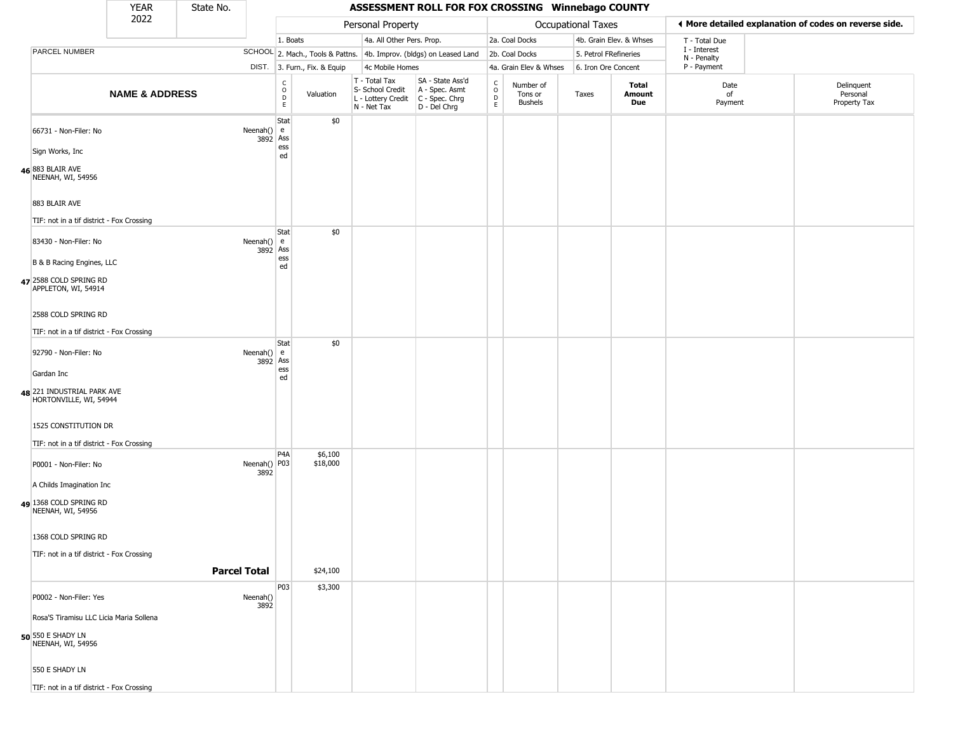|                                                            | <b>YEAR</b>               | State No. |                      |                         |                              |                                                                                         | ASSESSMENT ROLL FOR FOX CROSSING Winnebago COUNTY                   |                        |                                        |                       |                         |                             |                                                       |
|------------------------------------------------------------|---------------------------|-----------|----------------------|-------------------------|------------------------------|-----------------------------------------------------------------------------------------|---------------------------------------------------------------------|------------------------|----------------------------------------|-----------------------|-------------------------|-----------------------------|-------------------------------------------------------|
|                                                            | 2022                      |           |                      |                         |                              | Personal Property                                                                       |                                                                     |                        |                                        | Occupational Taxes    |                         |                             | ♦ More detailed explanation of codes on reverse side. |
|                                                            |                           |           |                      | 1. Boats                |                              | 4a. All Other Pers. Prop.                                                               |                                                                     |                        | 2a. Coal Docks                         |                       | 4b. Grain Elev. & Whses | T - Total Due               |                                                       |
| PARCEL NUMBER                                              |                           |           |                      |                         |                              |                                                                                         | SCHOOL 2. Mach., Tools & Pattns. 4b. Improv. (bldgs) on Leased Land |                        | 2b. Coal Docks                         | 5. Petrol FRefineries |                         | I - Interest<br>N - Penalty |                                                       |
|                                                            |                           |           |                      |                         | DIST. 3. Furn., Fix. & Equip | 4c Mobile Homes                                                                         |                                                                     |                        | 4a. Grain Elev & Whses                 | 6. Iron Ore Concent   |                         | P - Payment                 |                                                       |
|                                                            | <b>NAME &amp; ADDRESS</b> |           |                      | C<br>D<br>E<br>E        | Valuation                    | T - Total Tax<br>S- School Credit<br>L - Lottery Credit   C - Spec. Chrg<br>N - Net Tax | SA - State Ass'd<br>A - Spec. Asmt<br>D - Del Chrg                  | C<br>$\circ$<br>D<br>E | Number of<br>Tons or<br><b>Bushels</b> | Taxes                 | Total<br>Amount<br>Due  | Date<br>of<br>Payment       | Delinquent<br>Personal<br>Property Tax                |
| 66731 - Non-Filer: No                                      |                           |           | Neenah() $e$         | Stat<br>3892 Ass<br>ess | \$0                          |                                                                                         |                                                                     |                        |                                        |                       |                         |                             |                                                       |
| Sign Works, Inc                                            |                           |           |                      | ed                      |                              |                                                                                         |                                                                     |                        |                                        |                       |                         |                             |                                                       |
| 46 883 BLAIR AVE<br>NEENAH, WI, 54956                      |                           |           |                      |                         |                              |                                                                                         |                                                                     |                        |                                        |                       |                         |                             |                                                       |
| 883 BLAIR AVE<br>TIF: not in a tif district - Fox Crossing |                           |           |                      |                         |                              |                                                                                         |                                                                     |                        |                                        |                       |                         |                             |                                                       |
| 83430 - Non-Filer: No                                      |                           |           | Neenah() $e$         | Stat                    | \$0                          |                                                                                         |                                                                     |                        |                                        |                       |                         |                             |                                                       |
| B & B Racing Engines, LLC                                  |                           |           |                      | 3892 Ass<br>ess<br>ed   |                              |                                                                                         |                                                                     |                        |                                        |                       |                         |                             |                                                       |
| 47 2588 COLD SPRING RD<br>APPLETON, WI, 54914              |                           |           |                      |                         |                              |                                                                                         |                                                                     |                        |                                        |                       |                         |                             |                                                       |
| 2588 COLD SPRING RD                                        |                           |           |                      |                         |                              |                                                                                         |                                                                     |                        |                                        |                       |                         |                             |                                                       |
| TIF: not in a tif district - Fox Crossing                  |                           |           |                      | Stat                    | \$0                          |                                                                                         |                                                                     |                        |                                        |                       |                         |                             |                                                       |
| 92790 - Non-Filer: No                                      |                           |           | Neenah()<br>3892     | l e<br>Ass<br>ess       |                              |                                                                                         |                                                                     |                        |                                        |                       |                         |                             |                                                       |
| Gardan Inc                                                 |                           |           |                      | ed                      |                              |                                                                                         |                                                                     |                        |                                        |                       |                         |                             |                                                       |
| 48 221 INDUSTRIAL PARK AVE<br>HORTONVILLE, WI, 54944       |                           |           |                      |                         |                              |                                                                                         |                                                                     |                        |                                        |                       |                         |                             |                                                       |
| 1525 CONSTITUTION DR                                       |                           |           |                      |                         |                              |                                                                                         |                                                                     |                        |                                        |                       |                         |                             |                                                       |
| TIF: not in a tif district - Fox Crossing                  |                           |           |                      | P <sub>4</sub> A        | \$6,100                      |                                                                                         |                                                                     |                        |                                        |                       |                         |                             |                                                       |
| P0001 - Non-Filer: No                                      |                           |           | Neenah() P03<br>3892 |                         | \$18,000                     |                                                                                         |                                                                     |                        |                                        |                       |                         |                             |                                                       |
| A Childs Imagination Inc                                   |                           |           |                      |                         |                              |                                                                                         |                                                                     |                        |                                        |                       |                         |                             |                                                       |
| 49 1368 COLD SPRING RD<br>NEENAH, WI, 54956                |                           |           |                      |                         |                              |                                                                                         |                                                                     |                        |                                        |                       |                         |                             |                                                       |
| 1368 COLD SPRING RD                                        |                           |           |                      |                         |                              |                                                                                         |                                                                     |                        |                                        |                       |                         |                             |                                                       |
| TIF: not in a tif district - Fox Crossing                  |                           |           | <b>Parcel Total</b>  |                         | \$24,100                     |                                                                                         |                                                                     |                        |                                        |                       |                         |                             |                                                       |
|                                                            |                           |           |                      | P03                     | \$3,300                      |                                                                                         |                                                                     |                        |                                        |                       |                         |                             |                                                       |
| P0002 - Non-Filer: Yes                                     |                           |           | Neenah()<br>3892     |                         |                              |                                                                                         |                                                                     |                        |                                        |                       |                         |                             |                                                       |
| Rosa'S Tiramisu LLC Licia Maria Sollena                    |                           |           |                      |                         |                              |                                                                                         |                                                                     |                        |                                        |                       |                         |                             |                                                       |
| 50 550 E SHADY LN<br>NEENAH, WI, 54956                     |                           |           |                      |                         |                              |                                                                                         |                                                                     |                        |                                        |                       |                         |                             |                                                       |
| 550 E SHADY LN                                             |                           |           |                      |                         |                              |                                                                                         |                                                                     |                        |                                        |                       |                         |                             |                                                       |
| TIF: not in a tif district - Fox Crossing                  |                           |           |                      |                         |                              |                                                                                         |                                                                     |                        |                                        |                       |                         |                             |                                                       |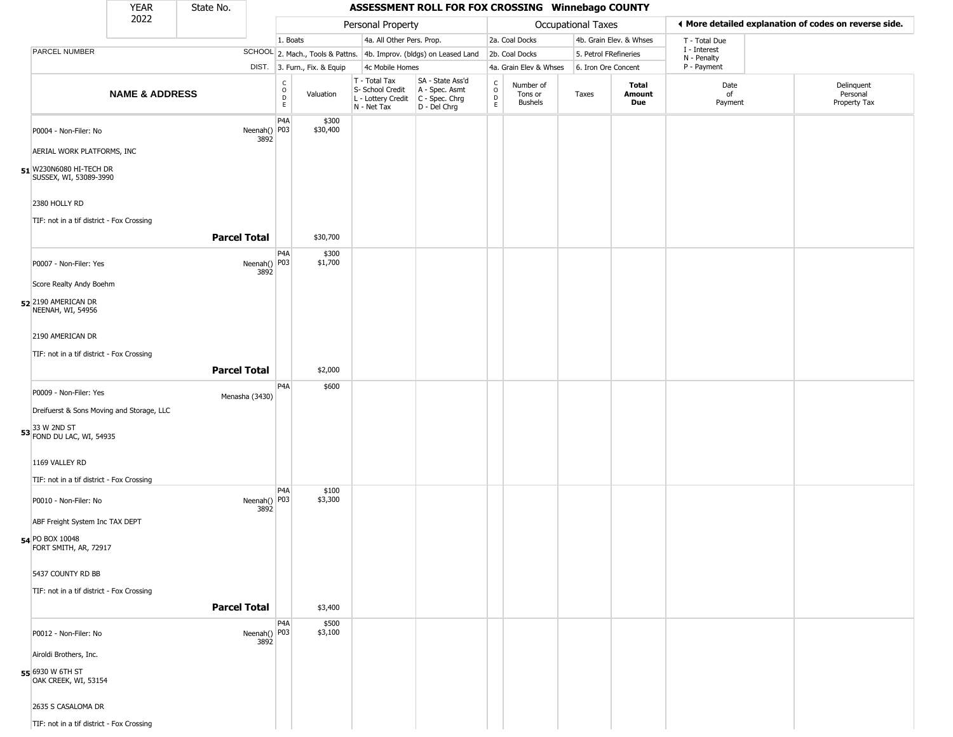|                                                                                 | <b>YEAR</b>               | State No.            |                                                 |                              |                                                                                         | ASSESSMENT ROLL FOR FOX CROSSING Winnebago COUNTY                   |                                                   |                                        |                       |                         |                             |                                                       |
|---------------------------------------------------------------------------------|---------------------------|----------------------|-------------------------------------------------|------------------------------|-----------------------------------------------------------------------------------------|---------------------------------------------------------------------|---------------------------------------------------|----------------------------------------|-----------------------|-------------------------|-----------------------------|-------------------------------------------------------|
|                                                                                 | 2022                      |                      |                                                 |                              | Personal Property                                                                       |                                                                     |                                                   |                                        | Occupational Taxes    |                         |                             | ◀ More detailed explanation of codes on reverse side. |
|                                                                                 |                           |                      | 1. Boats                                        |                              | 4a. All Other Pers. Prop.                                                               |                                                                     |                                                   | 2a. Coal Docks                         |                       | 4b. Grain Elev. & Whses | T - Total Due               |                                                       |
| PARCEL NUMBER                                                                   |                           |                      |                                                 |                              |                                                                                         | SCHOOL 2. Mach., Tools & Pattns. 4b. Improv. (bldgs) on Leased Land |                                                   | 2b. Coal Docks                         | 5. Petrol FRefineries |                         | I - Interest<br>N - Penalty |                                                       |
|                                                                                 |                           |                      |                                                 | DIST. 3. Furn., Fix. & Equip | 4c Mobile Homes                                                                         |                                                                     |                                                   | 4a. Grain Elev & Whses                 | 6. Iron Ore Concent   |                         | P - Payment                 |                                                       |
|                                                                                 | <b>NAME &amp; ADDRESS</b> |                      | $\begin{array}{c} C \\ O \\ D \\ E \end{array}$ | Valuation                    | T - Total Tax<br>S- School Credit<br>L - Lottery Credit   C - Spec. Chrg<br>N - Net Tax | SA - State Ass'd<br>A - Spec. Asmt<br>D - Del Chrg                  | $\begin{array}{c}\nC \\ O \\ D \\ E\n\end{array}$ | Number of<br>Tons or<br><b>Bushels</b> | Taxes                 | Total<br>Amount<br>Due  | Date<br>of<br>Payment       | Delinquent<br>Personal<br>Property Tax                |
| P0004 - Non-Filer: No                                                           |                           | Neenah() P03<br>3892 | P <sub>4</sub> A                                | \$300<br>\$30,400            |                                                                                         |                                                                     |                                                   |                                        |                       |                         |                             |                                                       |
| AERIAL WORK PLATFORMS, INC<br>51 W230N6080 HI-TECH DR<br>SUSSEX, WI, 53089-3990 |                           |                      |                                                 |                              |                                                                                         |                                                                     |                                                   |                                        |                       |                         |                             |                                                       |
| 2380 HOLLY RD                                                                   |                           |                      |                                                 |                              |                                                                                         |                                                                     |                                                   |                                        |                       |                         |                             |                                                       |
| TIF: not in a tif district - Fox Crossing                                       |                           | <b>Parcel Total</b>  |                                                 | \$30,700                     |                                                                                         |                                                                     |                                                   |                                        |                       |                         |                             |                                                       |
| P0007 - Non-Filer: Yes                                                          |                           | Neenah() P03<br>3892 | P4A                                             | \$300<br>\$1,700             |                                                                                         |                                                                     |                                                   |                                        |                       |                         |                             |                                                       |
| Score Realty Andy Boehm<br>52 2190 AMERICAN DR<br>NEENAH, WI, 54956             |                           |                      |                                                 |                              |                                                                                         |                                                                     |                                                   |                                        |                       |                         |                             |                                                       |
| 2190 AMERICAN DR                                                                |                           |                      |                                                 |                              |                                                                                         |                                                                     |                                                   |                                        |                       |                         |                             |                                                       |
| TIF: not in a tif district - Fox Crossing                                       |                           | <b>Parcel Total</b>  |                                                 | \$2,000                      |                                                                                         |                                                                     |                                                   |                                        |                       |                         |                             |                                                       |
| P0009 - Non-Filer: Yes                                                          |                           |                      | P <sub>4</sub> A                                | \$600                        |                                                                                         |                                                                     |                                                   |                                        |                       |                         |                             |                                                       |
| Dreifuerst & Sons Moving and Storage, LLC                                       |                           | Menasha (3430)       |                                                 |                              |                                                                                         |                                                                     |                                                   |                                        |                       |                         |                             |                                                       |
| <b>53</b> 33 W 2ND ST<br><b>53</b> FOND DU LAC, WI, 54935                       |                           |                      |                                                 |                              |                                                                                         |                                                                     |                                                   |                                        |                       |                         |                             |                                                       |
| 1169 VALLEY RD                                                                  |                           |                      |                                                 |                              |                                                                                         |                                                                     |                                                   |                                        |                       |                         |                             |                                                       |
| TIF: not in a tif district - Fox Crossing                                       |                           |                      | P <sub>4</sub> A                                | \$100                        |                                                                                         |                                                                     |                                                   |                                        |                       |                         |                             |                                                       |
| P0010 - Non-Filer: No                                                           |                           | Neenah() P03<br>3892 |                                                 | \$3,300                      |                                                                                         |                                                                     |                                                   |                                        |                       |                         |                             |                                                       |
| ABF Freight System Inc TAX DEPT<br>54 PO BOX 10048<br>FORT SMITH, AR, 72917     |                           |                      |                                                 |                              |                                                                                         |                                                                     |                                                   |                                        |                       |                         |                             |                                                       |
| 5437 COUNTY RD BB                                                               |                           |                      |                                                 |                              |                                                                                         |                                                                     |                                                   |                                        |                       |                         |                             |                                                       |
| TIF: not in a tif district - Fox Crossing                                       |                           | <b>Parcel Total</b>  |                                                 | \$3,400                      |                                                                                         |                                                                     |                                                   |                                        |                       |                         |                             |                                                       |
| P0012 - Non-Filer: No                                                           |                           | Neenah() P03<br>3892 | P4A                                             | \$500<br>\$3,100             |                                                                                         |                                                                     |                                                   |                                        |                       |                         |                             |                                                       |
| Airoldi Brothers, Inc.                                                          |                           |                      |                                                 |                              |                                                                                         |                                                                     |                                                   |                                        |                       |                         |                             |                                                       |
| 55 6930 W 6TH ST<br>OAK CREEK, WI, 53154                                        |                           |                      |                                                 |                              |                                                                                         |                                                                     |                                                   |                                        |                       |                         |                             |                                                       |
| 2635 S CASALOMA DR                                                              |                           |                      |                                                 |                              |                                                                                         |                                                                     |                                                   |                                        |                       |                         |                             |                                                       |
| TIF: not in a tif district - Fox Crossing                                       |                           |                      |                                                 |                              |                                                                                         |                                                                     |                                                   |                                        |                       |                         |                             |                                                       |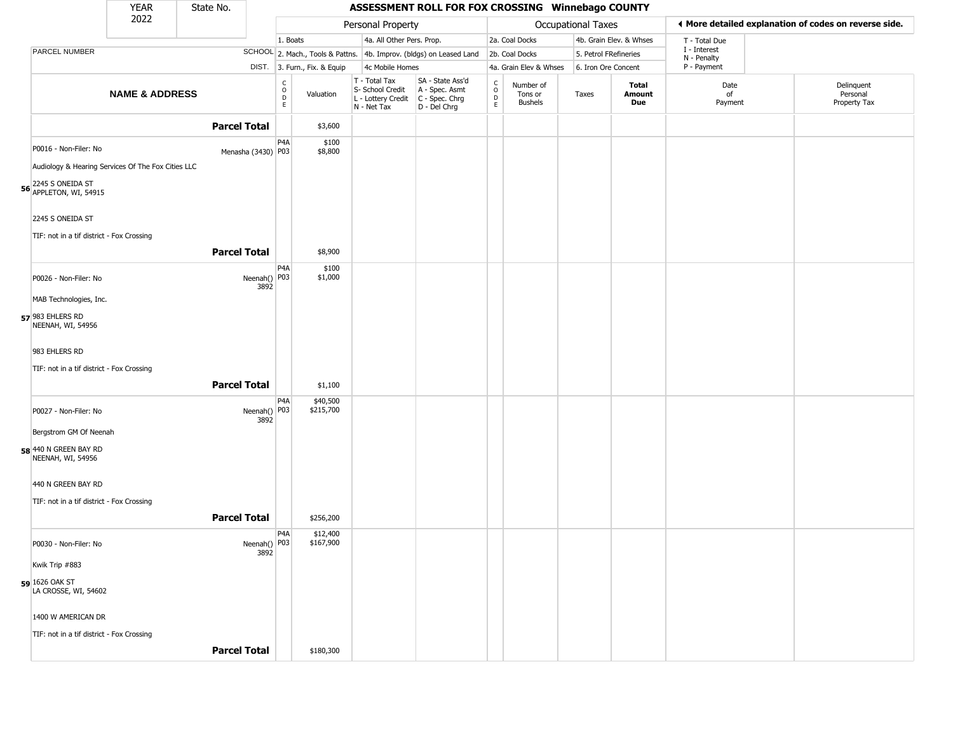|                                                                                                                                            | <b>YEAR</b>               | State No.            |                                                                    |                              |                                                                                         | ASSESSMENT ROLL FOR FOX CROSSING Winnebago COUNTY                   |                                          |                                        |                       |                         |                             |                                                       |
|--------------------------------------------------------------------------------------------------------------------------------------------|---------------------------|----------------------|--------------------------------------------------------------------|------------------------------|-----------------------------------------------------------------------------------------|---------------------------------------------------------------------|------------------------------------------|----------------------------------------|-----------------------|-------------------------|-----------------------------|-------------------------------------------------------|
|                                                                                                                                            | 2022                      |                      |                                                                    |                              | Personal Property                                                                       |                                                                     |                                          |                                        | Occupational Taxes    |                         |                             | ♦ More detailed explanation of codes on reverse side. |
|                                                                                                                                            |                           |                      | 1. Boats                                                           |                              | 4a. All Other Pers. Prop.                                                               |                                                                     |                                          | 2a. Coal Docks                         |                       | 4b. Grain Elev. & Whses | T - Total Due               |                                                       |
| PARCEL NUMBER                                                                                                                              |                           |                      |                                                                    |                              |                                                                                         | SCHOOL 2. Mach., Tools & Pattns. 4b. Improv. (bldgs) on Leased Land |                                          | 2b. Coal Docks                         | 5. Petrol FRefineries |                         | I - Interest<br>N - Penalty |                                                       |
|                                                                                                                                            |                           |                      |                                                                    | DIST. 3. Furn., Fix. & Equip | 4c Mobile Homes                                                                         |                                                                     |                                          | 4a. Grain Elev & Whses                 | 6. Iron Ore Concent   |                         | P - Payment                 |                                                       |
|                                                                                                                                            | <b>NAME &amp; ADDRESS</b> |                      | $\begin{smallmatrix} C \\ O \\ D \end{smallmatrix}$<br>$\mathsf E$ | Valuation                    | T - Total Tax<br>S- School Credit<br>L - Lottery Credit   C - Spec. Chrg<br>N - Net Tax | SA - State Ass'd<br>A - Spec. Asmt<br>D - Del Chrg                  | $\rm _o^C$<br>$\mathsf D$<br>$\mathsf E$ | Number of<br>Tons or<br><b>Bushels</b> | Taxes                 | Total<br>Amount<br>Due  | Date<br>of<br>Payment       | Delinquent<br>Personal<br>Property Tax                |
|                                                                                                                                            |                           | <b>Parcel Total</b>  |                                                                    | \$3,600                      |                                                                                         |                                                                     |                                          |                                        |                       |                         |                             |                                                       |
| P0016 - Non-Filer: No<br>Audiology & Hearing Services Of The Fox Cities LLC<br><b>56</b> 2245 S ONEIDA ST<br><b>56</b> APPLETON, WI, 54915 |                           | Menasha (3430) P03   | P <sub>4</sub> A                                                   | \$100<br>\$8,800             |                                                                                         |                                                                     |                                          |                                        |                       |                         |                             |                                                       |
| 2245 S ONEIDA ST<br>TIF: not in a tif district - Fox Crossing                                                                              |                           |                      |                                                                    |                              |                                                                                         |                                                                     |                                          |                                        |                       |                         |                             |                                                       |
|                                                                                                                                            |                           | <b>Parcel Total</b>  |                                                                    | \$8,900                      |                                                                                         |                                                                     |                                          |                                        |                       |                         |                             |                                                       |
| P0026 - Non-Filer: No                                                                                                                      |                           | Neenah() P03<br>3892 | P4A                                                                | \$100<br>\$1,000             |                                                                                         |                                                                     |                                          |                                        |                       |                         |                             |                                                       |
| MAB Technologies, Inc.                                                                                                                     |                           |                      |                                                                    |                              |                                                                                         |                                                                     |                                          |                                        |                       |                         |                             |                                                       |
| 57 983 EHLERS RD<br>NEENAH, WI, 54956                                                                                                      |                           |                      |                                                                    |                              |                                                                                         |                                                                     |                                          |                                        |                       |                         |                             |                                                       |
| 983 EHLERS RD                                                                                                                              |                           |                      |                                                                    |                              |                                                                                         |                                                                     |                                          |                                        |                       |                         |                             |                                                       |
| TIF: not in a tif district - Fox Crossing                                                                                                  |                           |                      |                                                                    |                              |                                                                                         |                                                                     |                                          |                                        |                       |                         |                             |                                                       |
|                                                                                                                                            |                           | <b>Parcel Total</b>  |                                                                    | \$1,100                      |                                                                                         |                                                                     |                                          |                                        |                       |                         |                             |                                                       |
| P0027 - Non-Filer: No                                                                                                                      |                           | Neenah() P03<br>3892 | P <sub>4</sub> A                                                   | \$40,500<br>\$215,700        |                                                                                         |                                                                     |                                          |                                        |                       |                         |                             |                                                       |
| Bergstrom GM Of Neenah                                                                                                                     |                           |                      |                                                                    |                              |                                                                                         |                                                                     |                                          |                                        |                       |                         |                             |                                                       |
| 58 440 N GREEN BAY RD<br>NEENAH, WI, 54956                                                                                                 |                           |                      |                                                                    |                              |                                                                                         |                                                                     |                                          |                                        |                       |                         |                             |                                                       |
| 440 N GREEN BAY RD                                                                                                                         |                           |                      |                                                                    |                              |                                                                                         |                                                                     |                                          |                                        |                       |                         |                             |                                                       |
| TIF: not in a tif district - Fox Crossing                                                                                                  |                           |                      |                                                                    |                              |                                                                                         |                                                                     |                                          |                                        |                       |                         |                             |                                                       |
|                                                                                                                                            |                           | <b>Parcel Total</b>  |                                                                    | \$256,200                    |                                                                                         |                                                                     |                                          |                                        |                       |                         |                             |                                                       |
| P0030 - Non-Filer: No                                                                                                                      |                           | Neenah() P03<br>3892 | P <sub>4</sub> A                                                   | \$12,400<br>\$167,900        |                                                                                         |                                                                     |                                          |                                        |                       |                         |                             |                                                       |
| Kwik Trip #883                                                                                                                             |                           |                      |                                                                    |                              |                                                                                         |                                                                     |                                          |                                        |                       |                         |                             |                                                       |
| 59 1626 OAK ST<br>LA CROSSE, WI, 54602                                                                                                     |                           |                      |                                                                    |                              |                                                                                         |                                                                     |                                          |                                        |                       |                         |                             |                                                       |
| 1400 W AMERICAN DR                                                                                                                         |                           |                      |                                                                    |                              |                                                                                         |                                                                     |                                          |                                        |                       |                         |                             |                                                       |
| TIF: not in a tif district - Fox Crossing                                                                                                  |                           |                      |                                                                    |                              |                                                                                         |                                                                     |                                          |                                        |                       |                         |                             |                                                       |
|                                                                                                                                            |                           | <b>Parcel Total</b>  |                                                                    | \$180,300                    |                                                                                         |                                                                     |                                          |                                        |                       |                         |                             |                                                       |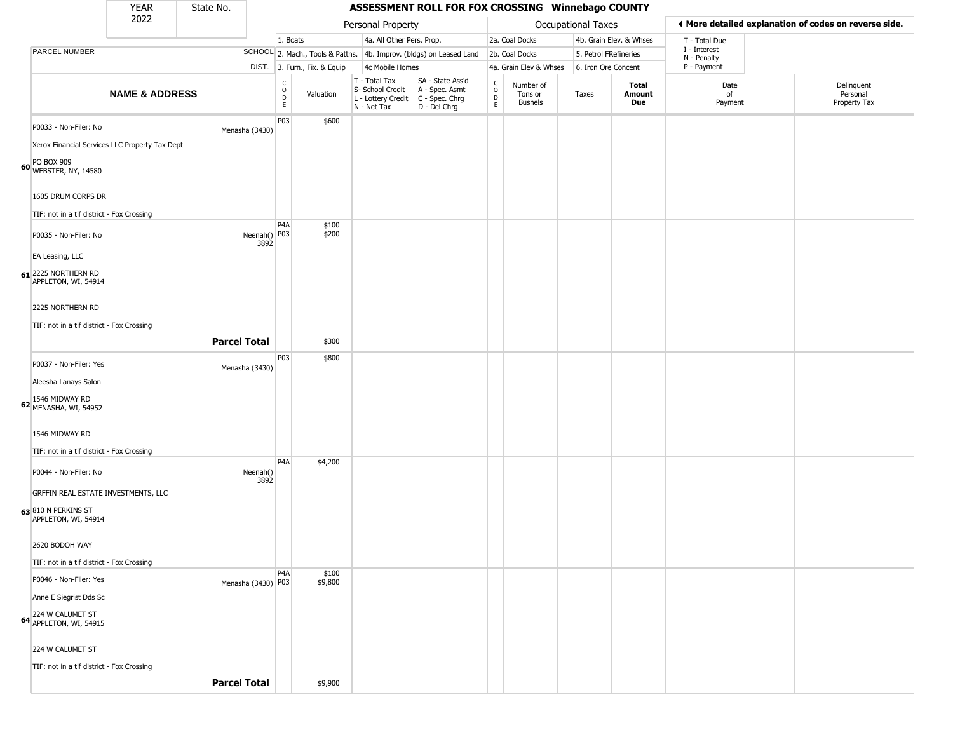|                                                                         | <b>YEAR</b>               | State No.           |                        |                                                |                              |                                                                        | ASSESSMENT ROLL FOR FOX CROSSING Winnebago COUNTY                    |                                |                                        |                    |                         |                             |                                                       |
|-------------------------------------------------------------------------|---------------------------|---------------------|------------------------|------------------------------------------------|------------------------------|------------------------------------------------------------------------|----------------------------------------------------------------------|--------------------------------|----------------------------------------|--------------------|-------------------------|-----------------------------|-------------------------------------------------------|
|                                                                         | 2022                      |                     |                        |                                                |                              | Personal Property                                                      |                                                                      |                                |                                        | Occupational Taxes |                         |                             | I More detailed explanation of codes on reverse side. |
|                                                                         |                           |                     |                        | 1. Boats                                       |                              | 4a. All Other Pers. Prop.                                              |                                                                      |                                | 2a. Coal Docks                         |                    | 4b. Grain Elev. & Whses | T - Total Due               |                                                       |
| PARCEL NUMBER                                                           |                           |                     |                        |                                                |                              |                                                                        | SCHOOL 2. Mach., Tools & Pattns. 4b. Improv. (bldgs) on Leased Land  |                                | 2b. Coal Docks                         |                    | 5. Petrol FRefineries   | I - Interest<br>N - Penalty |                                                       |
|                                                                         |                           |                     |                        |                                                | DIST. 3. Furn., Fix. & Equip | 4c Mobile Homes                                                        |                                                                      |                                | 4a. Grain Elev & Whses                 |                    | 6. Iron Ore Concent     | P - Payment                 |                                                       |
|                                                                         | <b>NAME &amp; ADDRESS</b> |                     |                        | $\begin{matrix} 0 \\ 0 \\ D \end{matrix}$<br>E | Valuation                    | T - Total Tax<br>S- School Credit<br>L - Lottery Credit<br>N - Net Tax | SA - State Ass'd<br>A - Spec. Asmt<br>C - Spec. Chrg<br>D - Del Chrg | $\frac{c}{0}$<br>$\frac{D}{E}$ | Number of<br>Tons or<br><b>Bushels</b> | Taxes              | Total<br>Amount<br>Due  | Date<br>of<br>Payment       | Delinquent<br>Personal<br>Property Tax                |
| P0033 - Non-Filer: No<br>Xerox Financial Services LLC Property Tax Dept |                           |                     | Menasha (3430)         | P03                                            | \$600                        |                                                                        |                                                                      |                                |                                        |                    |                         |                             |                                                       |
| PO BOX 909<br>60 WEBSTER, NY, 14580                                     |                           |                     |                        |                                                |                              |                                                                        |                                                                      |                                |                                        |                    |                         |                             |                                                       |
| 1605 DRUM CORPS DR                                                      |                           |                     |                        |                                                |                              |                                                                        |                                                                      |                                |                                        |                    |                         |                             |                                                       |
| TIF: not in a tif district - Fox Crossing                               |                           |                     |                        |                                                |                              |                                                                        |                                                                      |                                |                                        |                    |                         |                             |                                                       |
| P0035 - Non-Filer: No                                                   |                           |                     | Neenah()   P03<br>3892 | P <sub>4</sub> A                               | \$100<br>\$200               |                                                                        |                                                                      |                                |                                        |                    |                         |                             |                                                       |
| EA Leasing, LLC                                                         |                           |                     |                        |                                                |                              |                                                                        |                                                                      |                                |                                        |                    |                         |                             |                                                       |
| 61 2225 NORTHERN RD<br>APPLETON, WI, 54914                              |                           |                     |                        |                                                |                              |                                                                        |                                                                      |                                |                                        |                    |                         |                             |                                                       |
| 2225 NORTHERN RD                                                        |                           |                     |                        |                                                |                              |                                                                        |                                                                      |                                |                                        |                    |                         |                             |                                                       |
| TIF: not in a tif district - Fox Crossing                               |                           |                     |                        |                                                |                              |                                                                        |                                                                      |                                |                                        |                    |                         |                             |                                                       |
|                                                                         |                           | <b>Parcel Total</b> |                        |                                                | \$300                        |                                                                        |                                                                      |                                |                                        |                    |                         |                             |                                                       |
| P0037 - Non-Filer: Yes                                                  |                           |                     | Menasha (3430)         | P <sub>0</sub> 3                               | \$800                        |                                                                        |                                                                      |                                |                                        |                    |                         |                             |                                                       |
| Aleesha Lanays Salon                                                    |                           |                     |                        |                                                |                              |                                                                        |                                                                      |                                |                                        |                    |                         |                             |                                                       |
| 1546 MIDWAY RD<br>62 MENASHA, WI, 54952                                 |                           |                     |                        |                                                |                              |                                                                        |                                                                      |                                |                                        |                    |                         |                             |                                                       |
| 1546 MIDWAY RD                                                          |                           |                     |                        |                                                |                              |                                                                        |                                                                      |                                |                                        |                    |                         |                             |                                                       |
| TIF: not in a tif district - Fox Crossing                               |                           |                     |                        | P <sub>4</sub> A                               | \$4,200                      |                                                                        |                                                                      |                                |                                        |                    |                         |                             |                                                       |
| P0044 - Non-Filer: No                                                   |                           |                     | Neenah()<br>3892       |                                                |                              |                                                                        |                                                                      |                                |                                        |                    |                         |                             |                                                       |
| GRFFIN REAL ESTATE INVESTMENTS, LLC                                     |                           |                     |                        |                                                |                              |                                                                        |                                                                      |                                |                                        |                    |                         |                             |                                                       |
| 63 810 N PERKINS ST<br>APPLETON, WI, 54914                              |                           |                     |                        |                                                |                              |                                                                        |                                                                      |                                |                                        |                    |                         |                             |                                                       |
| 2620 BODOH WAY                                                          |                           |                     |                        |                                                |                              |                                                                        |                                                                      |                                |                                        |                    |                         |                             |                                                       |
| TIF: not in a tif district - Fox Crossing                               |                           |                     |                        |                                                |                              |                                                                        |                                                                      |                                |                                        |                    |                         |                             |                                                       |
| P0046 - Non-Filer: Yes                                                  |                           |                     | Menasha (3430) P03     | P <sub>4</sub> A                               | \$100<br>\$9,800             |                                                                        |                                                                      |                                |                                        |                    |                         |                             |                                                       |
| Anne E Siegrist Dds Sc                                                  |                           |                     |                        |                                                |                              |                                                                        |                                                                      |                                |                                        |                    |                         |                             |                                                       |
| 64 224 W CALUMET ST<br>64 APPLETON, WI, 54915                           |                           |                     |                        |                                                |                              |                                                                        |                                                                      |                                |                                        |                    |                         |                             |                                                       |
| 224 W CALUMET ST                                                        |                           |                     |                        |                                                |                              |                                                                        |                                                                      |                                |                                        |                    |                         |                             |                                                       |

TIF: not in a tif district - Fox Crossing

**Parcel Total** | \$9,900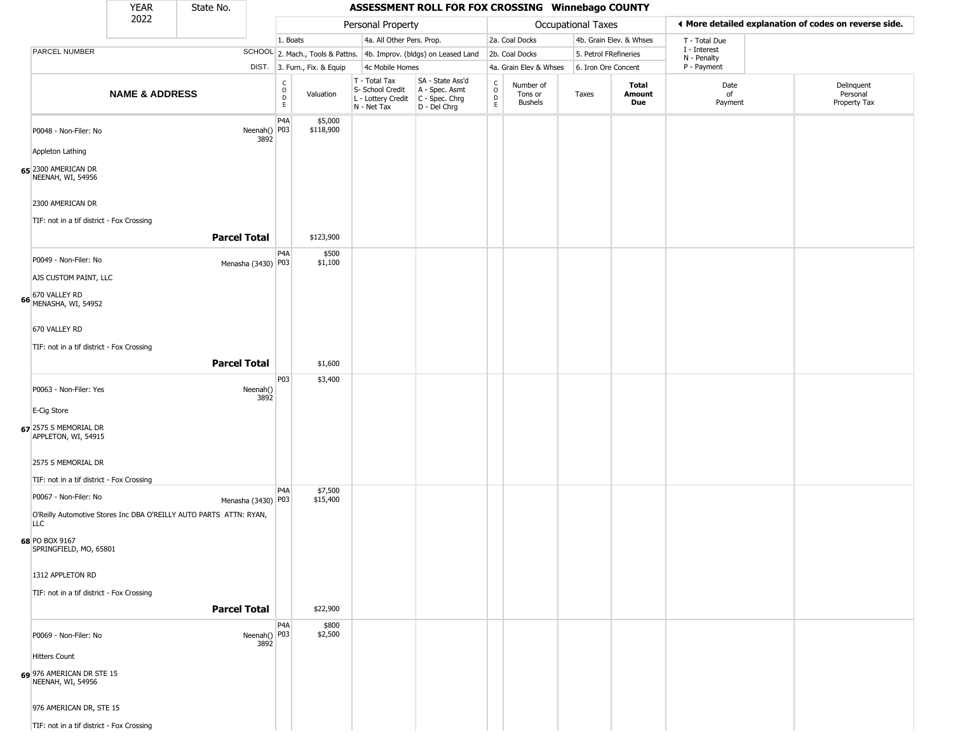|                                                | <b>YEAR</b>               | State No.                                                          |                                                 |                              |                                                                                         | ASSESSMENT ROLL FOR FOX CROSSING Winnebago COUNTY                   |                                                          |                                        |                           |                         |                             |                                                       |
|------------------------------------------------|---------------------------|--------------------------------------------------------------------|-------------------------------------------------|------------------------------|-----------------------------------------------------------------------------------------|---------------------------------------------------------------------|----------------------------------------------------------|----------------------------------------|---------------------------|-------------------------|-----------------------------|-------------------------------------------------------|
|                                                | 2022                      |                                                                    |                                                 |                              | Personal Property                                                                       |                                                                     |                                                          |                                        | <b>Occupational Taxes</b> |                         |                             | I More detailed explanation of codes on reverse side. |
|                                                |                           |                                                                    | 1. Boats                                        |                              | 4a. All Other Pers. Prop.                                                               |                                                                     |                                                          | 2a. Coal Docks                         |                           | 4b. Grain Elev. & Whses | T - Total Due               |                                                       |
| PARCEL NUMBER                                  |                           |                                                                    |                                                 |                              |                                                                                         | SCHOOL 2. Mach., Tools & Pattns. 4b. Improv. (bldgs) on Leased Land |                                                          | 2b. Coal Docks                         | 5. Petrol FRefineries     |                         | I - Interest<br>N - Penalty |                                                       |
|                                                |                           |                                                                    |                                                 | DIST. 3. Furn., Fix. & Equip | 4c Mobile Homes                                                                         |                                                                     |                                                          | 4a. Grain Elev & Whses                 | 6. Iron Ore Concent       |                         | P - Payment                 |                                                       |
|                                                | <b>NAME &amp; ADDRESS</b> |                                                                    | $\begin{array}{c} C \\ O \\ D \\ E \end{array}$ | Valuation                    | T - Total Tax<br>S- School Credit<br>L - Lottery Credit   C - Spec. Chrg<br>N - Net Tax | SA - State Ass'd<br>A - Spec. Asmt<br>D - Del Chrg                  | $\begin{smallmatrix} C \\ O \\ D \end{smallmatrix}$<br>E | Number of<br>Tons or<br><b>Bushels</b> | Taxes                     | Total<br>Amount<br>Due  | Date<br>of<br>Payment       | Delinquent<br>Personal<br>Property Tax                |
| P0048 - Non-Filer: No                          |                           | Neenah()<br>3892                                                   | P <sub>4</sub> A<br>P03                         | \$5,000<br>\$118,900         |                                                                                         |                                                                     |                                                          |                                        |                           |                         |                             |                                                       |
| Appleton Lathing                               |                           |                                                                    |                                                 |                              |                                                                                         |                                                                     |                                                          |                                        |                           |                         |                             |                                                       |
| 65 2300 AMERICAN DR<br>NEENAH, WI, 54956       |                           |                                                                    |                                                 |                              |                                                                                         |                                                                     |                                                          |                                        |                           |                         |                             |                                                       |
| 2300 AMERICAN DR                               |                           |                                                                    |                                                 |                              |                                                                                         |                                                                     |                                                          |                                        |                           |                         |                             |                                                       |
| TIF: not in a tif district - Fox Crossing      |                           |                                                                    |                                                 |                              |                                                                                         |                                                                     |                                                          |                                        |                           |                         |                             |                                                       |
|                                                |                           | <b>Parcel Total</b>                                                | P <sub>4</sub> A                                | \$123,900<br>\$500           |                                                                                         |                                                                     |                                                          |                                        |                           |                         |                             |                                                       |
| P0049 - Non-Filer: No<br>AJS CUSTOM PAINT, LLC |                           | Menasha (3430) P03                                                 |                                                 | \$1,100                      |                                                                                         |                                                                     |                                                          |                                        |                           |                         |                             |                                                       |
|                                                |                           |                                                                    |                                                 |                              |                                                                                         |                                                                     |                                                          |                                        |                           |                         |                             |                                                       |
| 66 670 VALLEY RD<br>MENASHA, WI, 54952         |                           |                                                                    |                                                 |                              |                                                                                         |                                                                     |                                                          |                                        |                           |                         |                             |                                                       |
| 670 VALLEY RD                                  |                           |                                                                    |                                                 |                              |                                                                                         |                                                                     |                                                          |                                        |                           |                         |                             |                                                       |
| TIF: not in a tif district - Fox Crossing      |                           |                                                                    |                                                 |                              |                                                                                         |                                                                     |                                                          |                                        |                           |                         |                             |                                                       |
|                                                |                           | <b>Parcel Total</b>                                                |                                                 | \$1,600                      |                                                                                         |                                                                     |                                                          |                                        |                           |                         |                             |                                                       |
| P0063 - Non-Filer: Yes                         |                           | Neenah()<br>3892                                                   | P03                                             | \$3,400                      |                                                                                         |                                                                     |                                                          |                                        |                           |                         |                             |                                                       |
| E-Cig Store                                    |                           |                                                                    |                                                 |                              |                                                                                         |                                                                     |                                                          |                                        |                           |                         |                             |                                                       |
| 67 2575 S MEMORIAL DR<br>APPLETON, WI, 54915   |                           |                                                                    |                                                 |                              |                                                                                         |                                                                     |                                                          |                                        |                           |                         |                             |                                                       |
| 2575 S MEMORIAL DR                             |                           |                                                                    |                                                 |                              |                                                                                         |                                                                     |                                                          |                                        |                           |                         |                             |                                                       |
| TIF: not in a tif district - Fox Crossing      |                           |                                                                    | P <sub>4</sub> A                                | \$7,500                      |                                                                                         |                                                                     |                                                          |                                        |                           |                         |                             |                                                       |
| P0067 - Non-Filer: No                          |                           | Menasha (3430) P03                                                 |                                                 | \$15,400                     |                                                                                         |                                                                     |                                                          |                                        |                           |                         |                             |                                                       |
| <b>LLC</b>                                     |                           | O'Reilly Automotive Stores Inc DBA O'REILLY AUTO PARTS ATTN: RYAN, |                                                 |                              |                                                                                         |                                                                     |                                                          |                                        |                           |                         |                             |                                                       |
| 68 PO BOX 9167<br>SPRINGFIELD, MO, 65801       |                           |                                                                    |                                                 |                              |                                                                                         |                                                                     |                                                          |                                        |                           |                         |                             |                                                       |
| 1312 APPLETON RD                               |                           |                                                                    |                                                 |                              |                                                                                         |                                                                     |                                                          |                                        |                           |                         |                             |                                                       |
| TIF: not in a tif district - Fox Crossing      |                           |                                                                    |                                                 |                              |                                                                                         |                                                                     |                                                          |                                        |                           |                         |                             |                                                       |
|                                                |                           | <b>Parcel Total</b>                                                |                                                 | \$22,900                     |                                                                                         |                                                                     |                                                          |                                        |                           |                         |                             |                                                       |
| P0069 - Non-Filer: No                          |                           | Neenah() P03<br>3892                                               | P <sub>4</sub> A                                | \$800<br>\$2,500             |                                                                                         |                                                                     |                                                          |                                        |                           |                         |                             |                                                       |
| <b>Hitters Count</b>                           |                           |                                                                    |                                                 |                              |                                                                                         |                                                                     |                                                          |                                        |                           |                         |                             |                                                       |
| 69 976 AMERICAN DR STE 15<br>NEENAH, WI, 54956 |                           |                                                                    |                                                 |                              |                                                                                         |                                                                     |                                                          |                                        |                           |                         |                             |                                                       |
| 976 AMERICAN DR, STE 15                        |                           |                                                                    |                                                 |                              |                                                                                         |                                                                     |                                                          |                                        |                           |                         |                             |                                                       |
| TIF: not in a tif district - Fox Crossing      |                           |                                                                    |                                                 |                              |                                                                                         |                                                                     |                                                          |                                        |                           |                         |                             |                                                       |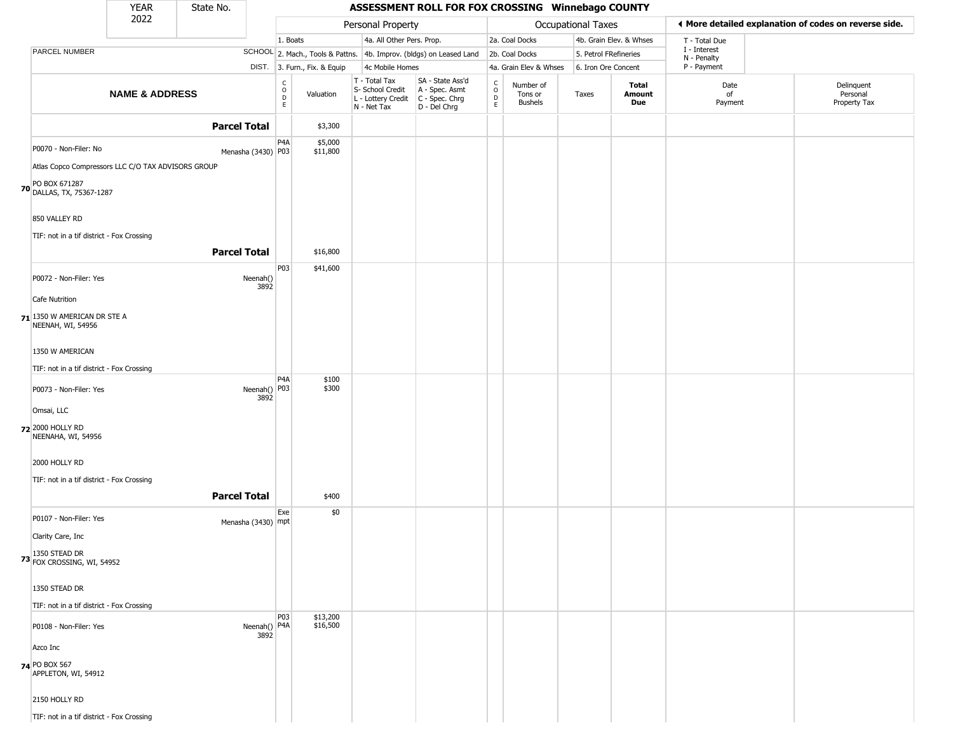|                                                              | <b>YEAR</b>               | State No.           |                                   |                              |                                                                                         | ASSESSMENT ROLL FOR FOX CROSSING Winnebago COUNTY                   |                  |                                        |                     |                         |                             |                                                       |
|--------------------------------------------------------------|---------------------------|---------------------|-----------------------------------|------------------------------|-----------------------------------------------------------------------------------------|---------------------------------------------------------------------|------------------|----------------------------------------|---------------------|-------------------------|-----------------------------|-------------------------------------------------------|
|                                                              | 2022                      |                     |                                   |                              | Personal Property                                                                       |                                                                     |                  |                                        | Occupational Taxes  |                         |                             | ◀ More detailed explanation of codes on reverse side. |
|                                                              |                           |                     |                                   | 1. Boats                     | 4a. All Other Pers. Prop.                                                               |                                                                     |                  | 2a. Coal Docks                         |                     | 4b. Grain Elev. & Whses | T - Total Due               |                                                       |
| PARCEL NUMBER                                                |                           |                     |                                   |                              |                                                                                         | SCHOOL 2. Mach., Tools & Pattns. 4b. Improv. (bldgs) on Leased Land |                  | 2b. Coal Docks                         |                     | 5. Petrol FRefineries   | I - Interest<br>N - Penalty |                                                       |
|                                                              |                           |                     |                                   | DIST. 3. Furn., Fix. & Equip | 4c Mobile Homes                                                                         |                                                                     |                  | 4a. Grain Elev & Whses                 | 6. Iron Ore Concent |                         | P - Payment                 |                                                       |
|                                                              | <b>NAME &amp; ADDRESS</b> |                     | $\frac{c}{0}$<br>$\mathsf D$<br>E | Valuation                    | T - Total Tax<br>S- School Credit<br>L - Lottery Credit   C - Spec. Chrg<br>N - Net Tax | SA - State Ass'd<br>A - Spec. Asmt<br>D - Del Chrg                  | C<br>D<br>D<br>E | Number of<br>Tons or<br><b>Bushels</b> | Taxes               | Total<br>Amount<br>Due  | Date<br>of<br>Payment       | Delinquent<br>Personal<br>Property Tax                |
|                                                              |                           | <b>Parcel Total</b> |                                   | \$3,300                      |                                                                                         |                                                                     |                  |                                        |                     |                         |                             |                                                       |
| P0070 - Non-Filer: No                                        |                           | Menasha (3430) P03  | P4A                               | \$5,000<br>\$11,800          |                                                                                         |                                                                     |                  |                                        |                     |                         |                             |                                                       |
| Atlas Copco Compressors LLC C/O TAX ADVISORS GROUP           |                           |                     |                                   |                              |                                                                                         |                                                                     |                  |                                        |                     |                         |                             |                                                       |
| PO BOX 671287<br><b>70</b> DALLAS, TX, 75367-1287            |                           |                     |                                   |                              |                                                                                         |                                                                     |                  |                                        |                     |                         |                             |                                                       |
| 850 VALLEY RD                                                |                           |                     |                                   |                              |                                                                                         |                                                                     |                  |                                        |                     |                         |                             |                                                       |
| TIF: not in a tif district - Fox Crossing                    |                           |                     |                                   |                              |                                                                                         |                                                                     |                  |                                        |                     |                         |                             |                                                       |
|                                                              |                           | <b>Parcel Total</b> |                                   | \$16,800                     |                                                                                         |                                                                     |                  |                                        |                     |                         |                             |                                                       |
|                                                              |                           |                     | P03                               | \$41,600                     |                                                                                         |                                                                     |                  |                                        |                     |                         |                             |                                                       |
| P0072 - Non-Filer: Yes                                       |                           | Neenah()            | 3892                              |                              |                                                                                         |                                                                     |                  |                                        |                     |                         |                             |                                                       |
| Cafe Nutrition                                               |                           |                     |                                   |                              |                                                                                         |                                                                     |                  |                                        |                     |                         |                             |                                                       |
| 71 1350 W AMERICAN DR STE A<br>NEENAH, WI, 54956             |                           |                     |                                   |                              |                                                                                         |                                                                     |                  |                                        |                     |                         |                             |                                                       |
| 1350 W AMERICAN                                              |                           |                     |                                   |                              |                                                                                         |                                                                     |                  |                                        |                     |                         |                             |                                                       |
| TIF: not in a tif district - Fox Crossing                    |                           |                     |                                   |                              |                                                                                         |                                                                     |                  |                                        |                     |                         |                             |                                                       |
| P0073 - Non-Filer: Yes                                       |                           |                     | P4A<br>Neenah() P03<br>3892       | \$100<br>\$300               |                                                                                         |                                                                     |                  |                                        |                     |                         |                             |                                                       |
| Omsai, LLC                                                   |                           |                     |                                   |                              |                                                                                         |                                                                     |                  |                                        |                     |                         |                             |                                                       |
| 72 2000 HOLLY RD<br>NEENAHA, WI, 54956                       |                           |                     |                                   |                              |                                                                                         |                                                                     |                  |                                        |                     |                         |                             |                                                       |
| 2000 HOLLY RD                                                |                           |                     |                                   |                              |                                                                                         |                                                                     |                  |                                        |                     |                         |                             |                                                       |
| TIF: not in a tif district - Fox Crossing                    |                           |                     |                                   |                              |                                                                                         |                                                                     |                  |                                        |                     |                         |                             |                                                       |
|                                                              |                           | <b>Parcel Total</b> |                                   | \$400                        |                                                                                         |                                                                     |                  |                                        |                     |                         |                             |                                                       |
| P0107 - Non-Filer: Yes                                       |                           | Menasha (3430) mpt  | Exe                               | \$0                          |                                                                                         |                                                                     |                  |                                        |                     |                         |                             |                                                       |
| Clarity Care, Inc                                            |                           |                     |                                   |                              |                                                                                         |                                                                     |                  |                                        |                     |                         |                             |                                                       |
| <b>73</b> 1350 STEAD DR<br><b>73</b> Fox Crossing, WI, 54952 |                           |                     |                                   |                              |                                                                                         |                                                                     |                  |                                        |                     |                         |                             |                                                       |
| 1350 STEAD DR                                                |                           |                     |                                   |                              |                                                                                         |                                                                     |                  |                                        |                     |                         |                             |                                                       |
| TIF: not in a tif district - Fox Crossing                    |                           |                     |                                   |                              |                                                                                         |                                                                     |                  |                                        |                     |                         |                             |                                                       |
| P0108 - Non-Filer: Yes                                       |                           |                     | P03<br>Neenah()   P4A             | \$13,200<br>\$16,500         |                                                                                         |                                                                     |                  |                                        |                     |                         |                             |                                                       |
| Azco Inc                                                     |                           |                     | 3892                              |                              |                                                                                         |                                                                     |                  |                                        |                     |                         |                             |                                                       |
| 74 PO BOX 567<br>APPLETON, WI, 54912                         |                           |                     |                                   |                              |                                                                                         |                                                                     |                  |                                        |                     |                         |                             |                                                       |
| 2150 HOLLY RD                                                |                           |                     |                                   |                              |                                                                                         |                                                                     |                  |                                        |                     |                         |                             |                                                       |
| TIF: not in a tif district - Fox Crossing                    |                           |                     |                                   |                              |                                                                                         |                                                                     |                  |                                        |                     |                         |                             |                                                       |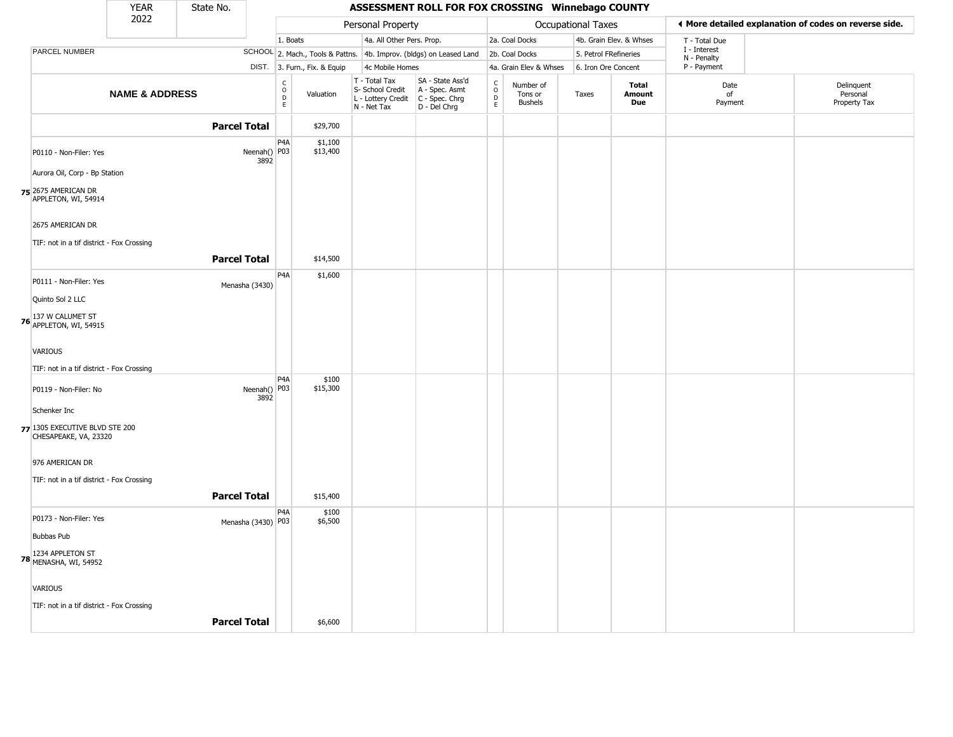|                                                         | <b>YEAR</b>               | State No.           |                      |                                                |                              |                                                                        | ASSESSMENT ROLL FOR FOX CROSSING Winnebago COUNTY                    |                          |                                        |                           |                               |                             |                                                       |
|---------------------------------------------------------|---------------------------|---------------------|----------------------|------------------------------------------------|------------------------------|------------------------------------------------------------------------|----------------------------------------------------------------------|--------------------------|----------------------------------------|---------------------------|-------------------------------|-----------------------------|-------------------------------------------------------|
|                                                         | 2022                      |                     |                      |                                                |                              | Personal Property                                                      |                                                                      |                          |                                        | <b>Occupational Taxes</b> |                               |                             | I More detailed explanation of codes on reverse side. |
|                                                         |                           |                     |                      | 1. Boats                                       |                              | 4a. All Other Pers. Prop.                                              |                                                                      |                          | 2a. Coal Docks                         |                           | 4b. Grain Elev. & Whses       | T - Total Due               |                                                       |
| PARCEL NUMBER                                           |                           |                     |                      |                                                |                              |                                                                        | SCHOOL 2. Mach., Tools & Pattns. 4b. Improv. (bldgs) on Leased Land  |                          | 2b. Coal Docks                         | 5. Petrol FRefineries     |                               | I - Interest<br>N - Penalty |                                                       |
|                                                         |                           |                     |                      |                                                | DIST. 3. Furn., Fix. & Equip | 4c Mobile Homes                                                        |                                                                      |                          | 4a. Grain Elev & Whses                 | 6. Iron Ore Concent       |                               | P - Payment                 |                                                       |
|                                                         | <b>NAME &amp; ADDRESS</b> |                     |                      | $\begin{matrix} 0 \\ 0 \\ D \end{matrix}$<br>E | Valuation                    | T - Total Tax<br>S- School Credit<br>L - Lottery Credit<br>N - Net Tax | SA - State Ass'd<br>A - Spec. Asmt<br>C - Spec. Chrg<br>D - Del Chrg | C<br>$\overline{0}$<br>E | Number of<br>Tons or<br><b>Bushels</b> | Taxes                     | <b>Total</b><br>Amount<br>Due | Date<br>of<br>Payment       | Delinquent<br>Personal<br>Property Tax                |
|                                                         |                           | <b>Parcel Total</b> |                      |                                                | \$29,700                     |                                                                        |                                                                      |                          |                                        |                           |                               |                             |                                                       |
| P0110 - Non-Filer: Yes                                  |                           |                     | Neenah() P03<br>3892 | P <sub>4</sub> A                               | \$1,100<br>\$13,400          |                                                                        |                                                                      |                          |                                        |                           |                               |                             |                                                       |
| Aurora Oil, Corp - Bp Station                           |                           |                     |                      |                                                |                              |                                                                        |                                                                      |                          |                                        |                           |                               |                             |                                                       |
| 75 2675 AMERICAN DR<br>APPLETON, WI, 54914              |                           |                     |                      |                                                |                              |                                                                        |                                                                      |                          |                                        |                           |                               |                             |                                                       |
| 2675 AMERICAN DR                                        |                           |                     |                      |                                                |                              |                                                                        |                                                                      |                          |                                        |                           |                               |                             |                                                       |
| TIF: not in a tif district - Fox Crossing               |                           |                     |                      |                                                |                              |                                                                        |                                                                      |                          |                                        |                           |                               |                             |                                                       |
|                                                         |                           | <b>Parcel Total</b> |                      |                                                | \$14,500                     |                                                                        |                                                                      |                          |                                        |                           |                               |                             |                                                       |
| P0111 - Non-Filer: Yes                                  |                           |                     | Menasha (3430)       | P4A                                            | \$1,600                      |                                                                        |                                                                      |                          |                                        |                           |                               |                             |                                                       |
| Quinto Sol 2 LLC                                        |                           |                     |                      |                                                |                              |                                                                        |                                                                      |                          |                                        |                           |                               |                             |                                                       |
| 76 137 W CALUMET ST<br>APPLETON, WI, 54915              |                           |                     |                      |                                                |                              |                                                                        |                                                                      |                          |                                        |                           |                               |                             |                                                       |
| <b>VARIOUS</b>                                          |                           |                     |                      |                                                |                              |                                                                        |                                                                      |                          |                                        |                           |                               |                             |                                                       |
| TIF: not in a tif district - Fox Crossing               |                           |                     |                      |                                                |                              |                                                                        |                                                                      |                          |                                        |                           |                               |                             |                                                       |
| P0119 - Non-Filer: No                                   |                           |                     | Neenah() P03<br>3892 | P <sub>4</sub> A                               | \$100<br>\$15,300            |                                                                        |                                                                      |                          |                                        |                           |                               |                             |                                                       |
| Schenker Inc                                            |                           |                     |                      |                                                |                              |                                                                        |                                                                      |                          |                                        |                           |                               |                             |                                                       |
| 77 1305 EXECUTIVE BLVD STE 200<br>CHESAPEAKE, VA, 23320 |                           |                     |                      |                                                |                              |                                                                        |                                                                      |                          |                                        |                           |                               |                             |                                                       |
| 976 AMERICAN DR                                         |                           |                     |                      |                                                |                              |                                                                        |                                                                      |                          |                                        |                           |                               |                             |                                                       |
| TIF: not in a tif district - Fox Crossing               |                           |                     |                      |                                                |                              |                                                                        |                                                                      |                          |                                        |                           |                               |                             |                                                       |
|                                                         |                           | <b>Parcel Total</b> |                      |                                                | \$15,400                     |                                                                        |                                                                      |                          |                                        |                           |                               |                             |                                                       |
| P0173 - Non-Filer: Yes                                  |                           |                     | Menasha (3430) P03   | P <sub>4</sub> A                               | \$100<br>\$6,500             |                                                                        |                                                                      |                          |                                        |                           |                               |                             |                                                       |
| <b>Bubbas Pub</b>                                       |                           |                     |                      |                                                |                              |                                                                        |                                                                      |                          |                                        |                           |                               |                             |                                                       |
| 78 1234 APPLETON ST<br>78 MENASHA, WI, 54952            |                           |                     |                      |                                                |                              |                                                                        |                                                                      |                          |                                        |                           |                               |                             |                                                       |
| <b>VARIOUS</b>                                          |                           |                     |                      |                                                |                              |                                                                        |                                                                      |                          |                                        |                           |                               |                             |                                                       |
| TIF: not in a tif district - Fox Crossing               |                           |                     |                      |                                                |                              |                                                                        |                                                                      |                          |                                        |                           |                               |                             |                                                       |
|                                                         |                           | <b>Parcel Total</b> |                      |                                                | \$6,600                      |                                                                        |                                                                      |                          |                                        |                           |                               |                             |                                                       |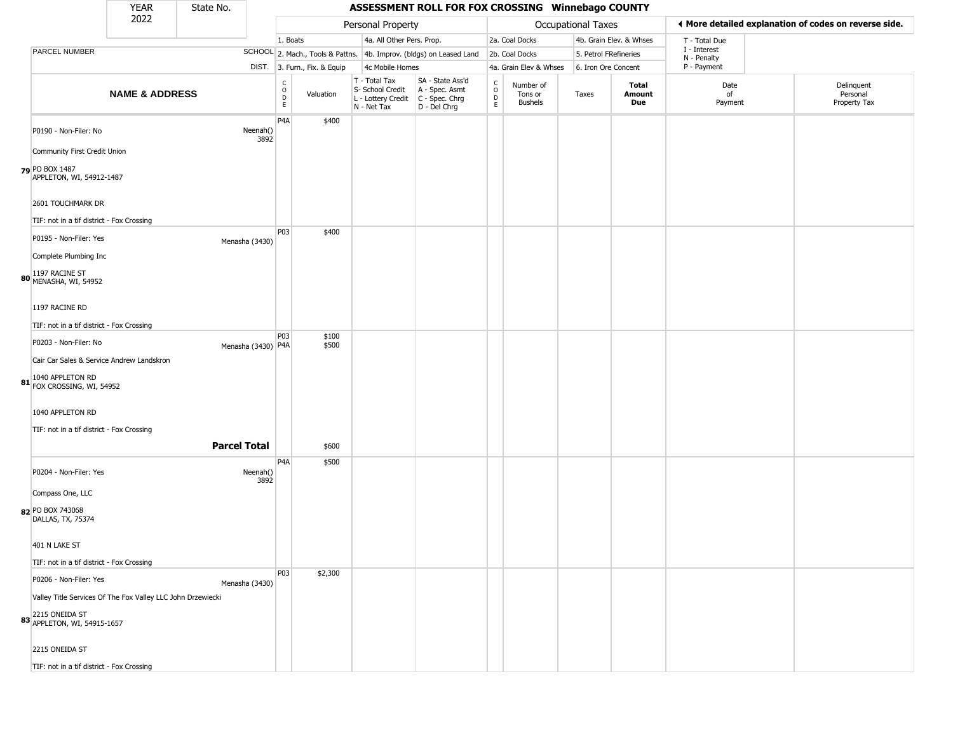|                                                                                                                 | <b>YEAR</b>               | State No.           |                    |                                        |                              |                                                                        | ASSESSMENT ROLL FOR FOX CROSSING Winnebago COUNTY                    |                                   |                                        |                    |                         |                             |                                                       |
|-----------------------------------------------------------------------------------------------------------------|---------------------------|---------------------|--------------------|----------------------------------------|------------------------------|------------------------------------------------------------------------|----------------------------------------------------------------------|-----------------------------------|----------------------------------------|--------------------|-------------------------|-----------------------------|-------------------------------------------------------|
|                                                                                                                 | 2022                      |                     |                    |                                        |                              | Personal Property                                                      |                                                                      |                                   |                                        | Occupational Taxes |                         |                             | ◀ More detailed explanation of codes on reverse side. |
|                                                                                                                 |                           |                     |                    | 1. Boats                               |                              | 4a. All Other Pers. Prop.                                              |                                                                      |                                   | 2a. Coal Docks                         |                    | 4b. Grain Elev. & Whses | T - Total Due               |                                                       |
| PARCEL NUMBER                                                                                                   |                           |                     |                    |                                        |                              |                                                                        | SCHOOL 2. Mach., Tools & Pattns. 4b. Improv. (bldgs) on Leased Land  |                                   | 2b. Coal Docks                         |                    | 5. Petrol FRefineries   | I - Interest<br>N - Penalty |                                                       |
|                                                                                                                 |                           |                     |                    |                                        | DIST. 3. Furn., Fix. & Equip | 4c Mobile Homes                                                        |                                                                      |                                   | 4a. Grain Elev & Whses                 |                    | 6. Iron Ore Concent     | P - Payment                 |                                                       |
|                                                                                                                 | <b>NAME &amp; ADDRESS</b> |                     |                    | $_{\rm o}^{\rm c}$<br>D<br>$\mathsf E$ | Valuation                    | T - Total Tax<br>S- School Credit<br>L - Lottery Credit<br>N - Net Tax | SA - State Ass'd<br>A - Spec. Asmt<br>C - Spec. Chrg<br>D - Del Chrg | $\mathsf{C}$<br>$\circ$<br>D<br>E | Number of<br>Tons or<br><b>Bushels</b> | Taxes              | Total<br>Amount<br>Due  | Date<br>of<br>Payment       | Delinquent<br>Personal<br>Property Tax                |
| P0190 - Non-Filer: No                                                                                           |                           |                     | Neenah()<br>3892   | P <sub>4</sub> A                       | \$400                        |                                                                        |                                                                      |                                   |                                        |                    |                         |                             |                                                       |
| Community First Credit Union<br>79 PO BOX 1487<br>APPLETON, WI, 54912-1487                                      |                           |                     |                    |                                        |                              |                                                                        |                                                                      |                                   |                                        |                    |                         |                             |                                                       |
| 2601 TOUCHMARK DR                                                                                               |                           |                     |                    |                                        |                              |                                                                        |                                                                      |                                   |                                        |                    |                         |                             |                                                       |
| TIF: not in a tif district - Fox Crossing<br>P0195 - Non-Filer: Yes                                             |                           |                     | Menasha (3430)     | P03                                    | \$400                        |                                                                        |                                                                      |                                   |                                        |                    |                         |                             |                                                       |
| Complete Plumbing Inc                                                                                           |                           |                     |                    |                                        |                              |                                                                        |                                                                      |                                   |                                        |                    |                         |                             |                                                       |
| 80 1197 RACINE ST<br>MENASHA, WI, 54952                                                                         |                           |                     |                    |                                        |                              |                                                                        |                                                                      |                                   |                                        |                    |                         |                             |                                                       |
| 1197 RACINE RD                                                                                                  |                           |                     |                    |                                        |                              |                                                                        |                                                                      |                                   |                                        |                    |                         |                             |                                                       |
| TIF: not in a tif district - Fox Crossing                                                                       |                           |                     |                    | P03                                    | \$100                        |                                                                        |                                                                      |                                   |                                        |                    |                         |                             |                                                       |
| P0203 - Non-Filer: No<br>Cair Car Sales & Service Andrew Landskron                                              |                           |                     | Menasha (3430) P4A |                                        | \$500                        |                                                                        |                                                                      |                                   |                                        |                    |                         |                             |                                                       |
| 1040 APPLETON RD<br>81 FOX CROSSING, WI, 54952                                                                  |                           |                     |                    |                                        |                              |                                                                        |                                                                      |                                   |                                        |                    |                         |                             |                                                       |
| 1040 APPLETON RD                                                                                                |                           |                     |                    |                                        |                              |                                                                        |                                                                      |                                   |                                        |                    |                         |                             |                                                       |
| TIF: not in a tif district - Fox Crossing                                                                       |                           | <b>Parcel Total</b> |                    |                                        | \$600                        |                                                                        |                                                                      |                                   |                                        |                    |                         |                             |                                                       |
| P0204 - Non-Filer: Yes                                                                                          |                           |                     | Neenah()<br>3892   | P4A                                    | \$500                        |                                                                        |                                                                      |                                   |                                        |                    |                         |                             |                                                       |
| Compass One, LLC                                                                                                |                           |                     |                    |                                        |                              |                                                                        |                                                                      |                                   |                                        |                    |                         |                             |                                                       |
| 82 PO BOX 743068<br>DALLAS, TX, 75374                                                                           |                           |                     |                    |                                        |                              |                                                                        |                                                                      |                                   |                                        |                    |                         |                             |                                                       |
| 401 N LAKE ST<br>TIF: not in a tif district - Fox Crossing                                                      |                           |                     |                    |                                        |                              |                                                                        |                                                                      |                                   |                                        |                    |                         |                             |                                                       |
| P0206 - Non-Filer: Yes                                                                                          |                           |                     | Menasha (3430)     | P03                                    | \$2,300                      |                                                                        |                                                                      |                                   |                                        |                    |                         |                             |                                                       |
| Valley Title Services Of The Fox Valley LLC John Drzewiecki<br>83 2215 ONEIDA ST<br>83 APPLETON, WI, 54915-1657 |                           |                     |                    |                                        |                              |                                                                        |                                                                      |                                   |                                        |                    |                         |                             |                                                       |
| 2215 ONEIDA ST                                                                                                  |                           |                     |                    |                                        |                              |                                                                        |                                                                      |                                   |                                        |                    |                         |                             |                                                       |
| TIF: not in a tif district - Fox Crossing                                                                       |                           |                     |                    |                                        |                              |                                                                        |                                                                      |                                   |                                        |                    |                         |                             |                                                       |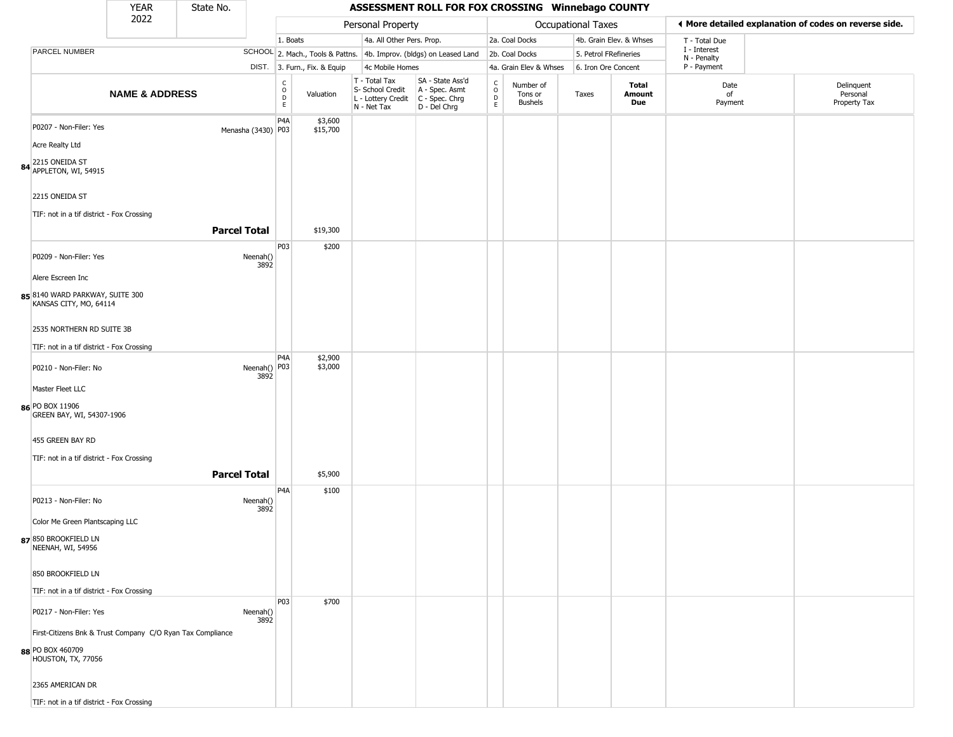|                                                                                                          | <b>YEAR</b>               | State No.           |                                                 |                              |                                                                                         | ASSESSMENT ROLL FOR FOX CROSSING Winnebago COUNTY                   |                                              |                                        |                           |                         |                             |                                                       |
|----------------------------------------------------------------------------------------------------------|---------------------------|---------------------|-------------------------------------------------|------------------------------|-----------------------------------------------------------------------------------------|---------------------------------------------------------------------|----------------------------------------------|----------------------------------------|---------------------------|-------------------------|-----------------------------|-------------------------------------------------------|
|                                                                                                          | 2022                      |                     |                                                 |                              | Personal Property                                                                       |                                                                     |                                              |                                        | <b>Occupational Taxes</b> |                         |                             | ♦ More detailed explanation of codes on reverse side. |
|                                                                                                          |                           |                     |                                                 | 1. Boats                     | 4a. All Other Pers. Prop.                                                               |                                                                     |                                              | 2a. Coal Docks                         |                           | 4b. Grain Elev. & Whses | T - Total Due               |                                                       |
| PARCEL NUMBER                                                                                            |                           |                     |                                                 |                              |                                                                                         | SCHOOL 2. Mach., Tools & Pattns. 4b. Improv. (bldgs) on Leased Land |                                              | 2b. Coal Docks                         | 5. Petrol FRefineries     |                         | I - Interest<br>N - Penalty |                                                       |
|                                                                                                          |                           |                     |                                                 | DIST. 3. Furn., Fix. & Equip | 4c Mobile Homes                                                                         |                                                                     |                                              | 4a. Grain Elev & Whses                 | 6. Iron Ore Concent       |                         | P - Payment                 |                                                       |
|                                                                                                          | <b>NAME &amp; ADDRESS</b> |                     | $\begin{array}{c} C \\ O \\ D \\ E \end{array}$ | Valuation                    | T - Total Tax<br>S- School Credit<br>L - Lottery Credit   C - Spec. Chrg<br>N - Net Tax | SA - State Ass'd<br>A - Spec. Asmt<br>D - Del Chrg                  | $\begin{array}{c}\nC \\ O \\ D\n\end{array}$ | Number of<br>Tons or<br><b>Bushels</b> | Taxes                     | Total<br>Amount<br>Due  | Date<br>of<br>Payment       | Delinquent<br>Personal<br>Property Tax                |
| P0207 - Non-Filer: Yes<br><b>Acre Realty Ltd</b><br>84 2215 ONEIDA ST<br>APPLETON, WI, 54915             |                           | Menasha (3430) P03  | P <sub>4</sub> A                                | \$3,600<br>\$15,700          |                                                                                         |                                                                     |                                              |                                        |                           |                         |                             |                                                       |
| 2215 ONEIDA ST<br>TIF: not in a tif district - Fox Crossing                                              |                           | <b>Parcel Total</b> |                                                 | \$19,300                     |                                                                                         |                                                                     |                                              |                                        |                           |                         |                             |                                                       |
| P0209 - Non-Filer: Yes                                                                                   |                           | Neenah()            | P03<br>3892                                     | \$200                        |                                                                                         |                                                                     |                                              |                                        |                           |                         |                             |                                                       |
| Alere Escreen Inc<br>85 8140 WARD PARKWAY, SUITE 300<br>KANSAS CITY, MO, 64114                           |                           |                     |                                                 |                              |                                                                                         |                                                                     |                                              |                                        |                           |                         |                             |                                                       |
| 2535 NORTHERN RD SUITE 3B                                                                                |                           |                     |                                                 |                              |                                                                                         |                                                                     |                                              |                                        |                           |                         |                             |                                                       |
| TIF: not in a tif district - Fox Crossing<br>P0210 - Non-Filer: No<br>Master Fleet LLC                   |                           |                     | P <sub>4</sub> A<br>Neenah() P03<br>3892        | \$2,900<br>\$3,000           |                                                                                         |                                                                     |                                              |                                        |                           |                         |                             |                                                       |
| 86 PO BOX 11906<br>GREEN BAY, WI, 54307-1906                                                             |                           |                     |                                                 |                              |                                                                                         |                                                                     |                                              |                                        |                           |                         |                             |                                                       |
| 455 GREEN BAY RD<br>TIF: not in a tif district - Fox Crossing                                            |                           | <b>Parcel Total</b> |                                                 | \$5,900                      |                                                                                         |                                                                     |                                              |                                        |                           |                         |                             |                                                       |
| P0213 - Non-Filer: No                                                                                    |                           | Neenah()            | P <sub>4</sub> A<br>3892                        | \$100                        |                                                                                         |                                                                     |                                              |                                        |                           |                         |                             |                                                       |
| Color Me Green Plantscaping LLC<br>87 850 BROOKFIELD LN<br>NEENAH, WI, 54956                             |                           |                     |                                                 |                              |                                                                                         |                                                                     |                                              |                                        |                           |                         |                             |                                                       |
| 850 BROOKFIELD LN<br>TIF: not in a tif district - Fox Crossing                                           |                           |                     |                                                 |                              |                                                                                         |                                                                     |                                              |                                        |                           |                         |                             |                                                       |
| P0217 - Non-Filer: Yes<br>First-Citizens Bnk & Trust Company C/O Ryan Tax Compliance<br>88 PO BOX 460709 |                           | Neenah()            | <b>P03</b><br>3892                              | \$700                        |                                                                                         |                                                                     |                                              |                                        |                           |                         |                             |                                                       |
| HOUSTON, TX, 77056<br>2365 AMERICAN DR<br>TIF: not in a tif district - Fox Crossing                      |                           |                     |                                                 |                              |                                                                                         |                                                                     |                                              |                                        |                           |                         |                             |                                                       |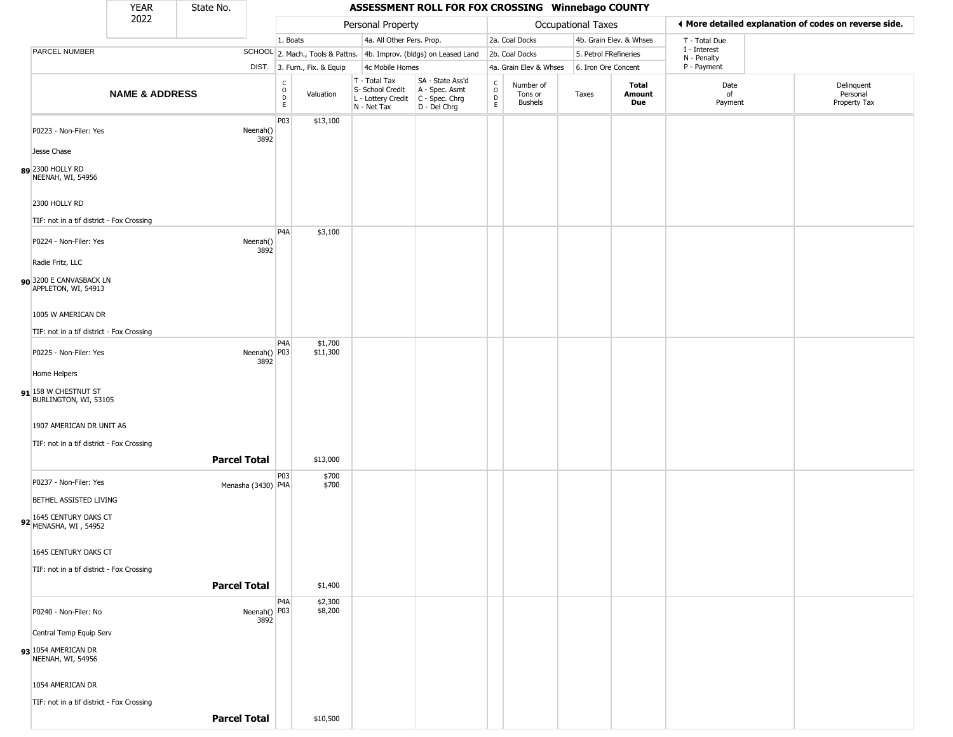|                                                                    | YEAR                      | State No.           |                      |                                          |                              |                                                  | ASSESSMENT ROLL FOR FOX CROSSING Winnebago COUNTY                                         |                                   |                                 |                       |                         |                             |                                                       |
|--------------------------------------------------------------------|---------------------------|---------------------|----------------------|------------------------------------------|------------------------------|--------------------------------------------------|-------------------------------------------------------------------------------------------|-----------------------------------|---------------------------------|-----------------------|-------------------------|-----------------------------|-------------------------------------------------------|
|                                                                    | 2022                      |                     |                      |                                          |                              | Personal Property                                |                                                                                           |                                   |                                 | Occupational Taxes    |                         |                             | ♦ More detailed explanation of codes on reverse side. |
|                                                                    |                           |                     |                      | 1. Boats                                 |                              |                                                  | 4a. All Other Pers. Prop.                                                                 |                                   | 2a. Coal Docks                  |                       | 4b. Grain Elev. & Whses | T - Total Due               |                                                       |
| PARCEL NUMBER                                                      |                           |                     |                      |                                          |                              |                                                  | SCHOOL 2. Mach., Tools & Pattns. 4b. Improv. (bldgs) on Leased Land                       |                                   | 2b. Coal Docks                  | 5. Petrol FRefineries |                         | I - Interest<br>N - Penalty |                                                       |
|                                                                    |                           |                     |                      |                                          | DIST. 3. Furn., Fix. & Equip | 4c Mobile Homes                                  |                                                                                           |                                   | 4a. Grain Elev & Whses          | 6. Iron Ore Concent   |                         | P - Payment                 |                                                       |
|                                                                    | <b>NAME &amp; ADDRESS</b> |                     |                      | $\rm _o^C$<br>$\mathsf D$<br>$\mathsf E$ | Valuation                    | T - Total Tax<br>S- School Credit<br>N - Net Tax | SA - State Ass'd<br>A - Spec. Asmt<br>L - Lottery Credit   C - Spec. Chrg<br>D - Del Chrg | $\frac{c}{0}$<br>$\mathsf D$<br>E | Number of<br>Tons or<br>Bushels | Taxes                 | Total<br>Amount<br>Due  | Date<br>of<br>Payment       | Delinquent<br>Personal<br>Property Tax                |
| P0223 - Non-Filer: Yes                                             |                           |                     | Neenah()<br>3892     | P03                                      | \$13,100                     |                                                  |                                                                                           |                                   |                                 |                       |                         |                             |                                                       |
| Jesse Chase                                                        |                           |                     |                      |                                          |                              |                                                  |                                                                                           |                                   |                                 |                       |                         |                             |                                                       |
| 89 2300 HOLLY RD<br>NEENAH, WI, 54956                              |                           |                     |                      |                                          |                              |                                                  |                                                                                           |                                   |                                 |                       |                         |                             |                                                       |
| 2300 HOLLY RD                                                      |                           |                     |                      |                                          |                              |                                                  |                                                                                           |                                   |                                 |                       |                         |                             |                                                       |
| TIF: not in a tif district - Fox Crossing                          |                           |                     |                      | P <sub>4</sub> A                         | \$3,100                      |                                                  |                                                                                           |                                   |                                 |                       |                         |                             |                                                       |
| P0224 - Non-Filer: Yes                                             |                           |                     | Neenah()<br>3892     |                                          |                              |                                                  |                                                                                           |                                   |                                 |                       |                         |                             |                                                       |
| Radie Fritz, LLC<br>90 3200 E CANVASBACK LN<br>APPLETON, WI, 54913 |                           |                     |                      |                                          |                              |                                                  |                                                                                           |                                   |                                 |                       |                         |                             |                                                       |
| 1005 W AMERICAN DR                                                 |                           |                     |                      |                                          |                              |                                                  |                                                                                           |                                   |                                 |                       |                         |                             |                                                       |
| TIF: not in a tif district - Fox Crossing                          |                           |                     |                      |                                          |                              |                                                  |                                                                                           |                                   |                                 |                       |                         |                             |                                                       |
| P0225 - Non-Filer: Yes                                             |                           |                     | Neenah() P03<br>3892 | P <sub>4</sub> A                         | \$1,700<br>\$11,300          |                                                  |                                                                                           |                                   |                                 |                       |                         |                             |                                                       |
| Home Helpers                                                       |                           |                     |                      |                                          |                              |                                                  |                                                                                           |                                   |                                 |                       |                         |                             |                                                       |
| 91 158 W CHESTNUT ST<br>BURLINGTON, WI, 53105                      |                           |                     |                      |                                          |                              |                                                  |                                                                                           |                                   |                                 |                       |                         |                             |                                                       |
| 1907 AMERICAN DR UNIT A6                                           |                           |                     |                      |                                          |                              |                                                  |                                                                                           |                                   |                                 |                       |                         |                             |                                                       |
| TIF: not in a tif district - Fox Crossing                          |                           |                     |                      |                                          |                              |                                                  |                                                                                           |                                   |                                 |                       |                         |                             |                                                       |
|                                                                    |                           | <b>Parcel Total</b> |                      |                                          | \$13,000                     |                                                  |                                                                                           |                                   |                                 |                       |                         |                             |                                                       |
| P0237 - Non-Filer: Yes                                             |                           |                     | Menasha (3430) P4A   | P03                                      | \$700<br>\$700               |                                                  |                                                                                           |                                   |                                 |                       |                         |                             |                                                       |
| BETHEL ASSISTED LIVING                                             |                           |                     |                      |                                          |                              |                                                  |                                                                                           |                                   |                                 |                       |                         |                             |                                                       |
| 92 1645 CENTURY OAKS CT<br>MENASHA, WI, 54952                      |                           |                     |                      |                                          |                              |                                                  |                                                                                           |                                   |                                 |                       |                         |                             |                                                       |
| 1645 CENTURY OAKS CT                                               |                           |                     |                      |                                          |                              |                                                  |                                                                                           |                                   |                                 |                       |                         |                             |                                                       |
| TIF: not in a tif district - Fox Crossing                          |                           |                     |                      |                                          |                              |                                                  |                                                                                           |                                   |                                 |                       |                         |                             |                                                       |
|                                                                    |                           | <b>Parcel Total</b> |                      |                                          | \$1,400                      |                                                  |                                                                                           |                                   |                                 |                       |                         |                             |                                                       |
| P0240 - Non-Filer: No                                              |                           |                     | Neenah() P03<br>3892 | P4A                                      | \$2,300<br>\$8,200           |                                                  |                                                                                           |                                   |                                 |                       |                         |                             |                                                       |
| Central Temp Equip Serv                                            |                           |                     |                      |                                          |                              |                                                  |                                                                                           |                                   |                                 |                       |                         |                             |                                                       |
| 93 1054 AMERICAN DR<br>NEENAH, WI, 54956                           |                           |                     |                      |                                          |                              |                                                  |                                                                                           |                                   |                                 |                       |                         |                             |                                                       |
| 1054 AMERICAN DR                                                   |                           |                     |                      |                                          |                              |                                                  |                                                                                           |                                   |                                 |                       |                         |                             |                                                       |
| TIF: not in a tif district - Fox Crossing                          |                           |                     |                      |                                          |                              |                                                  |                                                                                           |                                   |                                 |                       |                         |                             |                                                       |
|                                                                    |                           | <b>Parcel Total</b> |                      |                                          | \$10,500                     |                                                  |                                                                                           |                                   |                                 |                       |                         |                             |                                                       |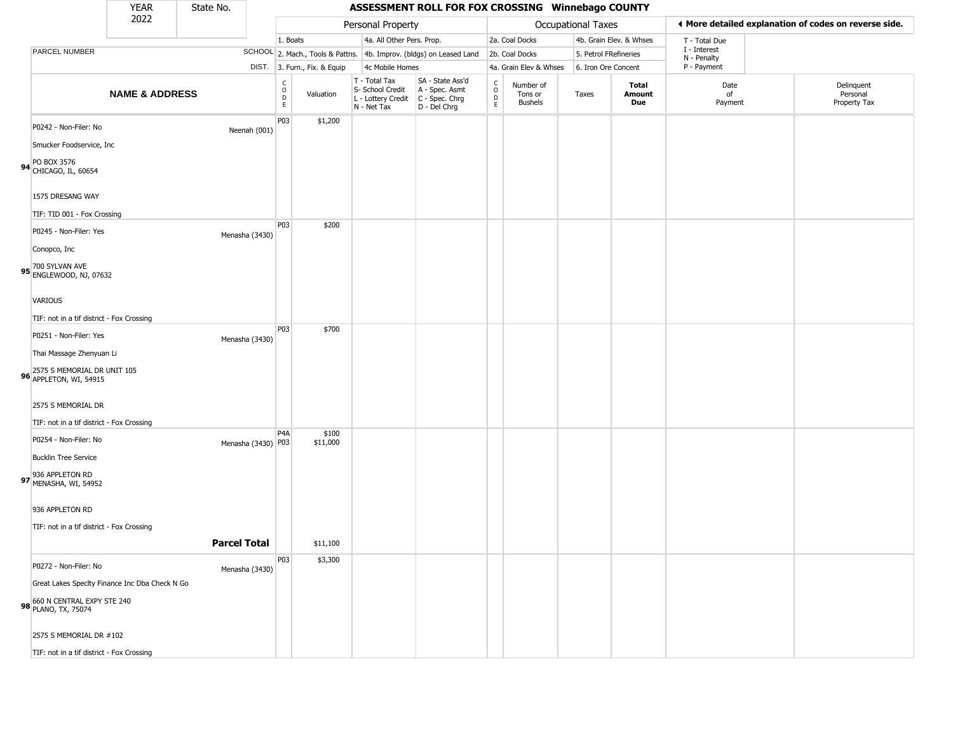|                                                                   | YEAR                      | State No.           |                                                          |                              |                                                                        | ASSESSMENT ROLL FOR FOX CROSSING Winnebago COUNTY                    |                         |                                        |       |                         |                             |                                                       |
|-------------------------------------------------------------------|---------------------------|---------------------|----------------------------------------------------------|------------------------------|------------------------------------------------------------------------|----------------------------------------------------------------------|-------------------------|----------------------------------------|-------|-------------------------|-----------------------------|-------------------------------------------------------|
|                                                                   | 2022                      |                     |                                                          |                              | Personal Property                                                      |                                                                      |                         | Occupational Taxes                     |       |                         |                             | ♦ More detailed explanation of codes on reverse side. |
|                                                                   |                           |                     | 1. Boats                                                 |                              | 4a. All Other Pers. Prop.                                              |                                                                      |                         | 2a. Coal Docks                         |       | 4b. Grain Elev. & Whses | T - Total Due               |                                                       |
| PARCEL NUMBER                                                     |                           |                     |                                                          |                              |                                                                        | SCHOOL 2. Mach., Tools & Pattns. 4b. Improv. (bldgs) on Leased Land  |                         | 2b. Coal Docks                         |       | 5. Petrol FRefineries   | I - Interest<br>N - Penalty |                                                       |
|                                                                   |                           |                     |                                                          | DIST. 3. Furn., Fix. & Equip | 4c Mobile Homes                                                        |                                                                      |                         | 4a. Grain Elev & Whses                 |       | 6. Iron Ore Concent     | P - Payment                 |                                                       |
|                                                                   | <b>NAME &amp; ADDRESS</b> |                     | $\begin{matrix} 0 \\ 0 \\ 0 \end{matrix}$<br>$\mathsf E$ | Valuation                    | T - Total Tax<br>S- School Credit<br>L - Lottery Credit<br>N - Net Tax | SA - State Ass'd<br>A - Spec. Asmt<br>C - Spec. Chrg<br>D - Del Chrg | $\frac{C}{O}$<br>D<br>E | Number of<br>Tons or<br><b>Bushels</b> | Taxes | Total<br>Amount<br>Due  | Date<br>of<br>Payment       | Delinguent<br>Personal<br>Property Tax                |
| P0242 - Non-Filer: No                                             |                           | Neenah (001)        | P03                                                      | \$1,200                      |                                                                        |                                                                      |                         |                                        |       |                         |                             |                                                       |
| Smucker Foodservice, Inc.<br>94 PO BOX 3576<br>CHICAGO, IL, 60654 |                           |                     |                                                          |                              |                                                                        |                                                                      |                         |                                        |       |                         |                             |                                                       |
| 1575 DRESANG WAY                                                  |                           |                     |                                                          |                              |                                                                        |                                                                      |                         |                                        |       |                         |                             |                                                       |
| TIF: TID 001 - Fox Crossing                                       |                           |                     | P <sub>03</sub>                                          | \$200                        |                                                                        |                                                                      |                         |                                        |       |                         |                             |                                                       |
| P0245 - Non-Filer: Yes                                            |                           | Menasha (3430)      |                                                          |                              |                                                                        |                                                                      |                         |                                        |       |                         |                             |                                                       |
| Conopco, Inc                                                      |                           |                     |                                                          |                              |                                                                        |                                                                      |                         |                                        |       |                         |                             |                                                       |
| 95 700 SYLVAN AVE<br>95 ENGLEWOOD, NJ, 07632                      |                           |                     |                                                          |                              |                                                                        |                                                                      |                         |                                        |       |                         |                             |                                                       |
| <b>VARIOUS</b>                                                    |                           |                     |                                                          |                              |                                                                        |                                                                      |                         |                                        |       |                         |                             |                                                       |
| TIF: not in a tif district - Fox Crossing                         |                           |                     |                                                          |                              |                                                                        |                                                                      |                         |                                        |       |                         |                             |                                                       |
| P0251 - Non-Filer: Yes                                            |                           | Menasha (3430)      | P <sub>03</sub>                                          | \$700                        |                                                                        |                                                                      |                         |                                        |       |                         |                             |                                                       |
| Thai Massage Zhenyuan Li                                          |                           |                     |                                                          |                              |                                                                        |                                                                      |                         |                                        |       |                         |                             |                                                       |
| 96 2575 S MEMORIAL DR UNIT 105<br>96 APPLETON, WI, 54915          |                           |                     |                                                          |                              |                                                                        |                                                                      |                         |                                        |       |                         |                             |                                                       |
| 2575 S MEMORIAL DR                                                |                           |                     |                                                          |                              |                                                                        |                                                                      |                         |                                        |       |                         |                             |                                                       |
| TIF: not in a tif district - Fox Crossing                         |                           |                     | P <sub>4</sub> A                                         | \$100                        |                                                                        |                                                                      |                         |                                        |       |                         |                             |                                                       |
| P0254 - Non-Filer: No                                             |                           | Menasha (3430) P03  |                                                          | \$11,000                     |                                                                        |                                                                      |                         |                                        |       |                         |                             |                                                       |
| <b>Bucklin Tree Service</b>                                       |                           |                     |                                                          |                              |                                                                        |                                                                      |                         |                                        |       |                         |                             |                                                       |
| 97 936 APPLETON RD<br>MENASHA, WI, 54952                          |                           |                     |                                                          |                              |                                                                        |                                                                      |                         |                                        |       |                         |                             |                                                       |
| 936 APPLETON RD                                                   |                           |                     |                                                          |                              |                                                                        |                                                                      |                         |                                        |       |                         |                             |                                                       |
| TIF: not in a tif district - Fox Crossing                         |                           |                     |                                                          |                              |                                                                        |                                                                      |                         |                                        |       |                         |                             |                                                       |
|                                                                   |                           | <b>Parcel Total</b> |                                                          | \$11,100                     |                                                                        |                                                                      |                         |                                        |       |                         |                             |                                                       |
| P0272 - Non-Filer: No                                             |                           | Menasha (3430)      | P <sub>03</sub>                                          | \$3,300                      |                                                                        |                                                                      |                         |                                        |       |                         |                             |                                                       |
| Great Lakes Specity Finance Inc Dba Check N Go                    |                           |                     |                                                          |                              |                                                                        |                                                                      |                         |                                        |       |                         |                             |                                                       |
| 98 660 N CENTRAL EXPY STE 240<br>PLANO, TX, 75074                 |                           |                     |                                                          |                              |                                                                        |                                                                      |                         |                                        |       |                         |                             |                                                       |
| 2575 S MEMORIAL DR #102                                           |                           |                     |                                                          |                              |                                                                        |                                                                      |                         |                                        |       |                         |                             |                                                       |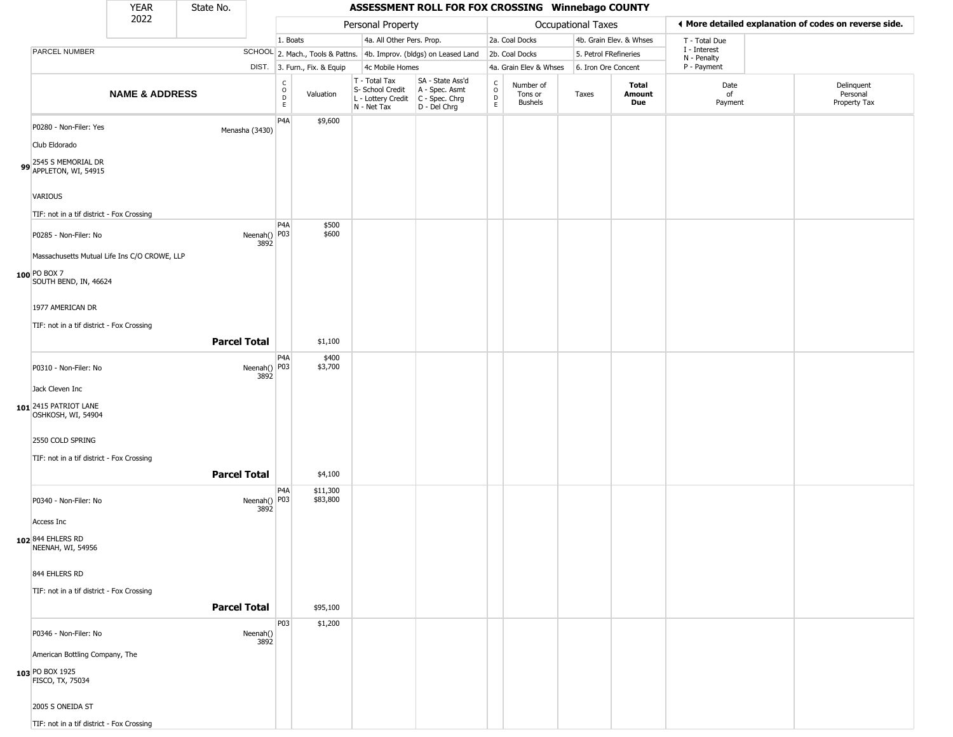## YEAR State No. **ASSESSMENT ROLL FOR FOX CROSSING Winnebago COUNTY** 2022 DIST. 3. Furn., Fix. & Equip PARCEL NUMBER **NAME & ADDRESS** State No. C O D E Valuation T - Total Tax S- School Credit A - Spec. Asmt L - Lottery Credit C - Spec. Chrg N - Net Tax SA - State Ass'd D - Del Chrg C O D E Number of Tons or Bushels Taxes **Total Amount Due** Date of Payment Delinquent Personal Property Tax Personal Property **Personal Property Personal Taxes** 1. Boats **4a. All Other Pers. Prop.** 2a. Coal Docks 4b. Grain Elev. & Whses SCHOOL 2. Mach., Tools & Pattns. 4b. Improv. (bldgs) on Leased Land 2b. Coal Docks 5. Petrol FRefineries 4c Mobile Homes 4a. Grain Elev & Whses 6. Iron Ore Concent T - Total Due I - Interest N - Penalty P - Payment 3**More detailed explanation of codes on reverse side. 99** 2545 S MEMORIAL DR APPLETON, WI, 54915 P0280 - Non-Filer: Yes Menasha (3430) Club Eldorado VARIOUS TIF: not in a tif district - Fox Crossing P4A \$9,600 **100** PO BOX 7 P0285 - Non-Filer: No 3892 Massachusetts Mutual Life Ins C/O CROWE, LLP SOUTH BEND, IN, 46624 1977 AMERICAN DR TIF: not in a tif district - Fox Crossing D<sub>4</sub>A Neenah() P03 \$500 \$600 **Parcel Total** \$1,100 **101** 2415 PATRIOT LANE P0310 - Non-Filer: No 3892 Jack Cleven Inc OSHKOSH, WI, 54904 2550 COLD SPRING TIF: not in a tif district - Fox Crossing P4A Neenah() P03 \$400 \$3,700 **Parcel Total** | \$4,100 **102** 844 EHLERS RD P0340 - Non-Filer: No 3892 Access Inc NEENAH, WI, 54956 844 EHLERS RD TIF: not in a tif district - Fox Crossing P4A Neenah() P03 \$11,300 \$83,800 **Parcel Total | \$95,100 103** PO BOX 1925 P0346 - Non-Filer: No Neenah() 3892 American Bottling Company, The FISCO, TX, 75034 2005 S ONEIDA ST P03 \$1,200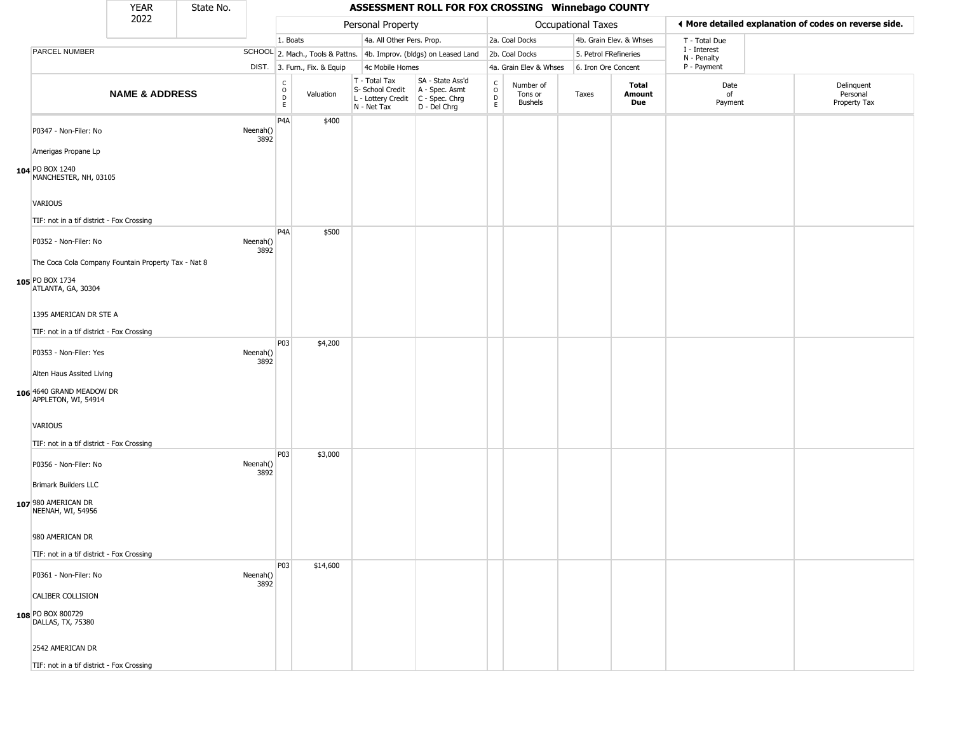|                                                     | <b>YEAR</b>               | State No. |                  |                                          |                              |                                                                        | ASSESSMENT ROLL FOR FOX CROSSING Winnebago COUNTY                    |                             |                                        |                           |                         |                             |                                                       |
|-----------------------------------------------------|---------------------------|-----------|------------------|------------------------------------------|------------------------------|------------------------------------------------------------------------|----------------------------------------------------------------------|-----------------------------|----------------------------------------|---------------------------|-------------------------|-----------------------------|-------------------------------------------------------|
|                                                     | 2022                      |           |                  |                                          |                              | Personal Property                                                      |                                                                      |                             |                                        | <b>Occupational Taxes</b> |                         |                             | ♦ More detailed explanation of codes on reverse side. |
|                                                     |                           |           |                  | 1. Boats                                 |                              | 4a. All Other Pers. Prop.                                              |                                                                      |                             | 2a. Coal Docks                         |                           | 4b. Grain Elev. & Whses | T - Total Due               |                                                       |
| PARCEL NUMBER                                       |                           |           |                  |                                          |                              |                                                                        | SCHOOL 2. Mach., Tools & Pattns. 4b. Improv. (bldgs) on Leased Land  |                             | 2b. Coal Docks                         | 5. Petrol FRefineries     |                         | I - Interest<br>N - Penalty |                                                       |
|                                                     |                           |           |                  |                                          | DIST. 3. Furn., Fix. & Equip | 4c Mobile Homes                                                        |                                                                      |                             | 4a. Grain Elev & Whses                 | 6. Iron Ore Concent       |                         | P - Payment                 |                                                       |
|                                                     | <b>NAME &amp; ADDRESS</b> |           |                  | $\rm _o^C$<br>$\mathsf D$<br>$\mathsf E$ | Valuation                    | T - Total Tax<br>S- School Credit<br>L - Lottery Credit<br>N - Net Tax | SA - State Ass'd<br>A - Spec. Asmt<br>C - Spec. Chrg<br>D - Del Chrg | $\rm _o^C$<br>$\frac{D}{E}$ | Number of<br>Tons or<br><b>Bushels</b> | Taxes                     | Total<br>Amount<br>Due  | Date<br>of<br>Payment       | Delinquent<br>Personal<br>Property Tax                |
| P0347 - Non-Filer: No<br>Amerigas Propane Lp        |                           |           | Neenah()<br>3892 | P4A                                      | \$400                        |                                                                        |                                                                      |                             |                                        |                           |                         |                             |                                                       |
| 104 PO BOX 1240<br>MANCHESTER, NH, 03105            |                           |           |                  |                                          |                              |                                                                        |                                                                      |                             |                                        |                           |                         |                             |                                                       |
| VARIOUS                                             |                           |           |                  |                                          |                              |                                                                        |                                                                      |                             |                                        |                           |                         |                             |                                                       |
| TIF: not in a tif district - Fox Crossing           |                           |           |                  |                                          |                              |                                                                        |                                                                      |                             |                                        |                           |                         |                             |                                                       |
| P0352 - Non-Filer: No                               |                           |           | Neenah()<br>3892 | P4A                                      | \$500                        |                                                                        |                                                                      |                             |                                        |                           |                         |                             |                                                       |
| The Coca Cola Company Fountain Property Tax - Nat 8 |                           |           |                  |                                          |                              |                                                                        |                                                                      |                             |                                        |                           |                         |                             |                                                       |
| 105 PO BOX 1734<br>ATLANTA, GA, 30304               |                           |           |                  |                                          |                              |                                                                        |                                                                      |                             |                                        |                           |                         |                             |                                                       |
| 1395 AMERICAN DR STE A                              |                           |           |                  |                                          |                              |                                                                        |                                                                      |                             |                                        |                           |                         |                             |                                                       |
| TIF: not in a tif district - Fox Crossing           |                           |           |                  |                                          |                              |                                                                        |                                                                      |                             |                                        |                           |                         |                             |                                                       |
| P0353 - Non-Filer: Yes                              |                           |           | Neenah()<br>3892 | P03                                      | \$4,200                      |                                                                        |                                                                      |                             |                                        |                           |                         |                             |                                                       |
| Alten Haus Assited Living                           |                           |           |                  |                                          |                              |                                                                        |                                                                      |                             |                                        |                           |                         |                             |                                                       |
| 106 4640 GRAND MEADOW DR<br>APPLETON, WI, 54914     |                           |           |                  |                                          |                              |                                                                        |                                                                      |                             |                                        |                           |                         |                             |                                                       |
| VARIOUS                                             |                           |           |                  |                                          |                              |                                                                        |                                                                      |                             |                                        |                           |                         |                             |                                                       |
| TIF: not in a tif district - Fox Crossing           |                           |           |                  | P03                                      |                              |                                                                        |                                                                      |                             |                                        |                           |                         |                             |                                                       |
| P0356 - Non-Filer: No                               |                           |           | Neenah()<br>3892 |                                          | \$3,000                      |                                                                        |                                                                      |                             |                                        |                           |                         |                             |                                                       |
| <b>Brimark Builders LLC</b>                         |                           |           |                  |                                          |                              |                                                                        |                                                                      |                             |                                        |                           |                         |                             |                                                       |
| 107 980 AMERICAN DR<br>NEENAH, WI, 54956            |                           |           |                  |                                          |                              |                                                                        |                                                                      |                             |                                        |                           |                         |                             |                                                       |
| 980 AMERICAN DR                                     |                           |           |                  |                                          |                              |                                                                        |                                                                      |                             |                                        |                           |                         |                             |                                                       |
| TIF: not in a tif district - Fox Crossing           |                           |           |                  |                                          |                              |                                                                        |                                                                      |                             |                                        |                           |                         |                             |                                                       |
| P0361 - Non-Filer: No                               |                           |           | Neenah()<br>3892 | P03                                      | \$14,600                     |                                                                        |                                                                      |                             |                                        |                           |                         |                             |                                                       |
| CALIBER COLLISION                                   |                           |           |                  |                                          |                              |                                                                        |                                                                      |                             |                                        |                           |                         |                             |                                                       |
| 108 PO BOX 800729<br>DALLAS, TX, 75380              |                           |           |                  |                                          |                              |                                                                        |                                                                      |                             |                                        |                           |                         |                             |                                                       |
| 2542 AMERICAN DR                                    |                           |           |                  |                                          |                              |                                                                        |                                                                      |                             |                                        |                           |                         |                             |                                                       |
| TIF: not in a tif district - Fox Crossing           |                           |           |                  |                                          |                              |                                                                        |                                                                      |                             |                                        |                           |                         |                             |                                                       |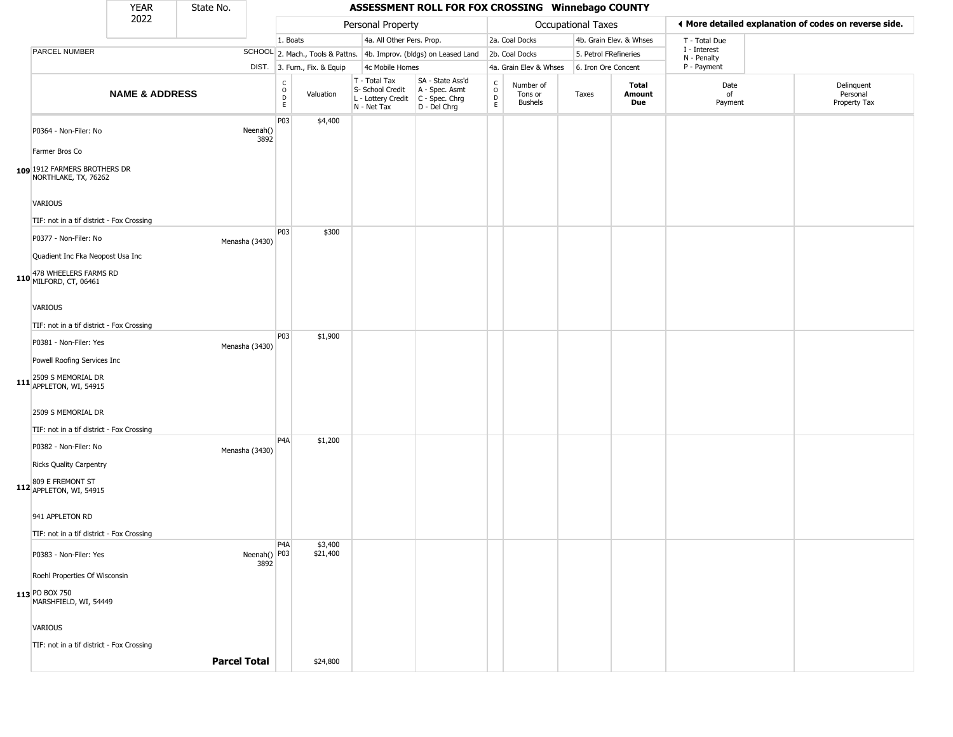|                                                                        | <b>YEAR</b>               | State No.           |                      |                                            |                              |                                                                        | ASSESSMENT ROLL FOR FOX CROSSING Winnebago COUNTY                      |                                                                    |                                        |                           |                       |                         |                             |                                                       |
|------------------------------------------------------------------------|---------------------------|---------------------|----------------------|--------------------------------------------|------------------------------|------------------------------------------------------------------------|------------------------------------------------------------------------|--------------------------------------------------------------------|----------------------------------------|---------------------------|-----------------------|-------------------------|-----------------------------|-------------------------------------------------------|
|                                                                        | 2022                      |                     |                      |                                            |                              | Personal Property                                                      |                                                                        |                                                                    |                                        | <b>Occupational Taxes</b> |                       |                         |                             | ♦ More detailed explanation of codes on reverse side. |
|                                                                        |                           |                     |                      | 1. Boats                                   |                              | 4a. All Other Pers. Prop.                                              |                                                                        |                                                                    | 2a. Coal Docks                         |                           |                       | 4b. Grain Elev. & Whses | T - Total Due               |                                                       |
| PARCEL NUMBER                                                          |                           |                     |                      |                                            |                              |                                                                        | SCHOOL 2. Mach., Tools & Pattns. 4b. Improv. (bldgs) on Leased Land    |                                                                    | 2b. Coal Docks                         |                           | 5. Petrol FRefineries |                         | I - Interest<br>N - Penalty |                                                       |
|                                                                        |                           |                     |                      |                                            | DIST. 3. Furn., Fix. & Equip | 4c Mobile Homes                                                        |                                                                        |                                                                    | 4a. Grain Elev & Whses                 |                           | 6. Iron Ore Concent   |                         | P - Payment                 |                                                       |
|                                                                        | <b>NAME &amp; ADDRESS</b> |                     |                      | $\begin{array}{c} C \\ 0 \\ E \end{array}$ | Valuation                    | T - Total Tax<br>S- School Credit<br>L - Lottery Credit<br>N - Net Tax | SA - State Ass'd<br>A - Spec. Asmt<br>$C - Spec. Chrg$<br>D - Del Chrg | $\begin{smallmatrix} C \\ 0 \\ D \end{smallmatrix}$<br>$\mathsf E$ | Number of<br>Tons or<br><b>Bushels</b> | Taxes                     |                       | Total<br>Amount<br>Due  | Date<br>of<br>Payment       | Delinquent<br>Personal<br>Property Tax                |
| P0364 - Non-Filer: No                                                  |                           |                     | Neenah()<br>3892     | P03                                        | \$4,400                      |                                                                        |                                                                        |                                                                    |                                        |                           |                       |                         |                             |                                                       |
| Farmer Bros Co<br>109 1912 FARMERS BROTHERS DR<br>NORTHLAKE, TX, 76262 |                           |                     |                      |                                            |                              |                                                                        |                                                                        |                                                                    |                                        |                           |                       |                         |                             |                                                       |
| VARIOUS                                                                |                           |                     |                      |                                            |                              |                                                                        |                                                                        |                                                                    |                                        |                           |                       |                         |                             |                                                       |
| TIF: not in a tif district - Fox Crossing                              |                           |                     |                      |                                            |                              |                                                                        |                                                                        |                                                                    |                                        |                           |                       |                         |                             |                                                       |
| P0377 - Non-Filer: No<br>Quadient Inc Fka Neopost Usa Inc              |                           |                     | Menasha (3430)       | P03                                        | \$300                        |                                                                        |                                                                        |                                                                    |                                        |                           |                       |                         |                             |                                                       |
| 478 WHEELERS FARMS RD<br>110 MILFORD, CT, 06461                        |                           |                     |                      |                                            |                              |                                                                        |                                                                        |                                                                    |                                        |                           |                       |                         |                             |                                                       |
| VARIOUS                                                                |                           |                     |                      |                                            |                              |                                                                        |                                                                        |                                                                    |                                        |                           |                       |                         |                             |                                                       |
| TIF: not in a tif district - Fox Crossing                              |                           |                     |                      | <b>P03</b>                                 | \$1,900                      |                                                                        |                                                                        |                                                                    |                                        |                           |                       |                         |                             |                                                       |
| P0381 - Non-Filer: Yes                                                 |                           |                     | Menasha (3430)       |                                            |                              |                                                                        |                                                                        |                                                                    |                                        |                           |                       |                         |                             |                                                       |
| Powell Roofing Services Inc                                            |                           |                     |                      |                                            |                              |                                                                        |                                                                        |                                                                    |                                        |                           |                       |                         |                             |                                                       |
| 111 2509 S MEMORIAL DR<br>APPLETON, WI, 54915                          |                           |                     |                      |                                            |                              |                                                                        |                                                                        |                                                                    |                                        |                           |                       |                         |                             |                                                       |
| 2509 S MEMORIAL DR                                                     |                           |                     |                      |                                            |                              |                                                                        |                                                                        |                                                                    |                                        |                           |                       |                         |                             |                                                       |
| TIF: not in a tif district - Fox Crossing                              |                           |                     |                      | P4A                                        | \$1,200                      |                                                                        |                                                                        |                                                                    |                                        |                           |                       |                         |                             |                                                       |
| P0382 - Non-Filer: No<br><b>Ricks Quality Carpentry</b>                |                           |                     | Menasha (3430)       |                                            |                              |                                                                        |                                                                        |                                                                    |                                        |                           |                       |                         |                             |                                                       |
| 809 E FREMONT ST<br>112 APPLETON, WI, 54915                            |                           |                     |                      |                                            |                              |                                                                        |                                                                        |                                                                    |                                        |                           |                       |                         |                             |                                                       |
| 941 APPLETON RD                                                        |                           |                     |                      |                                            |                              |                                                                        |                                                                        |                                                                    |                                        |                           |                       |                         |                             |                                                       |
| TIF: not in a tif district - Fox Crossing                              |                           |                     |                      | P <sub>4</sub> A                           | \$3,400                      |                                                                        |                                                                        |                                                                    |                                        |                           |                       |                         |                             |                                                       |
| P0383 - Non-Filer: Yes                                                 |                           |                     | Neenah() P03<br>3892 |                                            | \$21,400                     |                                                                        |                                                                        |                                                                    |                                        |                           |                       |                         |                             |                                                       |
| Roehl Properties Of Wisconsin                                          |                           |                     |                      |                                            |                              |                                                                        |                                                                        |                                                                    |                                        |                           |                       |                         |                             |                                                       |
| 113 PO BOX 750<br>MARSHFIELD, WI, 54449                                |                           |                     |                      |                                            |                              |                                                                        |                                                                        |                                                                    |                                        |                           |                       |                         |                             |                                                       |
| VARIOUS                                                                |                           |                     |                      |                                            |                              |                                                                        |                                                                        |                                                                    |                                        |                           |                       |                         |                             |                                                       |
| TIF: not in a tif district - Fox Crossing                              |                           |                     |                      |                                            |                              |                                                                        |                                                                        |                                                                    |                                        |                           |                       |                         |                             |                                                       |
|                                                                        |                           | <b>Parcel Total</b> |                      |                                            | \$24,800                     |                                                                        |                                                                        |                                                                    |                                        |                           |                       |                         |                             |                                                       |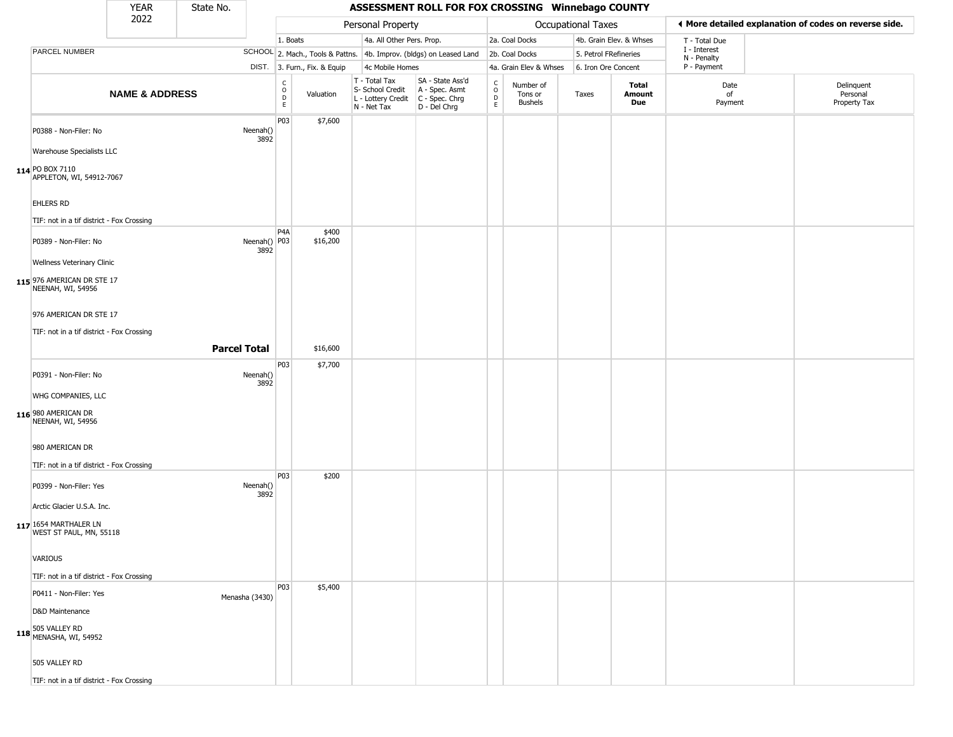|                                                                          | <b>YEAR</b>               | State No.           |                      |                                          |                              |                                                                        | ASSESSMENT ROLL FOR FOX CROSSING Winnebago COUNTY                    |                               |                                        |                       |                         |                             |                                                       |
|--------------------------------------------------------------------------|---------------------------|---------------------|----------------------|------------------------------------------|------------------------------|------------------------------------------------------------------------|----------------------------------------------------------------------|-------------------------------|----------------------------------------|-----------------------|-------------------------|-----------------------------|-------------------------------------------------------|
|                                                                          | 2022                      |                     |                      |                                          |                              | Personal Property                                                      |                                                                      |                               |                                        | Occupational Taxes    |                         |                             | ♦ More detailed explanation of codes on reverse side. |
|                                                                          |                           |                     |                      | 1. Boats                                 |                              | 4a. All Other Pers. Prop.                                              |                                                                      |                               | 2a. Coal Docks                         |                       | 4b. Grain Elev. & Whses | T - Total Due               |                                                       |
| PARCEL NUMBER                                                            |                           |                     |                      |                                          |                              |                                                                        | SCHOOL 2. Mach., Tools & Pattns. 4b. Improv. (bldgs) on Leased Land  |                               | 2b. Coal Docks                         | 5. Petrol FRefineries |                         | I - Interest<br>N - Penalty |                                                       |
|                                                                          |                           |                     |                      |                                          | DIST. 3. Furn., Fix. & Equip | 4c Mobile Homes                                                        |                                                                      |                               | 4a. Grain Elev & Whses                 | 6. Iron Ore Concent   |                         | P - Payment                 |                                                       |
|                                                                          | <b>NAME &amp; ADDRESS</b> |                     |                      | $\rm _o^C$<br>$\mathsf D$<br>$\mathsf E$ | Valuation                    | T - Total Tax<br>S- School Credit<br>L - Lottery Credit<br>N - Net Tax | SA - State Ass'd<br>A - Spec. Asmt<br>C - Spec. Chrg<br>D - Del Chrg | $\delta$<br>$\mathsf{D}$<br>E | Number of<br>Tons or<br><b>Bushels</b> | Taxes                 | Total<br>Amount<br>Due  | Date<br>of<br>Payment       | Delinquent<br>Personal<br>Property Tax                |
| P0388 - Non-Filer: No                                                    |                           |                     | Neenah()<br>3892     | P03                                      | \$7,600                      |                                                                        |                                                                      |                               |                                        |                       |                         |                             |                                                       |
| Warehouse Specialists LLC<br>114 PO BOX 7110<br>APPLETON, WI, 54912-7067 |                           |                     |                      |                                          |                              |                                                                        |                                                                      |                               |                                        |                       |                         |                             |                                                       |
| EHLERS RD<br>TIF: not in a tif district - Fox Crossing                   |                           |                     |                      |                                          |                              |                                                                        |                                                                      |                               |                                        |                       |                         |                             |                                                       |
| P0389 - Non-Filer: No<br>Wellness Veterinary Clinic                      |                           |                     | Neenah() P03<br>3892 | P <sub>4</sub> A                         | \$400<br>\$16,200            |                                                                        |                                                                      |                               |                                        |                       |                         |                             |                                                       |
| 115 976 AMERICAN DR STE 17<br>NEENAH, WI, 54956                          |                           |                     |                      |                                          |                              |                                                                        |                                                                      |                               |                                        |                       |                         |                             |                                                       |
| 976 AMERICAN DR STE 17<br>TIF: not in a tif district - Fox Crossing      |                           |                     |                      |                                          |                              |                                                                        |                                                                      |                               |                                        |                       |                         |                             |                                                       |
|                                                                          |                           | <b>Parcel Total</b> |                      |                                          | \$16,600                     |                                                                        |                                                                      |                               |                                        |                       |                         |                             |                                                       |
|                                                                          |                           |                     |                      | P03                                      | \$7,700                      |                                                                        |                                                                      |                               |                                        |                       |                         |                             |                                                       |
| P0391 - Non-Filer: No<br>WHG COMPANIES, LLC                              |                           |                     | Neenah()<br>3892     |                                          |                              |                                                                        |                                                                      |                               |                                        |                       |                         |                             |                                                       |
| 116 980 AMERICAN DR<br>NEENAH, WI, 54956                                 |                           |                     |                      |                                          |                              |                                                                        |                                                                      |                               |                                        |                       |                         |                             |                                                       |
| 980 AMERICAN DR<br>TIF: not in a tif district - Fox Crossing             |                           |                     |                      |                                          |                              |                                                                        |                                                                      |                               |                                        |                       |                         |                             |                                                       |
| P0399 - Non-Filer: Yes<br>Arctic Glacier U.S.A. Inc.                     |                           |                     | Neenah()<br>3892     | P03                                      | \$200                        |                                                                        |                                                                      |                               |                                        |                       |                         |                             |                                                       |
| 117 1654 MARTHALER LN<br>WEST ST PAUL, MN, 55118                         |                           |                     |                      |                                          |                              |                                                                        |                                                                      |                               |                                        |                       |                         |                             |                                                       |
| <b>VARIOUS</b><br>TIF: not in a tif district - Fox Crossing              |                           |                     |                      |                                          |                              |                                                                        |                                                                      |                               |                                        |                       |                         |                             |                                                       |
| P0411 - Non-Filer: Yes                                                   |                           |                     | Menasha (3430)       | P03                                      | \$5,400                      |                                                                        |                                                                      |                               |                                        |                       |                         |                             |                                                       |
| D&D Maintenance<br>118 505 VALLEY RD<br>MENASHA, WI, 54952               |                           |                     |                      |                                          |                              |                                                                        |                                                                      |                               |                                        |                       |                         |                             |                                                       |
| 505 VALLEY RD                                                            |                           |                     |                      |                                          |                              |                                                                        |                                                                      |                               |                                        |                       |                         |                             |                                                       |
| TIF: not in a tif district - Fox Crossing                                |                           |                     |                      |                                          |                              |                                                                        |                                                                      |                               |                                        |                       |                         |                             |                                                       |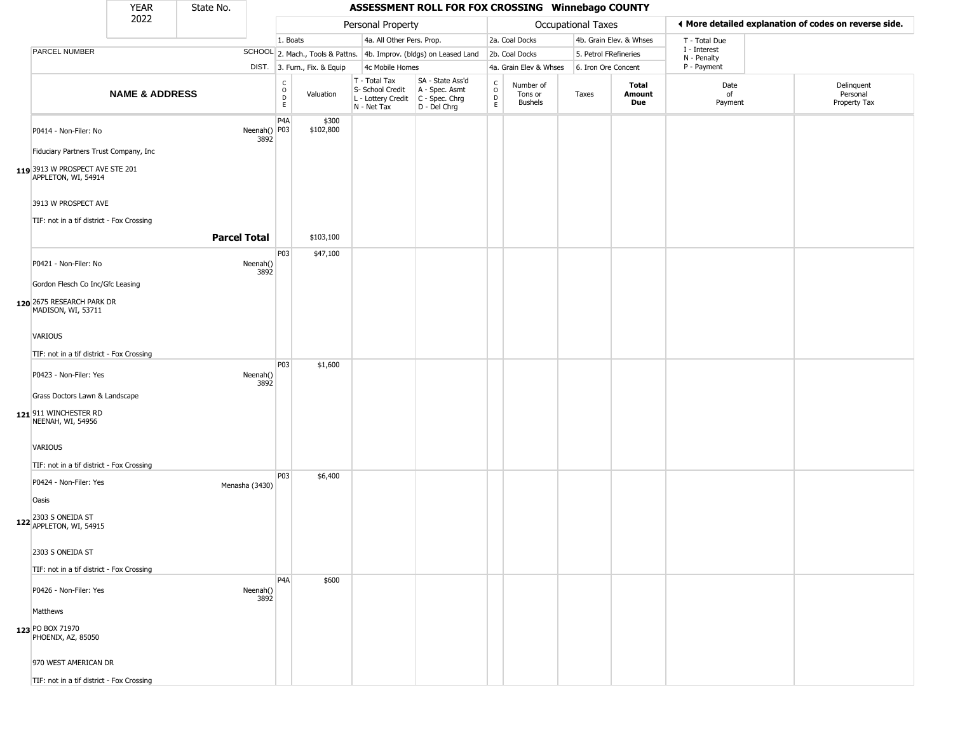|                                                        | <b>YEAR</b>               | State No.           |                      |                                                     |                              |                                                                                         | ASSESSMENT ROLL FOR FOX CROSSING Winnebago COUNTY                   |                        |                                 |                       |                         |                             |                                                       |
|--------------------------------------------------------|---------------------------|---------------------|----------------------|-----------------------------------------------------|------------------------------|-----------------------------------------------------------------------------------------|---------------------------------------------------------------------|------------------------|---------------------------------|-----------------------|-------------------------|-----------------------------|-------------------------------------------------------|
|                                                        | 2022                      |                     |                      |                                                     |                              | Personal Property                                                                       |                                                                     |                        |                                 | Occupational Taxes    |                         |                             | ♦ More detailed explanation of codes on reverse side. |
|                                                        |                           |                     |                      | 1. Boats                                            |                              | 4a. All Other Pers. Prop.                                                               |                                                                     |                        | 2a. Coal Docks                  |                       | 4b. Grain Elev. & Whses | T - Total Due               |                                                       |
| PARCEL NUMBER                                          |                           |                     |                      |                                                     |                              |                                                                                         | SCHOOL 2. Mach., Tools & Pattns. 4b. Improv. (bldgs) on Leased Land |                        | 2b. Coal Docks                  | 5. Petrol FRefineries |                         | I - Interest<br>N - Penalty |                                                       |
|                                                        |                           |                     |                      |                                                     | DIST. 3. Furn., Fix. & Equip | 4c Mobile Homes                                                                         |                                                                     |                        | 4a. Grain Elev & Whses          | 6. Iron Ore Concent   |                         | P - Payment                 |                                                       |
|                                                        | <b>NAME &amp; ADDRESS</b> |                     |                      | $\begin{matrix} C \\ O \\ D \end{matrix}$<br>$\,$ E | Valuation                    | T - Total Tax<br>S- School Credit<br>L - Lottery Credit   C - Spec. Chrg<br>N - Net Tax | SA - State Ass'd<br>A - Spec. Asmt<br>D - Del Chrg                  | C<br>$\circ$<br>D<br>E | Number of<br>Tons or<br>Bushels | Taxes                 | Total<br>Amount<br>Due  | Date<br>of<br>Payment       | Delinquent<br>Personal<br>Property Tax                |
| P0414 - Non-Filer: No                                  |                           |                     | Neenah() P03<br>3892 | P4A                                                 | \$300<br>\$102,800           |                                                                                         |                                                                     |                        |                                 |                       |                         |                             |                                                       |
| Fiduciary Partners Trust Company, Inc                  |                           |                     |                      |                                                     |                              |                                                                                         |                                                                     |                        |                                 |                       |                         |                             |                                                       |
| 119 3913 W PROSPECT AVE STE 201<br>APPLETON, WI, 54914 |                           |                     |                      |                                                     |                              |                                                                                         |                                                                     |                        |                                 |                       |                         |                             |                                                       |
| 3913 W PROSPECT AVE                                    |                           |                     |                      |                                                     |                              |                                                                                         |                                                                     |                        |                                 |                       |                         |                             |                                                       |
| TIF: not in a tif district - Fox Crossing              |                           |                     |                      |                                                     |                              |                                                                                         |                                                                     |                        |                                 |                       |                         |                             |                                                       |
|                                                        |                           | <b>Parcel Total</b> |                      |                                                     | \$103,100                    |                                                                                         |                                                                     |                        |                                 |                       |                         |                             |                                                       |
| P0421 - Non-Filer: No                                  |                           |                     | Neenah()<br>3892     | P03                                                 | \$47,100                     |                                                                                         |                                                                     |                        |                                 |                       |                         |                             |                                                       |
| Gordon Flesch Co Inc/Gfc Leasing                       |                           |                     |                      |                                                     |                              |                                                                                         |                                                                     |                        |                                 |                       |                         |                             |                                                       |
| 120 2675 RESEARCH PARK DR<br>MADISON, WI, 53711        |                           |                     |                      |                                                     |                              |                                                                                         |                                                                     |                        |                                 |                       |                         |                             |                                                       |
| <b>VARIOUS</b>                                         |                           |                     |                      |                                                     |                              |                                                                                         |                                                                     |                        |                                 |                       |                         |                             |                                                       |
| TIF: not in a tif district - Fox Crossing              |                           |                     |                      |                                                     |                              |                                                                                         |                                                                     |                        |                                 |                       |                         |                             |                                                       |
| P0423 - Non-Filer: Yes                                 |                           |                     | Neenah()<br>3892     | P03                                                 | \$1,600                      |                                                                                         |                                                                     |                        |                                 |                       |                         |                             |                                                       |
| Grass Doctors Lawn & Landscape                         |                           |                     |                      |                                                     |                              |                                                                                         |                                                                     |                        |                                 |                       |                         |                             |                                                       |
| 121 911 WINCHESTER RD<br>NEENAH, WI, 54956             |                           |                     |                      |                                                     |                              |                                                                                         |                                                                     |                        |                                 |                       |                         |                             |                                                       |
| VARIOUS                                                |                           |                     |                      |                                                     |                              |                                                                                         |                                                                     |                        |                                 |                       |                         |                             |                                                       |
| TIF: not in a tif district - Fox Crossing              |                           |                     |                      | P03                                                 | \$6,400                      |                                                                                         |                                                                     |                        |                                 |                       |                         |                             |                                                       |
| P0424 - Non-Filer: Yes                                 |                           |                     | Menasha (3430)       |                                                     |                              |                                                                                         |                                                                     |                        |                                 |                       |                         |                             |                                                       |
| Oasis                                                  |                           |                     |                      |                                                     |                              |                                                                                         |                                                                     |                        |                                 |                       |                         |                             |                                                       |
| 122 2303 S ONEIDA ST<br>122 APPLETON, WI, 54915        |                           |                     |                      |                                                     |                              |                                                                                         |                                                                     |                        |                                 |                       |                         |                             |                                                       |
| 2303 S ONEIDA ST                                       |                           |                     |                      |                                                     |                              |                                                                                         |                                                                     |                        |                                 |                       |                         |                             |                                                       |
| TIF: not in a tif district - Fox Crossing              |                           |                     |                      |                                                     |                              |                                                                                         |                                                                     |                        |                                 |                       |                         |                             |                                                       |
| P0426 - Non-Filer: Yes                                 |                           |                     | Neenah()<br>3892     | P <sub>4</sub> A                                    | \$600                        |                                                                                         |                                                                     |                        |                                 |                       |                         |                             |                                                       |
| Matthews                                               |                           |                     |                      |                                                     |                              |                                                                                         |                                                                     |                        |                                 |                       |                         |                             |                                                       |
| 123 PO BOX 71970<br>PHOENIX, AZ, 85050                 |                           |                     |                      |                                                     |                              |                                                                                         |                                                                     |                        |                                 |                       |                         |                             |                                                       |
| 970 WEST AMERICAN DR                                   |                           |                     |                      |                                                     |                              |                                                                                         |                                                                     |                        |                                 |                       |                         |                             |                                                       |
| TIF: not in a tif district - Fox Crossing              |                           |                     |                      |                                                     |                              |                                                                                         |                                                                     |                        |                                 |                       |                         |                             |                                                       |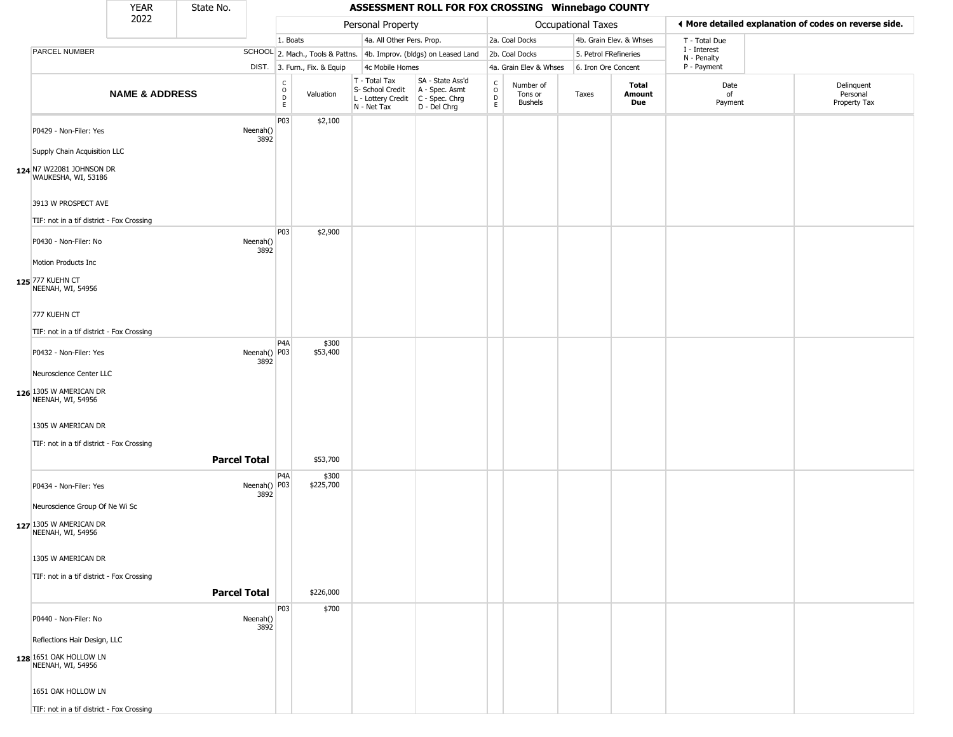|                                                 | <b>YEAR</b>               | State No.           |                      |                                |                              |                                                                                       | ASSESSMENT ROLL FOR FOX CROSSING Winnebago COUNTY                   |                        |                                        |                       |                         |                             |                                                       |
|-------------------------------------------------|---------------------------|---------------------|----------------------|--------------------------------|------------------------------|---------------------------------------------------------------------------------------|---------------------------------------------------------------------|------------------------|----------------------------------------|-----------------------|-------------------------|-----------------------------|-------------------------------------------------------|
|                                                 | 2022                      |                     |                      |                                |                              | Personal Property                                                                     |                                                                     |                        |                                        | Occupational Taxes    |                         |                             | ◀ More detailed explanation of codes on reverse side. |
|                                                 |                           |                     |                      | 1. Boats                       |                              | 4a. All Other Pers. Prop.                                                             |                                                                     |                        | 2a. Coal Docks                         |                       | 4b. Grain Elev. & Whses | T - Total Due               |                                                       |
| PARCEL NUMBER                                   |                           |                     |                      |                                |                              |                                                                                       | SCHOOL 2. Mach., Tools & Pattns. 4b. Improv. (bldgs) on Leased Land |                        | 2b. Coal Docks                         | 5. Petrol FRefineries |                         | I - Interest<br>N - Penalty |                                                       |
|                                                 |                           |                     |                      |                                | DIST. 3. Furn., Fix. & Equip | 4c Mobile Homes                                                                       |                                                                     |                        | 4a. Grain Elev & Whses                 | 6. Iron Ore Concent   |                         | P - Payment                 |                                                       |
|                                                 | <b>NAME &amp; ADDRESS</b> |                     |                      | $\rm _o^C$<br>$\mathsf D$<br>E | Valuation                    | T - Total Tax<br>S- School Credit<br>L - Lottery Credit C - Spec. Chrg<br>N - Net Tax | SA - State Ass'd<br>$A - Spec.$ Asmt<br>D - Del Chrg                | C<br>$\circ$<br>D<br>E | Number of<br>Tons or<br><b>Bushels</b> | Taxes                 | Total<br>Amount<br>Due  | Date<br>of<br>Payment       | Delinquent<br>Personal<br>Property Tax                |
| P0429 - Non-Filer: Yes                          |                           |                     | Neenah()<br>3892     | P03                            | \$2,100                      |                                                                                       |                                                                     |                        |                                        |                       |                         |                             |                                                       |
| Supply Chain Acquisition LLC                    |                           |                     |                      |                                |                              |                                                                                       |                                                                     |                        |                                        |                       |                         |                             |                                                       |
| 124 N7 W22081 JOHNSON DR<br>WAUKESHA, WI, 53186 |                           |                     |                      |                                |                              |                                                                                       |                                                                     |                        |                                        |                       |                         |                             |                                                       |
| 3913 W PROSPECT AVE                             |                           |                     |                      |                                |                              |                                                                                       |                                                                     |                        |                                        |                       |                         |                             |                                                       |
| TIF: not in a tif district - Fox Crossing       |                           |                     |                      |                                |                              |                                                                                       |                                                                     |                        |                                        |                       |                         |                             |                                                       |
| P0430 - Non-Filer: No                           |                           |                     | Neenah()<br>3892     | P03                            | \$2,900                      |                                                                                       |                                                                     |                        |                                        |                       |                         |                             |                                                       |
| Motion Products Inc                             |                           |                     |                      |                                |                              |                                                                                       |                                                                     |                        |                                        |                       |                         |                             |                                                       |
| 125 777 KUEHN CT<br>NEENAH, WI, 54956           |                           |                     |                      |                                |                              |                                                                                       |                                                                     |                        |                                        |                       |                         |                             |                                                       |
| 777 KUEHN CT                                    |                           |                     |                      |                                |                              |                                                                                       |                                                                     |                        |                                        |                       |                         |                             |                                                       |
| TIF: not in a tif district - Fox Crossing       |                           |                     |                      |                                |                              |                                                                                       |                                                                     |                        |                                        |                       |                         |                             |                                                       |
| P0432 - Non-Filer: Yes                          |                           |                     | Neenah() P03         | P <sub>4</sub> A               | \$300<br>\$53,400            |                                                                                       |                                                                     |                        |                                        |                       |                         |                             |                                                       |
| Neuroscience Center LLC                         |                           |                     | 3892                 |                                |                              |                                                                                       |                                                                     |                        |                                        |                       |                         |                             |                                                       |
| 126 1305 W AMERICAN DR<br>NEENAH, WI, 54956     |                           |                     |                      |                                |                              |                                                                                       |                                                                     |                        |                                        |                       |                         |                             |                                                       |
| 1305 W AMERICAN DR                              |                           |                     |                      |                                |                              |                                                                                       |                                                                     |                        |                                        |                       |                         |                             |                                                       |
| TIF: not in a tif district - Fox Crossing       |                           |                     |                      |                                |                              |                                                                                       |                                                                     |                        |                                        |                       |                         |                             |                                                       |
|                                                 |                           | <b>Parcel Total</b> |                      |                                | \$53,700                     |                                                                                       |                                                                     |                        |                                        |                       |                         |                             |                                                       |
|                                                 |                           |                     |                      | P <sub>4</sub> A               |                              |                                                                                       |                                                                     |                        |                                        |                       |                         |                             |                                                       |
| P0434 - Non-Filer: Yes                          |                           |                     | Neenah() P03<br>3892 |                                | \$300<br>\$225,700           |                                                                                       |                                                                     |                        |                                        |                       |                         |                             |                                                       |
| Neuroscience Group Of Ne Wi Sc                  |                           |                     |                      |                                |                              |                                                                                       |                                                                     |                        |                                        |                       |                         |                             |                                                       |
| 127 1305 W AMERICAN DR<br>NEENAH, WI, 54956     |                           |                     |                      |                                |                              |                                                                                       |                                                                     |                        |                                        |                       |                         |                             |                                                       |
| 1305 W AMERICAN DR                              |                           |                     |                      |                                |                              |                                                                                       |                                                                     |                        |                                        |                       |                         |                             |                                                       |
| TIF: not in a tif district - Fox Crossing       |                           |                     |                      |                                |                              |                                                                                       |                                                                     |                        |                                        |                       |                         |                             |                                                       |
|                                                 |                           | <b>Parcel Total</b> |                      |                                | \$226,000                    |                                                                                       |                                                                     |                        |                                        |                       |                         |                             |                                                       |
| P0440 - Non-Filer: No                           |                           |                     | Neenah()<br>3892     | P03                            | \$700                        |                                                                                       |                                                                     |                        |                                        |                       |                         |                             |                                                       |
| Reflections Hair Design, LLC                    |                           |                     |                      |                                |                              |                                                                                       |                                                                     |                        |                                        |                       |                         |                             |                                                       |
| 128 1651 OAK HOLLOW LN<br>NEENAH, WI, 54956     |                           |                     |                      |                                |                              |                                                                                       |                                                                     |                        |                                        |                       |                         |                             |                                                       |
| 1651 OAK HOLLOW LN                              |                           |                     |                      |                                |                              |                                                                                       |                                                                     |                        |                                        |                       |                         |                             |                                                       |
| TIF: not in a tif district - Fox Crossing       |                           |                     |                      |                                |                              |                                                                                       |                                                                     |                        |                                        |                       |                         |                             |                                                       |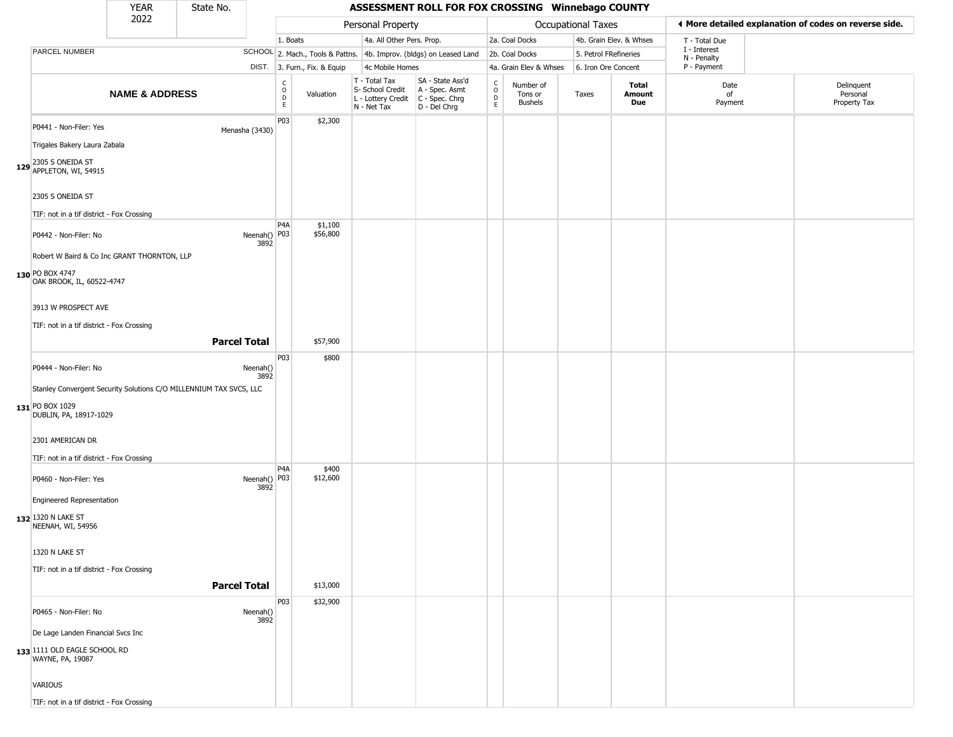|                                                                                                                 | <b>YEAR</b>               | State No.           |                      |                   |                              |                                                                        | ASSESSMENT ROLL FOR FOX CROSSING Winnebago COUNTY                      |                                     |                                        |                    |                         |                             |                                                       |
|-----------------------------------------------------------------------------------------------------------------|---------------------------|---------------------|----------------------|-------------------|------------------------------|------------------------------------------------------------------------|------------------------------------------------------------------------|-------------------------------------|----------------------------------------|--------------------|-------------------------|-----------------------------|-------------------------------------------------------|
|                                                                                                                 | 2022                      |                     |                      |                   |                              | Personal Property                                                      |                                                                        |                                     |                                        | Occupational Taxes |                         |                             | ◀ More detailed explanation of codes on reverse side. |
|                                                                                                                 |                           |                     |                      | 1. Boats          |                              | 4a. All Other Pers. Prop.                                              |                                                                        |                                     | 2a. Coal Docks                         |                    | 4b. Grain Elev. & Whses | T - Total Due               |                                                       |
| PARCEL NUMBER                                                                                                   |                           |                     |                      |                   |                              |                                                                        | SCHOOL 2. Mach., Tools & Pattns. 4b. Improv. (bldgs) on Leased Land    |                                     | 2b. Coal Docks                         |                    | 5. Petrol FRefineries   | I - Interest<br>N - Penalty |                                                       |
|                                                                                                                 |                           |                     |                      |                   | DIST. 3. Furn., Fix. & Equip | 4c Mobile Homes                                                        |                                                                        |                                     | 4a. Grain Elev & Whses                 |                    | 6. Iron Ore Concent     | P - Payment                 |                                                       |
|                                                                                                                 | <b>NAME &amp; ADDRESS</b> |                     |                      | C<br>0<br>D<br>E. | Valuation                    | T - Total Tax<br>S- School Credit<br>L - Lottery Credit<br>N - Net Tax | SA - State Ass'd<br>A - Spec. Asmt<br>$C - Spec. Chrg$<br>D - Del Chrg | $_{\rm o}^{\rm c}$<br>$\frac{D}{E}$ | Number of<br>Tons or<br><b>Bushels</b> | Taxes              | Total<br>Amount<br>Due  | Date<br>of<br>Payment       | Delinquent<br>Personal<br>Property Tax                |
| P0441 - Non-Filer: Yes                                                                                          |                           |                     | Menasha (3430)       | P03               | \$2,300                      |                                                                        |                                                                        |                                     |                                        |                    |                         |                             |                                                       |
| Trigales Bakery Laura Zabala<br>129 2305 S ONEIDA ST<br>129 APPLETON, WI, 54915                                 |                           |                     |                      |                   |                              |                                                                        |                                                                        |                                     |                                        |                    |                         |                             |                                                       |
| 2305 S ONEIDA ST                                                                                                |                           |                     |                      |                   |                              |                                                                        |                                                                        |                                     |                                        |                    |                         |                             |                                                       |
| TIF: not in a tif district - Fox Crossing                                                                       |                           |                     |                      | P <sub>4</sub> A  | \$1,100                      |                                                                        |                                                                        |                                     |                                        |                    |                         |                             |                                                       |
| P0442 - Non-Filer: No<br>Robert W Baird & Co Inc GRANT THORNTON, LLP                                            |                           |                     | Neenah() P03<br>3892 |                   | \$56,800                     |                                                                        |                                                                        |                                     |                                        |                    |                         |                             |                                                       |
| 130 PO BOX 4747<br>OAK BROOK, IL, 60522-4747                                                                    |                           |                     |                      |                   |                              |                                                                        |                                                                        |                                     |                                        |                    |                         |                             |                                                       |
| 3913 W PROSPECT AVE                                                                                             |                           |                     |                      |                   |                              |                                                                        |                                                                        |                                     |                                        |                    |                         |                             |                                                       |
| TIF: not in a tif district - Fox Crossing                                                                       |                           | <b>Parcel Total</b> |                      |                   | \$57,900                     |                                                                        |                                                                        |                                     |                                        |                    |                         |                             |                                                       |
| P0444 - Non-Filer: No                                                                                           |                           |                     | Neenah()<br>3892     | P03               | \$800                        |                                                                        |                                                                        |                                     |                                        |                    |                         |                             |                                                       |
| Stanley Convergent Security Solutions C/O MILLENNIUM TAX SVCS, LLC<br>131 PO BOX 1029<br>DUBLIN, PA, 18917-1029 |                           |                     |                      |                   |                              |                                                                        |                                                                        |                                     |                                        |                    |                         |                             |                                                       |
| 2301 AMERICAN DR<br>TIF: not in a tif district - Fox Crossing                                                   |                           |                     |                      |                   |                              |                                                                        |                                                                        |                                     |                                        |                    |                         |                             |                                                       |
| P0460 - Non-Filer: Yes                                                                                          |                           |                     | Neenah() P03<br>3892 | P <sub>4</sub> A  | \$400<br>\$12,600            |                                                                        |                                                                        |                                     |                                        |                    |                         |                             |                                                       |
| <b>Engineered Representation</b><br>132 1320 N LAKE ST<br>NEENAH, WI, 54956                                     |                           |                     |                      |                   |                              |                                                                        |                                                                        |                                     |                                        |                    |                         |                             |                                                       |
| 1320 N LAKE ST                                                                                                  |                           |                     |                      |                   |                              |                                                                        |                                                                        |                                     |                                        |                    |                         |                             |                                                       |
| TIF: not in a tif district - Fox Crossing                                                                       |                           |                     | <b>Parcel Total</b>  |                   | \$13,000                     |                                                                        |                                                                        |                                     |                                        |                    |                         |                             |                                                       |
| P0465 - Non-Filer: No                                                                                           |                           |                     | Neenah()<br>3892     | P <sub>03</sub>   | \$32,900                     |                                                                        |                                                                        |                                     |                                        |                    |                         |                             |                                                       |
| De Lage Landen Financial Svcs Inc<br>133 1111 OLD EAGLE SCHOOL RD                                               |                           |                     |                      |                   |                              |                                                                        |                                                                        |                                     |                                        |                    |                         |                             |                                                       |
| WAYNE, PA, 19087                                                                                                |                           |                     |                      |                   |                              |                                                                        |                                                                        |                                     |                                        |                    |                         |                             |                                                       |
| <b>VARIOUS</b>                                                                                                  |                           |                     |                      |                   |                              |                                                                        |                                                                        |                                     |                                        |                    |                         |                             |                                                       |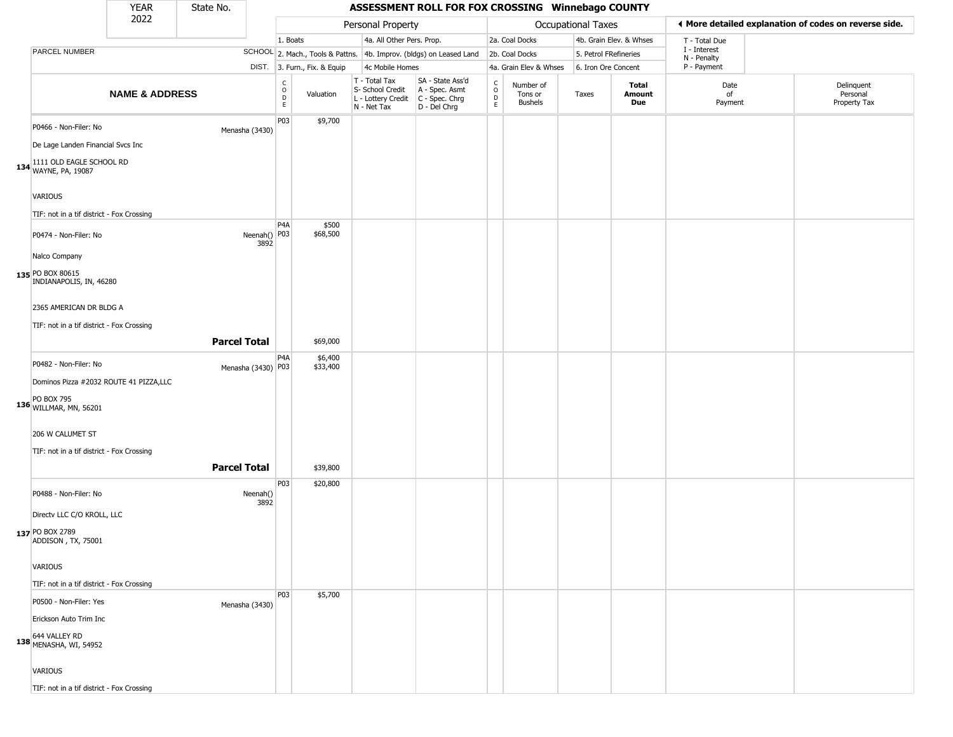|                                                                      | <b>YEAR</b>               | State No. |                      |                                                |                              |                                                                        | ASSESSMENT ROLL FOR FOX CROSSING Winnebago COUNTY                    |                        |                                 |                       |                         |                             |                                                       |
|----------------------------------------------------------------------|---------------------------|-----------|----------------------|------------------------------------------------|------------------------------|------------------------------------------------------------------------|----------------------------------------------------------------------|------------------------|---------------------------------|-----------------------|-------------------------|-----------------------------|-------------------------------------------------------|
|                                                                      | 2022                      |           |                      |                                                |                              | Personal Property                                                      |                                                                      |                        |                                 | Occupational Taxes    |                         |                             | ◀ More detailed explanation of codes on reverse side. |
|                                                                      |                           |           |                      | 1. Boats                                       |                              | 4a. All Other Pers. Prop.                                              |                                                                      |                        | 2a. Coal Docks                  |                       | 4b. Grain Elev. & Whses | T - Total Due               |                                                       |
| PARCEL NUMBER                                                        |                           |           |                      |                                                |                              |                                                                        | SCHOOL 2. Mach., Tools & Pattns. 4b. Improv. (bldgs) on Leased Land  |                        | 2b. Coal Docks                  | 5. Petrol FRefineries |                         | I - Interest<br>N - Penalty |                                                       |
|                                                                      |                           |           |                      |                                                | DIST. 3. Furn., Fix. & Equip | 4c Mobile Homes                                                        |                                                                      |                        | 4a. Grain Elev & Whses          | 6. Iron Ore Concent   |                         | P - Payment                 |                                                       |
|                                                                      | <b>NAME &amp; ADDRESS</b> |           |                      | $\begin{matrix} C \\ O \\ D \end{matrix}$<br>E | Valuation                    | T - Total Tax<br>S- School Credit<br>L - Lottery Credit<br>N - Net Tax | SA - State Ass'd<br>A - Spec. Asmt<br>C - Spec. Chrg<br>D - Del Chrg | C<br>$\circ$<br>D<br>E | Number of<br>Tons or<br>Bushels | Taxes                 | Total<br>Amount<br>Due  | Date<br>of<br>Payment       | Delinquent<br>Personal<br>Property Tax                |
| P0466 - Non-Filer: No<br>De Lage Landen Financial Svcs Inc           |                           |           | Menasha (3430)       | P03                                            | \$9,700                      |                                                                        |                                                                      |                        |                                 |                       |                         |                             |                                                       |
| 134 1111 OLD EAGLE SCHOOL RD<br>134 WAYNE, PA, 19087                 |                           |           |                      |                                                |                              |                                                                        |                                                                      |                        |                                 |                       |                         |                             |                                                       |
| <b>VARIOUS</b><br>TIF: not in a tif district - Fox Crossing          |                           |           |                      |                                                |                              |                                                                        |                                                                      |                        |                                 |                       |                         |                             |                                                       |
| P0474 - Non-Filer: No                                                |                           |           | Neenah() P03<br>3892 | P <sub>4</sub> A                               | \$500<br>\$68,500            |                                                                        |                                                                      |                        |                                 |                       |                         |                             |                                                       |
| Nalco Company<br>135 PO BOX 80615<br>INDIANAPOLIS, IN, 46280         |                           |           |                      |                                                |                              |                                                                        |                                                                      |                        |                                 |                       |                         |                             |                                                       |
| 2365 AMERICAN DR BLDG A<br>TIF: not in a tif district - Fox Crossing |                           |           |                      |                                                |                              |                                                                        |                                                                      |                        |                                 |                       |                         |                             |                                                       |
|                                                                      |                           |           | <b>Parcel Total</b>  |                                                | \$69,000                     |                                                                        |                                                                      |                        |                                 |                       |                         |                             |                                                       |
| P0482 - Non-Filer: No                                                |                           |           | Menasha (3430) P03   | P4A                                            | \$6,400<br>\$33,400          |                                                                        |                                                                      |                        |                                 |                       |                         |                             |                                                       |
| Dominos Pizza #2032 ROUTE 41 PIZZA,LLC                               |                           |           |                      |                                                |                              |                                                                        |                                                                      |                        |                                 |                       |                         |                             |                                                       |
| <b>PO BOX 795</b><br>136 WILLMAR, MN, 56201                          |                           |           |                      |                                                |                              |                                                                        |                                                                      |                        |                                 |                       |                         |                             |                                                       |
| 206 W CALUMET ST                                                     |                           |           |                      |                                                |                              |                                                                        |                                                                      |                        |                                 |                       |                         |                             |                                                       |
| TIF: not in a tif district - Fox Crossing                            |                           |           | <b>Parcel Total</b>  |                                                | \$39,800                     |                                                                        |                                                                      |                        |                                 |                       |                         |                             |                                                       |
| P0488 - Non-Filer: No                                                |                           |           | Neenah()<br>3892     | P03                                            | \$20,800                     |                                                                        |                                                                      |                        |                                 |                       |                         |                             |                                                       |
| Directv LLC C/O KROLL, LLC                                           |                           |           |                      |                                                |                              |                                                                        |                                                                      |                        |                                 |                       |                         |                             |                                                       |
| 137 PO BOX 2789<br>ADDISON, TX, 75001                                |                           |           |                      |                                                |                              |                                                                        |                                                                      |                        |                                 |                       |                         |                             |                                                       |
| <b>VARIOUS</b>                                                       |                           |           |                      |                                                |                              |                                                                        |                                                                      |                        |                                 |                       |                         |                             |                                                       |
| TIF: not in a tif district - Fox Crossing                            |                           |           |                      | P03                                            |                              |                                                                        |                                                                      |                        |                                 |                       |                         |                             |                                                       |
| P0500 - Non-Filer: Yes                                               |                           |           | Menasha (3430)       |                                                | \$5,700                      |                                                                        |                                                                      |                        |                                 |                       |                         |                             |                                                       |
| Erickson Auto Trim Inc                                               |                           |           |                      |                                                |                              |                                                                        |                                                                      |                        |                                 |                       |                         |                             |                                                       |
| 138 644 VALLEY RD<br>138 MENASHA, WI, 54952                          |                           |           |                      |                                                |                              |                                                                        |                                                                      |                        |                                 |                       |                         |                             |                                                       |
| <b>VARIOUS</b>                                                       |                           |           |                      |                                                |                              |                                                                        |                                                                      |                        |                                 |                       |                         |                             |                                                       |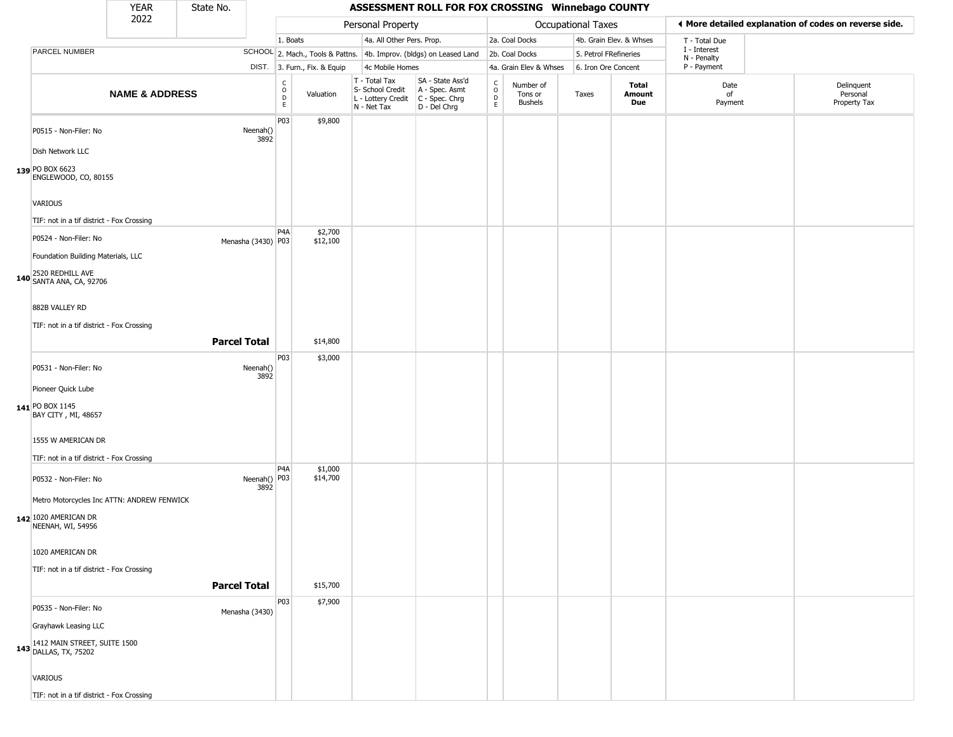|                                                                                         | <b>YEAR</b>               | State No.           |                      |                                              |                              |                                                                                         | ASSESSMENT ROLL FOR FOX CROSSING Winnebago COUNTY                   |                                          |                                        |                       |                         |                             |                                                       |
|-----------------------------------------------------------------------------------------|---------------------------|---------------------|----------------------|----------------------------------------------|------------------------------|-----------------------------------------------------------------------------------------|---------------------------------------------------------------------|------------------------------------------|----------------------------------------|-----------------------|-------------------------|-----------------------------|-------------------------------------------------------|
|                                                                                         | 2022                      |                     |                      |                                              |                              | Personal Property                                                                       |                                                                     |                                          |                                        | Occupational Taxes    |                         |                             | ◀ More detailed explanation of codes on reverse side. |
|                                                                                         |                           |                     |                      | 1. Boats                                     |                              | 4a. All Other Pers. Prop.                                                               |                                                                     |                                          | 2a. Coal Docks                         |                       | 4b. Grain Elev. & Whses | T - Total Due               |                                                       |
| PARCEL NUMBER                                                                           |                           |                     |                      |                                              |                              |                                                                                         | SCHOOL 2. Mach., Tools & Pattns. 4b. Improv. (bldgs) on Leased Land |                                          | 2b. Coal Docks                         | 5. Petrol FRefineries |                         | I - Interest<br>N - Penalty |                                                       |
|                                                                                         |                           |                     |                      |                                              | DIST. 3. Furn., Fix. & Equip | 4c Mobile Homes                                                                         |                                                                     |                                          | 4a. Grain Elev & Whses                 | 6. Iron Ore Concent   |                         | P - Payment                 |                                                       |
|                                                                                         | <b>NAME &amp; ADDRESS</b> |                     |                      | $\begin{array}{c}\nC \\ O \\ D\n\end{array}$ | Valuation                    | T - Total Tax<br>S- School Credit<br>L - Lottery Credit   C - Spec. Chrg<br>N - Net Tax | SA - State Ass'd<br>A - Spec. Asmt<br>D - Del Chrg                  | $\mathsf{C}$<br>$\circ$<br>$\frac{D}{E}$ | Number of<br>Tons or<br><b>Bushels</b> | Taxes                 | Total<br>Amount<br>Due  | Date<br>of<br>Payment       | Delinquent<br>Personal<br>Property Tax                |
| P0515 - Non-Filer: No<br>Dish Network LLC                                               |                           |                     | Neenah()<br>3892     | P03                                          | \$9,800                      |                                                                                         |                                                                     |                                          |                                        |                       |                         |                             |                                                       |
| 139 PO BOX 6623<br>ENGLEWOOD, CO, 80155                                                 |                           |                     |                      |                                              |                              |                                                                                         |                                                                     |                                          |                                        |                       |                         |                             |                                                       |
| VARIOUS                                                                                 |                           |                     |                      |                                              |                              |                                                                                         |                                                                     |                                          |                                        |                       |                         |                             |                                                       |
| TIF: not in a tif district - Fox Crossing                                               |                           |                     |                      | P <sub>4</sub> A                             | \$2,700                      |                                                                                         |                                                                     |                                          |                                        |                       |                         |                             |                                                       |
| P0524 - Non-Filer: No                                                                   |                           |                     | Menasha (3430) P03   |                                              | \$12,100                     |                                                                                         |                                                                     |                                          |                                        |                       |                         |                             |                                                       |
| Foundation Building Materials, LLC                                                      |                           |                     |                      |                                              |                              |                                                                                         |                                                                     |                                          |                                        |                       |                         |                             |                                                       |
| 2520 REDHILL AVE<br>140 SANTA ANA, CA, 92706                                            |                           |                     |                      |                                              |                              |                                                                                         |                                                                     |                                          |                                        |                       |                         |                             |                                                       |
| 882B VALLEY RD                                                                          |                           |                     |                      |                                              |                              |                                                                                         |                                                                     |                                          |                                        |                       |                         |                             |                                                       |
| TIF: not in a tif district - Fox Crossing                                               |                           |                     |                      |                                              |                              |                                                                                         |                                                                     |                                          |                                        |                       |                         |                             |                                                       |
|                                                                                         |                           | <b>Parcel Total</b> |                      |                                              | \$14,800                     |                                                                                         |                                                                     |                                          |                                        |                       |                         |                             |                                                       |
|                                                                                         |                           |                     |                      | P03                                          | \$3,000                      |                                                                                         |                                                                     |                                          |                                        |                       |                         |                             |                                                       |
| P0531 - Non-Filer: No<br>Pioneer Quick Lube                                             |                           |                     | Neenah()<br>3892     |                                              |                              |                                                                                         |                                                                     |                                          |                                        |                       |                         |                             |                                                       |
| 141 PO BOX 1145<br>BAY CITY, MI, 48657                                                  |                           |                     |                      |                                              |                              |                                                                                         |                                                                     |                                          |                                        |                       |                         |                             |                                                       |
| 1555 W AMERICAN DR<br>TIF: not in a tif district - Fox Crossing                         |                           |                     |                      |                                              |                              |                                                                                         |                                                                     |                                          |                                        |                       |                         |                             |                                                       |
| P0532 - Non-Filer: No                                                                   |                           |                     | Neenah() P03<br>3892 | P <sub>4</sub> A                             | \$1,000<br>\$14,700          |                                                                                         |                                                                     |                                          |                                        |                       |                         |                             |                                                       |
| Metro Motorcycles Inc ATTN: ANDREW FENWICK<br>142 1020 AMERICAN DR<br>NEENAH, WI, 54956 |                           |                     |                      |                                              |                              |                                                                                         |                                                                     |                                          |                                        |                       |                         |                             |                                                       |
| 1020 AMERICAN DR                                                                        |                           |                     |                      |                                              |                              |                                                                                         |                                                                     |                                          |                                        |                       |                         |                             |                                                       |
| TIF: not in a tif district - Fox Crossing                                               |                           | <b>Parcel Total</b> |                      |                                              |                              |                                                                                         |                                                                     |                                          |                                        |                       |                         |                             |                                                       |
|                                                                                         |                           |                     |                      |                                              | \$15,700                     |                                                                                         |                                                                     |                                          |                                        |                       |                         |                             |                                                       |
| P0535 - Non-Filer: No                                                                   |                           |                     | Menasha (3430)       | P03                                          | \$7,900                      |                                                                                         |                                                                     |                                          |                                        |                       |                         |                             |                                                       |
| Grayhawk Leasing LLC                                                                    |                           |                     |                      |                                              |                              |                                                                                         |                                                                     |                                          |                                        |                       |                         |                             |                                                       |
| 143 1412 MAIN STREET, SUITE 1500<br>DALLAS, TX, 75202                                   |                           |                     |                      |                                              |                              |                                                                                         |                                                                     |                                          |                                        |                       |                         |                             |                                                       |
| VARIOUS                                                                                 |                           |                     |                      |                                              |                              |                                                                                         |                                                                     |                                          |                                        |                       |                         |                             |                                                       |
| TIF: not in a tif district - Fox Crossing                                               |                           |                     |                      |                                              |                              |                                                                                         |                                                                     |                                          |                                        |                       |                         |                             |                                                       |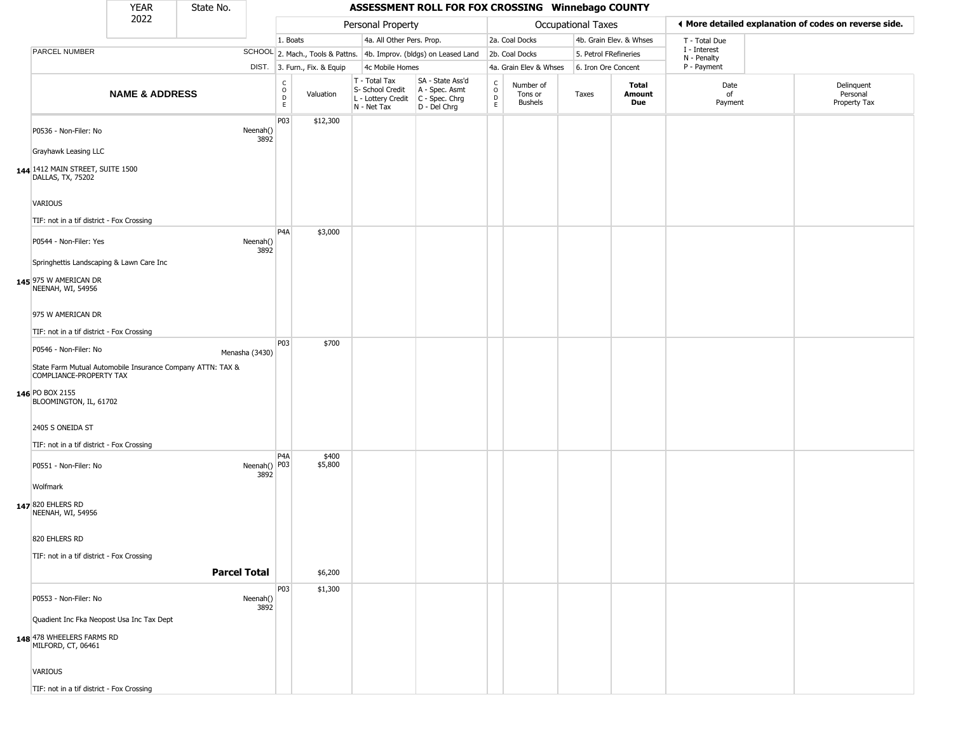|                                                                                       | <b>YEAR</b>               | State No. |                      |                                            |                              |                                                                        | ASSESSMENT ROLL FOR FOX CROSSING Winnebago COUNTY                    |                                                 |                                        |                       |                         |                             |                                                       |
|---------------------------------------------------------------------------------------|---------------------------|-----------|----------------------|--------------------------------------------|------------------------------|------------------------------------------------------------------------|----------------------------------------------------------------------|-------------------------------------------------|----------------------------------------|-----------------------|-------------------------|-----------------------------|-------------------------------------------------------|
|                                                                                       | 2022                      |           |                      |                                            |                              | Personal Property                                                      |                                                                      |                                                 |                                        | Occupational Taxes    |                         |                             | ◀ More detailed explanation of codes on reverse side. |
|                                                                                       |                           |           |                      | 1. Boats                                   |                              | 4a. All Other Pers. Prop.                                              |                                                                      |                                                 | 2a. Coal Docks                         |                       | 4b. Grain Elev. & Whses | T - Total Due               |                                                       |
| PARCEL NUMBER                                                                         |                           |           |                      |                                            |                              |                                                                        | SCHOOL 2. Mach., Tools & Pattns. 4b. Improv. (bldgs) on Leased Land  |                                                 | 2b. Coal Docks                         | 5. Petrol FRefineries |                         | I - Interest<br>N - Penalty |                                                       |
|                                                                                       |                           |           |                      |                                            | DIST. 3. Furn., Fix. & Equip | 4c Mobile Homes                                                        |                                                                      |                                                 | 4a. Grain Elev & Whses                 | 6. Iron Ore Concent   |                         | P - Payment                 |                                                       |
|                                                                                       | <b>NAME &amp; ADDRESS</b> |           |                      | $\begin{array}{c} C \\ O \\ E \end{array}$ | Valuation                    | T - Total Tax<br>S- School Credit<br>L - Lottery Credit<br>N - Net Tax | SA - State Ass'd<br>A - Spec. Asmt<br>C - Spec. Chrg<br>D - Del Chrg | $\begin{array}{c} C \\ O \\ D \\ E \end{array}$ | Number of<br>Tons or<br><b>Bushels</b> | Taxes                 | Total<br>Amount<br>Due  | Date<br>of<br>Payment       | Delinquent<br>Personal<br>Property Tax                |
| P0536 - Non-Filer: No<br>Grayhawk Leasing LLC                                         |                           |           | Neenah()<br>3892     | P <sub>0</sub> 3                           | \$12,300                     |                                                                        |                                                                      |                                                 |                                        |                       |                         |                             |                                                       |
|                                                                                       |                           |           |                      |                                            |                              |                                                                        |                                                                      |                                                 |                                        |                       |                         |                             |                                                       |
| 144 1412 MAIN STREET, SUITE 1500<br>DALLAS, TX, 75202<br>VARIOUS                      |                           |           |                      |                                            |                              |                                                                        |                                                                      |                                                 |                                        |                       |                         |                             |                                                       |
|                                                                                       |                           |           |                      |                                            |                              |                                                                        |                                                                      |                                                 |                                        |                       |                         |                             |                                                       |
| TIF: not in a tif district - Fox Crossing                                             |                           |           |                      | P <sub>4</sub> A                           | \$3,000                      |                                                                        |                                                                      |                                                 |                                        |                       |                         |                             |                                                       |
| P0544 - Non-Filer: Yes                                                                |                           |           | Neenah()<br>3892     |                                            |                              |                                                                        |                                                                      |                                                 |                                        |                       |                         |                             |                                                       |
| Springhettis Landscaping & Lawn Care Inc                                              |                           |           |                      |                                            |                              |                                                                        |                                                                      |                                                 |                                        |                       |                         |                             |                                                       |
| 145 975 W AMERICAN DR<br>NEENAH, WI, 54956                                            |                           |           |                      |                                            |                              |                                                                        |                                                                      |                                                 |                                        |                       |                         |                             |                                                       |
| 975 W AMERICAN DR                                                                     |                           |           |                      |                                            |                              |                                                                        |                                                                      |                                                 |                                        |                       |                         |                             |                                                       |
| TIF: not in a tif district - Fox Crossing                                             |                           |           |                      | P03                                        | \$700                        |                                                                        |                                                                      |                                                 |                                        |                       |                         |                             |                                                       |
| P0546 - Non-Filer: No                                                                 |                           |           | Menasha (3430)       |                                            |                              |                                                                        |                                                                      |                                                 |                                        |                       |                         |                             |                                                       |
| State Farm Mutual Automobile Insurance Company ATTN: TAX &<br>COMPLIANCE-PROPERTY TAX |                           |           |                      |                                            |                              |                                                                        |                                                                      |                                                 |                                        |                       |                         |                             |                                                       |
| 146 PO BOX 2155<br>BLOOMINGTON, IL, 61702                                             |                           |           |                      |                                            |                              |                                                                        |                                                                      |                                                 |                                        |                       |                         |                             |                                                       |
| 2405 S ONEIDA ST                                                                      |                           |           |                      |                                            |                              |                                                                        |                                                                      |                                                 |                                        |                       |                         |                             |                                                       |
| TIF: not in a tif district - Fox Crossing                                             |                           |           |                      |                                            |                              |                                                                        |                                                                      |                                                 |                                        |                       |                         |                             |                                                       |
| P0551 - Non-Filer: No                                                                 |                           |           | Neenah() P03<br>3892 | P4A                                        | \$400<br>\$5,800             |                                                                        |                                                                      |                                                 |                                        |                       |                         |                             |                                                       |
| Wolfmark                                                                              |                           |           |                      |                                            |                              |                                                                        |                                                                      |                                                 |                                        |                       |                         |                             |                                                       |
| 147 820 EHLERS RD<br>NEENAH, WI, 54956                                                |                           |           |                      |                                            |                              |                                                                        |                                                                      |                                                 |                                        |                       |                         |                             |                                                       |
| 820 EHLERS RD                                                                         |                           |           |                      |                                            |                              |                                                                        |                                                                      |                                                 |                                        |                       |                         |                             |                                                       |
| TIF: not in a tif district - Fox Crossing                                             |                           |           | <b>Parcel Total</b>  |                                            | \$6,200                      |                                                                        |                                                                      |                                                 |                                        |                       |                         |                             |                                                       |
|                                                                                       |                           |           |                      | P03                                        | \$1,300                      |                                                                        |                                                                      |                                                 |                                        |                       |                         |                             |                                                       |
| P0553 - Non-Filer: No                                                                 |                           |           | Neenah()<br>3892     |                                            |                              |                                                                        |                                                                      |                                                 |                                        |                       |                         |                             |                                                       |
| Quadient Inc Fka Neopost Usa Inc Tax Dept                                             |                           |           |                      |                                            |                              |                                                                        |                                                                      |                                                 |                                        |                       |                         |                             |                                                       |
| 148 478 WHEELERS FARMS RD<br>MILFORD, CT, 06461                                       |                           |           |                      |                                            |                              |                                                                        |                                                                      |                                                 |                                        |                       |                         |                             |                                                       |
| <b>VARIOUS</b>                                                                        |                           |           |                      |                                            |                              |                                                                        |                                                                      |                                                 |                                        |                       |                         |                             |                                                       |
| TIF: not in a tif district - Fox Crossing                                             |                           |           |                      |                                            |                              |                                                                        |                                                                      |                                                 |                                        |                       |                         |                             |                                                       |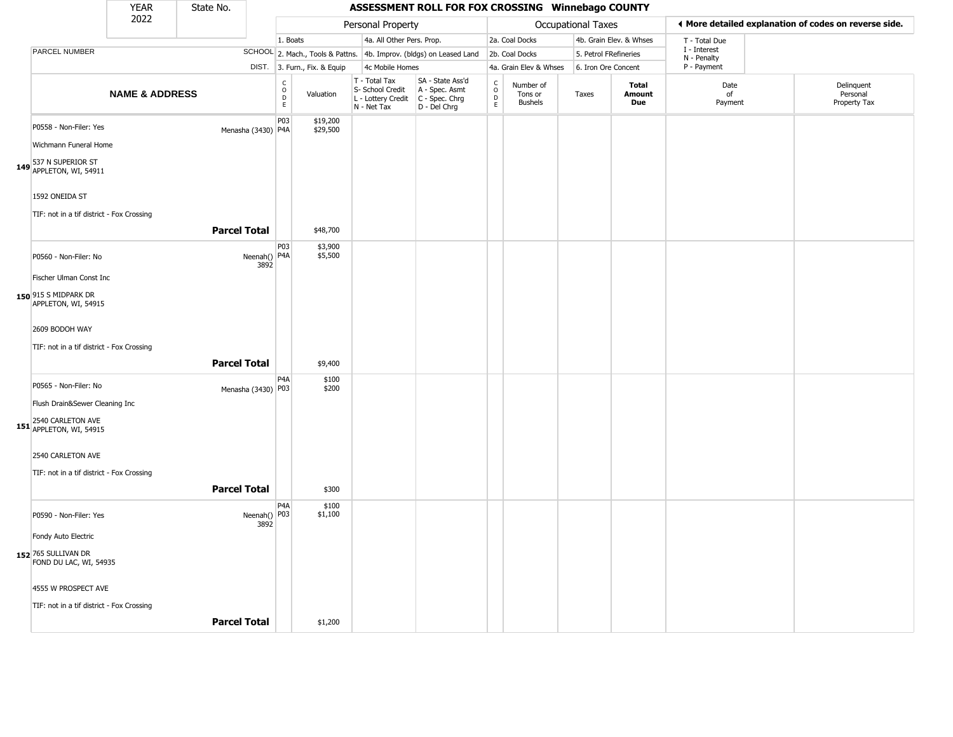|                                                                                                                                                                    | <b>YEAR</b>               | State No.           |                        |                                        |                              |                                                                        | ASSESSMENT ROLL FOR FOX CROSSING Winnebago COUNTY                      |                                                 |                                        |                       |                         |                             |                                                       |
|--------------------------------------------------------------------------------------------------------------------------------------------------------------------|---------------------------|---------------------|------------------------|----------------------------------------|------------------------------|------------------------------------------------------------------------|------------------------------------------------------------------------|-------------------------------------------------|----------------------------------------|-----------------------|-------------------------|-----------------------------|-------------------------------------------------------|
|                                                                                                                                                                    | 2022                      |                     |                        |                                        |                              | Personal Property                                                      |                                                                        |                                                 |                                        | Occupational Taxes    |                         |                             | ♦ More detailed explanation of codes on reverse side. |
|                                                                                                                                                                    |                           |                     |                        | 1. Boats                               |                              | 4a. All Other Pers. Prop.                                              |                                                                        |                                                 | 2a. Coal Docks                         |                       | 4b. Grain Elev. & Whses | T - Total Due               |                                                       |
| PARCEL NUMBER                                                                                                                                                      |                           |                     |                        |                                        |                              |                                                                        | SCHOOL 2. Mach., Tools & Pattns. 4b. Improv. (bldgs) on Leased Land    |                                                 | 2b. Coal Docks                         | 5. Petrol FRefineries |                         | I - Interest<br>N - Penalty |                                                       |
|                                                                                                                                                                    |                           |                     |                        |                                        | DIST. 3. Furn., Fix. & Equip | 4c Mobile Homes                                                        |                                                                        |                                                 | 4a. Grain Elev & Whses                 | 6. Iron Ore Concent   |                         | P - Payment                 |                                                       |
|                                                                                                                                                                    | <b>NAME &amp; ADDRESS</b> |                     |                        | $_{\rm o}^{\rm c}$<br>$\mathsf D$<br>E | Valuation                    | T - Total Tax<br>S- School Credit<br>L - Lottery Credit<br>N - Net Tax | SA - State Ass'd<br>A - Spec. Asmt<br>$C - Spec. Chrg$<br>D - Del Chrg | $\begin{array}{c} C \\ O \\ D \\ E \end{array}$ | Number of<br>Tons or<br><b>Bushels</b> | Taxes                 | Total<br>Amount<br>Due  | Date<br>of<br>Payment       | Delinquent<br>Personal<br>Property Tax                |
| P0558 - Non-Filer: Yes<br>Wichmann Funeral Home<br>149 537 N SUPERIOR ST<br>149 APPLETON, WI, 54911<br>1592 ONEIDA ST<br>TIF: not in a tif district - Fox Crossing |                           |                     | Menasha (3430) P4A     | P03                                    | \$19,200<br>\$29,500         |                                                                        |                                                                        |                                                 |                                        |                       |                         |                             |                                                       |
|                                                                                                                                                                    |                           | <b>Parcel Total</b> |                        |                                        | \$48,700                     |                                                                        |                                                                        |                                                 |                                        |                       |                         |                             |                                                       |
| P0560 - Non-Filer: No<br>Fischer Ulman Const Inc                                                                                                                   |                           |                     | Neenah()   P4A<br>3892 | P03                                    | \$3,900<br>\$5,500           |                                                                        |                                                                        |                                                 |                                        |                       |                         |                             |                                                       |
| 150 915 S MIDPARK DR<br>APPLETON, WI, 54915                                                                                                                        |                           |                     |                        |                                        |                              |                                                                        |                                                                        |                                                 |                                        |                       |                         |                             |                                                       |
| 2609 BODOH WAY<br>TIF: not in a tif district - Fox Crossing                                                                                                        |                           | <b>Parcel Total</b> |                        |                                        | \$9,400                      |                                                                        |                                                                        |                                                 |                                        |                       |                         |                             |                                                       |
| P0565 - Non-Filer: No<br>Flush Drain&Sewer Cleaning Inc                                                                                                            |                           |                     | Menasha (3430) P03     | P4A                                    | \$100<br>\$200               |                                                                        |                                                                        |                                                 |                                        |                       |                         |                             |                                                       |
| 151 2540 CARLETON AVE<br>APPLETON, WI, 54915<br>2540 CARLETON AVE<br>TIF: not in a tif district - Fox Crossing                                                     |                           |                     |                        |                                        |                              |                                                                        |                                                                        |                                                 |                                        |                       |                         |                             |                                                       |
|                                                                                                                                                                    |                           | <b>Parcel Total</b> |                        |                                        | \$300                        |                                                                        |                                                                        |                                                 |                                        |                       |                         |                             |                                                       |
| P0590 - Non-Filer: Yes                                                                                                                                             |                           |                     | Neenah() P03<br>3892   | P <sub>4</sub> A                       | \$100<br>\$1,100             |                                                                        |                                                                        |                                                 |                                        |                       |                         |                             |                                                       |
| Fondy Auto Electric<br>152 765 SULLIVAN DR<br>FOND DU LAC, WI, 54935                                                                                               |                           |                     |                        |                                        |                              |                                                                        |                                                                        |                                                 |                                        |                       |                         |                             |                                                       |
| 4555 W PROSPECT AVE<br>TIF: not in a tif district - Fox Crossing                                                                                                   |                           |                     |                        |                                        |                              |                                                                        |                                                                        |                                                 |                                        |                       |                         |                             |                                                       |
|                                                                                                                                                                    |                           | <b>Parcel Total</b> |                        |                                        | \$1,200                      |                                                                        |                                                                        |                                                 |                                        |                       |                         |                             |                                                       |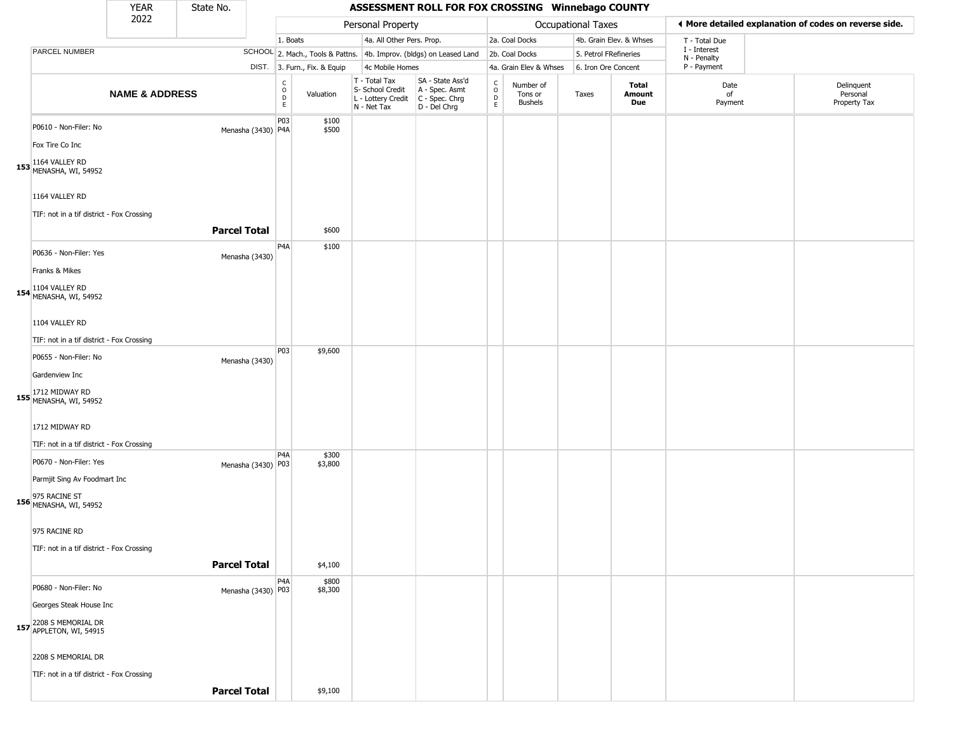|                                                                                                                     | YEAR                      | State No.           |                    |                        |                              |                                                                        | ASSESSMENT ROLL FOR FOX CROSSING Winnebago COUNTY                    |                                                 |                                        |                       |                         |                             |                                                       |
|---------------------------------------------------------------------------------------------------------------------|---------------------------|---------------------|--------------------|------------------------|------------------------------|------------------------------------------------------------------------|----------------------------------------------------------------------|-------------------------------------------------|----------------------------------------|-----------------------|-------------------------|-----------------------------|-------------------------------------------------------|
|                                                                                                                     | 2022                      |                     |                    |                        |                              | Personal Property                                                      |                                                                      |                                                 |                                        | Occupational Taxes    |                         |                             | ♦ More detailed explanation of codes on reverse side. |
|                                                                                                                     |                           |                     |                    | 1. Boats               |                              | 4a. All Other Pers. Prop.                                              |                                                                      |                                                 | 2a. Coal Docks                         |                       | 4b. Grain Elev. & Whses | T - Total Due               |                                                       |
| PARCEL NUMBER                                                                                                       |                           |                     |                    |                        |                              |                                                                        | SCHOOL 2. Mach., Tools & Pattns. 4b. Improv. (bldgs) on Leased Land  |                                                 | 2b. Coal Docks                         | 5. Petrol FRefineries |                         | I - Interest<br>N - Penalty |                                                       |
|                                                                                                                     |                           |                     |                    |                        | DIST. 3. Furn., Fix. & Equip | 4c Mobile Homes                                                        |                                                                      |                                                 | 4a. Grain Elev & Whses                 | 6. Iron Ore Concent   |                         | P - Payment                 |                                                       |
|                                                                                                                     | <b>NAME &amp; ADDRESS</b> |                     |                    | C<br>$\circ$<br>D<br>E | Valuation                    | T - Total Tax<br>S- School Credit<br>L - Lottery Credit<br>N - Net Tax | SA - State Ass'd<br>A - Spec. Asmt<br>C - Spec. Chrg<br>D - Del Chrg | $\begin{array}{c} C \\ O \\ D \\ E \end{array}$ | Number of<br>Tons or<br><b>Bushels</b> | Taxes                 | Total<br>Amount<br>Due  | Date<br>of<br>Payment       | Delinquent<br>Personal<br>Property Tax                |
| P0610 - Non-Filer: No<br>Fox Tire Co Inc<br>153 1164 VALLEY RD<br>MENASHA, WI, 54952                                |                           |                     | Menasha (3430) P4A | P03                    | \$100<br>\$500               |                                                                        |                                                                      |                                                 |                                        |                       |                         |                             |                                                       |
| 1164 VALLEY RD<br>TIF: not in a tif district - Fox Crossing                                                         |                           | <b>Parcel Total</b> |                    |                        | \$600                        |                                                                        |                                                                      |                                                 |                                        |                       |                         |                             |                                                       |
| P0636 - Non-Filer: Yes<br>Franks & Mikes                                                                            |                           |                     | Menasha (3430)     | P4A                    | \$100                        |                                                                        |                                                                      |                                                 |                                        |                       |                         |                             |                                                       |
| 154 1104 VALLEY RD<br>MENASHA, WI, 54952<br>1104 VALLEY RD                                                          |                           |                     |                    |                        |                              |                                                                        |                                                                      |                                                 |                                        |                       |                         |                             |                                                       |
| TIF: not in a tif district - Fox Crossing                                                                           |                           |                     |                    |                        |                              |                                                                        |                                                                      |                                                 |                                        |                       |                         |                             |                                                       |
| P0655 - Non-Filer: No<br>Gardenview Inc                                                                             |                           |                     | Menasha (3430)     | P03                    | \$9,600                      |                                                                        |                                                                      |                                                 |                                        |                       |                         |                             |                                                       |
| 155 1712 MIDWAY RD<br>MENASHA, WI, 54952                                                                            |                           |                     |                    |                        |                              |                                                                        |                                                                      |                                                 |                                        |                       |                         |                             |                                                       |
| 1712 MIDWAY RD<br>TIF: not in a tif district - Fox Crossing                                                         |                           |                     |                    |                        |                              |                                                                        |                                                                      |                                                 |                                        |                       |                         |                             |                                                       |
| P0670 - Non-Filer: Yes<br>Parmjit Sing Av Foodmart Inc<br><b>156</b> 975 RACINE ST<br><b>156</b> MENASHA, WI, 54952 |                           |                     | Menasha (3430) P03 | P <sub>4</sub> A       | \$300<br>\$3,800             |                                                                        |                                                                      |                                                 |                                        |                       |                         |                             |                                                       |
| 975 RACINE RD<br>TIF: not in a tif district - Fox Crossing                                                          |                           | <b>Parcel Total</b> |                    |                        | \$4,100                      |                                                                        |                                                                      |                                                 |                                        |                       |                         |                             |                                                       |
| P0680 - Non-Filer: No                                                                                               |                           |                     | Menasha (3430) P03 | P <sub>4</sub> A       | \$800<br>\$8,300             |                                                                        |                                                                      |                                                 |                                        |                       |                         |                             |                                                       |
| Georges Steak House Inc                                                                                             |                           |                     |                    |                        |                              |                                                                        |                                                                      |                                                 |                                        |                       |                         |                             |                                                       |
| 157 2208 S MEMORIAL DR<br>APPLETON, WI, 54915                                                                       |                           |                     |                    |                        |                              |                                                                        |                                                                      |                                                 |                                        |                       |                         |                             |                                                       |
| 2208 S MEMORIAL DR                                                                                                  |                           |                     |                    |                        |                              |                                                                        |                                                                      |                                                 |                                        |                       |                         |                             |                                                       |
| TIF: not in a tif district - Fox Crossing                                                                           |                           | <b>Parcel Total</b> |                    |                        | \$9,100                      |                                                                        |                                                                      |                                                 |                                        |                       |                         |                             |                                                       |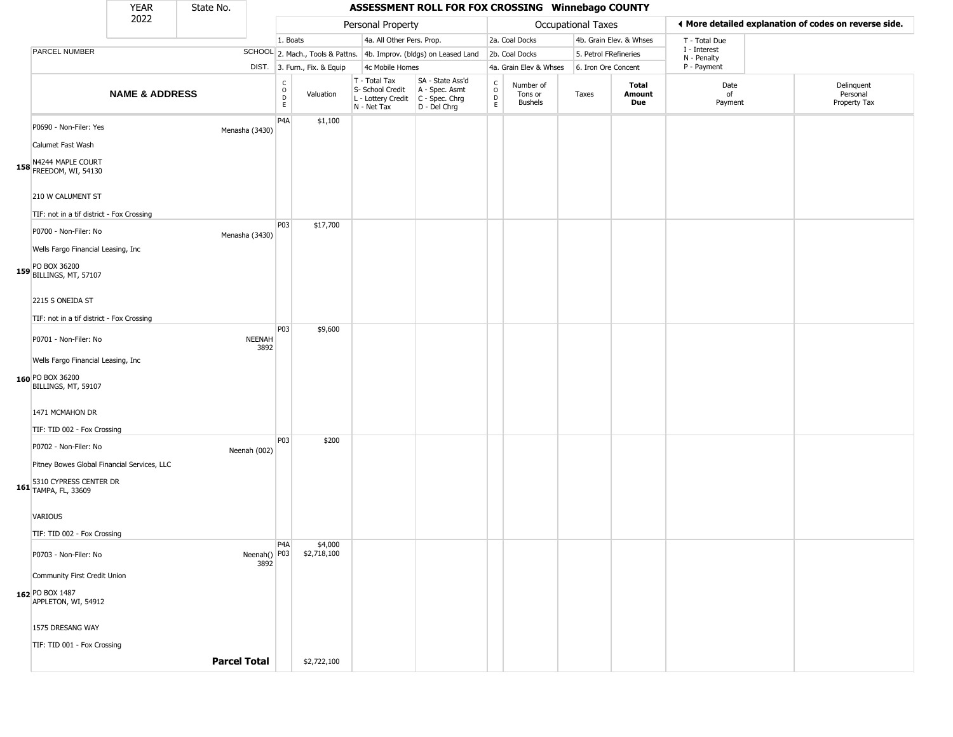|                                                                                                                        | <b>YEAR</b>               | State No.           |                          |                                      |                              |                                                                        | ASSESSMENT ROLL FOR FOX CROSSING Winnebago COUNTY                    |                                        |                                        |                       |                         |                             |                                                       |
|------------------------------------------------------------------------------------------------------------------------|---------------------------|---------------------|--------------------------|--------------------------------------|------------------------------|------------------------------------------------------------------------|----------------------------------------------------------------------|----------------------------------------|----------------------------------------|-----------------------|-------------------------|-----------------------------|-------------------------------------------------------|
|                                                                                                                        | 2022                      |                     |                          |                                      |                              | Personal Property                                                      |                                                                      |                                        |                                        | Occupational Taxes    |                         |                             | ♦ More detailed explanation of codes on reverse side. |
|                                                                                                                        |                           |                     |                          | 1. Boats                             |                              | 4a. All Other Pers. Prop.                                              |                                                                      |                                        | 2a. Coal Docks                         |                       | 4b. Grain Elev. & Whses | T - Total Due               |                                                       |
| PARCEL NUMBER                                                                                                          |                           |                     |                          |                                      |                              |                                                                        | SCHOOL 2. Mach., Tools & Pattns. 4b. Improv. (bldgs) on Leased Land  |                                        | 2b. Coal Docks                         | 5. Petrol FRefineries |                         | I - Interest<br>N - Penalty |                                                       |
|                                                                                                                        |                           |                     |                          |                                      | DIST. 3. Furn., Fix. & Equip | 4c Mobile Homes                                                        |                                                                      |                                        | 4a. Grain Elev & Whses                 | 6. Iron Ore Concent   |                         | P - Payment                 |                                                       |
|                                                                                                                        | <b>NAME &amp; ADDRESS</b> |                     |                          | $\rm ^c_{\rm o}$<br>$\mathsf D$<br>E | Valuation                    | T - Total Tax<br>S- School Credit<br>L - Lottery Credit<br>N - Net Tax | SA - State Ass'd<br>A - Spec. Asmt<br>C - Spec. Chrg<br>D - Del Chrg | $_{\rm o}^{\rm c}$<br>$\mathsf D$<br>E | Number of<br>Tons or<br><b>Bushels</b> | Taxes                 | Total<br>Amount<br>Due  | Date<br>of<br>Payment       | Delinquent<br>Personal<br>Property Tax                |
| P0690 - Non-Filer: Yes<br>Calumet Fast Wash<br>158 N4244 MAPLE COURT<br>158 FREEDOM, WI, 54130                         |                           |                     | Menasha (3430)           | P4A                                  | \$1,100                      |                                                                        |                                                                      |                                        |                                        |                       |                         |                             |                                                       |
| 210 W CALUMENT ST<br>TIF: not in a tif district - Fox Crossing                                                         |                           |                     |                          |                                      |                              |                                                                        |                                                                      |                                        |                                        |                       |                         |                             |                                                       |
| P0700 - Non-Filer: No<br>Wells Fargo Financial Leasing, Inc                                                            |                           |                     | Menasha (3430)           | P03                                  | \$17,700                     |                                                                        |                                                                      |                                        |                                        |                       |                         |                             |                                                       |
| 159 PO BOX 36200<br>BILLINGS, MT, 57107<br>2215 S ONEIDA ST<br>TIF: not in a tif district - Fox Crossing               |                           |                     |                          |                                      |                              |                                                                        |                                                                      |                                        |                                        |                       |                         |                             |                                                       |
| P0701 - Non-Filer: No<br>Wells Fargo Financial Leasing, Inc<br>160 PO BOX 36200                                        |                           |                     | <b>NEENAH</b><br>3892    | P03                                  | \$9,600                      |                                                                        |                                                                      |                                        |                                        |                       |                         |                             |                                                       |
| BILLINGS, MT, 59107<br>1471 MCMAHON DR<br>TIF: TID 002 - Fox Crossing                                                  |                           |                     |                          |                                      |                              |                                                                        |                                                                      |                                        |                                        |                       |                         |                             |                                                       |
| P0702 - Non-Filer: No<br>Pitney Bowes Global Financial Services, LLC<br>161 5310 CYPRESS CENTER DR<br>TAMPA, FL, 33609 |                           |                     | Neenah (002)             | P03                                  | \$200                        |                                                                        |                                                                      |                                        |                                        |                       |                         |                             |                                                       |
| VARIOUS<br>TIF: TID 002 - Fox Crossing                                                                                 |                           |                     |                          |                                      |                              |                                                                        |                                                                      |                                        |                                        |                       |                         |                             |                                                       |
| P0703 - Non-Filer: No<br>Community First Credit Union<br>162 PO BOX 1487<br>APPLETON, WI, 54912                        |                           |                     | Neenah() $ P03 $<br>3892 | P4A                                  | \$4,000<br>\$2,718,100       |                                                                        |                                                                      |                                        |                                        |                       |                         |                             |                                                       |
| 1575 DRESANG WAY<br>TIF: TID 001 - Fox Crossing                                                                        |                           |                     |                          |                                      |                              |                                                                        |                                                                      |                                        |                                        |                       |                         |                             |                                                       |
|                                                                                                                        |                           | <b>Parcel Total</b> |                          |                                      | \$2,722,100                  |                                                                        |                                                                      |                                        |                                        |                       |                         |                             |                                                       |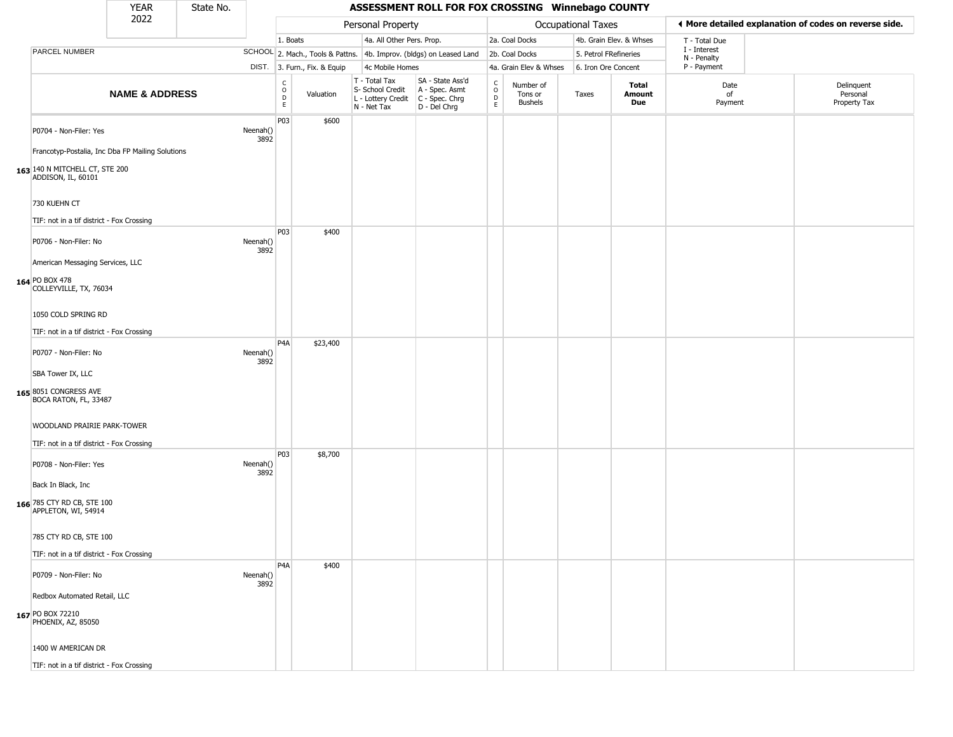|                                                                                                          | <b>YEAR</b>               | State No. |                  |                            |                              |                                                                        | ASSESSMENT ROLL FOR FOX CROSSING Winnebago COUNTY                    |                                   |                                        |                           |                         |                             |                                                       |
|----------------------------------------------------------------------------------------------------------|---------------------------|-----------|------------------|----------------------------|------------------------------|------------------------------------------------------------------------|----------------------------------------------------------------------|-----------------------------------|----------------------------------------|---------------------------|-------------------------|-----------------------------|-------------------------------------------------------|
|                                                                                                          | 2022                      |           |                  |                            |                              | Personal Property                                                      |                                                                      |                                   |                                        | <b>Occupational Taxes</b> |                         |                             | ♦ More detailed explanation of codes on reverse side. |
|                                                                                                          |                           |           |                  | 1. Boats                   |                              | 4a. All Other Pers. Prop.                                              |                                                                      |                                   | 2a. Coal Docks                         |                           | 4b. Grain Elev. & Whses | T - Total Due               |                                                       |
| PARCEL NUMBER                                                                                            |                           |           |                  |                            |                              |                                                                        | SCHOOL 2. Mach., Tools & Pattns. 4b. Improv. (bldgs) on Leased Land  |                                   | 2b. Coal Docks                         |                           | 5. Petrol FRefineries   | I - Interest<br>N - Penalty |                                                       |
|                                                                                                          |                           |           |                  |                            | DIST. 3. Furn., Fix. & Equip | 4c Mobile Homes                                                        |                                                                      |                                   | 4a. Grain Elev & Whses                 |                           | 6. Iron Ore Concent     | P - Payment                 |                                                       |
|                                                                                                          | <b>NAME &amp; ADDRESS</b> |           |                  | C<br>$\mathsf O$<br>D<br>E | Valuation                    | T - Total Tax<br>S- School Credit<br>L - Lottery Credit<br>N - Net Tax | SA - State Ass'd<br>A - Spec. Asmt<br>C - Spec. Chrg<br>D - Del Chrg | $\frac{c}{0}$<br>$\mathsf D$<br>E | Number of<br>Tons or<br><b>Bushels</b> | Taxes                     | Total<br>Amount<br>Due  | Date<br>of<br>Payment       | Delinquent<br>Personal<br>Property Tax                |
| P0704 - Non-Filer: Yes                                                                                   |                           |           | Neenah()<br>3892 | P03                        | \$600                        |                                                                        |                                                                      |                                   |                                        |                           |                         |                             |                                                       |
| Francotyp-Postalia, Inc Dba FP Mailing Solutions<br>163 140 N MITCHELL CT, STE 200<br>ADDISON, IL, 60101 |                           |           |                  |                            |                              |                                                                        |                                                                      |                                   |                                        |                           |                         |                             |                                                       |
| 730 KUEHN CT                                                                                             |                           |           |                  |                            |                              |                                                                        |                                                                      |                                   |                                        |                           |                         |                             |                                                       |
| TIF: not in a tif district - Fox Crossing                                                                |                           |           |                  | P03                        | \$400                        |                                                                        |                                                                      |                                   |                                        |                           |                         |                             |                                                       |
| P0706 - Non-Filer: No                                                                                    |                           |           | Neenah()<br>3892 |                            |                              |                                                                        |                                                                      |                                   |                                        |                           |                         |                             |                                                       |
| American Messaging Services, LLC<br>164 PO BOX 478<br>COLLEYVILLE, TX, 76034                             |                           |           |                  |                            |                              |                                                                        |                                                                      |                                   |                                        |                           |                         |                             |                                                       |
| 1050 COLD SPRING RD                                                                                      |                           |           |                  |                            |                              |                                                                        |                                                                      |                                   |                                        |                           |                         |                             |                                                       |
| TIF: not in a tif district - Fox Crossing                                                                |                           |           |                  |                            |                              |                                                                        |                                                                      |                                   |                                        |                           |                         |                             |                                                       |
| P0707 - Non-Filer: No                                                                                    |                           |           | Neenah()<br>3892 | P <sub>4</sub> A           | \$23,400                     |                                                                        |                                                                      |                                   |                                        |                           |                         |                             |                                                       |
| SBA Tower IX, LLC                                                                                        |                           |           |                  |                            |                              |                                                                        |                                                                      |                                   |                                        |                           |                         |                             |                                                       |
| 165 8051 CONGRESS AVE<br>BOCA RATON, FL, 33487                                                           |                           |           |                  |                            |                              |                                                                        |                                                                      |                                   |                                        |                           |                         |                             |                                                       |
| WOODLAND PRAIRIE PARK-TOWER                                                                              |                           |           |                  |                            |                              |                                                                        |                                                                      |                                   |                                        |                           |                         |                             |                                                       |
| TIF: not in a tif district - Fox Crossing                                                                |                           |           |                  |                            |                              |                                                                        |                                                                      |                                   |                                        |                           |                         |                             |                                                       |
| P0708 - Non-Filer: Yes                                                                                   |                           |           | Neenah()<br>3892 | P03                        | \$8,700                      |                                                                        |                                                                      |                                   |                                        |                           |                         |                             |                                                       |
| Back In Black, Inc                                                                                       |                           |           |                  |                            |                              |                                                                        |                                                                      |                                   |                                        |                           |                         |                             |                                                       |
| 166 785 CTY RD CB, STE 100<br>APPLETON, WI, 54914                                                        |                           |           |                  |                            |                              |                                                                        |                                                                      |                                   |                                        |                           |                         |                             |                                                       |
| 785 CTY RD CB, STE 100                                                                                   |                           |           |                  |                            |                              |                                                                        |                                                                      |                                   |                                        |                           |                         |                             |                                                       |
| TIF: not in a tif district - Fox Crossing                                                                |                           |           |                  |                            |                              |                                                                        |                                                                      |                                   |                                        |                           |                         |                             |                                                       |
| P0709 - Non-Filer: No                                                                                    |                           |           | Neenah()<br>3892 | P <sub>4</sub> A           | \$400                        |                                                                        |                                                                      |                                   |                                        |                           |                         |                             |                                                       |
| Redbox Automated Retail, LLC                                                                             |                           |           |                  |                            |                              |                                                                        |                                                                      |                                   |                                        |                           |                         |                             |                                                       |
| 167 PO BOX 72210<br>PHOENIX, AZ, 85050                                                                   |                           |           |                  |                            |                              |                                                                        |                                                                      |                                   |                                        |                           |                         |                             |                                                       |
| 1400 W AMERICAN DR                                                                                       |                           |           |                  |                            |                              |                                                                        |                                                                      |                                   |                                        |                           |                         |                             |                                                       |
| TIF: not in a tif district - Fox Crossing                                                                |                           |           |                  |                            |                              |                                                                        |                                                                      |                                   |                                        |                           |                         |                             |                                                       |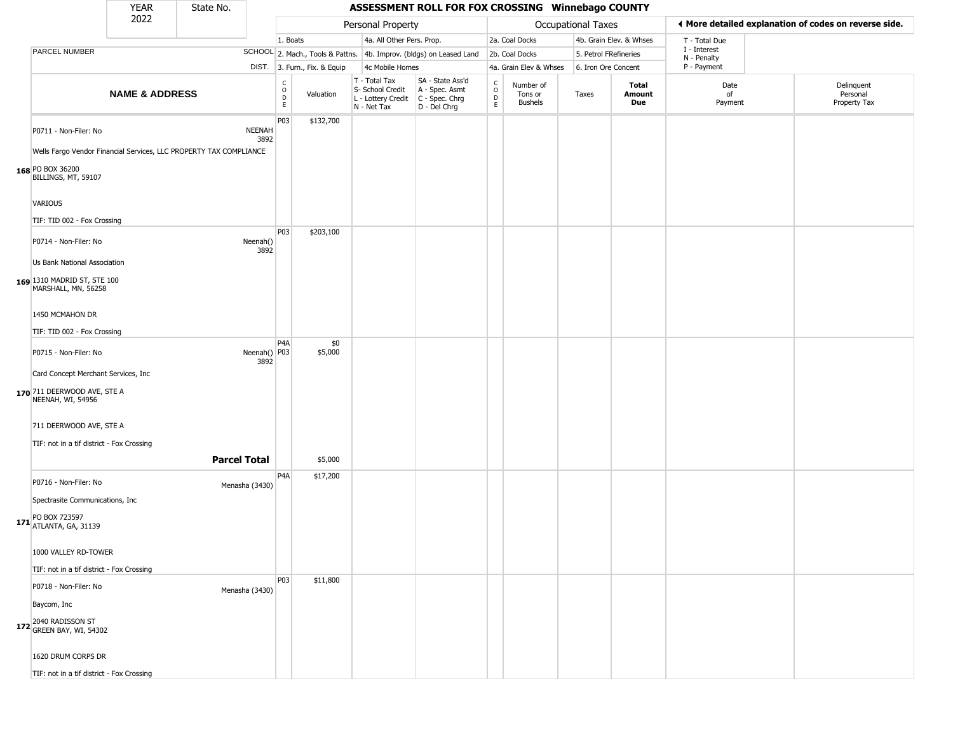|                                                                                                               | <b>YEAR</b>               | State No. |                        |                                         |                              |                                                                        | ASSESSMENT ROLL FOR FOX CROSSING Winnebago COUNTY                    |                                        |                                        |                       |                         |                             |                                                       |
|---------------------------------------------------------------------------------------------------------------|---------------------------|-----------|------------------------|-----------------------------------------|------------------------------|------------------------------------------------------------------------|----------------------------------------------------------------------|----------------------------------------|----------------------------------------|-----------------------|-------------------------|-----------------------------|-------------------------------------------------------|
|                                                                                                               | 2022                      |           |                        |                                         |                              | Personal Property                                                      |                                                                      |                                        |                                        | Occupational Taxes    |                         |                             | ◀ More detailed explanation of codes on reverse side. |
|                                                                                                               |                           |           |                        | 1. Boats                                |                              | 4a. All Other Pers. Prop.                                              |                                                                      |                                        | 2a. Coal Docks                         |                       | 4b. Grain Elev. & Whses | T - Total Due               |                                                       |
| PARCEL NUMBER                                                                                                 |                           |           |                        |                                         |                              |                                                                        | SCHOOL 2. Mach., Tools & Pattns. 4b. Improv. (bldgs) on Leased Land  |                                        | 2b. Coal Docks                         | 5. Petrol FRefineries |                         | I - Interest<br>N - Penalty |                                                       |
|                                                                                                               |                           |           |                        |                                         | DIST. 3. Furn., Fix. & Equip | 4c Mobile Homes                                                        |                                                                      |                                        | 4a. Grain Elev & Whses                 | 6. Iron Ore Concent   |                         | P - Payment                 |                                                       |
|                                                                                                               | <b>NAME &amp; ADDRESS</b> |           |                        | $_{\rm o}^{\rm c}$<br>$\mathsf D$<br>E. | Valuation                    | T - Total Tax<br>S- School Credit<br>L - Lottery Credit<br>N - Net Tax | SA - State Ass'd<br>A - Spec. Asmt<br>C - Spec. Chrg<br>D - Del Chrg | $_{\rm o}^{\rm c}$<br>D<br>$\mathsf E$ | Number of<br>Tons or<br><b>Bushels</b> | Taxes                 | Total<br>Amount<br>Due  | Date<br>of<br>Payment       | Delinquent<br>Personal<br>Property Tax                |
| P0711 - Non-Filer: No                                                                                         |                           |           | <b>NEENAH</b><br>3892  | P <sub>03</sub>                         | \$132,700                    |                                                                        |                                                                      |                                        |                                        |                       |                         |                             |                                                       |
| Wells Fargo Vendor Financial Services, LLC PROPERTY TAX COMPLIANCE<br>168 PO BOX 36200<br>BILLINGS, MT, 59107 |                           |           |                        |                                         |                              |                                                                        |                                                                      |                                        |                                        |                       |                         |                             |                                                       |
| <b>VARIOUS</b>                                                                                                |                           |           |                        |                                         |                              |                                                                        |                                                                      |                                        |                                        |                       |                         |                             |                                                       |
| TIF: TID 002 - Fox Crossing                                                                                   |                           |           |                        |                                         |                              |                                                                        |                                                                      |                                        |                                        |                       |                         |                             |                                                       |
| P0714 - Non-Filer: No                                                                                         |                           |           | Neenah()<br>3892       | P <sub>0</sub> 3                        | \$203,100                    |                                                                        |                                                                      |                                        |                                        |                       |                         |                             |                                                       |
| Us Bank National Association                                                                                  |                           |           |                        |                                         |                              |                                                                        |                                                                      |                                        |                                        |                       |                         |                             |                                                       |
| 169 1310 MADRID ST, STE 100<br>MARSHALL, MN, 56258                                                            |                           |           |                        |                                         |                              |                                                                        |                                                                      |                                        |                                        |                       |                         |                             |                                                       |
| 1450 MCMAHON DR                                                                                               |                           |           |                        |                                         |                              |                                                                        |                                                                      |                                        |                                        |                       |                         |                             |                                                       |
| TIF: TID 002 - Fox Crossing                                                                                   |                           |           |                        |                                         |                              |                                                                        |                                                                      |                                        |                                        |                       |                         |                             |                                                       |
| P0715 - Non-Filer: No                                                                                         |                           |           | Neenah()   P03<br>3892 | P <sub>4</sub> A                        | \$0<br>\$5,000               |                                                                        |                                                                      |                                        |                                        |                       |                         |                             |                                                       |
| Card Concept Merchant Services, Inc                                                                           |                           |           |                        |                                         |                              |                                                                        |                                                                      |                                        |                                        |                       |                         |                             |                                                       |
| 170 711 DEERWOOD AVE, STE A<br>NEENAH, WI, 54956                                                              |                           |           |                        |                                         |                              |                                                                        |                                                                      |                                        |                                        |                       |                         |                             |                                                       |
| 711 DEERWOOD AVE, STE A                                                                                       |                           |           |                        |                                         |                              |                                                                        |                                                                      |                                        |                                        |                       |                         |                             |                                                       |
| TIF: not in a tif district - Fox Crossing                                                                     |                           |           |                        |                                         |                              |                                                                        |                                                                      |                                        |                                        |                       |                         |                             |                                                       |
|                                                                                                               |                           |           | <b>Parcel Total</b>    |                                         | \$5,000                      |                                                                        |                                                                      |                                        |                                        |                       |                         |                             |                                                       |
| P0716 - Non-Filer: No                                                                                         |                           |           | Menasha (3430)         | P <sub>4</sub> A                        | \$17,200                     |                                                                        |                                                                      |                                        |                                        |                       |                         |                             |                                                       |
| Spectrasite Communications, Inc.                                                                              |                           |           |                        |                                         |                              |                                                                        |                                                                      |                                        |                                        |                       |                         |                             |                                                       |
| PO BOX 723597<br><b>171</b> ATLANTA, GA, 31139                                                                |                           |           |                        |                                         |                              |                                                                        |                                                                      |                                        |                                        |                       |                         |                             |                                                       |
| 1000 VALLEY RD-TOWER                                                                                          |                           |           |                        |                                         |                              |                                                                        |                                                                      |                                        |                                        |                       |                         |                             |                                                       |
| TIF: not in a tif district - Fox Crossing                                                                     |                           |           |                        |                                         |                              |                                                                        |                                                                      |                                        |                                        |                       |                         |                             |                                                       |
| P0718 - Non-Filer: No                                                                                         |                           |           | Menasha (3430)         | P <sub>0</sub> 3                        | \$11,800                     |                                                                        |                                                                      |                                        |                                        |                       |                         |                             |                                                       |
| Baycom, Inc                                                                                                   |                           |           |                        |                                         |                              |                                                                        |                                                                      |                                        |                                        |                       |                         |                             |                                                       |
| 172 2040 RADISSON ST<br>172 GREEN BAY, WI, 54302                                                              |                           |           |                        |                                         |                              |                                                                        |                                                                      |                                        |                                        |                       |                         |                             |                                                       |
| 1620 DRUM CORPS DR                                                                                            |                           |           |                        |                                         |                              |                                                                        |                                                                      |                                        |                                        |                       |                         |                             |                                                       |
| TIF: not in a tif district - Fox Crossing                                                                     |                           |           |                        |                                         |                              |                                                                        |                                                                      |                                        |                                        |                       |                         |                             |                                                       |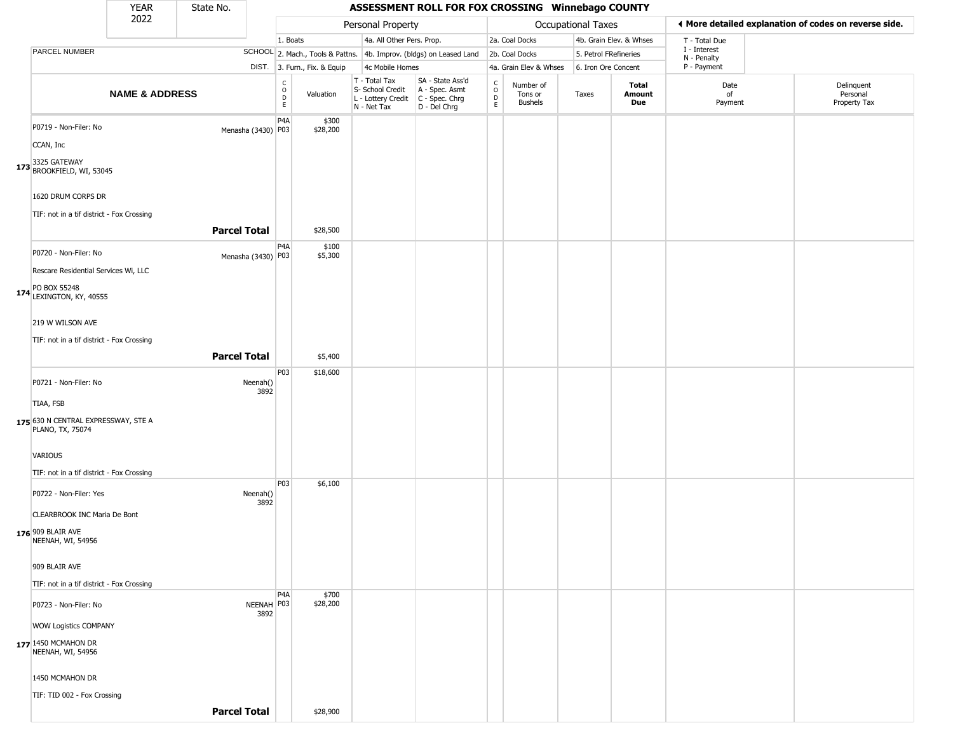|                                                                        | YEAR                      | State No.           |                    |                                  |                              |                                                                        | ASSESSMENT ROLL FOR FOX CROSSING Winnebago COUNTY                    |                         |                                 |                       |                               |                             |                                                       |
|------------------------------------------------------------------------|---------------------------|---------------------|--------------------|----------------------------------|------------------------------|------------------------------------------------------------------------|----------------------------------------------------------------------|-------------------------|---------------------------------|-----------------------|-------------------------------|-----------------------------|-------------------------------------------------------|
|                                                                        | 2022                      |                     |                    |                                  |                              | Personal Property                                                      |                                                                      |                         |                                 | Occupational Taxes    |                               |                             | ♦ More detailed explanation of codes on reverse side. |
|                                                                        |                           |                     |                    | 1. Boats                         |                              | 4a. All Other Pers. Prop.                                              |                                                                      |                         | 2a. Coal Docks                  |                       | 4b. Grain Elev. & Whses       | T - Total Due               |                                                       |
| PARCEL NUMBER                                                          |                           |                     |                    |                                  |                              |                                                                        | SCHOOL 2. Mach., Tools & Pattns. 4b. Improv. (bldgs) on Leased Land  |                         | 2b. Coal Docks                  | 5. Petrol FRefineries |                               | I - Interest<br>N - Penalty |                                                       |
|                                                                        |                           |                     |                    |                                  | DIST. 3. Furn., Fix. & Equip | 4c Mobile Homes                                                        |                                                                      |                         | 4a. Grain Elev & Whses          | 6. Iron Ore Concent   |                               | P - Payment                 |                                                       |
|                                                                        | <b>NAME &amp; ADDRESS</b> |                     |                    | C<br>$\circ$<br>D<br>$\mathsf E$ | Valuation                    | T - Total Tax<br>S- School Credit<br>L - Lottery Credit<br>N - Net Tax | SA - State Ass'd<br>A - Spec. Asmt<br>C - Spec. Chrg<br>D - Del Chrg | $\frac{c}{0}$<br>D<br>E | Number of<br>Tons or<br>Bushels | Taxes                 | <b>Total</b><br>Amount<br>Due | Date<br>of<br>Payment       | Delinquent<br>Personal<br>Property Tax                |
| P0719 - Non-Filer: No                                                  |                           |                     | Menasha (3430) P03 | P <sub>4</sub> A                 | \$300<br>\$28,200            |                                                                        |                                                                      |                         |                                 |                       |                               |                             |                                                       |
| CCAN, Inc                                                              |                           |                     |                    |                                  |                              |                                                                        |                                                                      |                         |                                 |                       |                               |                             |                                                       |
| 173 3325 GATEWAY<br>BROOKFIELD, WI, 53045                              |                           |                     |                    |                                  |                              |                                                                        |                                                                      |                         |                                 |                       |                               |                             |                                                       |
| 1620 DRUM CORPS DR<br>TIF: not in a tif district - Fox Crossing        |                           |                     |                    |                                  |                              |                                                                        |                                                                      |                         |                                 |                       |                               |                             |                                                       |
|                                                                        |                           | <b>Parcel Total</b> |                    |                                  | \$28,500                     |                                                                        |                                                                      |                         |                                 |                       |                               |                             |                                                       |
| P0720 - Non-Filer: No<br>Rescare Residential Services Wi, LLC          |                           |                     | Menasha (3430) P03 | P <sub>4</sub> A                 | \$100<br>\$5,300             |                                                                        |                                                                      |                         |                                 |                       |                               |                             |                                                       |
| 174 PO BOX 55248<br>174 LEXINGTON, KY, 40555                           |                           |                     |                    |                                  |                              |                                                                        |                                                                      |                         |                                 |                       |                               |                             |                                                       |
| 219 W WILSON AVE                                                       |                           |                     |                    |                                  |                              |                                                                        |                                                                      |                         |                                 |                       |                               |                             |                                                       |
| TIF: not in a tif district - Fox Crossing                              |                           | <b>Parcel Total</b> |                    |                                  | \$5,400                      |                                                                        |                                                                      |                         |                                 |                       |                               |                             |                                                       |
| P0721 - Non-Filer: No                                                  |                           |                     | Neenah()<br>3892   | P03                              | \$18,600                     |                                                                        |                                                                      |                         |                                 |                       |                               |                             |                                                       |
| TIAA, FSB<br>175 630 N CENTRAL EXPRESSWAY, STE A<br>PLANO, TX, 75074   |                           |                     |                    |                                  |                              |                                                                        |                                                                      |                         |                                 |                       |                               |                             |                                                       |
| VARIOUS                                                                |                           |                     |                    |                                  |                              |                                                                        |                                                                      |                         |                                 |                       |                               |                             |                                                       |
| TIF: not in a tif district - Fox Crossing<br>P0722 - Non-Filer: Yes    |                           |                     | Neenah()<br>3892   | P03                              | \$6,100                      |                                                                        |                                                                      |                         |                                 |                       |                               |                             |                                                       |
| CLEARBROOK INC Maria De Bont<br>176 909 BLAIR AVE<br>NEENAH, WI, 54956 |                           |                     |                    |                                  |                              |                                                                        |                                                                      |                         |                                 |                       |                               |                             |                                                       |
| 909 BLAIR AVE                                                          |                           |                     |                    |                                  |                              |                                                                        |                                                                      |                         |                                 |                       |                               |                             |                                                       |
| TIF: not in a tif district - Fox Crossing                              |                           |                     |                    | P4A                              | \$700                        |                                                                        |                                                                      |                         |                                 |                       |                               |                             |                                                       |
| P0723 - Non-Filer: No<br>WOW Logistics COMPANY                         |                           |                     | NEENAH P03<br>3892 |                                  | \$28,200                     |                                                                        |                                                                      |                         |                                 |                       |                               |                             |                                                       |
| 177 1450 MCMAHON DR<br>NEENAH, WI, 54956                               |                           |                     |                    |                                  |                              |                                                                        |                                                                      |                         |                                 |                       |                               |                             |                                                       |
| 1450 MCMAHON DR                                                        |                           |                     |                    |                                  |                              |                                                                        |                                                                      |                         |                                 |                       |                               |                             |                                                       |
| TIF: TID 002 - Fox Crossing                                            |                           |                     |                    |                                  |                              |                                                                        |                                                                      |                         |                                 |                       |                               |                             |                                                       |
|                                                                        |                           | <b>Parcel Total</b> |                    |                                  | \$28,900                     |                                                                        |                                                                      |                         |                                 |                       |                               |                             |                                                       |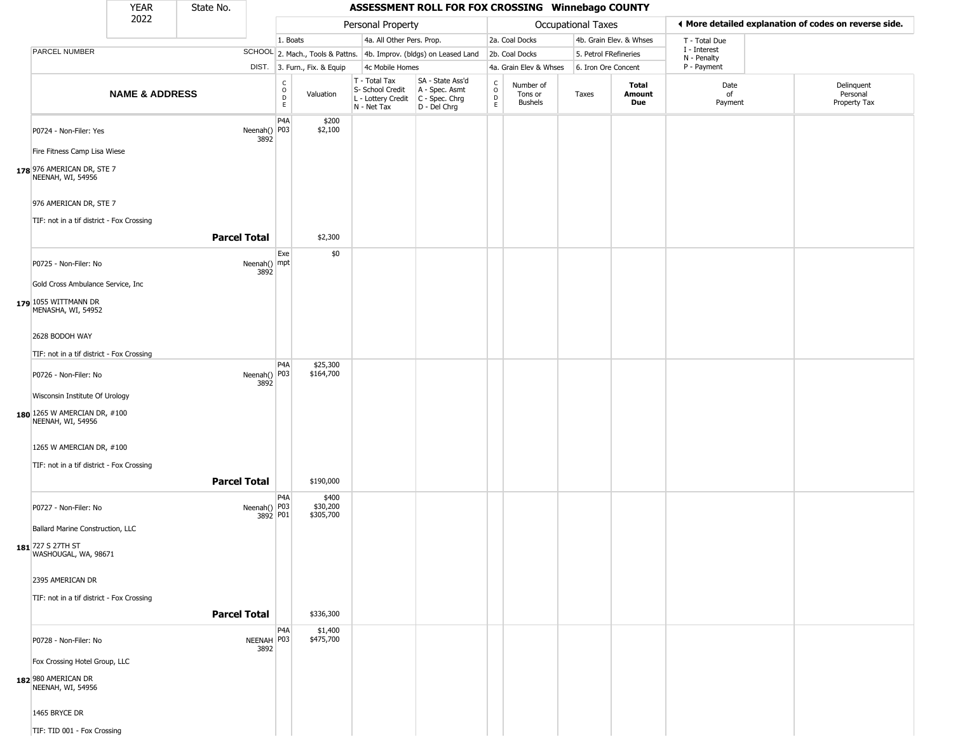|                                                                     | <b>YEAR</b>               | State No.           |                                              |                                |                                                                        | ASSESSMENT ROLL FOR FOX CROSSING Winnebago COUNTY                    |                  |                                 |                       |                         |                             |                                                       |
|---------------------------------------------------------------------|---------------------------|---------------------|----------------------------------------------|--------------------------------|------------------------------------------------------------------------|----------------------------------------------------------------------|------------------|---------------------------------|-----------------------|-------------------------|-----------------------------|-------------------------------------------------------|
|                                                                     | 2022                      |                     |                                              |                                | Personal Property                                                      |                                                                      |                  |                                 | Occupational Taxes    |                         |                             | ◀ More detailed explanation of codes on reverse side. |
|                                                                     |                           |                     |                                              | 1. Boats                       | 4a. All Other Pers. Prop.                                              |                                                                      |                  | 2a. Coal Docks                  |                       | 4b. Grain Elev. & Whses | T - Total Due               |                                                       |
| PARCEL NUMBER                                                       |                           |                     |                                              |                                |                                                                        | SCHOOL 2. Mach., Tools & Pattns. 4b. Improv. (bldgs) on Leased Land  |                  | 2b. Coal Docks                  | 5. Petrol FRefineries |                         | I - Interest<br>N - Penalty |                                                       |
|                                                                     |                           |                     |                                              | DIST. 3. Furn., Fix. & Equip   | 4c Mobile Homes                                                        |                                                                      |                  | 4a. Grain Elev & Whses          | 6. Iron Ore Concent   |                         | P - Payment                 |                                                       |
|                                                                     | <b>NAME &amp; ADDRESS</b> |                     | C<br>$\circ$<br>D<br>E                       | Valuation                      | T - Total Tax<br>S- School Credit<br>L - Lottery Credit<br>N - Net Tax | SA - State Ass'd<br>A - Spec. Asmt<br>C - Spec. Chrg<br>D - Del Chrg | C<br>D<br>D<br>E | Number of<br>Tons or<br>Bushels | Taxes                 | Total<br>Amount<br>Due  | Date<br>of<br>Payment       | Delinquent<br>Personal<br>Property Tax                |
| P0724 - Non-Filer: Yes                                              |                           |                     | P <sub>4</sub> A<br>Neenah() P03<br>3892     | \$200<br>\$2,100               |                                                                        |                                                                      |                  |                                 |                       |                         |                             |                                                       |
| Fire Fitness Camp Lisa Wiese                                        |                           |                     |                                              |                                |                                                                        |                                                                      |                  |                                 |                       |                         |                             |                                                       |
| 178 976 AMERICAN DR, STE 7<br>NEENAH, WI, 54956                     |                           |                     |                                              |                                |                                                                        |                                                                      |                  |                                 |                       |                         |                             |                                                       |
| 976 AMERICAN DR, STE 7<br>TIF: not in a tif district - Fox Crossing |                           |                     |                                              |                                |                                                                        |                                                                      |                  |                                 |                       |                         |                             |                                                       |
|                                                                     |                           | <b>Parcel Total</b> |                                              | \$2,300                        |                                                                        |                                                                      |                  |                                 |                       |                         |                             |                                                       |
| P0725 - Non-Filer: No                                               |                           |                     | Exe<br>Neenah() mpt<br>3892                  | \$0                            |                                                                        |                                                                      |                  |                                 |                       |                         |                             |                                                       |
| Gold Cross Ambulance Service, Inc.                                  |                           |                     |                                              |                                |                                                                        |                                                                      |                  |                                 |                       |                         |                             |                                                       |
| 179 1055 WITTMANN DR<br>MENASHA, WI, 54952                          |                           |                     |                                              |                                |                                                                        |                                                                      |                  |                                 |                       |                         |                             |                                                       |
| 2628 BODOH WAY                                                      |                           |                     |                                              |                                |                                                                        |                                                                      |                  |                                 |                       |                         |                             |                                                       |
| TIF: not in a tif district - Fox Crossing                           |                           |                     |                                              |                                |                                                                        |                                                                      |                  |                                 |                       |                         |                             |                                                       |
| P0726 - Non-Filer: No                                               |                           |                     | P <sub>4</sub> A<br>Neenah() P03<br>3892     | \$25,300<br>\$164,700          |                                                                        |                                                                      |                  |                                 |                       |                         |                             |                                                       |
| Wisconsin Institute Of Urology                                      |                           |                     |                                              |                                |                                                                        |                                                                      |                  |                                 |                       |                         |                             |                                                       |
| 180 1265 W AMERCIAN DR, #100<br>NEENAH, WI, 54956                   |                           |                     |                                              |                                |                                                                        |                                                                      |                  |                                 |                       |                         |                             |                                                       |
| 1265 W AMERCIAN DR, #100                                            |                           |                     |                                              |                                |                                                                        |                                                                      |                  |                                 |                       |                         |                             |                                                       |
| TIF: not in a tif district - Fox Crossing                           |                           |                     |                                              |                                |                                                                        |                                                                      |                  |                                 |                       |                         |                             |                                                       |
|                                                                     |                           | <b>Parcel Total</b> |                                              | \$190,000                      |                                                                        |                                                                      |                  |                                 |                       |                         |                             |                                                       |
| P0727 - Non-Filer: No                                               |                           |                     | P <sub>4</sub> A<br>Neenah() P03<br>3892 P01 | \$400<br>\$30,200<br>\$305,700 |                                                                        |                                                                      |                  |                                 |                       |                         |                             |                                                       |
| Ballard Marine Construction, LLC                                    |                           |                     |                                              |                                |                                                                        |                                                                      |                  |                                 |                       |                         |                             |                                                       |
| 181 727 S 27TH ST<br>WASHOUGAL, WA, 98671                           |                           |                     |                                              |                                |                                                                        |                                                                      |                  |                                 |                       |                         |                             |                                                       |
| 2395 AMERICAN DR                                                    |                           |                     |                                              |                                |                                                                        |                                                                      |                  |                                 |                       |                         |                             |                                                       |
| TIF: not in a tif district - Fox Crossing                           |                           |                     |                                              |                                |                                                                        |                                                                      |                  |                                 |                       |                         |                             |                                                       |
|                                                                     |                           | <b>Parcel Total</b> |                                              | \$336,300                      |                                                                        |                                                                      |                  |                                 |                       |                         |                             |                                                       |
| P0728 - Non-Filer: No                                               |                           |                     | P4A<br>NEENAH P03<br>3892                    | \$1,400<br>\$475,700           |                                                                        |                                                                      |                  |                                 |                       |                         |                             |                                                       |
| Fox Crossing Hotel Group, LLC                                       |                           |                     |                                              |                                |                                                                        |                                                                      |                  |                                 |                       |                         |                             |                                                       |
| 182 980 AMERICAN DR<br>NEENAH, WI, 54956                            |                           |                     |                                              |                                |                                                                        |                                                                      |                  |                                 |                       |                         |                             |                                                       |
| 1465 BRYCE DR                                                       |                           |                     |                                              |                                |                                                                        |                                                                      |                  |                                 |                       |                         |                             |                                                       |
| TIF: TID 001 - Fox Crossing                                         |                           |                     |                                              |                                |                                                                        |                                                                      |                  |                                 |                       |                         |                             |                                                       |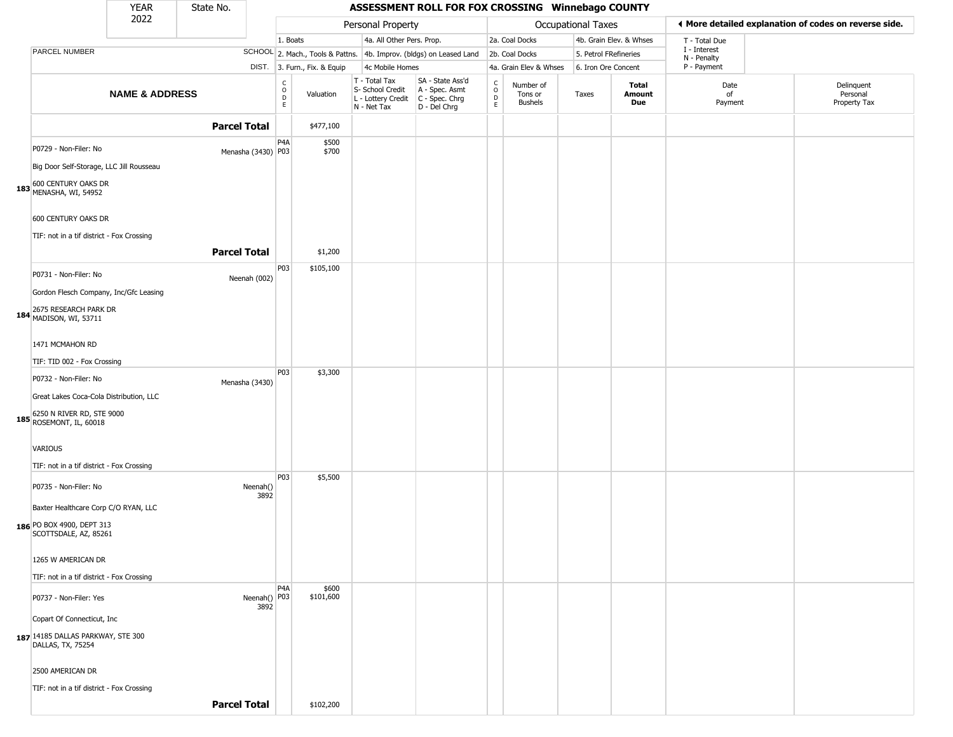|                                                        | <b>YEAR</b>               | State No.           |                      |                                                 |                              |                                                                                           | ASSESSMENT ROLL FOR FOX CROSSING Winnebago COUNTY                   |                             |                                 |                       |                         |                             |                                                       |
|--------------------------------------------------------|---------------------------|---------------------|----------------------|-------------------------------------------------|------------------------------|-------------------------------------------------------------------------------------------|---------------------------------------------------------------------|-----------------------------|---------------------------------|-----------------------|-------------------------|-----------------------------|-------------------------------------------------------|
|                                                        | 2022                      |                     |                      |                                                 |                              | Personal Property                                                                         |                                                                     |                             |                                 | Occupational Taxes    |                         |                             | I More detailed explanation of codes on reverse side. |
|                                                        |                           |                     |                      | 1. Boats                                        |                              | 4a. All Other Pers. Prop.                                                                 |                                                                     |                             | 2a. Coal Docks                  |                       | 4b. Grain Elev. & Whses | T - Total Due               |                                                       |
| PARCEL NUMBER                                          |                           |                     |                      |                                                 |                              |                                                                                           | SCHOOL 2. Mach., Tools & Pattns. 4b. Improv. (bldgs) on Leased Land |                             | 2b. Coal Docks                  | 5. Petrol FRefineries |                         | I - Interest<br>N - Penalty |                                                       |
|                                                        |                           |                     |                      |                                                 | DIST. 3. Furn., Fix. & Equip | 4c Mobile Homes                                                                           |                                                                     |                             | 4a. Grain Elev & Whses          | 6. Iron Ore Concent   |                         | P - Payment                 |                                                       |
|                                                        | <b>NAME &amp; ADDRESS</b> |                     |                      | $\begin{array}{c} C \\ O \\ D \\ E \end{array}$ | Valuation                    | T - Total Tax<br>S- School Credit<br>$L$ - Lottery Credit $C$ - Spec. Chrg<br>N - Net Tax | SA - State Ass'd<br>A - Spec. Asmt<br>D - Del Chrg                  | C<br>$\mathsf{o}$<br>D<br>E | Number of<br>Tons or<br>Bushels | Taxes                 | Total<br>Amount<br>Due  | Date<br>of<br>Payment       | Delinquent<br>Personal<br>Property Tax                |
|                                                        |                           | <b>Parcel Total</b> |                      |                                                 | \$477,100                    |                                                                                           |                                                                     |                             |                                 |                       |                         |                             |                                                       |
| P0729 - Non-Filer: No                                  |                           |                     | Menasha (3430) P03   | P4A                                             | \$500<br>\$700               |                                                                                           |                                                                     |                             |                                 |                       |                         |                             |                                                       |
| Big Door Self-Storage, LLC Jill Rousseau               |                           |                     |                      |                                                 |                              |                                                                                           |                                                                     |                             |                                 |                       |                         |                             |                                                       |
| 183 600 CENTURY OAKS DR<br>183 MENASHA, WI, 54952      |                           |                     |                      |                                                 |                              |                                                                                           |                                                                     |                             |                                 |                       |                         |                             |                                                       |
| 600 CENTURY OAKS DR                                    |                           |                     |                      |                                                 |                              |                                                                                           |                                                                     |                             |                                 |                       |                         |                             |                                                       |
| TIF: not in a tif district - Fox Crossing              |                           |                     |                      |                                                 |                              |                                                                                           |                                                                     |                             |                                 |                       |                         |                             |                                                       |
|                                                        |                           | <b>Parcel Total</b> |                      |                                                 | \$1,200                      |                                                                                           |                                                                     |                             |                                 |                       |                         |                             |                                                       |
| P0731 - Non-Filer: No                                  |                           |                     | Neenah (002)         | P03                                             | \$105,100                    |                                                                                           |                                                                     |                             |                                 |                       |                         |                             |                                                       |
| Gordon Flesch Company, Inc/Gfc Leasing                 |                           |                     |                      |                                                 |                              |                                                                                           |                                                                     |                             |                                 |                       |                         |                             |                                                       |
| 184 2675 RESEARCH PARK DR<br>184 MADISON, WI, 53711    |                           |                     |                      |                                                 |                              |                                                                                           |                                                                     |                             |                                 |                       |                         |                             |                                                       |
| 1471 MCMAHON RD                                        |                           |                     |                      |                                                 |                              |                                                                                           |                                                                     |                             |                                 |                       |                         |                             |                                                       |
| TIF: TID 002 - Fox Crossing                            |                           |                     |                      |                                                 |                              |                                                                                           |                                                                     |                             |                                 |                       |                         |                             |                                                       |
| P0732 - Non-Filer: No                                  |                           |                     | Menasha (3430)       | P03                                             | \$3,300                      |                                                                                           |                                                                     |                             |                                 |                       |                         |                             |                                                       |
| Great Lakes Coca-Cola Distribution, LLC                |                           |                     |                      |                                                 |                              |                                                                                           |                                                                     |                             |                                 |                       |                         |                             |                                                       |
| 185 6250 N RIVER RD, STE 9000<br>ROSEMONT, IL, 60018   |                           |                     |                      |                                                 |                              |                                                                                           |                                                                     |                             |                                 |                       |                         |                             |                                                       |
| VARIOUS                                                |                           |                     |                      |                                                 |                              |                                                                                           |                                                                     |                             |                                 |                       |                         |                             |                                                       |
| TIF: not in a tif district - Fox Crossing              |                           |                     |                      |                                                 |                              |                                                                                           |                                                                     |                             |                                 |                       |                         |                             |                                                       |
| P0735 - Non-Filer: No                                  |                           |                     | Neenah()<br>3892     | <b>P03</b>                                      | \$5,500                      |                                                                                           |                                                                     |                             |                                 |                       |                         |                             |                                                       |
| Baxter Healthcare Corp C/O RYAN, LLC                   |                           |                     |                      |                                                 |                              |                                                                                           |                                                                     |                             |                                 |                       |                         |                             |                                                       |
| 186 PO BOX 4900, DEPT 313<br>SCOTTSDALE, AZ, 85261     |                           |                     |                      |                                                 |                              |                                                                                           |                                                                     |                             |                                 |                       |                         |                             |                                                       |
| 1265 W AMERICAN DR                                     |                           |                     |                      |                                                 |                              |                                                                                           |                                                                     |                             |                                 |                       |                         |                             |                                                       |
| TIF: not in a tif district - Fox Crossing              |                           |                     |                      |                                                 |                              |                                                                                           |                                                                     |                             |                                 |                       |                         |                             |                                                       |
| P0737 - Non-Filer: Yes                                 |                           |                     | Neenah() P03<br>3892 | P <sub>4</sub> A                                | \$600<br>\$101,600           |                                                                                           |                                                                     |                             |                                 |                       |                         |                             |                                                       |
| Copart Of Connecticut, Inc.                            |                           |                     |                      |                                                 |                              |                                                                                           |                                                                     |                             |                                 |                       |                         |                             |                                                       |
| 187 14185 DALLAS PARKWAY, STE 300<br>DALLAS, TX, 75254 |                           |                     |                      |                                                 |                              |                                                                                           |                                                                     |                             |                                 |                       |                         |                             |                                                       |
| 2500 AMERICAN DR                                       |                           |                     |                      |                                                 |                              |                                                                                           |                                                                     |                             |                                 |                       |                         |                             |                                                       |
| TIF: not in a tif district - Fox Crossing              |                           |                     |                      |                                                 |                              |                                                                                           |                                                                     |                             |                                 |                       |                         |                             |                                                       |
|                                                        |                           | <b>Parcel Total</b> |                      |                                                 | \$102,200                    |                                                                                           |                                                                     |                             |                                 |                       |                         |                             |                                                       |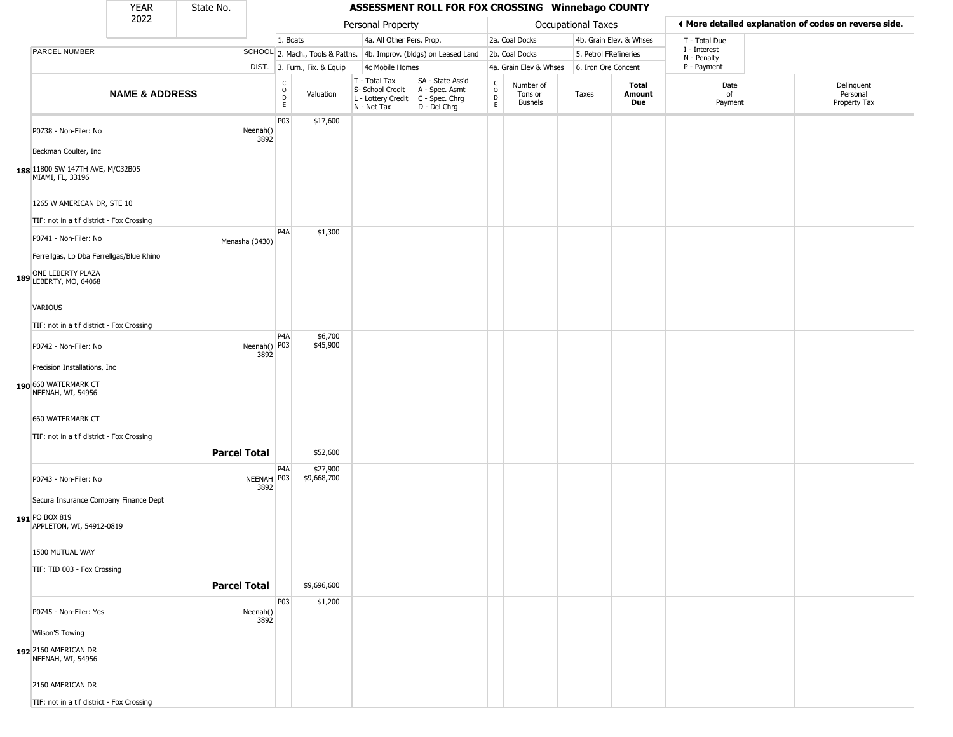|                                                                            | <b>YEAR</b>               | State No.           |                    |                                                          |                              |                                                                        | ASSESSMENT ROLL FOR FOX CROSSING Winnebago COUNTY                    |                                 |                                        |                       |                         |                             |                                                       |
|----------------------------------------------------------------------------|---------------------------|---------------------|--------------------|----------------------------------------------------------|------------------------------|------------------------------------------------------------------------|----------------------------------------------------------------------|---------------------------------|----------------------------------------|-----------------------|-------------------------|-----------------------------|-------------------------------------------------------|
|                                                                            | 2022                      |                     |                    |                                                          |                              | Personal Property                                                      |                                                                      |                                 |                                        | Occupational Taxes    |                         |                             | ♦ More detailed explanation of codes on reverse side. |
|                                                                            |                           |                     |                    | 1. Boats                                                 |                              | 4a. All Other Pers. Prop.                                              |                                                                      |                                 | 2a. Coal Docks                         |                       | 4b. Grain Elev. & Whses | T - Total Due               |                                                       |
| PARCEL NUMBER                                                              |                           |                     |                    |                                                          |                              |                                                                        | SCHOOL 2. Mach., Tools & Pattns. 4b. Improv. (bldgs) on Leased Land  |                                 | 2b. Coal Docks                         | 5. Petrol FRefineries |                         | I - Interest<br>N - Penalty |                                                       |
|                                                                            |                           |                     |                    |                                                          | DIST. 3. Furn., Fix. & Equip | 4c Mobile Homes                                                        |                                                                      |                                 | 4a. Grain Elev & Whses                 | 6. Iron Ore Concent   |                         | P - Payment                 |                                                       |
|                                                                            | <b>NAME &amp; ADDRESS</b> |                     |                    | $\begin{matrix} 0 \\ 0 \\ D \end{matrix}$<br>$\mathsf E$ | Valuation                    | T - Total Tax<br>S- School Credit<br>L - Lottery Credit<br>N - Net Tax | SA - State Ass'd<br>A - Spec. Asmt<br>C - Spec. Chrg<br>D - Del Chrg | $\int_{0}^{c}$<br>$\frac{D}{E}$ | Number of<br>Tons or<br><b>Bushels</b> | Taxes                 | Total<br>Amount<br>Due  | Date<br>of<br>Payment       | Delinquent<br>Personal<br>Property Tax                |
| P0738 - Non-Filer: No<br>Beckman Coulter, Inc                              |                           |                     | Neenah()<br>3892   | P03                                                      | \$17,600                     |                                                                        |                                                                      |                                 |                                        |                       |                         |                             |                                                       |
| 188 1800 SW 147TH AVE, M/C32B05<br>MIAMI, FL, 33196                        |                           |                     |                    |                                                          |                              |                                                                        |                                                                      |                                 |                                        |                       |                         |                             |                                                       |
| 1265 W AMERICAN DR, STE 10                                                 |                           |                     |                    |                                                          |                              |                                                                        |                                                                      |                                 |                                        |                       |                         |                             |                                                       |
| TIF: not in a tif district - Fox Crossing                                  |                           |                     |                    |                                                          |                              |                                                                        |                                                                      |                                 |                                        |                       |                         |                             |                                                       |
| P0741 - Non-Filer: No<br>Ferrellgas, Lp Dba Ferrellgas/Blue Rhino          |                           |                     | Menasha (3430)     | P4A                                                      | \$1,300                      |                                                                        |                                                                      |                                 |                                        |                       |                         |                             |                                                       |
| ONE LEBERTY PLAZA<br>189 LEBERTY, MO, 64068                                |                           |                     |                    |                                                          |                              |                                                                        |                                                                      |                                 |                                        |                       |                         |                             |                                                       |
| VARIOUS<br>TIF: not in a tif district - Fox Crossing                       |                           |                     |                    |                                                          |                              |                                                                        |                                                                      |                                 |                                        |                       |                         |                             |                                                       |
| P0742 - Non-Filer: No                                                      |                           |                     | Neenah() P03       | P4A                                                      | \$6,700<br>\$45,900          |                                                                        |                                                                      |                                 |                                        |                       |                         |                             |                                                       |
| Precision Installations, Inc.<br>190 660 WATERMARK CT<br>NEENAH, WI, 54956 |                           |                     | 3892               |                                                          |                              |                                                                        |                                                                      |                                 |                                        |                       |                         |                             |                                                       |
| 660 WATERMARK CT<br>TIF: not in a tif district - Fox Crossing              |                           | <b>Parcel Total</b> |                    |                                                          | \$52,600                     |                                                                        |                                                                      |                                 |                                        |                       |                         |                             |                                                       |
|                                                                            |                           |                     |                    |                                                          |                              |                                                                        |                                                                      |                                 |                                        |                       |                         |                             |                                                       |
| P0743 - Non-Filer: No<br>Secura Insurance Company Finance Dept             |                           |                     | NEENAH P03<br>3892 | P <sub>4</sub> A                                         | \$27,900<br>\$9,668,700      |                                                                        |                                                                      |                                 |                                        |                       |                         |                             |                                                       |
| 191 PO BOX 819<br>APPLETON, WI, 54912-0819                                 |                           |                     |                    |                                                          |                              |                                                                        |                                                                      |                                 |                                        |                       |                         |                             |                                                       |
| 1500 MUTUAL WAY                                                            |                           |                     |                    |                                                          |                              |                                                                        |                                                                      |                                 |                                        |                       |                         |                             |                                                       |
| TIF: TID 003 - Fox Crossing                                                |                           |                     |                    |                                                          |                              |                                                                        |                                                                      |                                 |                                        |                       |                         |                             |                                                       |
|                                                                            |                           | <b>Parcel Total</b> |                    |                                                          | \$9,696,600                  |                                                                        |                                                                      |                                 |                                        |                       |                         |                             |                                                       |
| P0745 - Non-Filer: Yes                                                     |                           |                     | Neenah()<br>3892   | P03                                                      | \$1,200                      |                                                                        |                                                                      |                                 |                                        |                       |                         |                             |                                                       |
| Wilson'S Towing<br>192 2160 AMERICAN DR<br>NEENAH, WI, 54956               |                           |                     |                    |                                                          |                              |                                                                        |                                                                      |                                 |                                        |                       |                         |                             |                                                       |
| 2160 AMERICAN DR                                                           |                           |                     |                    |                                                          |                              |                                                                        |                                                                      |                                 |                                        |                       |                         |                             |                                                       |
| TIF: not in a tif district - Fox Crossing                                  |                           |                     |                    |                                                          |                              |                                                                        |                                                                      |                                 |                                        |                       |                         |                             |                                                       |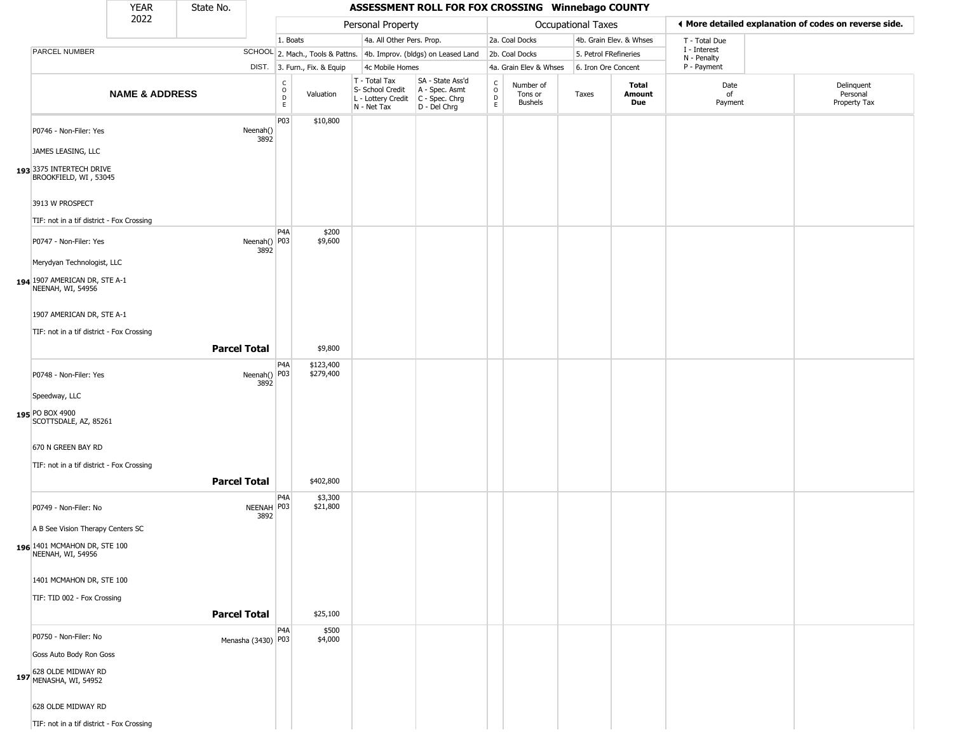|                                                                                                                                    | <b>YEAR</b>               | State No.           |                      |                              |                              |                                                                        | ASSESSMENT ROLL FOR FOX CROSSING Winnebago COUNTY                      |                                            |                                        |                           |                         |                             |                                                       |
|------------------------------------------------------------------------------------------------------------------------------------|---------------------------|---------------------|----------------------|------------------------------|------------------------------|------------------------------------------------------------------------|------------------------------------------------------------------------|--------------------------------------------|----------------------------------------|---------------------------|-------------------------|-----------------------------|-------------------------------------------------------|
|                                                                                                                                    | 2022                      |                     |                      |                              |                              | Personal Property                                                      |                                                                        |                                            |                                        | <b>Occupational Taxes</b> |                         |                             | ♦ More detailed explanation of codes on reverse side. |
|                                                                                                                                    |                           |                     |                      | 1. Boats                     |                              | 4a. All Other Pers. Prop.                                              |                                                                        |                                            | 2a. Coal Docks                         |                           | 4b. Grain Elev. & Whses | T - Total Due               |                                                       |
| PARCEL NUMBER                                                                                                                      |                           |                     |                      |                              |                              |                                                                        | SCHOOL 2. Mach., Tools & Pattns. 4b. Improv. (bldgs) on Leased Land    |                                            | 2b. Coal Docks                         | 5. Petrol FRefineries     |                         | I - Interest<br>N - Penalty |                                                       |
|                                                                                                                                    |                           |                     |                      |                              | DIST. 3. Furn., Fix. & Equip | 4c Mobile Homes                                                        |                                                                        |                                            | 4a. Grain Elev & Whses                 | 6. Iron Ore Concent       |                         | P - Payment                 |                                                       |
|                                                                                                                                    | <b>NAME &amp; ADDRESS</b> |                     |                      | $_{\rm o}^{\rm c}$<br>D<br>E | Valuation                    | T - Total Tax<br>S- School Credit<br>L - Lottery Credit<br>N - Net Tax | SA - State Ass'd<br>A - Spec. Asmt<br>$C - Spec. Chrg$<br>D - Del Chrg | $\begin{array}{c} C \\ 0 \\ E \end{array}$ | Number of<br>Tons or<br><b>Bushels</b> | Taxes                     | Total<br>Amount<br>Due  | Date<br>of<br>Payment       | Delinquent<br>Personal<br>Property Tax                |
| P0746 - Non-Filer: Yes<br>JAMES LEASING, LLC<br>193 3375 INTERTECH DRIVE<br>BROOKFIELD, WI, 53045                                  |                           |                     | Neenah()<br>3892     | P03                          | \$10,800                     |                                                                        |                                                                        |                                            |                                        |                           |                         |                             |                                                       |
| 3913 W PROSPECT                                                                                                                    |                           |                     |                      |                              |                              |                                                                        |                                                                        |                                            |                                        |                           |                         |                             |                                                       |
| TIF: not in a tif district - Fox Crossing<br>P0747 - Non-Filer: Yes<br>Merydyan Technologist, LLC<br>194 1907 AMERICAN DR, STE A-1 |                           |                     | Neenah() P03<br>3892 | P <sub>4</sub> A             | \$200<br>\$9,600             |                                                                        |                                                                        |                                            |                                        |                           |                         |                             |                                                       |
| NEENAH, WI, 54956<br>1907 AMERICAN DR, STE A-1<br>TIF: not in a tif district - Fox Crossing                                        |                           |                     |                      |                              |                              |                                                                        |                                                                        |                                            |                                        |                           |                         |                             |                                                       |
|                                                                                                                                    |                           | <b>Parcel Total</b> |                      |                              | \$9,800                      |                                                                        |                                                                        |                                            |                                        |                           |                         |                             |                                                       |
| P0748 - Non-Filer: Yes<br>Speedway, LLC<br>195 PO BOX 4900<br>SCOTTSDALE, AZ, 85261                                                |                           |                     | Neenah() P03<br>3892 | P4A                          | \$123,400<br>\$279,400       |                                                                        |                                                                        |                                            |                                        |                           |                         |                             |                                                       |
| 670 N GREEN BAY RD<br>TIF: not in a tif district - Fox Crossing                                                                    |                           | <b>Parcel Total</b> |                      |                              | \$402,800                    |                                                                        |                                                                        |                                            |                                        |                           |                         |                             |                                                       |
| P0749 - Non-Filer: No<br>A B See Vision Therapy Centers SC<br>196 1401 MCMAHON DR, STE 100<br>NEENAH, WI, 54956                    |                           |                     | NEENAH P03<br>3892   | P <sub>4</sub> A             | \$3,300<br>\$21,800          |                                                                        |                                                                        |                                            |                                        |                           |                         |                             |                                                       |
| 1401 MCMAHON DR, STE 100<br>TIF: TID 002 - Fox Crossing                                                                            |                           | <b>Parcel Total</b> |                      |                              | \$25,100                     |                                                                        |                                                                        |                                            |                                        |                           |                         |                             |                                                       |
|                                                                                                                                    |                           |                     |                      |                              |                              |                                                                        |                                                                        |                                            |                                        |                           |                         |                             |                                                       |
| P0750 - Non-Filer: No<br>Goss Auto Body Ron Goss<br>197 628 OLDE MIDWAY RD<br>MENASHA, WI, 54952<br>628 OLDE MIDWAY RD             |                           |                     | Menasha (3430) P03   | P <sub>4</sub> A             | \$500<br>\$4,000             |                                                                        |                                                                        |                                            |                                        |                           |                         |                             |                                                       |
| TIF: not in a tif district - Fox Crossing                                                                                          |                           |                     |                      |                              |                              |                                                                        |                                                                        |                                            |                                        |                           |                         |                             |                                                       |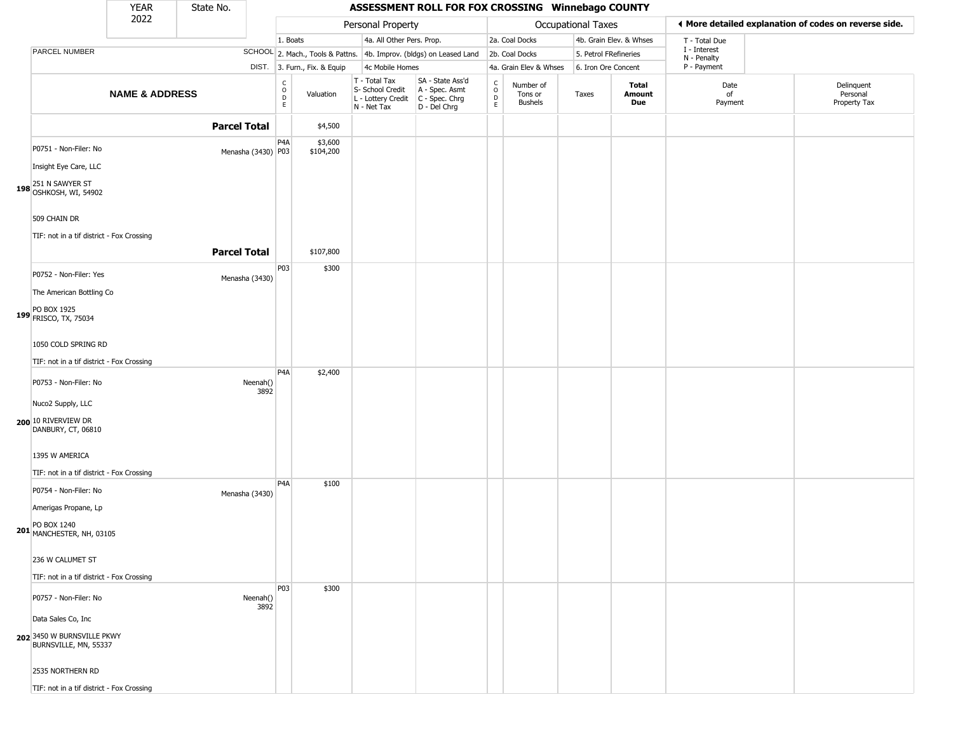|                                                                           | <b>YEAR</b>               | State No.           |                                                 |                              |                                                                        | ASSESSMENT ROLL FOR FOX CROSSING Winnebago COUNTY                    |                                               |                                        |                       |                         |                             |                                                       |
|---------------------------------------------------------------------------|---------------------------|---------------------|-------------------------------------------------|------------------------------|------------------------------------------------------------------------|----------------------------------------------------------------------|-----------------------------------------------|----------------------------------------|-----------------------|-------------------------|-----------------------------|-------------------------------------------------------|
|                                                                           | 2022                      |                     |                                                 |                              | Personal Property                                                      |                                                                      |                                               |                                        | Occupational Taxes    |                         |                             | ◀ More detailed explanation of codes on reverse side. |
|                                                                           |                           |                     |                                                 | 1. Boats                     | 4a. All Other Pers. Prop.                                              |                                                                      |                                               | 2a. Coal Docks                         |                       | 4b. Grain Elev. & Whses | T - Total Due               |                                                       |
| PARCEL NUMBER                                                             |                           |                     |                                                 |                              |                                                                        | SCHOOL 2. Mach., Tools & Pattns. 4b. Improv. (bldgs) on Leased Land  |                                               | 2b. Coal Docks                         | 5. Petrol FRefineries |                         | I - Interest<br>N - Penalty |                                                       |
|                                                                           |                           |                     |                                                 | DIST. 3. Furn., Fix. & Equip | 4c Mobile Homes                                                        |                                                                      |                                               | 4a. Grain Elev & Whses                 | 6. Iron Ore Concent   |                         | P - Payment                 |                                                       |
|                                                                           | <b>NAME &amp; ADDRESS</b> |                     | $\begin{array}{c} C \\ O \\ D \\ E \end{array}$ | Valuation                    | T - Total Tax<br>S- School Credit<br>L - Lottery Credit<br>N - Net Tax | SA - State Ass'd<br>A - Spec. Asmt<br>C - Spec. Chrg<br>D - Del Chrg | $\mathsf{C}$<br>$\circ$<br>$\mathsf{D}$<br>E. | Number of<br>Tons or<br><b>Bushels</b> | Taxes                 | Total<br>Amount<br>Due  | Date<br>of<br>Payment       | Delinquent<br>Personal<br>Property Tax                |
|                                                                           |                           | <b>Parcel Total</b> |                                                 | \$4,500                      |                                                                        |                                                                      |                                               |                                        |                       |                         |                             |                                                       |
| P0751 - Non-Filer: No<br>Insight Eye Care, LLC                            |                           |                     | P <sub>4</sub> A<br>Menasha (3430) P03          | \$3,600<br>\$104,200         |                                                                        |                                                                      |                                               |                                        |                       |                         |                             |                                                       |
| 198 251 N SAWYER ST<br>198 OSHKOSH, WI, 54902                             |                           |                     |                                                 |                              |                                                                        |                                                                      |                                               |                                        |                       |                         |                             |                                                       |
| 509 CHAIN DR<br>TIF: not in a tif district - Fox Crossing                 |                           |                     |                                                 |                              |                                                                        |                                                                      |                                               |                                        |                       |                         |                             |                                                       |
|                                                                           |                           | <b>Parcel Total</b> |                                                 | \$107,800                    |                                                                        |                                                                      |                                               |                                        |                       |                         |                             |                                                       |
| P0752 - Non-Filer: Yes<br>The American Bottling Co                        |                           |                     | P03<br>Menasha (3430)                           | \$300                        |                                                                        |                                                                      |                                               |                                        |                       |                         |                             |                                                       |
| 199 PO BOX 1925<br>FRISCO, TX, 75034                                      |                           |                     |                                                 |                              |                                                                        |                                                                      |                                               |                                        |                       |                         |                             |                                                       |
| 1050 COLD SPRING RD<br>TIF: not in a tif district - Fox Crossing          |                           |                     |                                                 |                              |                                                                        |                                                                      |                                               |                                        |                       |                         |                             |                                                       |
|                                                                           |                           |                     | P <sub>4</sub> A                                | \$2,400                      |                                                                        |                                                                      |                                               |                                        |                       |                         |                             |                                                       |
| P0753 - Non-Filer: No<br>Nuco2 Supply, LLC                                |                           |                     | Neenah()<br>3892                                |                              |                                                                        |                                                                      |                                               |                                        |                       |                         |                             |                                                       |
| <b>200</b> 10 RIVERVIEW DR<br>DANBURY, CT, 06810                          |                           |                     |                                                 |                              |                                                                        |                                                                      |                                               |                                        |                       |                         |                             |                                                       |
| 1395 W AMERICA<br>TIF: not in a tif district - Fox Crossing               |                           |                     |                                                 |                              |                                                                        |                                                                      |                                               |                                        |                       |                         |                             |                                                       |
| P0754 - Non-Filer: No                                                     |                           |                     | P4A<br>Menasha (3430)                           | \$100                        |                                                                        |                                                                      |                                               |                                        |                       |                         |                             |                                                       |
| Amerigas Propane, Lp<br>201 PO BOX 1240<br>201 MANCHESTER, NH, 03105      |                           |                     |                                                 |                              |                                                                        |                                                                      |                                               |                                        |                       |                         |                             |                                                       |
| 236 W CALUMET ST<br>TIF: not in a tif district - Fox Crossing             |                           |                     |                                                 |                              |                                                                        |                                                                      |                                               |                                        |                       |                         |                             |                                                       |
| P0757 - Non-Filer: No                                                     |                           |                     | <b>P03</b><br>Neenah()<br>3892                  | \$300                        |                                                                        |                                                                      |                                               |                                        |                       |                         |                             |                                                       |
| Data Sales Co, Inc<br>202 3450 W BURNSVILLE PKWY<br>BURNSVILLE, MN, 55337 |                           |                     |                                                 |                              |                                                                        |                                                                      |                                               |                                        |                       |                         |                             |                                                       |
| 2535 NORTHERN RD                                                          |                           |                     |                                                 |                              |                                                                        |                                                                      |                                               |                                        |                       |                         |                             |                                                       |
| TIF: not in a tif district - Fox Crossing                                 |                           |                     |                                                 |                              |                                                                        |                                                                      |                                               |                                        |                       |                         |                             |                                                       |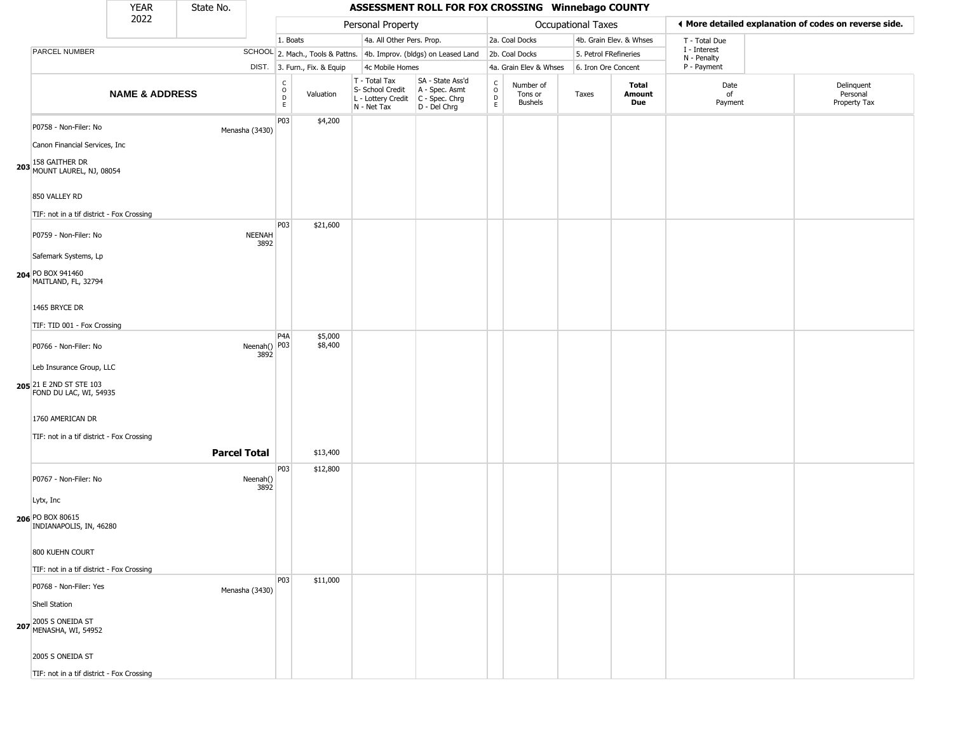|                                                                                                        | <b>YEAR</b>               | State No.           |                       |                                                          |                              |                                                                                         | ASSESSMENT ROLL FOR FOX CROSSING Winnebago COUNTY                   |                                    |                                        |                       |                         |                             |                                                       |
|--------------------------------------------------------------------------------------------------------|---------------------------|---------------------|-----------------------|----------------------------------------------------------|------------------------------|-----------------------------------------------------------------------------------------|---------------------------------------------------------------------|------------------------------------|----------------------------------------|-----------------------|-------------------------|-----------------------------|-------------------------------------------------------|
|                                                                                                        | 2022                      |                     |                       |                                                          |                              | Personal Property                                                                       |                                                                     |                                    |                                        | Occupational Taxes    |                         |                             | ♦ More detailed explanation of codes on reverse side. |
|                                                                                                        |                           |                     |                       | 1. Boats                                                 |                              | 4a. All Other Pers. Prop.                                                               |                                                                     |                                    | 2a. Coal Docks                         |                       | 4b. Grain Elev. & Whses | T - Total Due               |                                                       |
| PARCEL NUMBER                                                                                          |                           |                     |                       |                                                          |                              |                                                                                         | SCHOOL 2. Mach., Tools & Pattns. 4b. Improv. (bldgs) on Leased Land |                                    | 2b. Coal Docks                         | 5. Petrol FRefineries |                         | I - Interest<br>N - Penalty |                                                       |
|                                                                                                        |                           |                     |                       |                                                          | DIST. 3. Furn., Fix. & Equip | 4c Mobile Homes                                                                         |                                                                     |                                    | 4a. Grain Elev & Whses                 | 6. Iron Ore Concent   |                         | P - Payment                 |                                                       |
|                                                                                                        | <b>NAME &amp; ADDRESS</b> |                     |                       | $\begin{matrix} 0 \\ 0 \\ D \end{matrix}$<br>$\mathsf E$ | Valuation                    | T - Total Tax<br>S- School Credit<br>L - Lottery Credit   C - Spec. Chrg<br>N - Net Tax | SA - State Ass'd<br>A - Spec. Asmt<br>D - Del Chrg                  | $\int_{0}^{c}$<br>$\mathsf D$<br>E | Number of<br>Tons or<br><b>Bushels</b> | Taxes                 | Total<br>Amount<br>Due  | Date<br>of<br>Payment       | Delinquent<br>Personal<br>Property Tax                |
| P0758 - Non-Filer: No<br>Canon Financial Services, Inc                                                 |                           |                     | Menasha (3430)        | P03                                                      | \$4,200                      |                                                                                         |                                                                     |                                    |                                        |                       |                         |                             |                                                       |
| 203 158 GAITHER DR<br>MOUNT LAUREL, NJ, 08054                                                          |                           |                     |                       |                                                          |                              |                                                                                         |                                                                     |                                    |                                        |                       |                         |                             |                                                       |
| 850 VALLEY RD<br>TIF: not in a tif district - Fox Crossing                                             |                           |                     |                       |                                                          |                              |                                                                                         |                                                                     |                                    |                                        |                       |                         |                             |                                                       |
| P0759 - Non-Filer: No<br>Safemark Systems, Lp                                                          |                           |                     | <b>NEENAH</b><br>3892 | P03                                                      | \$21,600                     |                                                                                         |                                                                     |                                    |                                        |                       |                         |                             |                                                       |
| 204 PO BOX 941460<br>MAITLAND, FL, 32794                                                               |                           |                     |                       |                                                          |                              |                                                                                         |                                                                     |                                    |                                        |                       |                         |                             |                                                       |
| 1465 BRYCE DR                                                                                          |                           |                     |                       |                                                          |                              |                                                                                         |                                                                     |                                    |                                        |                       |                         |                             |                                                       |
| TIF: TID 001 - Fox Crossing                                                                            |                           |                     |                       | P <sub>4</sub> A                                         | \$5,000                      |                                                                                         |                                                                     |                                    |                                        |                       |                         |                             |                                                       |
| P0766 - Non-Filer: No<br>Leb Insurance Group, LLC<br>205 21 E 2ND ST STE 103<br>FOND DU LAC, WI, 54935 |                           |                     | Neenah() P03<br>3892  |                                                          | \$8,400                      |                                                                                         |                                                                     |                                    |                                        |                       |                         |                             |                                                       |
| 1760 AMERICAN DR<br>TIF: not in a tif district - Fox Crossing                                          |                           | <b>Parcel Total</b> |                       |                                                          | \$13,400                     |                                                                                         |                                                                     |                                    |                                        |                       |                         |                             |                                                       |
| P0767 - Non-Filer: No<br>Lytx, Inc                                                                     |                           |                     | Neenah()<br>3892      | P03                                                      | \$12,800                     |                                                                                         |                                                                     |                                    |                                        |                       |                         |                             |                                                       |
| 206 PO BOX 80615<br>INDIANAPOLIS, IN, 46280                                                            |                           |                     |                       |                                                          |                              |                                                                                         |                                                                     |                                    |                                        |                       |                         |                             |                                                       |
| 800 KUEHN COURT<br>TIF: not in a tif district - Fox Crossing                                           |                           |                     |                       |                                                          |                              |                                                                                         |                                                                     |                                    |                                        |                       |                         |                             |                                                       |
| P0768 - Non-Filer: Yes                                                                                 |                           |                     | Menasha (3430)        | P03                                                      | \$11,000                     |                                                                                         |                                                                     |                                    |                                        |                       |                         |                             |                                                       |
| Shell Station<br>207 2005 S ONEIDA ST<br>MENASHA, WI, 54952                                            |                           |                     |                       |                                                          |                              |                                                                                         |                                                                     |                                    |                                        |                       |                         |                             |                                                       |
| 2005 S ONEIDA ST<br>TIF: not in a tif district - Fox Crossing                                          |                           |                     |                       |                                                          |                              |                                                                                         |                                                                     |                                    |                                        |                       |                         |                             |                                                       |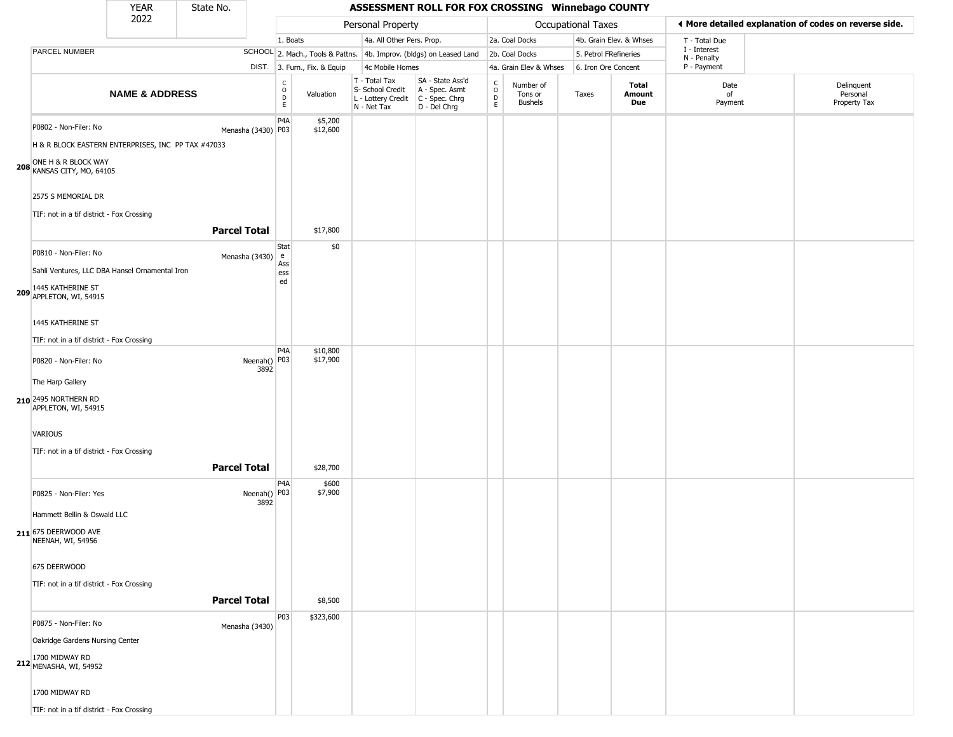## YEAR State No. **ASSESSMENT ROLL FOR FOX CROSSING Winnebago COUNTY** 2022 DIST. 3. Furn., Fix. & Equip PARCEL NUMBER **NAME & ADDRESS** State No. C O D E Valuation T - Total Tax S- School Credit A - Spec. Asmt L - Lottery Credit C - Spec. Chrg N - Net Tax SA - State Ass'd D - Del Chrg C O D E Number of Tons or Bushels Taxes **Total Amount Due** Date of Payment Delinquent Personal Property Tax Personal Property **Personal Property Personal Taxes** 1. Boats **4a. All Other Pers. Prop.** 2a. Coal Docks 4b. Grain Elev. & Whses SCHOOL 2. Mach., Tools & Pattns. 4b. Improv. (bldgs) on Leased Land 2b. Coal Docks 5. Petrol FRefineries 4c Mobile Homes 4a. Grain Elev & Whses 6. Iron Ore Concent T - Total Due I - Interest N - Penalty P - Payment 3**More detailed explanation of codes on reverse side. 208** KANSAS CITY, MO, 64105 P0802 - Non-Filer: No Menasha (3430) P03 H & R BLOCK EASTERN ENTERPRISES, INC PP TAX #47033 ONE H & R BLOCK WAY 2575 S MEMORIAL DR TIF: not in a tif district - Fox Crossing P4A \$5,200 \$12,600 **Parcel Total** \$17,800 **209** APPLETON, WI, 54915 P0810 - Non-Filer: No and a series of the Menasha (3430) e Sahli Ventures, LLC DBA Hansel Ornamental Iron 1445 KATHERINE ST 1445 KATHERINE ST TIF: not in a tif district - Fox Crossing **Stat** Ass ess ed \$0 **210** 2495 NORTHERN RD P0820 - Non-Filer: No 3892 The Harp Gallery APPLETON, WI, 54915 VARIOUS TIF: not in a tif district - Fox Crossing P4A Neenah() P03 \$10,800 \$17,900 **Parcel Total 1 \$28,700 211** 675 DEERWOOD AVE P0825 - Non-Filer: Yes 3892 Hammett Bellin & Oswald LLC NEENAH, WI, 54956 675 DEERWOOD TIF: not in a tif district - Fox Crossing P4A Neenah() P03 \$600 \$7,900 **Parcel Total** \$8,500 **212** 1700 MIDWAY RD MENASHA, WI, 54952 P0875 - Non-Filer: No Menasha (3430) Oakridge Gardens Nursing Center 1700 MIDWAY RD P03 \$323,600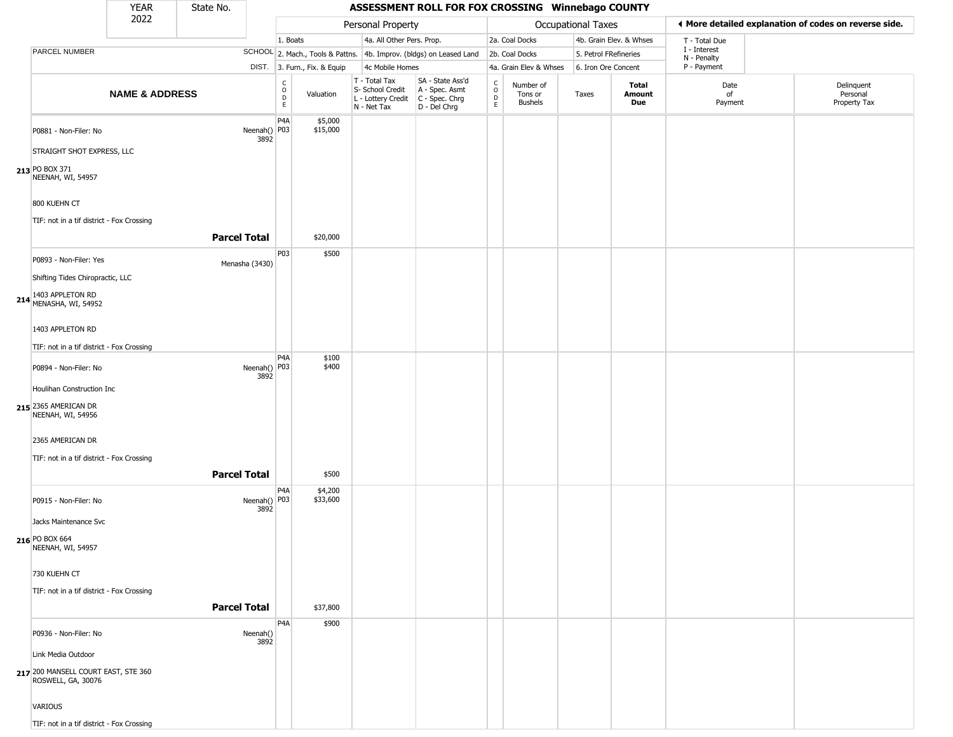|                                                                                                          | YEAR                      | State No.           |                      |                                                          |                              |                                                                        | ASSESSMENT ROLL FOR FOX CROSSING Winnebago COUNTY                    |                                       |                                        |                       |                         |                             |                                                       |
|----------------------------------------------------------------------------------------------------------|---------------------------|---------------------|----------------------|----------------------------------------------------------|------------------------------|------------------------------------------------------------------------|----------------------------------------------------------------------|---------------------------------------|----------------------------------------|-----------------------|-------------------------|-----------------------------|-------------------------------------------------------|
|                                                                                                          | 2022                      |                     |                      |                                                          |                              | Personal Property                                                      |                                                                      |                                       |                                        | Occupational Taxes    |                         |                             | ♦ More detailed explanation of codes on reverse side. |
|                                                                                                          |                           |                     |                      | 1. Boats                                                 |                              | 4a. All Other Pers. Prop.                                              |                                                                      |                                       | 2a. Coal Docks                         |                       | 4b. Grain Elev. & Whses | T - Total Due               |                                                       |
| PARCEL NUMBER                                                                                            |                           |                     |                      |                                                          |                              |                                                                        | SCHOOL 2. Mach., Tools & Pattns. 4b. Improv. (bldgs) on Leased Land  |                                       | 2b. Coal Docks                         | 5. Petrol FRefineries |                         | I - Interest<br>N - Penalty |                                                       |
|                                                                                                          |                           |                     |                      |                                                          | DIST. 3. Furn., Fix. & Equip | 4c Mobile Homes                                                        |                                                                      |                                       | 4a. Grain Elev & Whses                 | 6. Iron Ore Concent   |                         | P - Payment                 |                                                       |
|                                                                                                          | <b>NAME &amp; ADDRESS</b> |                     |                      | $\begin{matrix} 0 \\ 0 \\ D \end{matrix}$<br>$\mathsf E$ | Valuation                    | T - Total Tax<br>S- School Credit<br>L - Lottery Credit<br>N - Net Tax | SA - State Ass'd<br>A - Spec. Asmt<br>C - Spec. Chrg<br>D - Del Chrg | $\rm_{o}^{\rm c}$<br>$\mathsf D$<br>E | Number of<br>Tons or<br><b>Bushels</b> | Taxes                 | Total<br>Amount<br>Due  | Date<br>of<br>Payment       | Delinquent<br>Personal<br>Property Tax                |
| P0881 - Non-Filer: No<br>STRAIGHT SHOT EXPRESS, LLC<br>213 PO BOX 371<br>NEENAH, WI, 54957               |                           |                     | Neenah() P03<br>3892 | P4A                                                      | \$5,000<br>\$15,000          |                                                                        |                                                                      |                                       |                                        |                       |                         |                             |                                                       |
| 800 KUEHN CT<br>TIF: not in a tif district - Fox Crossing                                                |                           | <b>Parcel Total</b> |                      |                                                          | \$20,000                     |                                                                        |                                                                      |                                       |                                        |                       |                         |                             |                                                       |
| P0893 - Non-Filer: Yes<br>Shifting Tides Chiropractic, LLC                                               |                           |                     | Menasha (3430)       | P03                                                      | \$500                        |                                                                        |                                                                      |                                       |                                        |                       |                         |                             |                                                       |
| 214 1403 APPLETON RD<br>MENASHA, WI, 54952<br>1403 APPLETON RD                                           |                           |                     |                      |                                                          |                              |                                                                        |                                                                      |                                       |                                        |                       |                         |                             |                                                       |
| TIF: not in a tif district - Fox Crossing                                                                |                           |                     |                      | P4A                                                      | \$100                        |                                                                        |                                                                      |                                       |                                        |                       |                         |                             |                                                       |
| P0894 - Non-Filer: No<br>Houlihan Construction Inc                                                       |                           |                     | Neenah() P03<br>3892 |                                                          | \$400                        |                                                                        |                                                                      |                                       |                                        |                       |                         |                             |                                                       |
| 215 2365 AMERICAN DR<br>NEENAH, WI, 54956                                                                |                           |                     |                      |                                                          |                              |                                                                        |                                                                      |                                       |                                        |                       |                         |                             |                                                       |
| 2365 AMERICAN DR<br>TIF: not in a tif district - Fox Crossing                                            |                           |                     |                      |                                                          |                              |                                                                        |                                                                      |                                       |                                        |                       |                         |                             |                                                       |
|                                                                                                          |                           | <b>Parcel Total</b> |                      |                                                          | \$500                        |                                                                        |                                                                      |                                       |                                        |                       |                         |                             |                                                       |
| P0915 - Non-Filer: No<br>Jacks Maintenance Svc<br>216 PO BOX 664<br>NEENAH, WI, 54957                    |                           |                     | Neenah() P03<br>3892 | P <sub>4</sub> A                                         | \$4,200<br>\$33,600          |                                                                        |                                                                      |                                       |                                        |                       |                         |                             |                                                       |
| 730 KUEHN CT<br>TIF: not in a tif district - Fox Crossing                                                |                           | <b>Parcel Total</b> |                      |                                                          | \$37,800                     |                                                                        |                                                                      |                                       |                                        |                       |                         |                             |                                                       |
|                                                                                                          |                           |                     |                      |                                                          |                              |                                                                        |                                                                      |                                       |                                        |                       |                         |                             |                                                       |
| P0936 - Non-Filer: No<br>Link Media Outdoor<br>217 200 MANSELL COURT EAST, STE 360<br>ROSWELL, GA, 30076 |                           |                     | Neenah()<br>3892     | P4A                                                      | \$900                        |                                                                        |                                                                      |                                       |                                        |                       |                         |                             |                                                       |
| VARIOUS<br>TIF: not in a tif district - Fox Crossing                                                     |                           |                     |                      |                                                          |                              |                                                                        |                                                                      |                                       |                                        |                       |                         |                             |                                                       |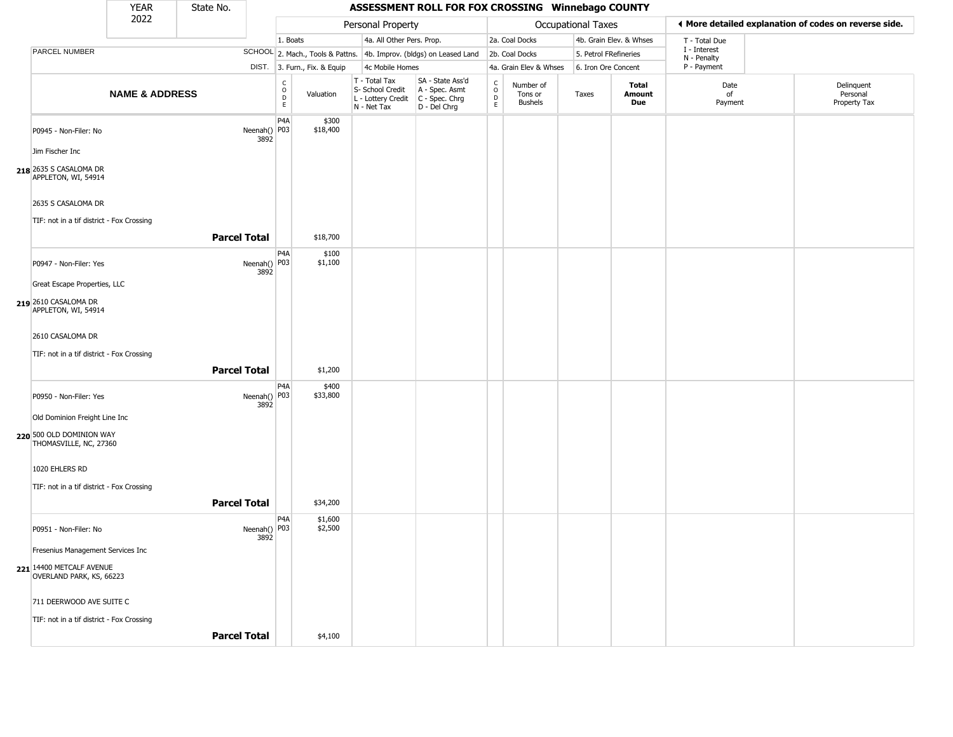|                                                      | <b>YEAR</b>               | State No.           |                      |                                                                       |                                                                        | ASSESSMENT ROLL FOR FOX CROSSING Winnebago COUNTY                      |                  |                                        |                           |                         |                             |                                                       |
|------------------------------------------------------|---------------------------|---------------------|----------------------|-----------------------------------------------------------------------|------------------------------------------------------------------------|------------------------------------------------------------------------|------------------|----------------------------------------|---------------------------|-------------------------|-----------------------------|-------------------------------------------------------|
|                                                      | 2022                      |                     |                      |                                                                       | Personal Property                                                      |                                                                        |                  |                                        | <b>Occupational Taxes</b> |                         |                             | ◀ More detailed explanation of codes on reverse side. |
|                                                      |                           |                     |                      | 1. Boats                                                              | 4a. All Other Pers. Prop.                                              |                                                                        |                  | 2a. Coal Docks                         |                           | 4b. Grain Elev. & Whses | T - Total Due               |                                                       |
| PARCEL NUMBER                                        |                           |                     |                      |                                                                       |                                                                        | SCHOOL 2. Mach., Tools & Pattns. 4b. Improv. (bldgs) on Leased Land    |                  | 2b. Coal Docks                         | 5. Petrol FRefineries     |                         | I - Interest<br>N - Penalty |                                                       |
|                                                      |                           |                     |                      | DIST. 3. Furn., Fix. & Equip                                          | 4c Mobile Homes                                                        |                                                                        |                  | 4a. Grain Elev & Whses                 | 6. Iron Ore Concent       |                         | P - Payment                 |                                                       |
|                                                      | <b>NAME &amp; ADDRESS</b> |                     |                      | $\begin{smallmatrix} C \\ O \\ D \end{smallmatrix}$<br>Valuation<br>E | T - Total Tax<br>S- School Credit<br>L - Lottery Credit<br>N - Net Tax | SA - State Ass'd<br>A - Spec. Asmt<br>$C - Spec. Chrg$<br>D - Del Chrg | C<br>D<br>D<br>E | Number of<br>Tons or<br><b>Bushels</b> | Taxes                     | Total<br>Amount<br>Due  | Date<br>of<br>Payment       | Delinquent<br>Personal<br>Property Tax                |
| P0945 - Non-Filer: No                                |                           |                     | Neenah() P03<br>3892 | P <sub>4</sub> A<br>\$300<br>\$18,400                                 |                                                                        |                                                                        |                  |                                        |                           |                         |                             |                                                       |
| Jim Fischer Inc                                      |                           |                     |                      |                                                                       |                                                                        |                                                                        |                  |                                        |                           |                         |                             |                                                       |
| 218 2635 S CASALOMA DR<br>APPLETON, WI, 54914        |                           |                     |                      |                                                                       |                                                                        |                                                                        |                  |                                        |                           |                         |                             |                                                       |
| 2635 S CASALOMA DR                                   |                           |                     |                      |                                                                       |                                                                        |                                                                        |                  |                                        |                           |                         |                             |                                                       |
| TIF: not in a tif district - Fox Crossing            |                           |                     |                      |                                                                       |                                                                        |                                                                        |                  |                                        |                           |                         |                             |                                                       |
|                                                      |                           | <b>Parcel Total</b> |                      | \$18,700                                                              |                                                                        |                                                                        |                  |                                        |                           |                         |                             |                                                       |
| P0947 - Non-Filer: Yes                               |                           |                     | Neenah() P03<br>3892 | P4A<br>\$100<br>\$1,100                                               |                                                                        |                                                                        |                  |                                        |                           |                         |                             |                                                       |
| Great Escape Properties, LLC                         |                           |                     |                      |                                                                       |                                                                        |                                                                        |                  |                                        |                           |                         |                             |                                                       |
| 219 2610 CASALOMA DR<br>APPLETON, WI, 54914          |                           |                     |                      |                                                                       |                                                                        |                                                                        |                  |                                        |                           |                         |                             |                                                       |
| 2610 CASALOMA DR                                     |                           |                     |                      |                                                                       |                                                                        |                                                                        |                  |                                        |                           |                         |                             |                                                       |
| TIF: not in a tif district - Fox Crossing            |                           |                     |                      |                                                                       |                                                                        |                                                                        |                  |                                        |                           |                         |                             |                                                       |
|                                                      |                           | <b>Parcel Total</b> |                      | \$1,200                                                               |                                                                        |                                                                        |                  |                                        |                           |                         |                             |                                                       |
| P0950 - Non-Filer: Yes                               |                           |                     | Neenah() P03<br>3892 | P <sub>4</sub> A<br>\$400<br>\$33,800                                 |                                                                        |                                                                        |                  |                                        |                           |                         |                             |                                                       |
| Old Dominion Freight Line Inc                        |                           |                     |                      |                                                                       |                                                                        |                                                                        |                  |                                        |                           |                         |                             |                                                       |
| 220 500 OLD DOMINION WAY<br>THOMASVILLE, NC, 27360   |                           |                     |                      |                                                                       |                                                                        |                                                                        |                  |                                        |                           |                         |                             |                                                       |
| 1020 EHLERS RD                                       |                           |                     |                      |                                                                       |                                                                        |                                                                        |                  |                                        |                           |                         |                             |                                                       |
| TIF: not in a tif district - Fox Crossing            |                           |                     |                      |                                                                       |                                                                        |                                                                        |                  |                                        |                           |                         |                             |                                                       |
|                                                      |                           | <b>Parcel Total</b> |                      | \$34,200                                                              |                                                                        |                                                                        |                  |                                        |                           |                         |                             |                                                       |
| P0951 - Non-Filer: No                                |                           |                     | Neenah() P03<br>3892 | P <sub>4</sub> A<br>\$1,600<br>\$2,500                                |                                                                        |                                                                        |                  |                                        |                           |                         |                             |                                                       |
| Fresenius Management Services Inc                    |                           |                     |                      |                                                                       |                                                                        |                                                                        |                  |                                        |                           |                         |                             |                                                       |
| 221 14400 METCALF AVENUE<br>OVERLAND PARK, KS, 66223 |                           |                     |                      |                                                                       |                                                                        |                                                                        |                  |                                        |                           |                         |                             |                                                       |
| 711 DEERWOOD AVE SUITE C                             |                           |                     |                      |                                                                       |                                                                        |                                                                        |                  |                                        |                           |                         |                             |                                                       |
| TIF: not in a tif district - Fox Crossing            |                           |                     |                      |                                                                       |                                                                        |                                                                        |                  |                                        |                           |                         |                             |                                                       |
|                                                      |                           | <b>Parcel Total</b> |                      | \$4,100                                                               |                                                                        |                                                                        |                  |                                        |                           |                         |                             |                                                       |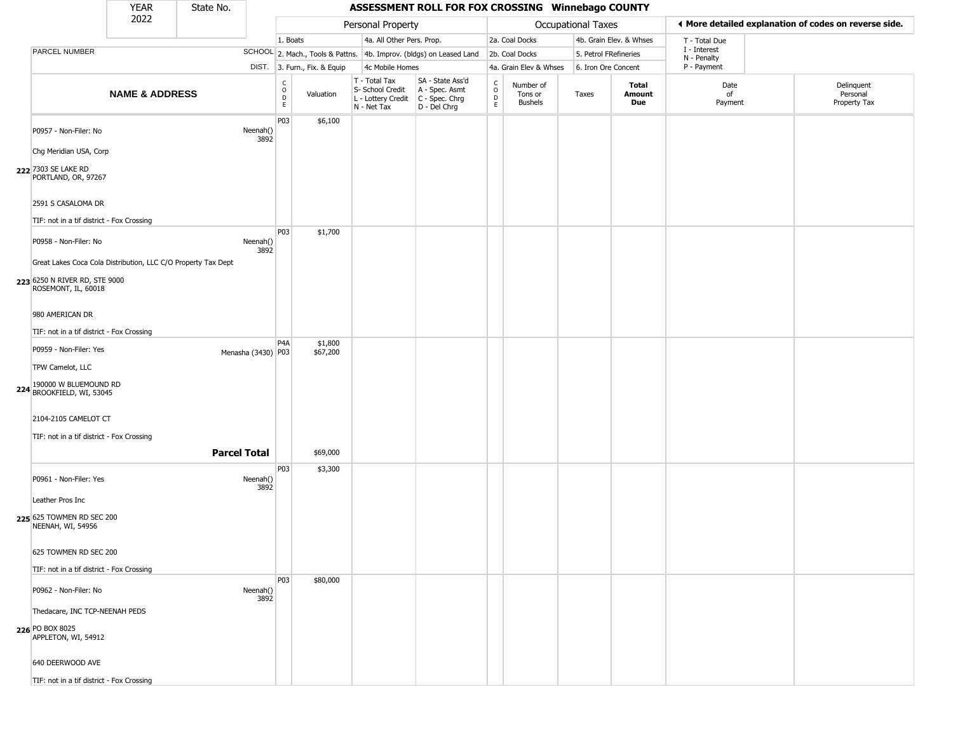|                                                               | <b>YEAR</b>               | State No.           |                    |                                   |                              |                                                                        | ASSESSMENT ROLL FOR FOX CROSSING Winnebago COUNTY                    |                                                |                                        |                       |                         |                             |                                                       |
|---------------------------------------------------------------|---------------------------|---------------------|--------------------|-----------------------------------|------------------------------|------------------------------------------------------------------------|----------------------------------------------------------------------|------------------------------------------------|----------------------------------------|-----------------------|-------------------------|-----------------------------|-------------------------------------------------------|
|                                                               | 2022                      |                     |                    |                                   |                              | Personal Property                                                      |                                                                      |                                                |                                        | Occupational Taxes    |                         |                             | ♦ More detailed explanation of codes on reverse side. |
|                                                               |                           |                     |                    | 1. Boats                          |                              | 4a. All Other Pers. Prop.                                              |                                                                      |                                                | 2a. Coal Docks                         |                       | 4b. Grain Elev. & Whses | T - Total Due               |                                                       |
| <b>PARCEL NUMBER</b>                                          |                           |                     |                    |                                   |                              |                                                                        | SCHOOL 2. Mach., Tools & Pattns. 4b. Improv. (bldgs) on Leased Land  |                                                | 2b. Coal Docks                         | 5. Petrol FRefineries |                         | I - Interest<br>N - Penalty |                                                       |
|                                                               |                           |                     |                    |                                   | DIST. 3. Furn., Fix. & Equip | 4c Mobile Homes                                                        |                                                                      |                                                | 4a. Grain Elev & Whses                 | 6. Iron Ore Concent   |                         | P - Payment                 |                                                       |
|                                                               | <b>NAME &amp; ADDRESS</b> |                     |                    | $\mathsf{C}$<br>$\circ$<br>D<br>E | Valuation                    | T - Total Tax<br>S- School Credit<br>L - Lottery Credit<br>N - Net Tax | SA - State Ass'd<br>A - Spec. Asmt<br>C - Spec. Chrg<br>D - Del Chrg | $\rm _o^C$<br>$\mathop{\mathsf{E}}_\mathsf{E}$ | Number of<br>Tons or<br><b>Bushels</b> | Taxes                 | Total<br>Amount<br>Due  | Date<br>of<br>Payment       | Delinquent<br>Personal<br>Property Tax                |
| P0957 - Non-Filer: No                                         |                           |                     | Neenah()<br>3892   | P03                               | \$6,100                      |                                                                        |                                                                      |                                                |                                        |                       |                         |                             |                                                       |
| Chg Meridian USA, Corp                                        |                           |                     |                    |                                   |                              |                                                                        |                                                                      |                                                |                                        |                       |                         |                             |                                                       |
| 222 7303 SE LAKE RD<br>PORTLAND, OR, 97267                    |                           |                     |                    |                                   |                              |                                                                        |                                                                      |                                                |                                        |                       |                         |                             |                                                       |
| 2591 S CASALOMA DR                                            |                           |                     |                    |                                   |                              |                                                                        |                                                                      |                                                |                                        |                       |                         |                             |                                                       |
| TIF: not in a tif district - Fox Crossing                     |                           |                     |                    |                                   |                              |                                                                        |                                                                      |                                                |                                        |                       |                         |                             |                                                       |
| P0958 - Non-Filer: No                                         |                           |                     | Neenah()<br>3892   | P03                               | \$1,700                      |                                                                        |                                                                      |                                                |                                        |                       |                         |                             |                                                       |
| Great Lakes Coca Cola Distribution, LLC C/O Property Tax Dept |                           |                     |                    |                                   |                              |                                                                        |                                                                      |                                                |                                        |                       |                         |                             |                                                       |
| 223 6250 N RIVER RD, STE 9000<br>ROSEMONT, IL, 60018          |                           |                     |                    |                                   |                              |                                                                        |                                                                      |                                                |                                        |                       |                         |                             |                                                       |
| 980 AMERICAN DR                                               |                           |                     |                    |                                   |                              |                                                                        |                                                                      |                                                |                                        |                       |                         |                             |                                                       |
| TIF: not in a tif district - Fox Crossing                     |                           |                     |                    |                                   |                              |                                                                        |                                                                      |                                                |                                        |                       |                         |                             |                                                       |
| P0959 - Non-Filer: Yes                                        |                           |                     | Menasha (3430) P03 | P <sub>4</sub> A                  | \$1,800<br>\$67,200          |                                                                        |                                                                      |                                                |                                        |                       |                         |                             |                                                       |
| TPW Camelot, LLC                                              |                           |                     |                    |                                   |                              |                                                                        |                                                                      |                                                |                                        |                       |                         |                             |                                                       |
| 224 190000 W BLUEMOUND RD<br>BROOKFIELD, WI, 53045            |                           |                     |                    |                                   |                              |                                                                        |                                                                      |                                                |                                        |                       |                         |                             |                                                       |
| 2104-2105 CAMELOT CT                                          |                           |                     |                    |                                   |                              |                                                                        |                                                                      |                                                |                                        |                       |                         |                             |                                                       |
| TIF: not in a tif district - Fox Crossing                     |                           |                     |                    |                                   |                              |                                                                        |                                                                      |                                                |                                        |                       |                         |                             |                                                       |
|                                                               |                           | <b>Parcel Total</b> |                    |                                   | \$69,000                     |                                                                        |                                                                      |                                                |                                        |                       |                         |                             |                                                       |
| P0961 - Non-Filer: Yes                                        |                           |                     | Neenah()<br>3892   | P03                               | \$3,300                      |                                                                        |                                                                      |                                                |                                        |                       |                         |                             |                                                       |
| Leather Pros Inc                                              |                           |                     |                    |                                   |                              |                                                                        |                                                                      |                                                |                                        |                       |                         |                             |                                                       |
| 225 625 TOWMEN RD SEC 200<br>NEENAH, WI, 54956                |                           |                     |                    |                                   |                              |                                                                        |                                                                      |                                                |                                        |                       |                         |                             |                                                       |
| 625 TOWMEN RD SEC 200                                         |                           |                     |                    |                                   |                              |                                                                        |                                                                      |                                                |                                        |                       |                         |                             |                                                       |
| TIF: not in a tif district - Fox Crossing                     |                           |                     |                    |                                   |                              |                                                                        |                                                                      |                                                |                                        |                       |                         |                             |                                                       |
| P0962 - Non-Filer: No                                         |                           |                     | Neenah()<br>3892   | P03                               | \$80,000                     |                                                                        |                                                                      |                                                |                                        |                       |                         |                             |                                                       |
| Thedacare, INC TCP-NEENAH PEDS                                |                           |                     |                    |                                   |                              |                                                                        |                                                                      |                                                |                                        |                       |                         |                             |                                                       |
| <b>226 PO BOX 8025</b><br>APPLETON, WI, 54912                 |                           |                     |                    |                                   |                              |                                                                        |                                                                      |                                                |                                        |                       |                         |                             |                                                       |
| 640 DEERWOOD AVE                                              |                           |                     |                    |                                   |                              |                                                                        |                                                                      |                                                |                                        |                       |                         |                             |                                                       |
| TIF: not in a tif district - Fox Crossing                     |                           |                     |                    |                                   |                              |                                                                        |                                                                      |                                                |                                        |                       |                         |                             |                                                       |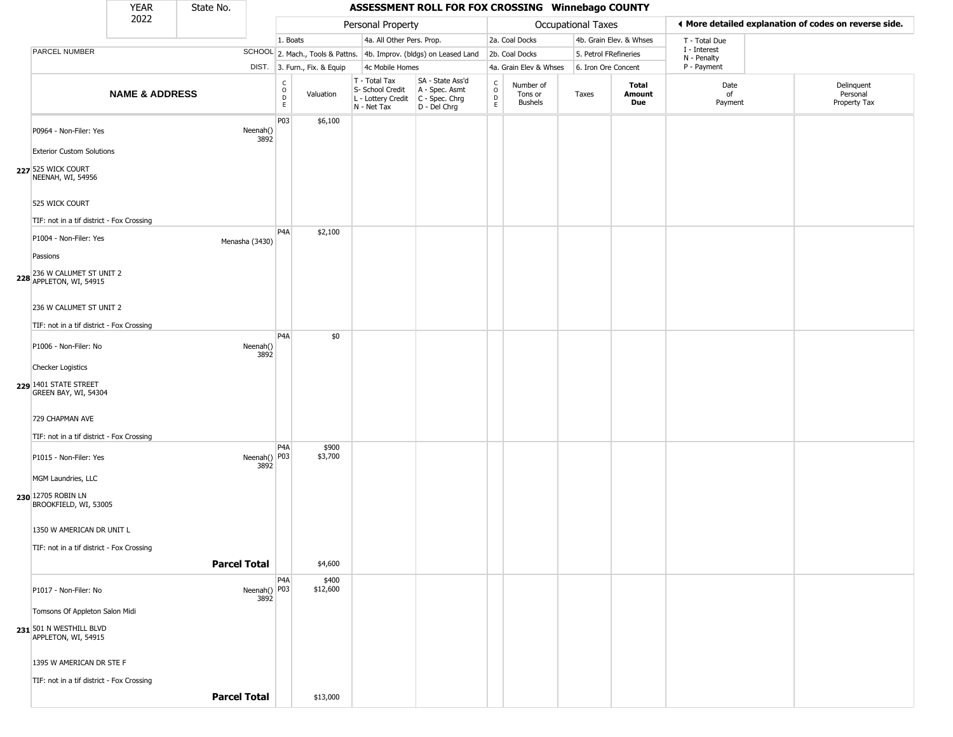|                                                              | <b>YEAR</b>               | State No.           |                                                                  |                                                 |                              |                                                                                         | ASSESSMENT ROLL FOR FOX CROSSING Winnebago COUNTY                   |                                |                                        |                           |                         |                             |                                                       |
|--------------------------------------------------------------|---------------------------|---------------------|------------------------------------------------------------------|-------------------------------------------------|------------------------------|-----------------------------------------------------------------------------------------|---------------------------------------------------------------------|--------------------------------|----------------------------------------|---------------------------|-------------------------|-----------------------------|-------------------------------------------------------|
|                                                              | 2022                      |                     |                                                                  |                                                 |                              | Personal Property                                                                       |                                                                     |                                |                                        | <b>Occupational Taxes</b> |                         |                             | ♦ More detailed explanation of codes on reverse side. |
|                                                              |                           |                     |                                                                  | 1. Boats                                        |                              | 4a. All Other Pers. Prop.                                                               |                                                                     |                                | 2a. Coal Docks                         |                           | 4b. Grain Elev. & Whses | T - Total Due               |                                                       |
| PARCEL NUMBER                                                |                           |                     |                                                                  |                                                 |                              |                                                                                         | SCHOOL 2. Mach., Tools & Pattns. 4b. Improv. (bldgs) on Leased Land |                                | 2b. Coal Docks                         | 5. Petrol FRefineries     |                         | I - Interest<br>N - Penalty |                                                       |
|                                                              |                           |                     |                                                                  |                                                 | DIST. 3. Furn., Fix. & Equip | 4c Mobile Homes                                                                         |                                                                     |                                | 4a. Grain Elev & Whses                 | 6. Iron Ore Concent       |                         | P - Payment                 |                                                       |
|                                                              | <b>NAME &amp; ADDRESS</b> |                     |                                                                  | $\begin{array}{c} C \\ O \\ D \\ E \end{array}$ | Valuation                    | T - Total Tax<br>S- School Credit<br>L - Lottery Credit   C - Spec. Chrg<br>N - Net Tax | SA - State Ass'd<br>A - Spec. Asmt<br>D - Del Chrg                  | $\rm _o^c$<br>D<br>$\mathsf E$ | Number of<br>Tons or<br><b>Bushels</b> | Taxes                     | Total<br>Amount<br>Due  | Date<br>of<br>Payment       | Delinquent<br>Personal<br>Property Tax                |
| P0964 - Non-Filer: Yes<br><b>Exterior Custom Solutions</b>   |                           |                     | Neenah()<br>3892                                                 | P03                                             | \$6,100                      |                                                                                         |                                                                     |                                |                                        |                           |                         |                             |                                                       |
| 227 525 WICK COURT<br>NEENAH, WI, 54956                      |                           |                     |                                                                  |                                                 |                              |                                                                                         |                                                                     |                                |                                        |                           |                         |                             |                                                       |
| 525 WICK COURT                                               |                           |                     |                                                                  |                                                 |                              |                                                                                         |                                                                     |                                |                                        |                           |                         |                             |                                                       |
| TIF: not in a tif district - Fox Crossing                    |                           |                     |                                                                  | P <sub>4</sub> A                                | \$2,100                      |                                                                                         |                                                                     |                                |                                        |                           |                         |                             |                                                       |
| P1004 - Non-Filer: Yes<br>Passions                           |                           |                     | Menasha (3430)                                                   |                                                 |                              |                                                                                         |                                                                     |                                |                                        |                           |                         |                             |                                                       |
| 236 W CALUMET ST UNIT 2<br>$228$ APPLETON, WI, 54915         |                           |                     |                                                                  |                                                 |                              |                                                                                         |                                                                     |                                |                                        |                           |                         |                             |                                                       |
| 236 W CALUMET ST UNIT 2                                      |                           |                     |                                                                  |                                                 |                              |                                                                                         |                                                                     |                                |                                        |                           |                         |                             |                                                       |
| TIF: not in a tif district - Fox Crossing                    |                           |                     |                                                                  | P <sub>4</sub> A                                | \$0                          |                                                                                         |                                                                     |                                |                                        |                           |                         |                             |                                                       |
| P1006 - Non-Filer: No                                        |                           |                     | Neenah()<br>3892                                                 |                                                 |                              |                                                                                         |                                                                     |                                |                                        |                           |                         |                             |                                                       |
| Checker Logistics                                            |                           |                     |                                                                  |                                                 |                              |                                                                                         |                                                                     |                                |                                        |                           |                         |                             |                                                       |
| 229 1401 STATE STREET<br>GREEN BAY, WI, 54304                |                           |                     |                                                                  |                                                 |                              |                                                                                         |                                                                     |                                |                                        |                           |                         |                             |                                                       |
| 729 CHAPMAN AVE<br>TIF: not in a tif district - Fox Crossing |                           |                     |                                                                  |                                                 |                              |                                                                                         |                                                                     |                                |                                        |                           |                         |                             |                                                       |
| P1015 - Non-Filer: Yes                                       |                           |                     | Neenah() P03<br>3892                                             | P <sub>4</sub> A                                | \$900<br>\$3,700             |                                                                                         |                                                                     |                                |                                        |                           |                         |                             |                                                       |
| MGM Laundries, LLC                                           |                           |                     |                                                                  |                                                 |                              |                                                                                         |                                                                     |                                |                                        |                           |                         |                             |                                                       |
| 230 12705 ROBIN LN<br>BROOKFIELD, WI, 53005                  |                           |                     |                                                                  |                                                 |                              |                                                                                         |                                                                     |                                |                                        |                           |                         |                             |                                                       |
| 1350 W AMERICAN DR UNIT L                                    |                           |                     |                                                                  |                                                 |                              |                                                                                         |                                                                     |                                |                                        |                           |                         |                             |                                                       |
| TIF: not in a tif district - Fox Crossing                    |                           | <b>Parcel Total</b> |                                                                  |                                                 | \$4,600                      |                                                                                         |                                                                     |                                |                                        |                           |                         |                             |                                                       |
|                                                              |                           |                     |                                                                  | P <sub>4</sub> A                                | \$400                        |                                                                                         |                                                                     |                                |                                        |                           |                         |                             |                                                       |
| P1017 - Non-Filer: No                                        |                           |                     | Neenah() $\begin{bmatrix} 1 & 0 \\ 0 & 0 \\ 0 & 0 \end{bmatrix}$ |                                                 | \$12,600                     |                                                                                         |                                                                     |                                |                                        |                           |                         |                             |                                                       |
| Tomsons Of Appleton Salon Midi                               |                           |                     |                                                                  |                                                 |                              |                                                                                         |                                                                     |                                |                                        |                           |                         |                             |                                                       |
| 231 501 N WESTHILL BLVD<br>APPLETON, WI, 54915               |                           |                     |                                                                  |                                                 |                              |                                                                                         |                                                                     |                                |                                        |                           |                         |                             |                                                       |
| 1395 W AMERICAN DR STE F                                     |                           |                     |                                                                  |                                                 |                              |                                                                                         |                                                                     |                                |                                        |                           |                         |                             |                                                       |
| TIF: not in a tif district - Fox Crossing                    |                           |                     |                                                                  |                                                 |                              |                                                                                         |                                                                     |                                |                                        |                           |                         |                             |                                                       |
|                                                              |                           | <b>Parcel Total</b> |                                                                  |                                                 | \$13,000                     |                                                                                         |                                                                     |                                |                                        |                           |                         |                             |                                                       |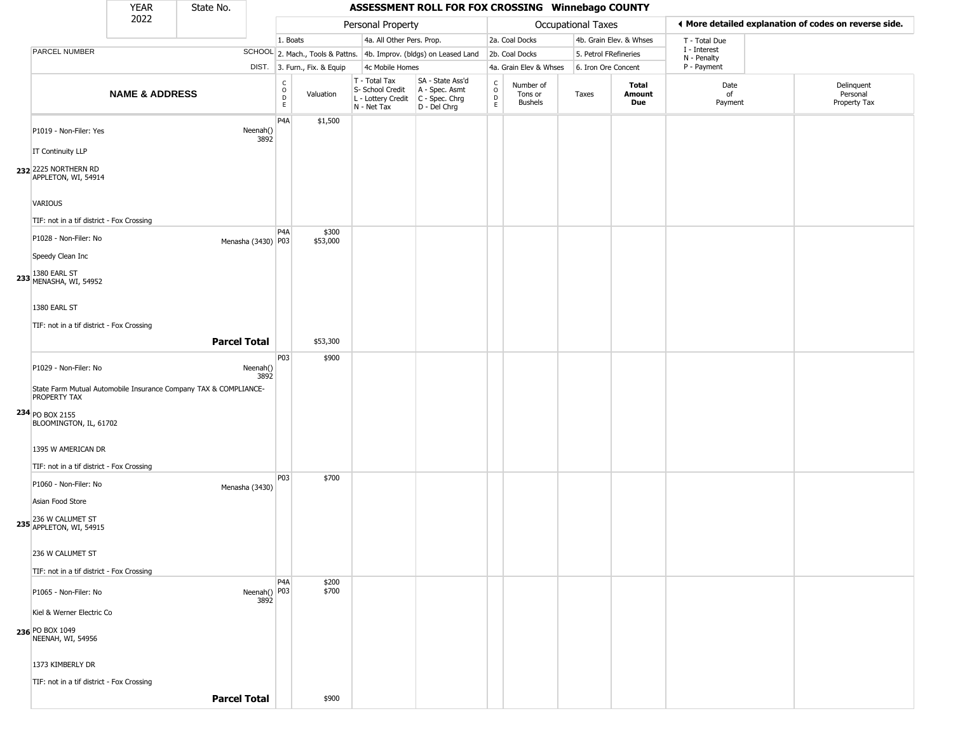|                                                                                  | <b>YEAR</b>               | State No.           |                      |                                                              |                                                                                       | ASSESSMENT ROLL FOR FOX CROSSING Winnebago COUNTY                   |                             |                                        |                    |                         |                             |                                                       |  |
|----------------------------------------------------------------------------------|---------------------------|---------------------|----------------------|--------------------------------------------------------------|---------------------------------------------------------------------------------------|---------------------------------------------------------------------|-----------------------------|----------------------------------------|--------------------|-------------------------|-----------------------------|-------------------------------------------------------|--|
|                                                                                  | 2022                      |                     |                      |                                                              | Personal Property                                                                     |                                                                     |                             |                                        | Occupational Taxes |                         |                             | ◀ More detailed explanation of codes on reverse side. |  |
|                                                                                  |                           |                     |                      | 1. Boats                                                     | 4a. All Other Pers. Prop.                                                             |                                                                     |                             | 2a. Coal Docks                         |                    | 4b. Grain Elev. & Whses | T - Total Due               |                                                       |  |
| PARCEL NUMBER                                                                    |                           |                     |                      |                                                              |                                                                                       | SCHOOL 2. Mach., Tools & Pattns. 4b. Improv. (bldgs) on Leased Land |                             | 2b. Coal Docks                         |                    | 5. Petrol FRefineries   | I - Interest<br>N - Penalty |                                                       |  |
|                                                                                  |                           |                     |                      | DIST. 3. Furn., Fix. & Equip                                 | 4c Mobile Homes                                                                       |                                                                     |                             | 4a. Grain Elev & Whses                 |                    | 6. Iron Ore Concent     | P - Payment                 |                                                       |  |
|                                                                                  | <b>NAME &amp; ADDRESS</b> |                     |                      | $\begin{array}{c} C \\ O \\ D \\ E \end{array}$<br>Valuation | T - Total Tax<br>S- School Credit<br>L - Lottery Credit C - Spec. Chrg<br>N - Net Tax | SA - State Ass'd<br>A - Spec. Asmt<br>D - Del Chrg                  | C<br>$\mathsf{o}$<br>D<br>E | Number of<br>Tons or<br><b>Bushels</b> | Taxes              | Total<br>Amount<br>Due  | Date<br>of<br>Payment       | Delinquent<br>Personal<br>Property Tax                |  |
| P1019 - Non-Filer: Yes                                                           |                           |                     | Neenah()<br>3892     | P <sub>4</sub> A<br>\$1,500                                  |                                                                                       |                                                                     |                             |                                        |                    |                         |                             |                                                       |  |
| <b>IT Continuity LLP</b>                                                         |                           |                     |                      |                                                              |                                                                                       |                                                                     |                             |                                        |                    |                         |                             |                                                       |  |
| 232 2225 NORTHERN RD<br>APPLETON, WI, 54914                                      |                           |                     |                      |                                                              |                                                                                       |                                                                     |                             |                                        |                    |                         |                             |                                                       |  |
| <b>VARIOUS</b>                                                                   |                           |                     |                      |                                                              |                                                                                       |                                                                     |                             |                                        |                    |                         |                             |                                                       |  |
| TIF: not in a tif district - Fox Crossing                                        |                           |                     |                      | P <sub>4</sub> A<br>\$300                                    |                                                                                       |                                                                     |                             |                                        |                    |                         |                             |                                                       |  |
| P1028 - Non-Filer: No                                                            |                           |                     | Menasha (3430) P03   | \$53,000                                                     |                                                                                       |                                                                     |                             |                                        |                    |                         |                             |                                                       |  |
| Speedy Clean Inc                                                                 |                           |                     |                      |                                                              |                                                                                       |                                                                     |                             |                                        |                    |                         |                             |                                                       |  |
| 233 1380 EARL ST<br>MENASHA, WI, 54952                                           |                           |                     |                      |                                                              |                                                                                       |                                                                     |                             |                                        |                    |                         |                             |                                                       |  |
| 1380 EARL ST                                                                     |                           |                     |                      |                                                              |                                                                                       |                                                                     |                             |                                        |                    |                         |                             |                                                       |  |
| TIF: not in a tif district - Fox Crossing                                        |                           |                     |                      |                                                              |                                                                                       |                                                                     |                             |                                        |                    |                         |                             |                                                       |  |
|                                                                                  |                           | <b>Parcel Total</b> |                      | \$53,300                                                     |                                                                                       |                                                                     |                             |                                        |                    |                         |                             |                                                       |  |
| P1029 - Non-Filer: No                                                            |                           |                     | Neenah()<br>3892     | P03<br>\$900                                                 |                                                                                       |                                                                     |                             |                                        |                    |                         |                             |                                                       |  |
| State Farm Mutual Automobile Insurance Company TAX & COMPLIANCE-<br>PROPERTY TAX |                           |                     |                      |                                                              |                                                                                       |                                                                     |                             |                                        |                    |                         |                             |                                                       |  |
| 234 PO BOX 2155<br>BLOOMINGTON, IL, 61702                                        |                           |                     |                      |                                                              |                                                                                       |                                                                     |                             |                                        |                    |                         |                             |                                                       |  |
| 1395 W AMERICAN DR                                                               |                           |                     |                      |                                                              |                                                                                       |                                                                     |                             |                                        |                    |                         |                             |                                                       |  |
| TIF: not in a tif district - Fox Crossing                                        |                           |                     |                      | P03<br>\$700                                                 |                                                                                       |                                                                     |                             |                                        |                    |                         |                             |                                                       |  |
| P1060 - Non-Filer: No<br>Asian Food Store                                        |                           |                     | Menasha (3430)       |                                                              |                                                                                       |                                                                     |                             |                                        |                    |                         |                             |                                                       |  |
| 236 W CALUMET ST<br>235 APPLETON, WI, 54915                                      |                           |                     |                      |                                                              |                                                                                       |                                                                     |                             |                                        |                    |                         |                             |                                                       |  |
| 236 W CALUMET ST                                                                 |                           |                     |                      |                                                              |                                                                                       |                                                                     |                             |                                        |                    |                         |                             |                                                       |  |
| TIF: not in a tif district - Fox Crossing                                        |                           |                     |                      |                                                              |                                                                                       |                                                                     |                             |                                        |                    |                         |                             |                                                       |  |
| P1065 - Non-Filer: No                                                            |                           |                     | Neenah() P03<br>3892 | P4A<br>\$200<br>\$700                                        |                                                                                       |                                                                     |                             |                                        |                    |                         |                             |                                                       |  |
| Kiel & Werner Electric Co                                                        |                           |                     |                      |                                                              |                                                                                       |                                                                     |                             |                                        |                    |                         |                             |                                                       |  |
| 236 PO BOX 1049<br>NEENAH, WI, 54956                                             |                           |                     |                      |                                                              |                                                                                       |                                                                     |                             |                                        |                    |                         |                             |                                                       |  |
| 1373 KIMBERLY DR                                                                 |                           |                     |                      |                                                              |                                                                                       |                                                                     |                             |                                        |                    |                         |                             |                                                       |  |
| TIF: not in a tif district - Fox Crossing                                        |                           |                     |                      |                                                              |                                                                                       |                                                                     |                             |                                        |                    |                         |                             |                                                       |  |
|                                                                                  |                           | <b>Parcel Total</b> |                      | \$900                                                        |                                                                                       |                                                                     |                             |                                        |                    |                         |                             |                                                       |  |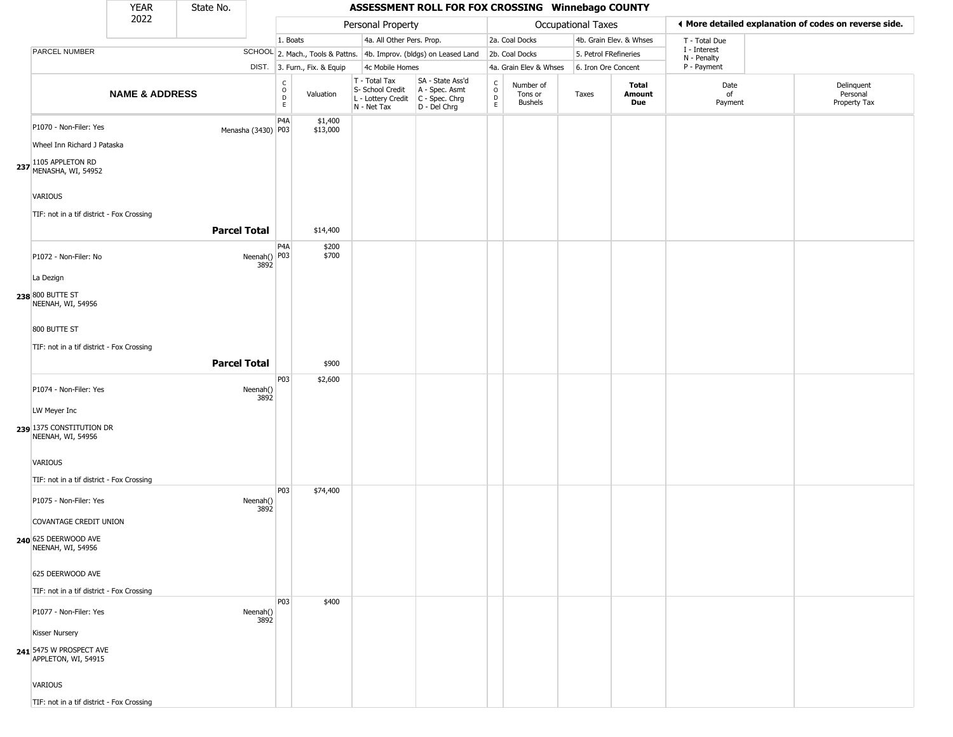|                                                                                                              | <b>YEAR</b>               | State No.           |                      |                        |                              |                                                                        | ASSESSMENT ROLL FOR FOX CROSSING Winnebago COUNTY                      |                                   |                                        |                       |                         |                             |                                                       |
|--------------------------------------------------------------------------------------------------------------|---------------------------|---------------------|----------------------|------------------------|------------------------------|------------------------------------------------------------------------|------------------------------------------------------------------------|-----------------------------------|----------------------------------------|-----------------------|-------------------------|-----------------------------|-------------------------------------------------------|
|                                                                                                              | 2022                      |                     |                      |                        |                              | Personal Property                                                      |                                                                        |                                   |                                        | Occupational Taxes    |                         |                             | ♦ More detailed explanation of codes on reverse side. |
|                                                                                                              |                           |                     |                      | 1. Boats               |                              | 4a. All Other Pers. Prop.                                              |                                                                        |                                   | 2a. Coal Docks                         |                       | 4b. Grain Elev. & Whses | T - Total Due               |                                                       |
| PARCEL NUMBER                                                                                                |                           |                     |                      |                        |                              |                                                                        | SCHOOL 2. Mach., Tools & Pattns. 4b. Improv. (bldgs) on Leased Land    |                                   | 2b. Coal Docks                         | 5. Petrol FRefineries |                         | I - Interest<br>N - Penalty |                                                       |
|                                                                                                              |                           |                     |                      |                        | DIST. 3. Furn., Fix. & Equip | 4c Mobile Homes                                                        |                                                                        |                                   | 4a. Grain Elev & Whses                 | 6. Iron Ore Concent   |                         | P - Payment                 |                                                       |
|                                                                                                              | <b>NAME &amp; ADDRESS</b> |                     |                      | C<br>$\circ$<br>D<br>E | Valuation                    | T - Total Tax<br>S- School Credit<br>L - Lottery Credit<br>N - Net Tax | SA - State Ass'd<br>A - Spec. Asmt<br>$C - Spec. Chrg$<br>D - Del Chrg | $\mathsf{C}$<br>$\circ$<br>D<br>E | Number of<br>Tons or<br><b>Bushels</b> | Taxes                 | Total<br>Amount<br>Due  | Date<br>of<br>Payment       | Delinquent<br>Personal<br>Property Tax                |
| P1070 - Non-Filer: Yes<br>Wheel Inn Richard J Pataska<br>237 1105 APPLETON RD<br>MENASHA, WI, 54952          |                           |                     | Menasha (3430) P03   | P4A                    | \$1,400<br>\$13,000          |                                                                        |                                                                        |                                   |                                        |                       |                         |                             |                                                       |
| <b>VARIOUS</b><br>TIF: not in a tif district - Fox Crossing                                                  |                           | <b>Parcel Total</b> |                      |                        | \$14,400                     |                                                                        |                                                                        |                                   |                                        |                       |                         |                             |                                                       |
| P1072 - Non-Filer: No                                                                                        |                           |                     | Neenah() P03<br>3892 | P <sub>4</sub> A       | \$200<br>\$700               |                                                                        |                                                                        |                                   |                                        |                       |                         |                             |                                                       |
| La Dezign<br>238 800 BUTTE ST<br>NEENAH, WI, 54956                                                           |                           |                     |                      |                        |                              |                                                                        |                                                                        |                                   |                                        |                       |                         |                             |                                                       |
| 800 BUTTE ST<br>TIF: not in a tif district - Fox Crossing                                                    |                           |                     |                      |                        |                              |                                                                        |                                                                        |                                   |                                        |                       |                         |                             |                                                       |
|                                                                                                              |                           | <b>Parcel Total</b> |                      |                        | \$900                        |                                                                        |                                                                        |                                   |                                        |                       |                         |                             |                                                       |
| P1074 - Non-Filer: Yes<br>LW Meyer Inc<br>239 1375 CONSTITUTION DR<br>NEENAH, WI, 54956                      |                           |                     | Neenah()<br>3892     | P03                    | \$2,600                      |                                                                        |                                                                        |                                   |                                        |                       |                         |                             |                                                       |
| VARIOUS<br>TIF: not in a tif district - Fox Crossing                                                         |                           |                     |                      |                        |                              |                                                                        |                                                                        |                                   |                                        |                       |                         |                             |                                                       |
| P1075 - Non-Filer: Yes<br><b>COVANTAGE CREDIT UNION</b><br>240 625 DEERWOOD AVE<br>NEENAH, WI, 54956         |                           |                     | Neenah()<br>3892     | P <sub>0</sub> 3       | \$74,400                     |                                                                        |                                                                        |                                   |                                        |                       |                         |                             |                                                       |
| 625 DEERWOOD AVE<br>TIF: not in a tif district - Fox Crossing                                                |                           |                     |                      |                        |                              |                                                                        |                                                                        |                                   |                                        |                       |                         |                             |                                                       |
| P1077 - Non-Filer: Yes<br>Kisser Nursery<br>241 5475 W PROSPECT AVE<br>APPLETON, WI, 54915<br><b>VARIOUS</b> |                           |                     | Neenah()<br>3892     | P03                    | \$400                        |                                                                        |                                                                        |                                   |                                        |                       |                         |                             |                                                       |
| TIF: not in a tif district - Fox Crossing                                                                    |                           |                     |                      |                        |                              |                                                                        |                                                                        |                                   |                                        |                       |                         |                             |                                                       |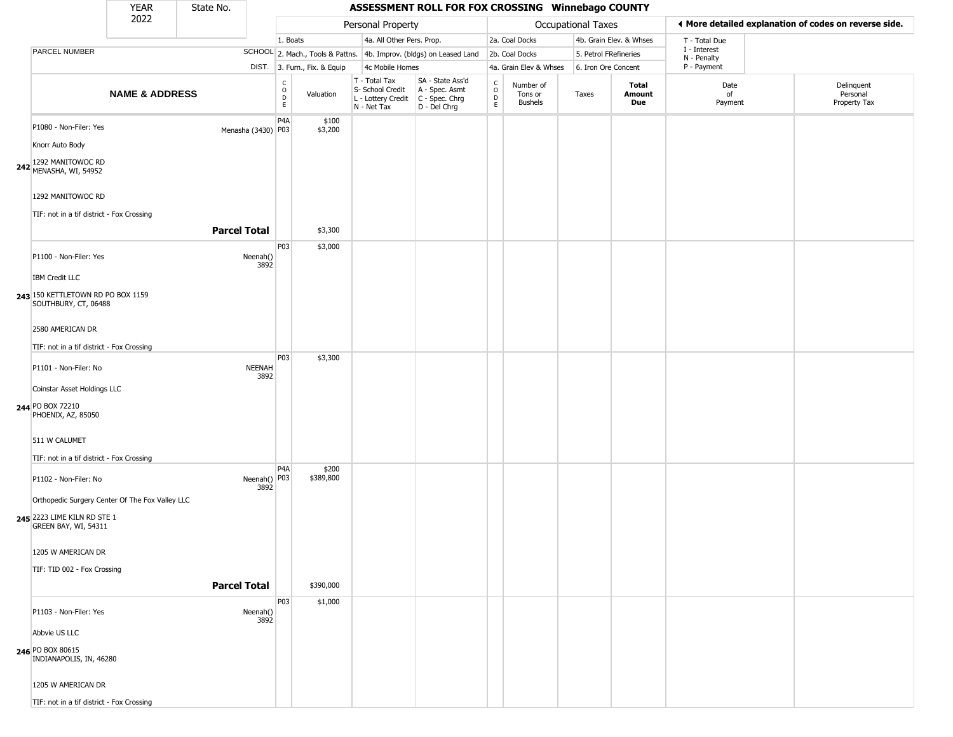|                                                                                                                                                                                      | <b>YEAR</b>               | State No.           |                       |                                              |                              |                                                                        | ASSESSMENT ROLL FOR FOX CROSSING Winnebago COUNTY                    |                        |                                        |                           |                         |                             |                                                       |
|--------------------------------------------------------------------------------------------------------------------------------------------------------------------------------------|---------------------------|---------------------|-----------------------|----------------------------------------------|------------------------------|------------------------------------------------------------------------|----------------------------------------------------------------------|------------------------|----------------------------------------|---------------------------|-------------------------|-----------------------------|-------------------------------------------------------|
|                                                                                                                                                                                      | 2022                      |                     |                       |                                              |                              | Personal Property                                                      |                                                                      |                        |                                        | <b>Occupational Taxes</b> |                         |                             | ◀ More detailed explanation of codes on reverse side. |
|                                                                                                                                                                                      |                           |                     |                       | 1. Boats                                     |                              | 4a. All Other Pers. Prop.                                              |                                                                      |                        | 2a. Coal Docks                         |                           | 4b. Grain Elev. & Whses | T - Total Due               |                                                       |
| PARCEL NUMBER                                                                                                                                                                        |                           |                     |                       |                                              |                              |                                                                        | SCHOOL 2. Mach., Tools & Pattns. 4b. Improv. (bldgs) on Leased Land  |                        | 2b. Coal Docks                         | 5. Petrol FRefineries     |                         | I - Interest<br>N - Penalty |                                                       |
|                                                                                                                                                                                      |                           |                     |                       |                                              | DIST. 3. Furn., Fix. & Equip | 4c Mobile Homes                                                        |                                                                      |                        | 4a. Grain Elev & Whses                 | 6. Iron Ore Concent       |                         | P - Payment                 |                                                       |
|                                                                                                                                                                                      | <b>NAME &amp; ADDRESS</b> |                     |                       | $\int_{0}^{c}$<br>$\mathsf D$<br>$\mathsf E$ | Valuation                    | T - Total Tax<br>S- School Credit<br>L - Lottery Credit<br>N - Net Tax | SA - State Ass'd<br>A - Spec. Asmt<br>C - Spec. Chrg<br>D - Del Chrg | C<br>$\circ$<br>D<br>E | Number of<br>Tons or<br><b>Bushels</b> | Taxes                     | Total<br>Amount<br>Due  | Date<br>of<br>Payment       | Delinquent<br>Personal<br>Property Tax                |
| P1080 - Non-Filer: Yes<br>Knorr Auto Body<br>1292 MANITOWOC RD<br>242 MENASHA, WI, 54952                                                                                             |                           |                     | Menasha (3430) P03    | P4A                                          | \$100<br>\$3,200             |                                                                        |                                                                      |                        |                                        |                           |                         |                             |                                                       |
| 1292 MANITOWOC RD<br>TIF: not in a tif district - Fox Crossing                                                                                                                       |                           | <b>Parcel Total</b> |                       |                                              | \$3,300                      |                                                                        |                                                                      |                        |                                        |                           |                         |                             |                                                       |
| P1100 - Non-Filer: Yes<br><b>IBM Credit LLC</b><br>243 150 KETTLETOWN RD PO BOX 1159<br>SOUTHBURY, CT, 06488                                                                         |                           |                     | Neenah()<br>3892      | P03                                          | \$3,000                      |                                                                        |                                                                      |                        |                                        |                           |                         |                             |                                                       |
| 2580 AMERICAN DR<br>TIF: not in a tif district - Fox Crossing<br>P1101 - Non-Filer: No<br>Coinstar Asset Holdings LLC                                                                |                           |                     | <b>NEENAH</b><br>3892 | P03                                          | \$3,300                      |                                                                        |                                                                      |                        |                                        |                           |                         |                             |                                                       |
| 244 PO BOX 72210<br>PHOENIX, AZ, 85050<br>511 W CALUMET<br>TIF: not in a tif district - Fox Crossing                                                                                 |                           |                     |                       |                                              |                              |                                                                        |                                                                      |                        |                                        |                           |                         |                             |                                                       |
| P1102 - Non-Filer: No<br>Orthopedic Surgery Center Of The Fox Valley LLC<br>245 2223 LIME KILN RD STE 1<br>GREEN BAY, WI, 54311<br>1205 W AMERICAN DR<br>TIF: TID 002 - Fox Crossing |                           |                     | Neenah() P03<br>3892  | P <sub>4</sub> A                             | \$200<br>\$389,800           |                                                                        |                                                                      |                        |                                        |                           |                         |                             |                                                       |
|                                                                                                                                                                                      |                           | <b>Parcel Total</b> |                       |                                              | \$390,000                    |                                                                        |                                                                      |                        |                                        |                           |                         |                             |                                                       |
| P1103 - Non-Filer: Yes<br>Abbvie US LLC<br>246 PO BOX 80615<br>INDIANAPOLIS, IN, 46280<br>1205 W AMERICAN DR<br>TIE: not in a tif dictrict - Fox Crossing                            |                           |                     | Neenah()<br>3892      | P03                                          | \$1,000                      |                                                                        |                                                                      |                        |                                        |                           |                         |                             |                                                       |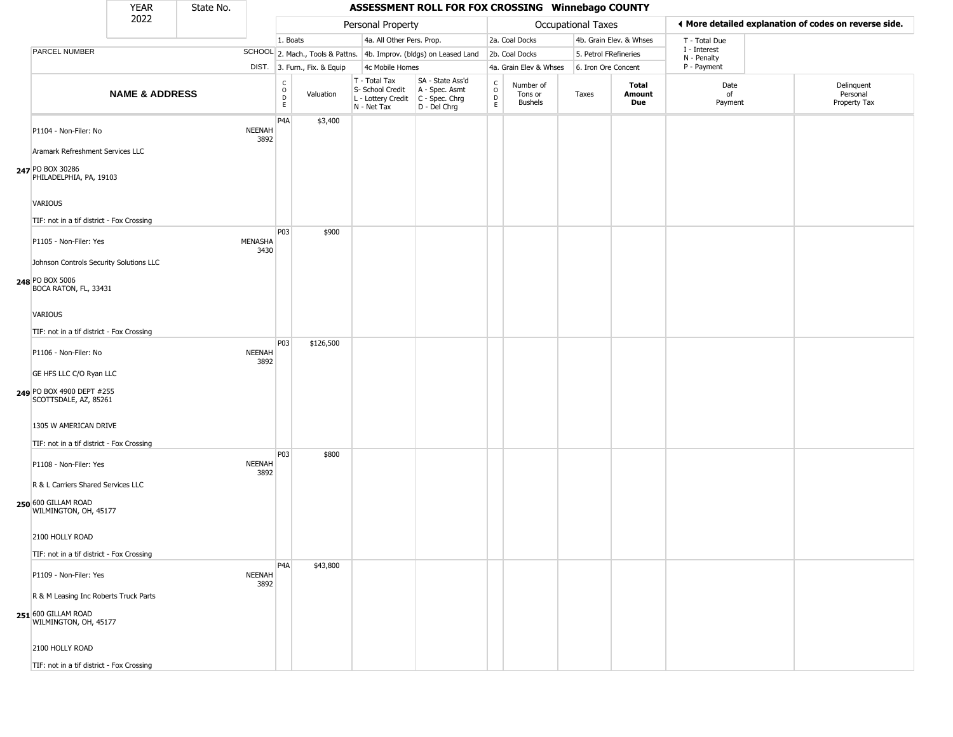|                                                                                 | <b>YEAR</b>               | State No. |                       |                        |                              |                                                                        | ASSESSMENT ROLL FOR FOX CROSSING Winnebago COUNTY                    |                                   |                                        |                           |                         |                             |                                                       |
|---------------------------------------------------------------------------------|---------------------------|-----------|-----------------------|------------------------|------------------------------|------------------------------------------------------------------------|----------------------------------------------------------------------|-----------------------------------|----------------------------------------|---------------------------|-------------------------|-----------------------------|-------------------------------------------------------|
|                                                                                 | 2022                      |           |                       |                        |                              | Personal Property                                                      |                                                                      |                                   |                                        | <b>Occupational Taxes</b> |                         |                             | ♦ More detailed explanation of codes on reverse side. |
|                                                                                 |                           |           |                       | 1. Boats               |                              | 4a. All Other Pers. Prop.                                              |                                                                      |                                   | 2a. Coal Docks                         |                           | 4b. Grain Elev. & Whses | T - Total Due               |                                                       |
| PARCEL NUMBER                                                                   |                           |           |                       |                        |                              |                                                                        | SCHOOL 2. Mach., Tools & Pattns. 4b. Improv. (bldgs) on Leased Land  |                                   | 2b. Coal Docks                         | 5. Petrol FRefineries     |                         | I - Interest<br>N - Penalty |                                                       |
|                                                                                 |                           |           |                       |                        | DIST. 3. Furn., Fix. & Equip | 4c Mobile Homes                                                        |                                                                      |                                   | 4a. Grain Elev & Whses                 | 6. Iron Ore Concent       |                         | P - Payment                 |                                                       |
|                                                                                 | <b>NAME &amp; ADDRESS</b> |           |                       | C<br>$\circ$<br>D<br>E | Valuation                    | T - Total Tax<br>S- School Credit<br>L - Lottery Credit<br>N - Net Tax | SA - State Ass'd<br>A - Spec. Asmt<br>C - Spec. Chrg<br>D - Del Chrg | $\mathsf{C}$<br>$\circ$<br>D<br>E | Number of<br>Tons or<br><b>Bushels</b> | Taxes                     | Total<br>Amount<br>Due  | Date<br>of<br>Payment       | Delinquent<br>Personal<br>Property Tax                |
| P1104 - Non-Filer: No                                                           |                           |           | <b>NEENAH</b><br>3892 | P <sub>4</sub> A       | \$3,400                      |                                                                        |                                                                      |                                   |                                        |                           |                         |                             |                                                       |
| Aramark Refreshment Services LLC<br>247 PO BOX 30286<br>PHILADELPHIA, PA, 19103 |                           |           |                       |                        |                              |                                                                        |                                                                      |                                   |                                        |                           |                         |                             |                                                       |
| <b>VARIOUS</b>                                                                  |                           |           |                       |                        |                              |                                                                        |                                                                      |                                   |                                        |                           |                         |                             |                                                       |
| TIF: not in a tif district - Fox Crossing                                       |                           |           |                       | P <sub>0</sub> 3       |                              |                                                                        |                                                                      |                                   |                                        |                           |                         |                             |                                                       |
| P1105 - Non-Filer: Yes                                                          |                           |           | MENASHA<br>3430       |                        | \$900                        |                                                                        |                                                                      |                                   |                                        |                           |                         |                             |                                                       |
| Johnson Controls Security Solutions LLC                                         |                           |           |                       |                        |                              |                                                                        |                                                                      |                                   |                                        |                           |                         |                             |                                                       |
| 248 PO BOX 5006<br>BOCA RATON, FL, 33431                                        |                           |           |                       |                        |                              |                                                                        |                                                                      |                                   |                                        |                           |                         |                             |                                                       |
| VARIOUS                                                                         |                           |           |                       |                        |                              |                                                                        |                                                                      |                                   |                                        |                           |                         |                             |                                                       |
| TIF: not in a tif district - Fox Crossing                                       |                           |           |                       |                        |                              |                                                                        |                                                                      |                                   |                                        |                           |                         |                             |                                                       |
| P1106 - Non-Filer: No                                                           |                           |           | <b>NEENAH</b><br>3892 | P <sub>0</sub> 3       | \$126,500                    |                                                                        |                                                                      |                                   |                                        |                           |                         |                             |                                                       |
| GE HFS LLC C/O Ryan LLC                                                         |                           |           |                       |                        |                              |                                                                        |                                                                      |                                   |                                        |                           |                         |                             |                                                       |
| 249 PO BOX 4900 DEPT #255<br>SCOTTSDALE, AZ, 85261                              |                           |           |                       |                        |                              |                                                                        |                                                                      |                                   |                                        |                           |                         |                             |                                                       |
| 1305 W AMERICAN DRIVE                                                           |                           |           |                       |                        |                              |                                                                        |                                                                      |                                   |                                        |                           |                         |                             |                                                       |
| TIF: not in a tif district - Fox Crossing                                       |                           |           |                       |                        |                              |                                                                        |                                                                      |                                   |                                        |                           |                         |                             |                                                       |
| P1108 - Non-Filer: Yes                                                          |                           |           | <b>NEENAH</b><br>3892 | P03                    | \$800                        |                                                                        |                                                                      |                                   |                                        |                           |                         |                             |                                                       |
| R & L Carriers Shared Services LLC                                              |                           |           |                       |                        |                              |                                                                        |                                                                      |                                   |                                        |                           |                         |                             |                                                       |
| 250 600 GILLAM ROAD<br>WILMINGTON, OH, 45177                                    |                           |           |                       |                        |                              |                                                                        |                                                                      |                                   |                                        |                           |                         |                             |                                                       |
| 2100 HOLLY ROAD                                                                 |                           |           |                       |                        |                              |                                                                        |                                                                      |                                   |                                        |                           |                         |                             |                                                       |
| TIF: not in a tif district - Fox Crossing                                       |                           |           |                       |                        |                              |                                                                        |                                                                      |                                   |                                        |                           |                         |                             |                                                       |
| P1109 - Non-Filer: Yes                                                          |                           |           | <b>NEENAH</b><br>3892 | P <sub>4</sub> A       | \$43,800                     |                                                                        |                                                                      |                                   |                                        |                           |                         |                             |                                                       |
| R & M Leasing Inc Roberts Truck Parts                                           |                           |           |                       |                        |                              |                                                                        |                                                                      |                                   |                                        |                           |                         |                             |                                                       |
| 251 600 GILLAM ROAD<br>WILMINGTON, OH, 45177                                    |                           |           |                       |                        |                              |                                                                        |                                                                      |                                   |                                        |                           |                         |                             |                                                       |
| 2100 HOLLY ROAD                                                                 |                           |           |                       |                        |                              |                                                                        |                                                                      |                                   |                                        |                           |                         |                             |                                                       |
| TIF: not in a tif district - Fox Crossing                                       |                           |           |                       |                        |                              |                                                                        |                                                                      |                                   |                                        |                           |                         |                             |                                                       |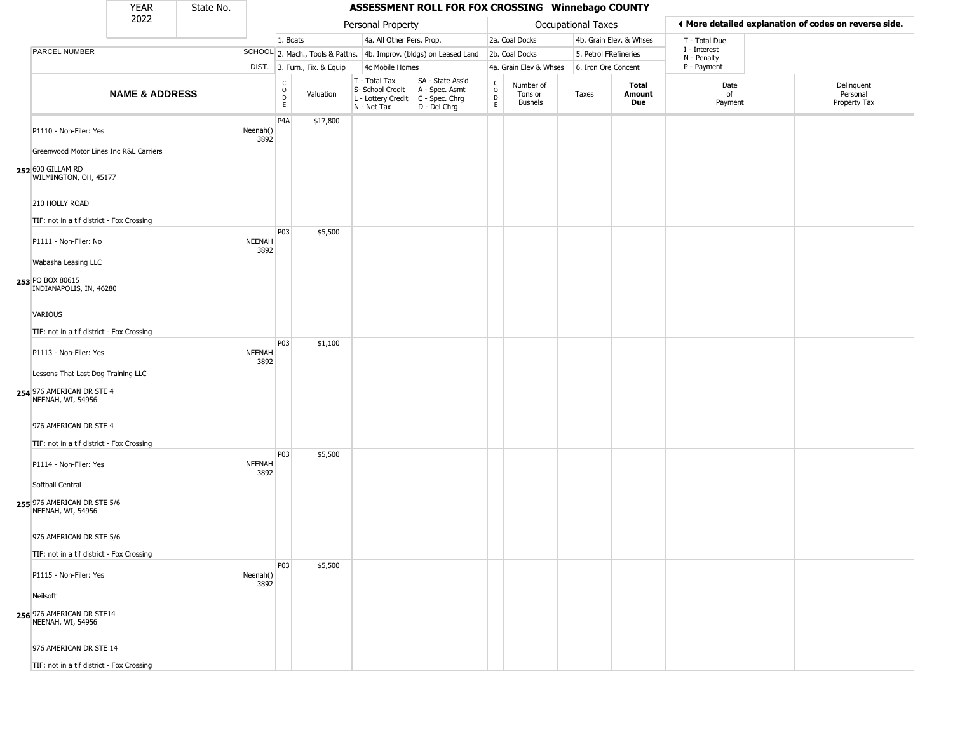|                                                                                      | <b>YEAR</b>               | State No. |                       |                        |                              |                                                                        | ASSESSMENT ROLL FOR FOX CROSSING Winnebago COUNTY                      |                                   |                                        |                       |                         |                             |                                                       |  |
|--------------------------------------------------------------------------------------|---------------------------|-----------|-----------------------|------------------------|------------------------------|------------------------------------------------------------------------|------------------------------------------------------------------------|-----------------------------------|----------------------------------------|-----------------------|-------------------------|-----------------------------|-------------------------------------------------------|--|
|                                                                                      | 2022                      |           |                       |                        |                              | Personal Property                                                      |                                                                        |                                   |                                        | Occupational Taxes    |                         |                             | ◀ More detailed explanation of codes on reverse side. |  |
|                                                                                      |                           |           |                       | 1. Boats               |                              | 4a. All Other Pers. Prop.                                              |                                                                        |                                   | 2a. Coal Docks                         |                       | 4b. Grain Elev. & Whses | T - Total Due               |                                                       |  |
| PARCEL NUMBER                                                                        |                           |           |                       |                        |                              |                                                                        | SCHOOL 2. Mach., Tools & Pattns. 4b. Improv. (bldgs) on Leased Land    |                                   | 2b. Coal Docks                         | 5. Petrol FRefineries |                         | I - Interest<br>N - Penalty |                                                       |  |
|                                                                                      |                           |           |                       |                        | DIST. 3. Furn., Fix. & Equip | 4c Mobile Homes                                                        |                                                                        |                                   | 4a. Grain Elev & Whses                 | 6. Iron Ore Concent   |                         | P - Payment                 |                                                       |  |
|                                                                                      | <b>NAME &amp; ADDRESS</b> |           |                       | C<br>$\circ$<br>D<br>E | Valuation                    | T - Total Tax<br>S- School Credit<br>L - Lottery Credit<br>N - Net Tax | SA - State Ass'd<br>A - Spec. Asmt<br>$C - Spec. Chrg$<br>D - Del Chrg | $\mathsf{C}$<br>$\circ$<br>D<br>E | Number of<br>Tons or<br><b>Bushels</b> | Taxes                 | Total<br>Amount<br>Due  | Date<br>of<br>Payment       | Delinquent<br>Personal<br>Property Tax                |  |
| P1110 - Non-Filer: Yes<br>Greenwood Motor Lines Inc R&L Carriers                     |                           |           | Neenah()<br>3892      | P <sub>4</sub> A       | \$17,800                     |                                                                        |                                                                        |                                   |                                        |                       |                         |                             |                                                       |  |
| 252 600 GILLAM RD<br>WILMINGTON, OH, 45177                                           |                           |           |                       |                        |                              |                                                                        |                                                                        |                                   |                                        |                       |                         |                             |                                                       |  |
| 210 HOLLY ROAD                                                                       |                           |           |                       |                        |                              |                                                                        |                                                                        |                                   |                                        |                       |                         |                             |                                                       |  |
| TIF: not in a tif district - Fox Crossing<br>P1111 - Non-Filer: No                   |                           |           | <b>NEENAH</b><br>3892 | P <sub>0</sub> 3       | \$5,500                      |                                                                        |                                                                        |                                   |                                        |                       |                         |                             |                                                       |  |
| Wabasha Leasing LLC<br>253 PO BOX 80615<br>INDIANAPOLIS, IN, 46280                   |                           |           |                       |                        |                              |                                                                        |                                                                        |                                   |                                        |                       |                         |                             |                                                       |  |
| VARIOUS<br>TIF: not in a tif district - Fox Crossing                                 |                           |           |                       |                        |                              |                                                                        |                                                                        |                                   |                                        |                       |                         |                             |                                                       |  |
| P1113 - Non-Filer: Yes                                                               |                           |           | <b>NEENAH</b><br>3892 | P <sub>0</sub> 3       | \$1,100                      |                                                                        |                                                                        |                                   |                                        |                       |                         |                             |                                                       |  |
| Lessons That Last Dog Training LLC<br>254 976 AMERICAN DR STE 4<br>NEENAH, WI, 54956 |                           |           |                       |                        |                              |                                                                        |                                                                        |                                   |                                        |                       |                         |                             |                                                       |  |
| 976 AMERICAN DR STE 4<br>TIF: not in a tif district - Fox Crossing                   |                           |           |                       |                        |                              |                                                                        |                                                                        |                                   |                                        |                       |                         |                             |                                                       |  |
| P1114 - Non-Filer: Yes                                                               |                           |           | <b>NEENAH</b><br>3892 | P03                    | \$5,500                      |                                                                        |                                                                        |                                   |                                        |                       |                         |                             |                                                       |  |
| Softball Central<br>255 976 AMERICAN DR STE 5/6<br>NEENAH, WI, 54956                 |                           |           |                       |                        |                              |                                                                        |                                                                        |                                   |                                        |                       |                         |                             |                                                       |  |
| 976 AMERICAN DR STE 5/6<br>TIF: not in a tif district - Fox Crossing                 |                           |           |                       |                        |                              |                                                                        |                                                                        |                                   |                                        |                       |                         |                             |                                                       |  |
| P1115 - Non-Filer: Yes                                                               |                           |           | Neenah()<br>3892      | P03                    | \$5,500                      |                                                                        |                                                                        |                                   |                                        |                       |                         |                             |                                                       |  |
| Neilsoft<br>256 976 AMERICAN DR STE14                                                |                           |           |                       |                        |                              |                                                                        |                                                                        |                                   |                                        |                       |                         |                             |                                                       |  |
| NEENAH, WI, 54956                                                                    |                           |           |                       |                        |                              |                                                                        |                                                                        |                                   |                                        |                       |                         |                             |                                                       |  |
| 976 AMERICAN DR STE 14                                                               |                           |           |                       |                        |                              |                                                                        |                                                                        |                                   |                                        |                       |                         |                             |                                                       |  |
| TIF: not in a tif district - Fox Crossing                                            |                           |           |                       |                        |                              |                                                                        |                                                                        |                                   |                                        |                       |                         |                             |                                                       |  |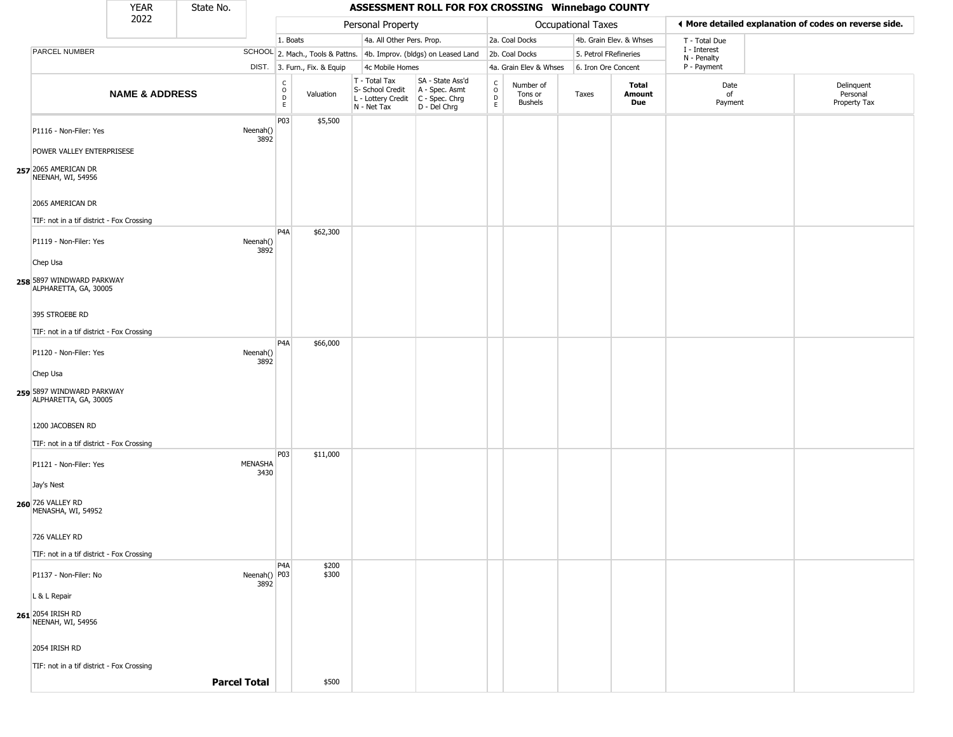|                                                                     | <b>YEAR</b>               | State No.           |                      |                                                 |                              |                                                                        | ASSESSMENT ROLL FOR FOX CROSSING Winnebago COUNTY                      |                                                 |                                 |                       |                         |                             |                                                       |
|---------------------------------------------------------------------|---------------------------|---------------------|----------------------|-------------------------------------------------|------------------------------|------------------------------------------------------------------------|------------------------------------------------------------------------|-------------------------------------------------|---------------------------------|-----------------------|-------------------------|-----------------------------|-------------------------------------------------------|
|                                                                     | 2022                      |                     |                      |                                                 |                              | Personal Property                                                      |                                                                        |                                                 |                                 | Occupational Taxes    |                         |                             | ♦ More detailed explanation of codes on reverse side. |
|                                                                     |                           |                     |                      | 1. Boats                                        |                              | 4a. All Other Pers. Prop.                                              |                                                                        |                                                 | 2a. Coal Docks                  |                       | 4b. Grain Elev. & Whses | T - Total Due               |                                                       |
| PARCEL NUMBER                                                       |                           |                     |                      |                                                 |                              |                                                                        | SCHOOL 2. Mach., Tools & Pattns. 4b. Improv. (bldgs) on Leased Land    |                                                 | 2b. Coal Docks                  | 5. Petrol FRefineries |                         | I - Interest<br>N - Penalty |                                                       |
|                                                                     |                           |                     |                      |                                                 | DIST. 3. Furn., Fix. & Equip | 4c Mobile Homes                                                        |                                                                        |                                                 | 4a. Grain Elev & Whses          | 6. Iron Ore Concent   |                         | P - Payment                 |                                                       |
|                                                                     | <b>NAME &amp; ADDRESS</b> |                     |                      | $\begin{array}{c} C \\ O \\ D \\ E \end{array}$ | Valuation                    | T - Total Tax<br>S- School Credit<br>L - Lottery Credit<br>N - Net Tax | SA - State Ass'd<br>A - Spec. Asmt<br>$C - Spec. Chrg$<br>D - Del Chrg | c<br>$\circ$<br>$\frac{\mathsf{D}}{\mathsf{E}}$ | Number of<br>Tons or<br>Bushels | Taxes                 | Total<br>Amount<br>Due  | Date<br>of<br>Payment       | Delinquent<br>Personal<br>Property Tax                |
| P1116 - Non-Filer: Yes                                              |                           |                     | Neenah()<br>3892     | P <sub>03</sub>                                 | \$5,500                      |                                                                        |                                                                        |                                                 |                                 |                       |                         |                             |                                                       |
| POWER VALLEY ENTERPRISESE                                           |                           |                     |                      |                                                 |                              |                                                                        |                                                                        |                                                 |                                 |                       |                         |                             |                                                       |
| 257 2065 AMERICAN DR<br>NEENAH, WI, 54956                           |                           |                     |                      |                                                 |                              |                                                                        |                                                                        |                                                 |                                 |                       |                         |                             |                                                       |
| 2065 AMERICAN DR<br>TIF: not in a tif district - Fox Crossing       |                           |                     |                      |                                                 |                              |                                                                        |                                                                        |                                                 |                                 |                       |                         |                             |                                                       |
| P1119 - Non-Filer: Yes                                              |                           |                     | Neenah()             | P <sub>4</sub> A                                | \$62,300                     |                                                                        |                                                                        |                                                 |                                 |                       |                         |                             |                                                       |
| Chep Usa                                                            |                           |                     | 3892                 |                                                 |                              |                                                                        |                                                                        |                                                 |                                 |                       |                         |                             |                                                       |
| 258 5897 WINDWARD PARKWAY<br>ALPHARETTA, GA, 30005                  |                           |                     |                      |                                                 |                              |                                                                        |                                                                        |                                                 |                                 |                       |                         |                             |                                                       |
| 395 STROEBE RD                                                      |                           |                     |                      |                                                 |                              |                                                                        |                                                                        |                                                 |                                 |                       |                         |                             |                                                       |
| TIF: not in a tif district - Fox Crossing                           |                           |                     |                      | P <sub>4</sub> A                                | \$66,000                     |                                                                        |                                                                        |                                                 |                                 |                       |                         |                             |                                                       |
| P1120 - Non-Filer: Yes                                              |                           |                     | Neenah()<br>3892     |                                                 |                              |                                                                        |                                                                        |                                                 |                                 |                       |                         |                             |                                                       |
| Chep Usa<br>259 5897 WINDWARD PARKWAY<br>ALPHARETTA, GA, 30005      |                           |                     |                      |                                                 |                              |                                                                        |                                                                        |                                                 |                                 |                       |                         |                             |                                                       |
| 1200 JACOBSEN RD                                                    |                           |                     |                      |                                                 |                              |                                                                        |                                                                        |                                                 |                                 |                       |                         |                             |                                                       |
|                                                                     |                           |                     |                      |                                                 |                              |                                                                        |                                                                        |                                                 |                                 |                       |                         |                             |                                                       |
| TIF: not in a tif district - Fox Crossing<br>P1121 - Non-Filer: Yes |                           |                     | MENASHA<br>3430      | P03                                             | \$11,000                     |                                                                        |                                                                        |                                                 |                                 |                       |                         |                             |                                                       |
| Jay's Nest                                                          |                           |                     |                      |                                                 |                              |                                                                        |                                                                        |                                                 |                                 |                       |                         |                             |                                                       |
| 260 726 VALLEY RD<br>MENASHA, WI, 54952                             |                           |                     |                      |                                                 |                              |                                                                        |                                                                        |                                                 |                                 |                       |                         |                             |                                                       |
| 726 VALLEY RD<br>TIF: not in a tif district - Fox Crossing          |                           |                     |                      |                                                 |                              |                                                                        |                                                                        |                                                 |                                 |                       |                         |                             |                                                       |
| P1137 - Non-Filer: No                                               |                           |                     | Neenah() P03<br>3892 | P <sub>4</sub> A                                | \$200<br>\$300               |                                                                        |                                                                        |                                                 |                                 |                       |                         |                             |                                                       |
| L & L Repair                                                        |                           |                     |                      |                                                 |                              |                                                                        |                                                                        |                                                 |                                 |                       |                         |                             |                                                       |
| 261 2054 IRISH RD<br>NEENAH, WI, 54956                              |                           |                     |                      |                                                 |                              |                                                                        |                                                                        |                                                 |                                 |                       |                         |                             |                                                       |
| 2054 IRISH RD<br>TIF: not in a tif district - Fox Crossing          |                           |                     |                      |                                                 |                              |                                                                        |                                                                        |                                                 |                                 |                       |                         |                             |                                                       |
|                                                                     |                           | <b>Parcel Total</b> |                      |                                                 | \$500                        |                                                                        |                                                                        |                                                 |                                 |                       |                         |                             |                                                       |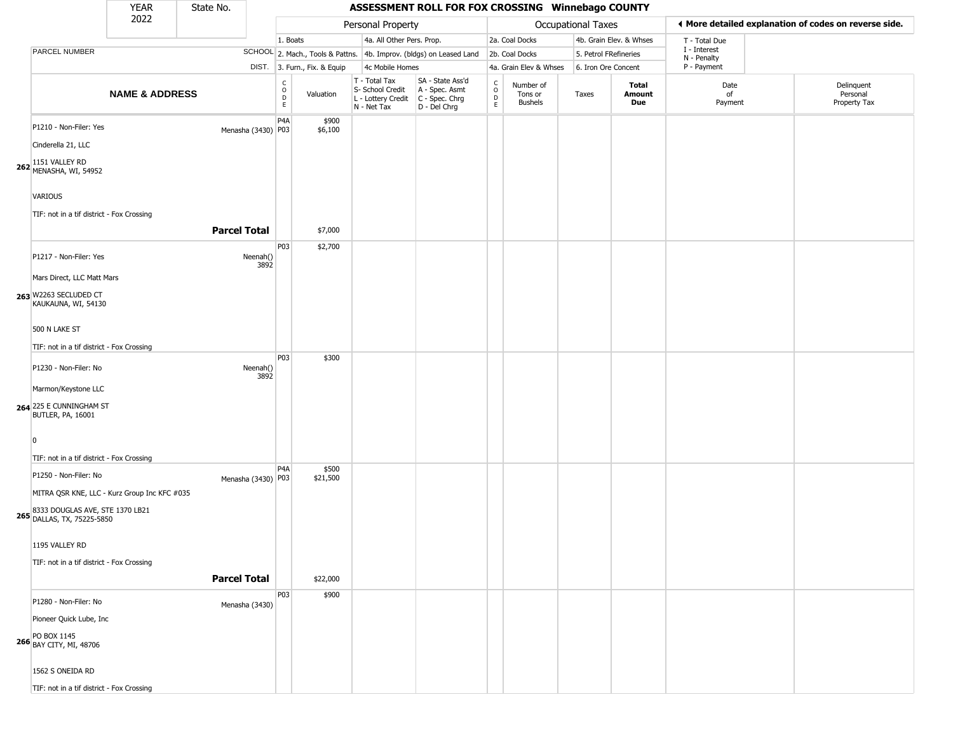|                                                                                                                                               | <b>YEAR</b>               | State No.           |                    |                                        |                              |                                                                                         | ASSESSMENT ROLL FOR FOX CROSSING Winnebago COUNTY                   |                                             |                                        |                    |                         |                             |                                                       |
|-----------------------------------------------------------------------------------------------------------------------------------------------|---------------------------|---------------------|--------------------|----------------------------------------|------------------------------|-----------------------------------------------------------------------------------------|---------------------------------------------------------------------|---------------------------------------------|----------------------------------------|--------------------|-------------------------|-----------------------------|-------------------------------------------------------|
|                                                                                                                                               | 2022                      |                     |                    |                                        |                              | Personal Property                                                                       |                                                                     |                                             |                                        | Occupational Taxes |                         |                             | ◀ More detailed explanation of codes on reverse side. |
|                                                                                                                                               |                           |                     |                    | 1. Boats                               |                              | 4a. All Other Pers. Prop.                                                               |                                                                     |                                             | 2a. Coal Docks                         |                    | 4b. Grain Elev. & Whses | T - Total Due               |                                                       |
| PARCEL NUMBER                                                                                                                                 |                           |                     |                    |                                        |                              |                                                                                         | SCHOOL 2. Mach., Tools & Pattns. 4b. Improv. (bldgs) on Leased Land |                                             | 2b. Coal Docks                         |                    | 5. Petrol FRefineries   | I - Interest<br>N - Penalty |                                                       |
|                                                                                                                                               |                           |                     |                    |                                        | DIST. 3. Furn., Fix. & Equip | 4c Mobile Homes                                                                         |                                                                     |                                             | 4a. Grain Elev & Whses                 |                    | 6. Iron Ore Concent     | P - Payment                 |                                                       |
|                                                                                                                                               | <b>NAME &amp; ADDRESS</b> |                     |                    | $_{\rm o}^{\rm c}$<br>$\mathsf D$<br>E | Valuation                    | T - Total Tax<br>S- School Credit<br>L - Lottery Credit   C - Spec. Chrg<br>N - Net Tax | SA - State Ass'd<br>A - Spec. Asmt<br>D - Del Chrg                  | $\mathsf{C}$<br>$\circ$<br>$\mathsf D$<br>E | Number of<br>Tons or<br><b>Bushels</b> | Taxes              | Total<br>Amount<br>Due  | Date<br>of<br>Payment       | Delinquent<br>Personal<br>Property Tax                |
| P1210 - Non-Filer: Yes<br>Cinderella 21, LLC<br>1151 VALLEY RD<br>262 MENASHA, WI, 54952                                                      |                           |                     | Menasha (3430) P03 | P4A                                    | \$900<br>\$6,100             |                                                                                         |                                                                     |                                             |                                        |                    |                         |                             |                                                       |
| <b>VARIOUS</b><br>TIF: not in a tif district - Fox Crossing                                                                                   |                           | <b>Parcel Total</b> |                    |                                        | \$7,000                      |                                                                                         |                                                                     |                                             |                                        |                    |                         |                             |                                                       |
| P1217 - Non-Filer: Yes<br>Mars Direct, LLC Matt Mars<br>263 W2263 SECLUDED CT<br>KAUKAUNA, WI, 54130                                          |                           |                     | Neenah()<br>3892   | P03                                    | \$2,700                      |                                                                                         |                                                                     |                                             |                                        |                    |                         |                             |                                                       |
| 500 N LAKE ST<br>TIF: not in a tif district - Fox Crossing                                                                                    |                           |                     |                    | P03                                    | \$300                        |                                                                                         |                                                                     |                                             |                                        |                    |                         |                             |                                                       |
| P1230 - Non-Filer: No<br>Marmon/Keystone LLC<br>264 225 E CUNNINGHAM ST<br><b>BUTLER, PA, 16001</b>                                           |                           |                     | Neenah()<br>3892   |                                        |                              |                                                                                         |                                                                     |                                             |                                        |                    |                         |                             |                                                       |
| $\overline{0}$<br>TIF: not in a tif district - Fox Crossing                                                                                   |                           |                     |                    | P4A                                    |                              |                                                                                         |                                                                     |                                             |                                        |                    |                         |                             |                                                       |
| P1250 - Non-Filer: No<br>MITRA QSR KNE, LLC - Kurz Group Inc KFC #035<br>8333 DOUGLAS AVE, STE 1370 LB21<br><b>265</b> DALLAS, TX, 75225-5850 |                           |                     | Menasha (3430) P03 |                                        | \$500<br>\$21,500            |                                                                                         |                                                                     |                                             |                                        |                    |                         |                             |                                                       |
| 1195 VALLEY RD<br>TIF: not in a tif district - Fox Crossing                                                                                   |                           | <b>Parcel Total</b> |                    |                                        | \$22,000                     |                                                                                         |                                                                     |                                             |                                        |                    |                         |                             |                                                       |
| P1280 - Non-Filer: No<br>Pioneer Quick Lube, Inc<br>266 PO BOX 1145<br>266 BAY CITY, MI, 48706                                                |                           | Menasha (3430)      |                    | P03                                    | \$900                        |                                                                                         |                                                                     |                                             |                                        |                    |                         |                             |                                                       |
| 1562 S ONEIDA RD<br>TIF: not in a tif district - Fox Crossing                                                                                 |                           |                     |                    |                                        |                              |                                                                                         |                                                                     |                                             |                                        |                    |                         |                             |                                                       |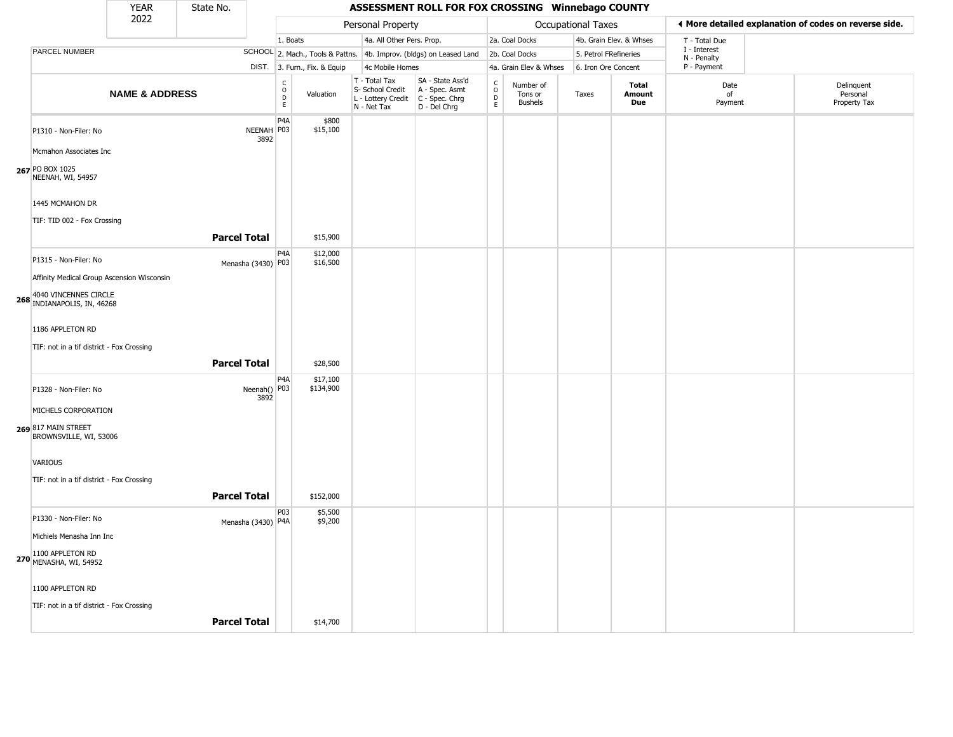|                                                             | <b>YEAR</b>               | State No.           |                      |                                                |                              |                                                                        | ASSESSMENT ROLL FOR FOX CROSSING Winnebago COUNTY                      |                                       |                                        |                           |                         |                             |                                                       |
|-------------------------------------------------------------|---------------------------|---------------------|----------------------|------------------------------------------------|------------------------------|------------------------------------------------------------------------|------------------------------------------------------------------------|---------------------------------------|----------------------------------------|---------------------------|-------------------------|-----------------------------|-------------------------------------------------------|
|                                                             | 2022                      |                     |                      |                                                |                              | Personal Property                                                      |                                                                        |                                       |                                        | <b>Occupational Taxes</b> |                         |                             | ◀ More detailed explanation of codes on reverse side. |
|                                                             |                           |                     |                      | 1. Boats                                       |                              | 4a. All Other Pers. Prop.                                              |                                                                        |                                       | 2a. Coal Docks                         |                           | 4b. Grain Elev. & Whses | T - Total Due               |                                                       |
| PARCEL NUMBER                                               |                           |                     |                      |                                                |                              |                                                                        | SCHOOL 2. Mach., Tools & Pattns. 4b. Improv. (bldgs) on Leased Land    |                                       | 2b. Coal Docks                         | 5. Petrol FRefineries     |                         | I - Interest<br>N - Penalty |                                                       |
|                                                             |                           |                     |                      |                                                | DIST. 3. Furn., Fix. & Equip | 4c Mobile Homes                                                        |                                                                        |                                       | 4a. Grain Elev & Whses                 | 6. Iron Ore Concent       |                         | P - Payment                 |                                                       |
|                                                             | <b>NAME &amp; ADDRESS</b> |                     |                      | $\begin{matrix} 0 \\ 0 \\ D \end{matrix}$<br>E | Valuation                    | T - Total Tax<br>S- School Credit<br>L - Lottery Credit<br>N - Net Tax | SA - State Ass'd<br>A - Spec. Asmt<br>$C - Spec. Chrg$<br>D - Del Chrg | C<br>$\overline{0}$<br>$\overline{E}$ | Number of<br>Tons or<br><b>Bushels</b> | Taxes                     | Total<br>Amount<br>Due  | Date<br>of<br>Payment       | Delinquent<br>Personal<br>Property Tax                |
| P1310 - Non-Filer: No                                       |                           |                     | NEENAH P03<br>3892   | P <sub>4</sub> A                               | \$800<br>\$15,100            |                                                                        |                                                                        |                                       |                                        |                           |                         |                             |                                                       |
| Mcmahon Associates Inc                                      |                           |                     |                      |                                                |                              |                                                                        |                                                                        |                                       |                                        |                           |                         |                             |                                                       |
| 267 PO BOX 1025<br>NEENAH, WI, 54957                        |                           |                     |                      |                                                |                              |                                                                        |                                                                        |                                       |                                        |                           |                         |                             |                                                       |
| 1445 MCMAHON DR                                             |                           |                     |                      |                                                |                              |                                                                        |                                                                        |                                       |                                        |                           |                         |                             |                                                       |
| TIF: TID 002 - Fox Crossing                                 |                           |                     |                      |                                                |                              |                                                                        |                                                                        |                                       |                                        |                           |                         |                             |                                                       |
|                                                             |                           | <b>Parcel Total</b> |                      |                                                | \$15,900                     |                                                                        |                                                                        |                                       |                                        |                           |                         |                             |                                                       |
| P1315 - Non-Filer: No                                       |                           |                     | Menasha (3430) P03   | P <sub>4</sub> A                               | \$12,000<br>\$16,500         |                                                                        |                                                                        |                                       |                                        |                           |                         |                             |                                                       |
| Affinity Medical Group Ascension Wisconsin                  |                           |                     |                      |                                                |                              |                                                                        |                                                                        |                                       |                                        |                           |                         |                             |                                                       |
| 4040 VINCENNES CIRCLE<br><b>268 INDIANAPOLIS, IN, 46268</b> |                           |                     |                      |                                                |                              |                                                                        |                                                                        |                                       |                                        |                           |                         |                             |                                                       |
| 1186 APPLETON RD                                            |                           |                     |                      |                                                |                              |                                                                        |                                                                        |                                       |                                        |                           |                         |                             |                                                       |
| TIF: not in a tif district - Fox Crossing                   |                           |                     |                      |                                                |                              |                                                                        |                                                                        |                                       |                                        |                           |                         |                             |                                                       |
|                                                             |                           | <b>Parcel Total</b> |                      |                                                | \$28,500                     |                                                                        |                                                                        |                                       |                                        |                           |                         |                             |                                                       |
| P1328 - Non-Filer: No                                       |                           |                     | Neenah() P03<br>3892 | P <sub>4</sub> A                               | \$17,100<br>\$134,900        |                                                                        |                                                                        |                                       |                                        |                           |                         |                             |                                                       |
| MICHELS CORPORATION                                         |                           |                     |                      |                                                |                              |                                                                        |                                                                        |                                       |                                        |                           |                         |                             |                                                       |
| 269 817 MAIN STREET<br>BROWNSVILLE, WI, 53006               |                           |                     |                      |                                                |                              |                                                                        |                                                                        |                                       |                                        |                           |                         |                             |                                                       |
| VARIOUS                                                     |                           |                     |                      |                                                |                              |                                                                        |                                                                        |                                       |                                        |                           |                         |                             |                                                       |
| TIF: not in a tif district - Fox Crossing                   |                           | <b>Parcel Total</b> |                      |                                                | \$152,000                    |                                                                        |                                                                        |                                       |                                        |                           |                         |                             |                                                       |
| P1330 - Non-Filer: No                                       |                           |                     |                      | P03                                            | \$5,500<br>\$9,200           |                                                                        |                                                                        |                                       |                                        |                           |                         |                             |                                                       |
| Michiels Menasha Inn Inc                                    |                           |                     | Menasha (3430) P4A   |                                                |                              |                                                                        |                                                                        |                                       |                                        |                           |                         |                             |                                                       |
| 1100 APPLETON RD<br>270 MENASHA, WI, 54952                  |                           |                     |                      |                                                |                              |                                                                        |                                                                        |                                       |                                        |                           |                         |                             |                                                       |
| 1100 APPLETON RD                                            |                           |                     |                      |                                                |                              |                                                                        |                                                                        |                                       |                                        |                           |                         |                             |                                                       |
| TIF: not in a tif district - Fox Crossing                   |                           |                     |                      |                                                |                              |                                                                        |                                                                        |                                       |                                        |                           |                         |                             |                                                       |
|                                                             |                           | <b>Parcel Total</b> |                      |                                                | \$14,700                     |                                                                        |                                                                        |                                       |                                        |                           |                         |                             |                                                       |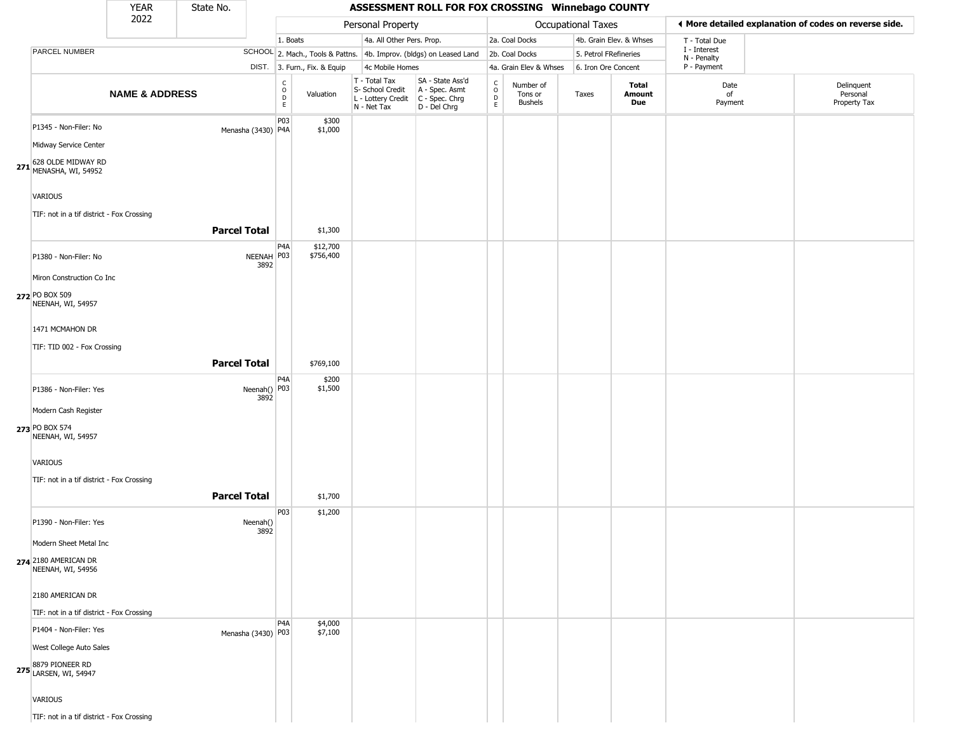|                                                    | <b>YEAR</b>               | State No.           |                      |                              |                              |                                                                        | ASSESSMENT ROLL FOR FOX CROSSING Winnebago COUNTY                    |                             |                                        |                           |                         |                             |                                                       |
|----------------------------------------------------|---------------------------|---------------------|----------------------|------------------------------|------------------------------|------------------------------------------------------------------------|----------------------------------------------------------------------|-----------------------------|----------------------------------------|---------------------------|-------------------------|-----------------------------|-------------------------------------------------------|
|                                                    | 2022                      |                     |                      |                              |                              | Personal Property                                                      |                                                                      |                             |                                        | <b>Occupational Taxes</b> |                         |                             | ♦ More detailed explanation of codes on reverse side. |
|                                                    |                           |                     |                      | 1. Boats                     |                              | 4a. All Other Pers. Prop.                                              |                                                                      |                             | 2a. Coal Docks                         |                           | 4b. Grain Elev. & Whses | T - Total Due               |                                                       |
| PARCEL NUMBER                                      |                           |                     |                      |                              |                              |                                                                        | SCHOOL 2. Mach., Tools & Pattns. 4b. Improv. (bldgs) on Leased Land  |                             | 2b. Coal Docks                         | 5. Petrol FRefineries     |                         | I - Interest<br>N - Penalty |                                                       |
|                                                    |                           |                     |                      |                              | DIST. 3. Furn., Fix. & Equip | 4c Mobile Homes                                                        |                                                                      |                             | 4a. Grain Elev & Whses                 | 6. Iron Ore Concent       |                         | P - Payment                 |                                                       |
|                                                    | <b>NAME &amp; ADDRESS</b> |                     |                      | $_{\rm o}^{\rm c}$<br>D<br>E | Valuation                    | T - Total Tax<br>S- School Credit<br>L - Lottery Credit<br>N - Net Tax | SA - State Ass'd<br>A - Spec. Asmt<br>C - Spec. Chrg<br>D - Del Chrg | $\rm _o^c$<br>$\frac{D}{E}$ | Number of<br>Tons or<br><b>Bushels</b> | Taxes                     | Total<br>Amount<br>Due  | Date<br>of<br>Payment       | Delinquent<br>Personal<br>Property Tax                |
| P1345 - Non-Filer: No<br>Midway Service Center     |                           |                     | Menasha (3430) P4A   | P03                          | \$300<br>\$1,000             |                                                                        |                                                                      |                             |                                        |                           |                         |                             |                                                       |
| 271 628 OLDE MIDWAY RD<br>271 MENASHA, WI, 54952   |                           |                     |                      |                              |                              |                                                                        |                                                                      |                             |                                        |                           |                         |                             |                                                       |
| <b>VARIOUS</b>                                     |                           |                     |                      |                              |                              |                                                                        |                                                                      |                             |                                        |                           |                         |                             |                                                       |
| TIF: not in a tif district - Fox Crossing          |                           |                     |                      |                              |                              |                                                                        |                                                                      |                             |                                        |                           |                         |                             |                                                       |
|                                                    |                           | <b>Parcel Total</b> |                      |                              | \$1,300                      |                                                                        |                                                                      |                             |                                        |                           |                         |                             |                                                       |
| P1380 - Non-Filer: No<br>Miron Construction Co Inc |                           |                     | NEENAH P03<br>3892   | P4A                          | \$12,700<br>\$756,400        |                                                                        |                                                                      |                             |                                        |                           |                         |                             |                                                       |
| 272 PO BOX 509<br>NEENAH, WI, 54957                |                           |                     |                      |                              |                              |                                                                        |                                                                      |                             |                                        |                           |                         |                             |                                                       |
| 1471 MCMAHON DR<br>TIF: TID 002 - Fox Crossing     |                           |                     |                      |                              |                              |                                                                        |                                                                      |                             |                                        |                           |                         |                             |                                                       |
|                                                    |                           | <b>Parcel Total</b> |                      |                              | \$769,100                    |                                                                        |                                                                      |                             |                                        |                           |                         |                             |                                                       |
| P1386 - Non-Filer: Yes<br>Modern Cash Register     |                           |                     | Neenah() P03<br>3892 | P4A                          | \$200<br>\$1,500             |                                                                        |                                                                      |                             |                                        |                           |                         |                             |                                                       |
| 273 PO BOX 574<br>NEENAH, WI, 54957<br>VARIOUS     |                           |                     |                      |                              |                              |                                                                        |                                                                      |                             |                                        |                           |                         |                             |                                                       |
| TIF: not in a tif district - Fox Crossing          |                           |                     |                      |                              |                              |                                                                        |                                                                      |                             |                                        |                           |                         |                             |                                                       |
|                                                    |                           | <b>Parcel Total</b> |                      |                              | \$1,700                      |                                                                        |                                                                      |                             |                                        |                           |                         |                             |                                                       |
| P1390 - Non-Filer: Yes<br>Modern Sheet Metal Inc   |                           |                     | Neenah()<br>3892     | P <sub>03</sub>              | \$1,200                      |                                                                        |                                                                      |                             |                                        |                           |                         |                             |                                                       |
| 274 2180 AMERICAN DR<br>NEENAH, WI, 54956          |                           |                     |                      |                              |                              |                                                                        |                                                                      |                             |                                        |                           |                         |                             |                                                       |
| 2180 AMERICAN DR                                   |                           |                     |                      |                              |                              |                                                                        |                                                                      |                             |                                        |                           |                         |                             |                                                       |
| TIF: not in a tif district - Fox Crossing          |                           |                     |                      | P <sub>4</sub> A             |                              |                                                                        |                                                                      |                             |                                        |                           |                         |                             |                                                       |
| P1404 - Non-Filer: Yes                             |                           |                     | Menasha (3430) P03   |                              | \$4,000<br>\$7,100           |                                                                        |                                                                      |                             |                                        |                           |                         |                             |                                                       |
| West College Auto Sales                            |                           |                     |                      |                              |                              |                                                                        |                                                                      |                             |                                        |                           |                         |                             |                                                       |
| <b>275</b> 8879 PIONEER RD<br>LARSEN, WI, 54947    |                           |                     |                      |                              |                              |                                                                        |                                                                      |                             |                                        |                           |                         |                             |                                                       |
| <b>VARIOUS</b>                                     |                           |                     |                      |                              |                              |                                                                        |                                                                      |                             |                                        |                           |                         |                             |                                                       |
| TIF: not in a tif district - Fox Crossing          |                           |                     |                      |                              |                              |                                                                        |                                                                      |                             |                                        |                           |                         |                             |                                                       |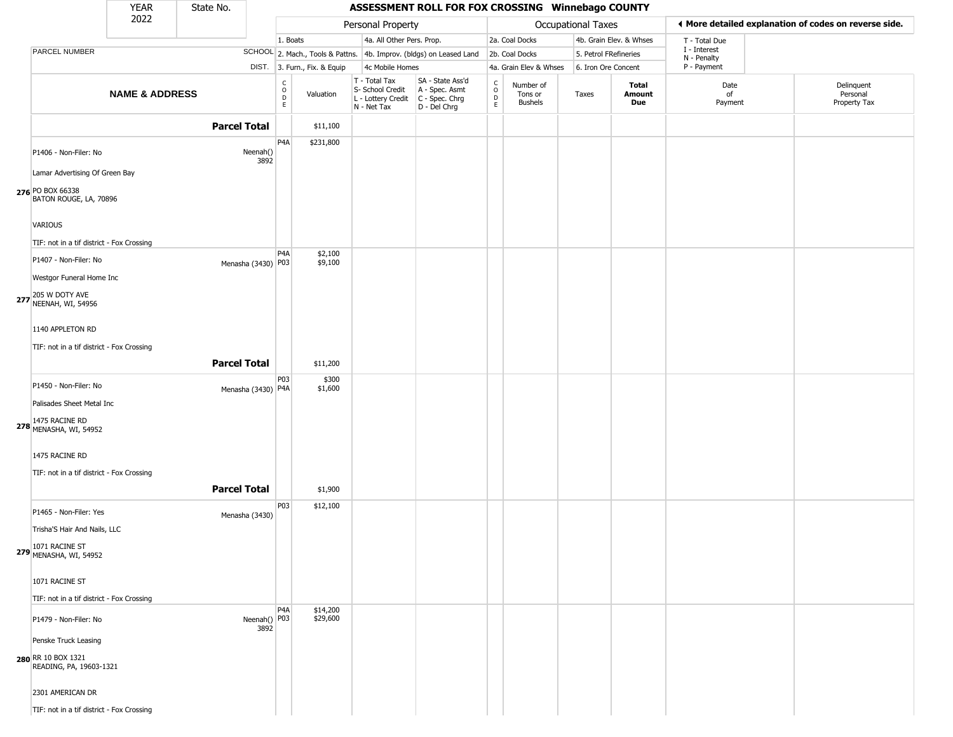|                                                 | <b>YEAR</b>               | State No.           |                      |                                         |                              |                                                                        | ASSESSMENT ROLL FOR FOX CROSSING Winnebago COUNTY                    |                                |                                        |                           |                         |                             |                                                       |
|-------------------------------------------------|---------------------------|---------------------|----------------------|-----------------------------------------|------------------------------|------------------------------------------------------------------------|----------------------------------------------------------------------|--------------------------------|----------------------------------------|---------------------------|-------------------------|-----------------------------|-------------------------------------------------------|
|                                                 | 2022                      |                     |                      |                                         |                              | Personal Property                                                      |                                                                      |                                |                                        | <b>Occupational Taxes</b> |                         |                             | ♦ More detailed explanation of codes on reverse side. |
|                                                 |                           |                     |                      | 1. Boats                                |                              | 4a. All Other Pers. Prop.                                              |                                                                      |                                | 2a. Coal Docks                         |                           | 4b. Grain Elev. & Whses | T - Total Due               |                                                       |
| PARCEL NUMBER                                   |                           |                     |                      |                                         |                              |                                                                        | SCHOOL 2. Mach., Tools & Pattns. 4b. Improv. (bldgs) on Leased Land  |                                | 2b. Coal Docks                         | 5. Petrol FRefineries     |                         | I - Interest<br>N - Penalty |                                                       |
|                                                 |                           |                     |                      |                                         | DIST. 3. Furn., Fix. & Equip | 4c Mobile Homes                                                        |                                                                      |                                | 4a. Grain Elev & Whses                 | 6. Iron Ore Concent       |                         | P - Payment                 |                                                       |
|                                                 | <b>NAME &amp; ADDRESS</b> |                     |                      | $_{\rm o}^{\rm c}$<br>$\mathsf D$<br>E. | Valuation                    | T - Total Tax<br>S- School Credit<br>L - Lottery Credit<br>N - Net Tax | SA - State Ass'd<br>A - Spec. Asmt<br>C - Spec. Chrg<br>D - Del Chrg | $\frac{c}{0}$<br>$\frac{D}{E}$ | Number of<br>Tons or<br><b>Bushels</b> | Taxes                     | Total<br>Amount<br>Due  | Date<br>of<br>Payment       | Delinquent<br>Personal<br>Property Tax                |
|                                                 |                           | <b>Parcel Total</b> |                      |                                         | \$11,100                     |                                                                        |                                                                      |                                |                                        |                           |                         |                             |                                                       |
|                                                 |                           |                     |                      | P <sub>4</sub> A                        | \$231,800                    |                                                                        |                                                                      |                                |                                        |                           |                         |                             |                                                       |
| P1406 - Non-Filer: No                           |                           |                     | Neenah()<br>3892     |                                         |                              |                                                                        |                                                                      |                                |                                        |                           |                         |                             |                                                       |
| Lamar Advertising Of Green Bay                  |                           |                     |                      |                                         |                              |                                                                        |                                                                      |                                |                                        |                           |                         |                             |                                                       |
| 276 PO BOX 66338<br>BATON ROUGE, LA, 70896      |                           |                     |                      |                                         |                              |                                                                        |                                                                      |                                |                                        |                           |                         |                             |                                                       |
| VARIOUS                                         |                           |                     |                      |                                         |                              |                                                                        |                                                                      |                                |                                        |                           |                         |                             |                                                       |
| TIF: not in a tif district - Fox Crossing       |                           |                     |                      |                                         |                              |                                                                        |                                                                      |                                |                                        |                           |                         |                             |                                                       |
| P1407 - Non-Filer: No                           |                           |                     | Menasha (3430) P03   | P4A                                     | \$2,100<br>\$9,100           |                                                                        |                                                                      |                                |                                        |                           |                         |                             |                                                       |
| Westgor Funeral Home Inc                        |                           |                     |                      |                                         |                              |                                                                        |                                                                      |                                |                                        |                           |                         |                             |                                                       |
| 277 205 W DOTY AVE<br>NEENAH, WI, 54956         |                           |                     |                      |                                         |                              |                                                                        |                                                                      |                                |                                        |                           |                         |                             |                                                       |
| 1140 APPLETON RD                                |                           |                     |                      |                                         |                              |                                                                        |                                                                      |                                |                                        |                           |                         |                             |                                                       |
| TIF: not in a tif district - Fox Crossing       |                           |                     |                      |                                         |                              |                                                                        |                                                                      |                                |                                        |                           |                         |                             |                                                       |
|                                                 |                           | <b>Parcel Total</b> |                      |                                         | \$11,200                     |                                                                        |                                                                      |                                |                                        |                           |                         |                             |                                                       |
| P1450 - Non-Filer: No                           |                           |                     | Menasha (3430) P4A   | P03                                     | \$300<br>\$1,600             |                                                                        |                                                                      |                                |                                        |                           |                         |                             |                                                       |
| Palisades Sheet Metal Inc                       |                           |                     |                      |                                         |                              |                                                                        |                                                                      |                                |                                        |                           |                         |                             |                                                       |
| <b>278</b> 1475 RACINE RD<br>MENASHA, WI, 54952 |                           |                     |                      |                                         |                              |                                                                        |                                                                      |                                |                                        |                           |                         |                             |                                                       |
| 1475 RACINE RD                                  |                           |                     |                      |                                         |                              |                                                                        |                                                                      |                                |                                        |                           |                         |                             |                                                       |
| TIF: not in a tif district - Fox Crossing       |                           |                     |                      |                                         |                              |                                                                        |                                                                      |                                |                                        |                           |                         |                             |                                                       |
|                                                 |                           | <b>Parcel Total</b> |                      |                                         | \$1,900                      |                                                                        |                                                                      |                                |                                        |                           |                         |                             |                                                       |
|                                                 |                           |                     |                      | P03                                     | \$12,100                     |                                                                        |                                                                      |                                |                                        |                           |                         |                             |                                                       |
| P1465 - Non-Filer: Yes                          |                           |                     | Menasha (3430)       |                                         |                              |                                                                        |                                                                      |                                |                                        |                           |                         |                             |                                                       |
| Trisha'S Hair And Nails, LLC                    |                           |                     |                      |                                         |                              |                                                                        |                                                                      |                                |                                        |                           |                         |                             |                                                       |
| 1071 RACINE ST<br>279 MENASHA, WI, 54952        |                           |                     |                      |                                         |                              |                                                                        |                                                                      |                                |                                        |                           |                         |                             |                                                       |
| 1071 RACINE ST                                  |                           |                     |                      |                                         |                              |                                                                        |                                                                      |                                |                                        |                           |                         |                             |                                                       |
| TIF: not in a tif district - Fox Crossing       |                           |                     |                      |                                         |                              |                                                                        |                                                                      |                                |                                        |                           |                         |                             |                                                       |
| P1479 - Non-Filer: No                           |                           |                     | Neenah() P03<br>3892 | P <sub>4</sub> A                        | \$14,200<br>\$29,600         |                                                                        |                                                                      |                                |                                        |                           |                         |                             |                                                       |
| Penske Truck Leasing                            |                           |                     |                      |                                         |                              |                                                                        |                                                                      |                                |                                        |                           |                         |                             |                                                       |
| 280 RR 10 BOX 1321<br>READING, PA, 19603-1321   |                           |                     |                      |                                         |                              |                                                                        |                                                                      |                                |                                        |                           |                         |                             |                                                       |
| 2301 AMERICAN DR                                |                           |                     |                      |                                         |                              |                                                                        |                                                                      |                                |                                        |                           |                         |                             |                                                       |
| TIF: not in a tif district - Fox Crossing       |                           |                     |                      |                                         |                              |                                                                        |                                                                      |                                |                                        |                           |                         |                             |                                                       |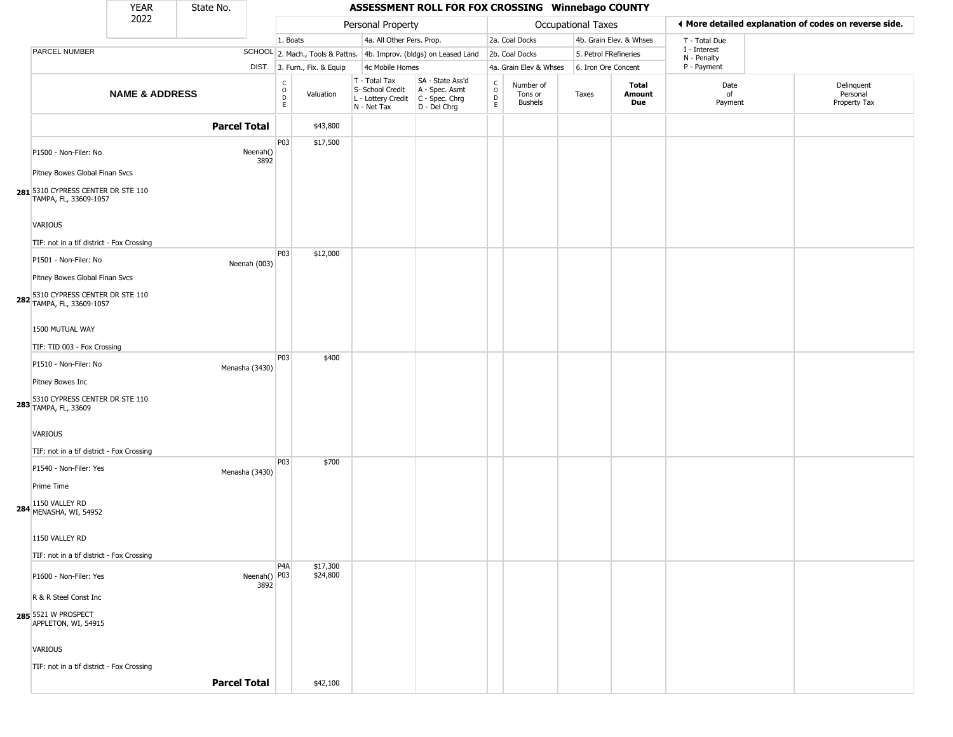|                                                                          | <b>YEAR</b>               | State No.            |                                                          |                              |                                                                                           | ASSESSMENT ROLL FOR FOX CROSSING Winnebago COUNTY                   |                         |                                 |                       |                         |                             |                                                       |
|--------------------------------------------------------------------------|---------------------------|----------------------|----------------------------------------------------------|------------------------------|-------------------------------------------------------------------------------------------|---------------------------------------------------------------------|-------------------------|---------------------------------|-----------------------|-------------------------|-----------------------------|-------------------------------------------------------|
|                                                                          | 2022                      |                      |                                                          |                              | Personal Property                                                                         |                                                                     |                         |                                 | Occupational Taxes    |                         |                             | ♦ More detailed explanation of codes on reverse side. |
|                                                                          |                           |                      | 1. Boats                                                 |                              | 4a. All Other Pers. Prop.                                                                 |                                                                     |                         | 2a. Coal Docks                  |                       | 4b. Grain Elev. & Whses | T - Total Due               |                                                       |
| PARCEL NUMBER                                                            |                           |                      |                                                          |                              |                                                                                           | SCHOOL 2. Mach., Tools & Pattns. 4b. Improv. (bldgs) on Leased Land |                         | 2b. Coal Docks                  | 5. Petrol FRefineries |                         | I - Interest<br>N - Penalty |                                                       |
|                                                                          |                           |                      |                                                          | DIST. 3. Furn., Fix. & Equip | 4c Mobile Homes                                                                           |                                                                     |                         | 4a. Grain Elev & Whses          | 6. Iron Ore Concent   |                         | P - Payment                 |                                                       |
|                                                                          | <b>NAME &amp; ADDRESS</b> |                      | $\begin{matrix} 0 \\ 0 \\ D \end{matrix}$<br>$\mathsf E$ | Valuation                    | T - Total Tax<br>S- School Credit<br>$L$ - Lottery Credit $C$ - Spec. Chrg<br>N - Net Tax | SA - State Ass'd<br>A - Spec. Asmt<br>D - Del Chrg                  | C<br>$\circ$<br>D<br>E. | Number of<br>Tons or<br>Bushels | Taxes                 | Total<br>Amount<br>Due  | Date<br>of<br>Payment       | Delinquent<br>Personal<br>Property Tax                |
|                                                                          |                           | <b>Parcel Total</b>  |                                                          | \$43,800                     |                                                                                           |                                                                     |                         |                                 |                       |                         |                             |                                                       |
| P1500 - Non-Filer: No<br>Pitney Bowes Global Finan Svcs                  |                           | Neenah()<br>3892     | P03                                                      | \$17,500                     |                                                                                           |                                                                     |                         |                                 |                       |                         |                             |                                                       |
| 281 5310 CYPRESS CENTER DR STE 110<br>TAMPA, FL, 33609-1057              |                           |                      |                                                          |                              |                                                                                           |                                                                     |                         |                                 |                       |                         |                             |                                                       |
| VARIOUS                                                                  |                           |                      |                                                          |                              |                                                                                           |                                                                     |                         |                                 |                       |                         |                             |                                                       |
| TIF: not in a tif district - Fox Crossing                                |                           |                      | P03                                                      | \$12,000                     |                                                                                           |                                                                     |                         |                                 |                       |                         |                             |                                                       |
| P1501 - Non-Filer: No<br>Pitney Bowes Global Finan Svcs                  |                           | Neenah (003)         |                                                          |                              |                                                                                           |                                                                     |                         |                                 |                       |                         |                             |                                                       |
| 282 5310 CYPRESS CENTER DR STE 110                                       |                           |                      |                                                          |                              |                                                                                           |                                                                     |                         |                                 |                       |                         |                             |                                                       |
| 1500 MUTUAL WAY                                                          |                           |                      |                                                          |                              |                                                                                           |                                                                     |                         |                                 |                       |                         |                             |                                                       |
| TIF: TID 003 - Fox Crossing                                              |                           |                      |                                                          |                              |                                                                                           |                                                                     |                         |                                 |                       |                         |                             |                                                       |
| P1510 - Non-Filer: No                                                    |                           | Menasha (3430)       | <b>P03</b>                                               | \$400                        |                                                                                           |                                                                     |                         |                                 |                       |                         |                             |                                                       |
| Pitney Bowes Inc                                                         |                           |                      |                                                          |                              |                                                                                           |                                                                     |                         |                                 |                       |                         |                             |                                                       |
| <b>283</b> 5310 CYPRESS CENTER DR STE 110<br><b>283</b> TAMPA, FL, 33609 |                           |                      |                                                          |                              |                                                                                           |                                                                     |                         |                                 |                       |                         |                             |                                                       |
| <b>VARIOUS</b>                                                           |                           |                      |                                                          |                              |                                                                                           |                                                                     |                         |                                 |                       |                         |                             |                                                       |
| TIF: not in a tif district - Fox Crossing                                |                           |                      | P03                                                      | \$700                        |                                                                                           |                                                                     |                         |                                 |                       |                         |                             |                                                       |
| P1540 - Non-Filer: Yes<br>Prime Time                                     |                           | Menasha (3430)       |                                                          |                              |                                                                                           |                                                                     |                         |                                 |                       |                         |                             |                                                       |
| <b>284</b> 1150 VALLEY RD<br>MENASHA, WI, 54952                          |                           |                      |                                                          |                              |                                                                                           |                                                                     |                         |                                 |                       |                         |                             |                                                       |
| 1150 VALLEY RD                                                           |                           |                      |                                                          |                              |                                                                                           |                                                                     |                         |                                 |                       |                         |                             |                                                       |
| TIF: not in a tif district - Fox Crossing                                |                           |                      |                                                          |                              |                                                                                           |                                                                     |                         |                                 |                       |                         |                             |                                                       |
| P1600 - Non-Filer: Yes                                                   |                           | Neenah() P03<br>3892 | P4A                                                      | \$17,300<br>\$24,800         |                                                                                           |                                                                     |                         |                                 |                       |                         |                             |                                                       |
| R & R Steel Const Inc                                                    |                           |                      |                                                          |                              |                                                                                           |                                                                     |                         |                                 |                       |                         |                             |                                                       |
| 285 5521 W PROSPECT<br>APPLETON, WI, 54915                               |                           |                      |                                                          |                              |                                                                                           |                                                                     |                         |                                 |                       |                         |                             |                                                       |
| <b>VARIOUS</b>                                                           |                           |                      |                                                          |                              |                                                                                           |                                                                     |                         |                                 |                       |                         |                             |                                                       |
| TIF: not in a tif district - Fox Crossing                                |                           |                      |                                                          |                              |                                                                                           |                                                                     |                         |                                 |                       |                         |                             |                                                       |
|                                                                          |                           | <b>Parcel Total</b>  |                                                          | \$42,100                     |                                                                                           |                                                                     |                         |                                 |                       |                         |                             |                                                       |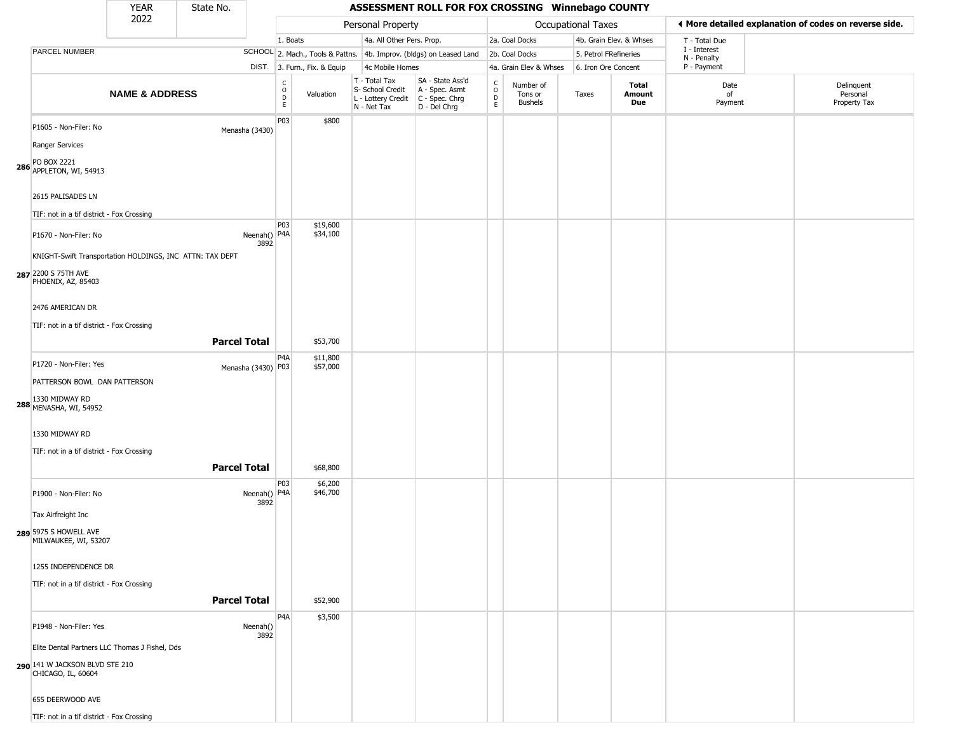## YEAR State No. **ASSESSMENT ROLL FOR FOX CROSSING Winnebago COUNTY** 2022 DIST. 3. Furn., Fix. & Equip PARCEL NUMBER **NAME & ADDRESS** State No. C O D E Valuation T - Total Tax S- School Credit A - Spec. Asmt L - Lottery Credit C - Spec. Chrg N - Net Tax SA - State Ass'd D - Del Chrg C O D E Number of Tons or Bushels Taxes **Total Amount Due** Date of Payment Delinquent Personal Property Tax Personal Property **Department Controller Service Controller** Occupational Taxes 1. Boats **4a. All Other Pers. Prop.** 2a. Coal Docks 4b. Grain Elev. & Whses SCHOOL 2. Mach., Tools & Pattns. 4b. Improv. (bldgs) on Leased Land 2b. Coal Docks 5. Petrol FRefineries 4c Mobile Homes 4a. Grain Elev & Whses 6. Iron Ore Concent T - Total Due I - Interest N - Penalty P - Payment 3**More detailed explanation of codes on reverse side. 286** APPLETON, WI, 54913 P1605 - Non-Filer: No Menasha (3430) Ranger Services PO BOX 2221 2615 PALISADES LN TIF: not in a tif district - Fox Crossing P03 \$800 **287** 2200 S 75TH AVE P1670 - Non-Filer: No 3892 KNIGHT-Swift Transportation HOLDINGS, INC ATTN: TAX DEPT PHOENIX, AZ, 85403 2476 AMERICAN DR TIF: not in a tif district - Fox Crossing **PO3** Neenah() P4A \$19,600 \$34,100 **Parcel Total** | \$53,700 **288** MENASHA, WI, 54952 P1720 - Non-Filer: Yes Menasha (3430) P03 PATTERSON BOWL DAN PATTERSON 1330 MIDWAY RD 1330 MIDWAY RD TIF: not in a tif district - Fox Crossing P4A \$11,800 \$57,000 **Parcel Total | \$68,800 289** 5975 S HOWELL AVE P1900 - Non-Filer: No 3892 Tax Airfreight Inc MILWAUKEE, WI, 53207 1255 INDEPENDENCE DR TIF: not in a tif district - Fox Crossing P03 Neenah() P4A \$6,200 \$46,700 **Parcel Total** \$52,900 **290** 141 W JACKSON BLVD STE 210 P1948 - Non-Filer: Yes Neenah() 3892 Elite Dental Partners LLC Thomas J Fishel, Dds CHICAGO, IL, 60604 655 DEERWOOD AVE P4A \$3,500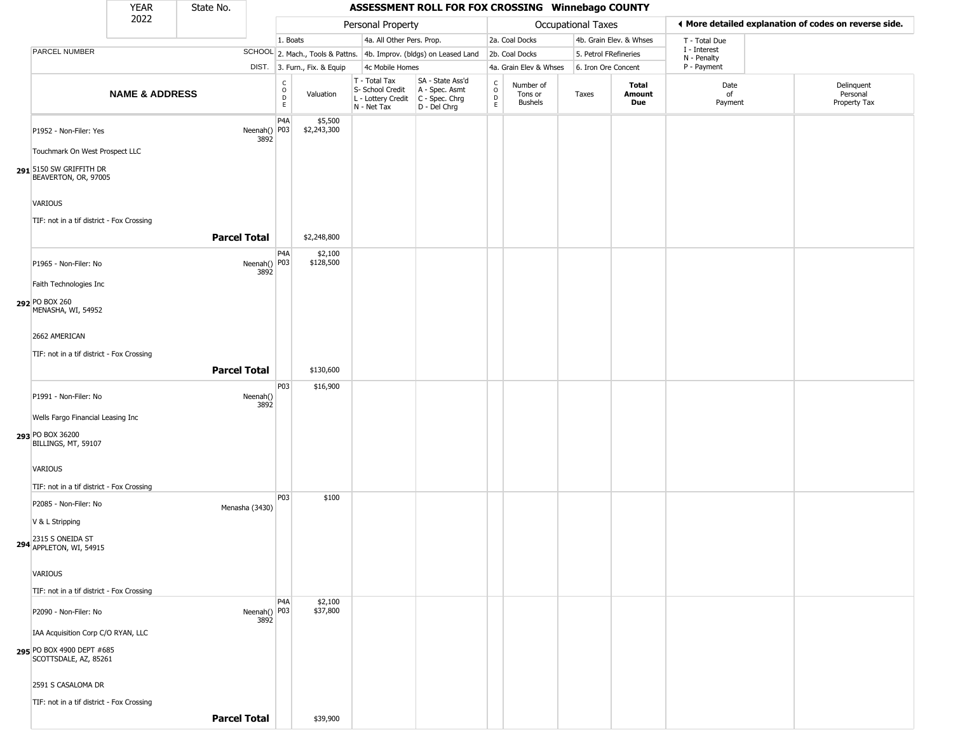|                                                          | <b>YEAR</b>               | State No.           |                                            |                                                                     |                                                                                         | ASSESSMENT ROLL FOR FOX CROSSING Winnebago COUNTY  |                                                 |                                 |                       |                         |                             |                                                       |
|----------------------------------------------------------|---------------------------|---------------------|--------------------------------------------|---------------------------------------------------------------------|-----------------------------------------------------------------------------------------|----------------------------------------------------|-------------------------------------------------|---------------------------------|-----------------------|-------------------------|-----------------------------|-------------------------------------------------------|
|                                                          | 2022                      |                     |                                            |                                                                     | Personal Property                                                                       |                                                    |                                                 |                                 | Occupational Taxes    |                         |                             | ♦ More detailed explanation of codes on reverse side. |
|                                                          |                           |                     |                                            | 1. Boats                                                            | 4a. All Other Pers. Prop.                                                               |                                                    |                                                 | 2a. Coal Docks                  |                       | 4b. Grain Elev. & Whses | T - Total Due               |                                                       |
| PARCEL NUMBER                                            |                           |                     |                                            | SCHOOL 2. Mach., Tools & Pattns. 4b. Improv. (bldgs) on Leased Land |                                                                                         |                                                    |                                                 | 2b. Coal Docks                  | 5. Petrol FRefineries |                         | I - Interest<br>N - Penalty |                                                       |
|                                                          |                           |                     |                                            | DIST. 3. Furn., Fix. & Equip                                        | 4c Mobile Homes                                                                         |                                                    |                                                 | 4a. Grain Elev & Whses          | 6. Iron Ore Concent   |                         | P - Payment                 |                                                       |
|                                                          | <b>NAME &amp; ADDRESS</b> |                     | $\begin{array}{c} C \\ 0 \\ E \end{array}$ | Valuation                                                           | T - Total Tax<br>S- School Credit<br>L - Lottery Credit   C - Spec. Chrg<br>N - Net Tax | SA - State Ass'd<br>A - Spec. Asmt<br>D - Del Chrg | C<br>$\circ$<br>$\frac{\mathsf{D}}{\mathsf{E}}$ | Number of<br>Tons or<br>Bushels | Taxes                 | Total<br>Amount<br>Due  | Date<br>of<br>Payment       | Delinquent<br>Personal<br>Property Tax                |
| P1952 - Non-Filer: Yes<br>Touchmark On West Prospect LLC |                           |                     | P4A<br>Neenah() P03<br>3892                | \$5,500<br>\$2,243,300                                              |                                                                                         |                                                    |                                                 |                                 |                       |                         |                             |                                                       |
| 291 5150 SW GRIFFITH DR<br>BEAVERTON, OR, 97005          |                           |                     |                                            |                                                                     |                                                                                         |                                                    |                                                 |                                 |                       |                         |                             |                                                       |
| <b>VARIOUS</b>                                           |                           |                     |                                            |                                                                     |                                                                                         |                                                    |                                                 |                                 |                       |                         |                             |                                                       |
| TIF: not in a tif district - Fox Crossing                |                           |                     |                                            |                                                                     |                                                                                         |                                                    |                                                 |                                 |                       |                         |                             |                                                       |
|                                                          |                           | <b>Parcel Total</b> |                                            | \$2,248,800                                                         |                                                                                         |                                                    |                                                 |                                 |                       |                         |                             |                                                       |
| P1965 - Non-Filer: No                                    |                           |                     | P4A<br>Neenah() P03<br>3892                | \$2,100<br>\$128,500                                                |                                                                                         |                                                    |                                                 |                                 |                       |                         |                             |                                                       |
| Faith Technologies Inc                                   |                           |                     |                                            |                                                                     |                                                                                         |                                                    |                                                 |                                 |                       |                         |                             |                                                       |
| 292 PO BOX 260<br>MENASHA, WI, 54952                     |                           |                     |                                            |                                                                     |                                                                                         |                                                    |                                                 |                                 |                       |                         |                             |                                                       |
| 2662 AMERICAN                                            |                           |                     |                                            |                                                                     |                                                                                         |                                                    |                                                 |                                 |                       |                         |                             |                                                       |
| TIF: not in a tif district - Fox Crossing                |                           |                     |                                            |                                                                     |                                                                                         |                                                    |                                                 |                                 |                       |                         |                             |                                                       |
|                                                          |                           | <b>Parcel Total</b> |                                            | \$130,600                                                           |                                                                                         |                                                    |                                                 |                                 |                       |                         |                             |                                                       |
| P1991 - Non-Filer: No                                    |                           |                     | P03<br>Neenah()<br>3892                    | \$16,900                                                            |                                                                                         |                                                    |                                                 |                                 |                       |                         |                             |                                                       |
| Wells Fargo Financial Leasing Inc                        |                           |                     |                                            |                                                                     |                                                                                         |                                                    |                                                 |                                 |                       |                         |                             |                                                       |
| 293 PO BOX 36200<br>BILLINGS, MT, 59107                  |                           |                     |                                            |                                                                     |                                                                                         |                                                    |                                                 |                                 |                       |                         |                             |                                                       |
| <b>VARIOUS</b>                                           |                           |                     |                                            |                                                                     |                                                                                         |                                                    |                                                 |                                 |                       |                         |                             |                                                       |
| TIF: not in a tif district - Fox Crossing                |                           |                     | P03                                        | \$100                                                               |                                                                                         |                                                    |                                                 |                                 |                       |                         |                             |                                                       |
| P2085 - Non-Filer: No                                    |                           |                     | Menasha (3430)                             |                                                                     |                                                                                         |                                                    |                                                 |                                 |                       |                         |                             |                                                       |
| V & L Stripping                                          |                           |                     |                                            |                                                                     |                                                                                         |                                                    |                                                 |                                 |                       |                         |                             |                                                       |
| 294 2315 S ONEIDA ST<br>APPLETON, WI, 54915              |                           |                     |                                            |                                                                     |                                                                                         |                                                    |                                                 |                                 |                       |                         |                             |                                                       |
| <b>VARIOUS</b>                                           |                           |                     |                                            |                                                                     |                                                                                         |                                                    |                                                 |                                 |                       |                         |                             |                                                       |
| TIF: not in a tif district - Fox Crossing                |                           |                     | P4A                                        | \$2,100                                                             |                                                                                         |                                                    |                                                 |                                 |                       |                         |                             |                                                       |
| P2090 - Non-Filer: No                                    |                           |                     | Neenah() P03<br>3892                       | \$37,800                                                            |                                                                                         |                                                    |                                                 |                                 |                       |                         |                             |                                                       |
| IAA Acquisition Corp C/O RYAN, LLC                       |                           |                     |                                            |                                                                     |                                                                                         |                                                    |                                                 |                                 |                       |                         |                             |                                                       |
| 295 PO BOX 4900 DEPT #685<br>SCOTTSDALE, AZ, 85261       |                           |                     |                                            |                                                                     |                                                                                         |                                                    |                                                 |                                 |                       |                         |                             |                                                       |
| 2591 S CASALOMA DR                                       |                           |                     |                                            |                                                                     |                                                                                         |                                                    |                                                 |                                 |                       |                         |                             |                                                       |
| TIF: not in a tif district - Fox Crossing                |                           |                     |                                            |                                                                     |                                                                                         |                                                    |                                                 |                                 |                       |                         |                             |                                                       |
|                                                          |                           | <b>Parcel Total</b> |                                            | \$39,900                                                            |                                                                                         |                                                    |                                                 |                                 |                       |                         |                             |                                                       |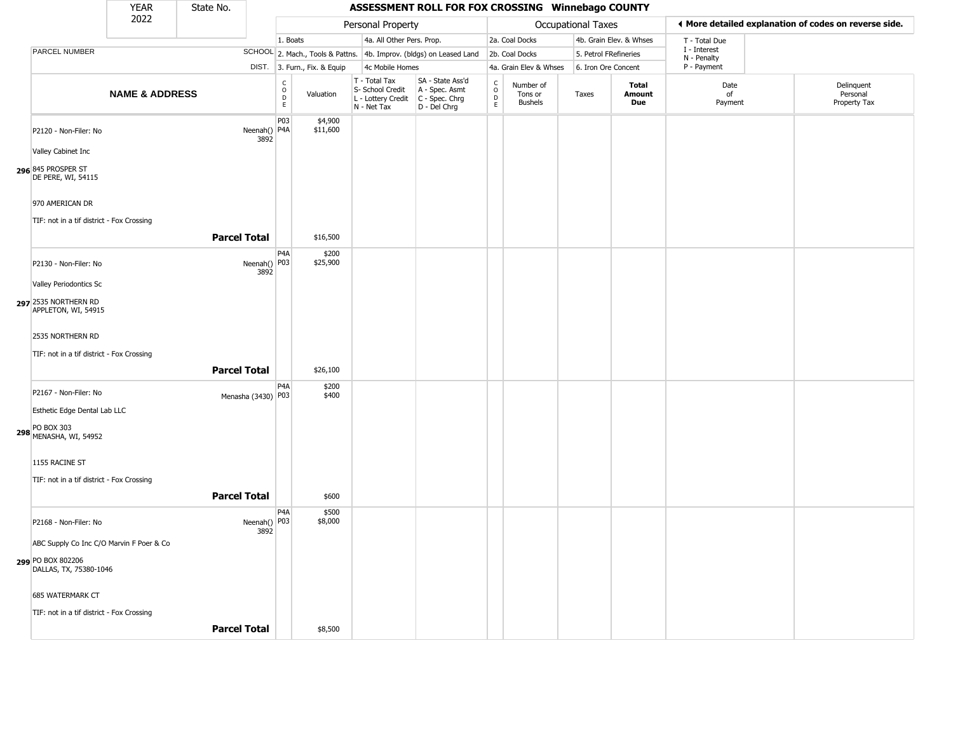|                                             | <b>YEAR</b>               | State No.           |                        |                                   |                              |                                                                        | ASSESSMENT ROLL FOR FOX CROSSING Winnebago COUNTY                      |                                |                                        |                       |                         |                             |                                                       |
|---------------------------------------------|---------------------------|---------------------|------------------------|-----------------------------------|------------------------------|------------------------------------------------------------------------|------------------------------------------------------------------------|--------------------------------|----------------------------------------|-----------------------|-------------------------|-----------------------------|-------------------------------------------------------|
|                                             | 2022                      |                     |                        |                                   |                              | Personal Property                                                      |                                                                        |                                |                                        | Occupational Taxes    |                         |                             | ◀ More detailed explanation of codes on reverse side. |
|                                             |                           |                     |                        | 1. Boats                          |                              | 4a. All Other Pers. Prop.                                              |                                                                        |                                | 2a. Coal Docks                         |                       | 4b. Grain Elev. & Whses | T - Total Due               |                                                       |
| PARCEL NUMBER                               |                           |                     |                        |                                   |                              |                                                                        | SCHOOL 2. Mach., Tools & Pattns. 4b. Improv. (bldgs) on Leased Land    |                                | 2b. Coal Docks                         | 5. Petrol FRefineries |                         | I - Interest<br>N - Penalty |                                                       |
|                                             |                           |                     |                        |                                   | DIST. 3. Furn., Fix. & Equip | 4c Mobile Homes                                                        |                                                                        |                                | 4a. Grain Elev & Whses                 | 6. Iron Ore Concent   |                         | P - Payment                 |                                                       |
|                                             | <b>NAME &amp; ADDRESS</b> |                     |                        | $\frac{c}{0}$<br>$\mathsf D$<br>E | Valuation                    | T - Total Tax<br>S- School Credit<br>L - Lottery Credit<br>N - Net Tax | SA - State Ass'd<br>A - Spec. Asmt<br>$C - Spec. Chrg$<br>D - Del Chrg | $\rm ^c_o$<br>$\mathsf D$<br>E | Number of<br>Tons or<br><b>Bushels</b> | Taxes                 | Total<br>Amount<br>Due  | Date<br>of<br>Payment       | Delinquent<br>Personal<br>Property Tax                |
| P2120 - Non-Filer: No                       |                           |                     | Neenah()   P4A<br>3892 | P03                               | \$4,900<br>\$11,600          |                                                                        |                                                                        |                                |                                        |                       |                         |                             |                                                       |
| Valley Cabinet Inc                          |                           |                     |                        |                                   |                              |                                                                        |                                                                        |                                |                                        |                       |                         |                             |                                                       |
| 296 845 PROSPER ST<br>DE PERE, WI, 54115    |                           |                     |                        |                                   |                              |                                                                        |                                                                        |                                |                                        |                       |                         |                             |                                                       |
| 970 AMERICAN DR                             |                           |                     |                        |                                   |                              |                                                                        |                                                                        |                                |                                        |                       |                         |                             |                                                       |
| TIF: not in a tif district - Fox Crossing   |                           | <b>Parcel Total</b> |                        |                                   | \$16,500                     |                                                                        |                                                                        |                                |                                        |                       |                         |                             |                                                       |
|                                             |                           |                     |                        | P <sub>4</sub> A                  | \$200                        |                                                                        |                                                                        |                                |                                        |                       |                         |                             |                                                       |
| P2130 - Non-Filer: No                       |                           |                     | Neenah() P03<br>3892   |                                   | \$25,900                     |                                                                        |                                                                        |                                |                                        |                       |                         |                             |                                                       |
| Valley Periodontics Sc                      |                           |                     |                        |                                   |                              |                                                                        |                                                                        |                                |                                        |                       |                         |                             |                                                       |
| 297 2535 NORTHERN RD<br>APPLETON, WI, 54915 |                           |                     |                        |                                   |                              |                                                                        |                                                                        |                                |                                        |                       |                         |                             |                                                       |
| 2535 NORTHERN RD                            |                           |                     |                        |                                   |                              |                                                                        |                                                                        |                                |                                        |                       |                         |                             |                                                       |
| TIF: not in a tif district - Fox Crossing   |                           | <b>Parcel Total</b> |                        |                                   | \$26,100                     |                                                                        |                                                                        |                                |                                        |                       |                         |                             |                                                       |
|                                             |                           |                     |                        | P <sub>4</sub> A                  | \$200                        |                                                                        |                                                                        |                                |                                        |                       |                         |                             |                                                       |
| P2167 - Non-Filer: No                       |                           |                     | Menasha (3430) P03     |                                   | \$400                        |                                                                        |                                                                        |                                |                                        |                       |                         |                             |                                                       |
| Esthetic Edge Dental Lab LLC                |                           |                     |                        |                                   |                              |                                                                        |                                                                        |                                |                                        |                       |                         |                             |                                                       |
| 298 PO BOX 303<br>MENASHA, WI, 54952        |                           |                     |                        |                                   |                              |                                                                        |                                                                        |                                |                                        |                       |                         |                             |                                                       |
| 1155 RACINE ST                              |                           |                     |                        |                                   |                              |                                                                        |                                                                        |                                |                                        |                       |                         |                             |                                                       |
| TIF: not in a tif district - Fox Crossing   |                           |                     |                        |                                   |                              |                                                                        |                                                                        |                                |                                        |                       |                         |                             |                                                       |
|                                             |                           | <b>Parcel Total</b> |                        |                                   |                              |                                                                        |                                                                        |                                |                                        |                       |                         |                             |                                                       |
|                                             |                           |                     |                        |                                   | \$600                        |                                                                        |                                                                        |                                |                                        |                       |                         |                             |                                                       |
| P2168 - Non-Filer: No                       |                           |                     | Neenah() P03<br>3892   | P <sub>4</sub> A                  | \$500<br>\$8,000             |                                                                        |                                                                        |                                |                                        |                       |                         |                             |                                                       |
| ABC Supply Co Inc C/O Marvin F Poer & Co    |                           |                     |                        |                                   |                              |                                                                        |                                                                        |                                |                                        |                       |                         |                             |                                                       |
| 299 PO BOX 802206<br>DALLAS, TX, 75380-1046 |                           |                     |                        |                                   |                              |                                                                        |                                                                        |                                |                                        |                       |                         |                             |                                                       |
| 685 WATERMARK CT                            |                           |                     |                        |                                   |                              |                                                                        |                                                                        |                                |                                        |                       |                         |                             |                                                       |
| TIF: not in a tif district - Fox Crossing   |                           |                     |                        |                                   |                              |                                                                        |                                                                        |                                |                                        |                       |                         |                             |                                                       |
|                                             |                           | <b>Parcel Total</b> |                        |                                   | \$8,500                      |                                                                        |                                                                        |                                |                                        |                       |                         |                             |                                                       |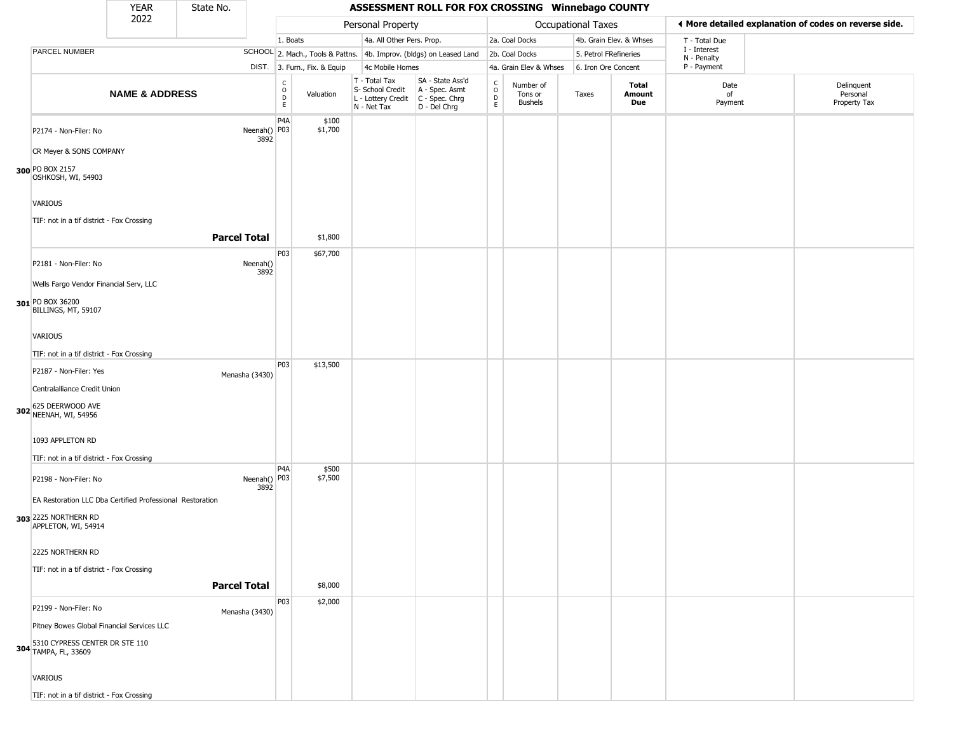|                                                                                    | <b>YEAR</b>               | State No.           |                      |                   |                              |                                                                        | ASSESSMENT ROLL FOR FOX CROSSING Winnebago COUNTY                    |                                   |                                        |                           |                         |                             |                                                       |
|------------------------------------------------------------------------------------|---------------------------|---------------------|----------------------|-------------------|------------------------------|------------------------------------------------------------------------|----------------------------------------------------------------------|-----------------------------------|----------------------------------------|---------------------------|-------------------------|-----------------------------|-------------------------------------------------------|
|                                                                                    | 2022                      |                     |                      |                   |                              | Personal Property                                                      |                                                                      |                                   |                                        | <b>Occupational Taxes</b> |                         |                             | 4 More detailed explanation of codes on reverse side. |
|                                                                                    |                           |                     |                      | 1. Boats          |                              | 4a. All Other Pers. Prop.                                              |                                                                      |                                   | 2a. Coal Docks                         |                           | 4b. Grain Elev. & Whses | T - Total Due               |                                                       |
| PARCEL NUMBER                                                                      |                           |                     |                      |                   |                              |                                                                        | SCHOOL 2. Mach., Tools & Pattns. 4b. Improv. (bldgs) on Leased Land  |                                   | 2b. Coal Docks                         | 5. Petrol FRefineries     |                         | I - Interest<br>N - Penalty |                                                       |
|                                                                                    |                           |                     |                      |                   | DIST. 3. Furn., Fix. & Equip | 4c Mobile Homes                                                        |                                                                      |                                   | 4a. Grain Elev & Whses                 | 6. Iron Ore Concent       |                         | P - Payment                 |                                                       |
|                                                                                    | <b>NAME &amp; ADDRESS</b> |                     |                      | C<br>O<br>D<br>E. | Valuation                    | T - Total Tax<br>S- School Credit<br>L - Lottery Credit<br>N - Net Tax | SA - State Ass'd<br>A - Spec. Asmt<br>C - Spec. Chrg<br>D - Del Chrg | $\mathsf{C}$<br>$\circ$<br>D<br>E | Number of<br>Tons or<br><b>Bushels</b> | Taxes                     | Total<br>Amount<br>Due  | Date<br>of<br>Payment       | Delinquent<br>Personal<br>Property Tax                |
| P2174 - Non-Filer: No<br>CR Meyer & SONS COMPANY                                   |                           |                     | Neenah() P03<br>3892 | P <sub>4</sub> A  | \$100<br>\$1,700             |                                                                        |                                                                      |                                   |                                        |                           |                         |                             |                                                       |
| 300 PO BOX 2157<br>OSHKOSH, WI, 54903                                              |                           |                     |                      |                   |                              |                                                                        |                                                                      |                                   |                                        |                           |                         |                             |                                                       |
| VARIOUS                                                                            |                           |                     |                      |                   |                              |                                                                        |                                                                      |                                   |                                        |                           |                         |                             |                                                       |
| TIF: not in a tif district - Fox Crossing                                          |                           |                     |                      |                   |                              |                                                                        |                                                                      |                                   |                                        |                           |                         |                             |                                                       |
|                                                                                    |                           | <b>Parcel Total</b> |                      |                   | \$1,800                      |                                                                        |                                                                      |                                   |                                        |                           |                         |                             |                                                       |
| P2181 - Non-Filer: No                                                              |                           |                     | Neenah()<br>3892     | P03               | \$67,700                     |                                                                        |                                                                      |                                   |                                        |                           |                         |                             |                                                       |
| Wells Fargo Vendor Financial Serv, LLC                                             |                           |                     |                      |                   |                              |                                                                        |                                                                      |                                   |                                        |                           |                         |                             |                                                       |
| 301 PO BOX 36200<br>BILLINGS, MT, 59107                                            |                           |                     |                      |                   |                              |                                                                        |                                                                      |                                   |                                        |                           |                         |                             |                                                       |
| VARIOUS                                                                            |                           |                     |                      |                   |                              |                                                                        |                                                                      |                                   |                                        |                           |                         |                             |                                                       |
| TIF: not in a tif district - Fox Crossing                                          |                           |                     |                      |                   |                              |                                                                        |                                                                      |                                   |                                        |                           |                         |                             |                                                       |
| P2187 - Non-Filer: Yes                                                             |                           |                     |                      | P <sub>0</sub> 3  | \$13,500                     |                                                                        |                                                                      |                                   |                                        |                           |                         |                             |                                                       |
| Centralalliance Credit Union                                                       |                           | Menasha (3430)      |                      |                   |                              |                                                                        |                                                                      |                                   |                                        |                           |                         |                             |                                                       |
| 302 625 DEERWOOD AVE<br>NEENAH, WI, 54956                                          |                           |                     |                      |                   |                              |                                                                        |                                                                      |                                   |                                        |                           |                         |                             |                                                       |
| 1093 APPLETON RD<br>TIF: not in a tif district - Fox Crossing                      |                           |                     |                      |                   |                              |                                                                        |                                                                      |                                   |                                        |                           |                         |                             |                                                       |
|                                                                                    |                           |                     |                      | P4A               | \$500                        |                                                                        |                                                                      |                                   |                                        |                           |                         |                             |                                                       |
| P2198 - Non-Filer: No<br>EA Restoration LLC Dba Certified Professional Restoration |                           |                     | Neenah() P03<br>3892 |                   | \$7,500                      |                                                                        |                                                                      |                                   |                                        |                           |                         |                             |                                                       |
| 303 2225 NORTHERN RD<br>APPLETON, WI, 54914                                        |                           |                     |                      |                   |                              |                                                                        |                                                                      |                                   |                                        |                           |                         |                             |                                                       |
| 2225 NORTHERN RD                                                                   |                           |                     |                      |                   |                              |                                                                        |                                                                      |                                   |                                        |                           |                         |                             |                                                       |
| TIF: not in a tif district - Fox Crossing                                          |                           |                     |                      |                   |                              |                                                                        |                                                                      |                                   |                                        |                           |                         |                             |                                                       |
|                                                                                    |                           | <b>Parcel Total</b> |                      |                   | \$8,000                      |                                                                        |                                                                      |                                   |                                        |                           |                         |                             |                                                       |
|                                                                                    |                           |                     |                      | P03               | \$2,000                      |                                                                        |                                                                      |                                   |                                        |                           |                         |                             |                                                       |
| P2199 - Non-Filer: No                                                              |                           | Menasha (3430)      |                      |                   |                              |                                                                        |                                                                      |                                   |                                        |                           |                         |                             |                                                       |
| Pitney Bowes Global Financial Services LLC                                         |                           |                     |                      |                   |                              |                                                                        |                                                                      |                                   |                                        |                           |                         |                             |                                                       |
| 304 5310 CYPRESS CENTER DR STE 110<br>TAMPA, FL, 33609                             |                           |                     |                      |                   |                              |                                                                        |                                                                      |                                   |                                        |                           |                         |                             |                                                       |
| VARIOUS                                                                            |                           |                     |                      |                   |                              |                                                                        |                                                                      |                                   |                                        |                           |                         |                             |                                                       |
| TIF: not in a tif district - Fox Crossing                                          |                           |                     |                      |                   |                              |                                                                        |                                                                      |                                   |                                        |                           |                         |                             |                                                       |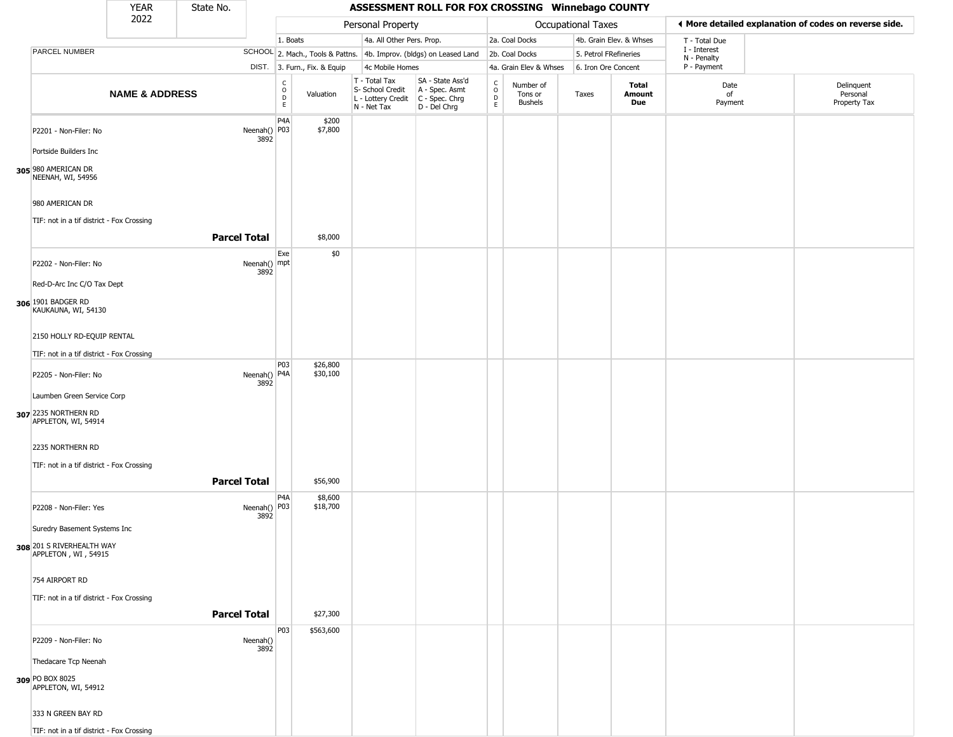|                                                  | YEAR                      | State No.           |                      |                               |                              |                                                                        | ASSESSMENT ROLL FOR FOX CROSSING Winnebago COUNTY                    |                                                |                                        |                       |                         |                             |                                                       |
|--------------------------------------------------|---------------------------|---------------------|----------------------|-------------------------------|------------------------------|------------------------------------------------------------------------|----------------------------------------------------------------------|------------------------------------------------|----------------------------------------|-----------------------|-------------------------|-----------------------------|-------------------------------------------------------|
|                                                  | 2022                      |                     |                      |                               |                              | Personal Property                                                      |                                                                      |                                                |                                        | Occupational Taxes    |                         |                             | ◀ More detailed explanation of codes on reverse side. |
|                                                  |                           |                     |                      | 1. Boats                      |                              | 4a. All Other Pers. Prop.                                              |                                                                      |                                                | 2a. Coal Docks                         |                       | 4b. Grain Elev. & Whses | T - Total Due               |                                                       |
| PARCEL NUMBER                                    |                           |                     |                      |                               |                              |                                                                        | SCHOOL 2. Mach., Tools & Pattns. 4b. Improv. (bldgs) on Leased Land  |                                                | 2b. Coal Docks                         | 5. Petrol FRefineries |                         | I - Interest<br>N - Penalty |                                                       |
|                                                  |                           |                     |                      |                               | DIST. 3. Furn., Fix. & Equip | 4c Mobile Homes                                                        |                                                                      |                                                | 4a. Grain Elev & Whses                 | 6. Iron Ore Concent   |                         | P - Payment                 |                                                       |
|                                                  | <b>NAME &amp; ADDRESS</b> |                     |                      | c<br>$\circ$<br>$\frac{D}{E}$ | Valuation                    | T - Total Tax<br>S- School Credit<br>L - Lottery Credit<br>N - Net Tax | SA - State Ass'd<br>A - Spec. Asmt<br>C - Spec. Chrg<br>D - Del Chrg | $\begin{matrix} 0 \\ 0 \\ D \end{matrix}$<br>E | Number of<br>Tons or<br><b>Bushels</b> | Taxes                 | Total<br>Amount<br>Due  | Date<br>of<br>Payment       | Delinquent<br>Personal<br>Property Tax                |
| P2201 - Non-Filer: No                            |                           |                     | Neenah() P03<br>3892 | P <sub>4</sub> A              | \$200<br>\$7,800             |                                                                        |                                                                      |                                                |                                        |                       |                         |                             |                                                       |
| Portside Builders Inc                            |                           |                     |                      |                               |                              |                                                                        |                                                                      |                                                |                                        |                       |                         |                             |                                                       |
| 305 980 AMERICAN DR<br>NEENAH, WI, 54956         |                           |                     |                      |                               |                              |                                                                        |                                                                      |                                                |                                        |                       |                         |                             |                                                       |
| 980 AMERICAN DR                                  |                           |                     |                      |                               |                              |                                                                        |                                                                      |                                                |                                        |                       |                         |                             |                                                       |
| TIF: not in a tif district - Fox Crossing        |                           | <b>Parcel Total</b> |                      |                               | \$8,000                      |                                                                        |                                                                      |                                                |                                        |                       |                         |                             |                                                       |
|                                                  |                           |                     |                      | Exe                           | \$0                          |                                                                        |                                                                      |                                                |                                        |                       |                         |                             |                                                       |
| P2202 - Non-Filer: No                            |                           |                     | Neenah() mpt<br>3892 |                               |                              |                                                                        |                                                                      |                                                |                                        |                       |                         |                             |                                                       |
| Red-D-Arc Inc C/O Tax Dept                       |                           |                     |                      |                               |                              |                                                                        |                                                                      |                                                |                                        |                       |                         |                             |                                                       |
| 306 1901 BADGER RD<br>KAUKAUNA, WI, 54130        |                           |                     |                      |                               |                              |                                                                        |                                                                      |                                                |                                        |                       |                         |                             |                                                       |
| 2150 HOLLY RD-EQUIP RENTAL                       |                           |                     |                      |                               |                              |                                                                        |                                                                      |                                                |                                        |                       |                         |                             |                                                       |
| TIF: not in a tif district - Fox Crossing        |                           |                     |                      |                               |                              |                                                                        |                                                                      |                                                |                                        |                       |                         |                             |                                                       |
| P2205 - Non-Filer: No                            |                           |                     | Neenah() P4A<br>3892 | P03                           | \$26,800<br>\$30,100         |                                                                        |                                                                      |                                                |                                        |                       |                         |                             |                                                       |
| Laumben Green Service Corp                       |                           |                     |                      |                               |                              |                                                                        |                                                                      |                                                |                                        |                       |                         |                             |                                                       |
| 307 2235 NORTHERN RD<br>APPLETON, WI, 54914      |                           |                     |                      |                               |                              |                                                                        |                                                                      |                                                |                                        |                       |                         |                             |                                                       |
| 2235 NORTHERN RD                                 |                           |                     |                      |                               |                              |                                                                        |                                                                      |                                                |                                        |                       |                         |                             |                                                       |
| TIF: not in a tif district - Fox Crossing        |                           |                     |                      |                               |                              |                                                                        |                                                                      |                                                |                                        |                       |                         |                             |                                                       |
|                                                  |                           | <b>Parcel Total</b> |                      |                               | \$56,900                     |                                                                        |                                                                      |                                                |                                        |                       |                         |                             |                                                       |
| P2208 - Non-Filer: Yes                           |                           |                     | Neenah() P03<br>3892 | P4A                           | \$8,600<br>\$18,700          |                                                                        |                                                                      |                                                |                                        |                       |                         |                             |                                                       |
| Suredry Basement Systems Inc                     |                           |                     |                      |                               |                              |                                                                        |                                                                      |                                                |                                        |                       |                         |                             |                                                       |
| 308 201 S RIVERHEALTH WAY<br>APPLETON, WI, 54915 |                           |                     |                      |                               |                              |                                                                        |                                                                      |                                                |                                        |                       |                         |                             |                                                       |
| 754 AIRPORT RD                                   |                           |                     |                      |                               |                              |                                                                        |                                                                      |                                                |                                        |                       |                         |                             |                                                       |
| TIF: not in a tif district - Fox Crossing        |                           |                     |                      |                               |                              |                                                                        |                                                                      |                                                |                                        |                       |                         |                             |                                                       |
|                                                  |                           | <b>Parcel Total</b> |                      |                               | \$27,300                     |                                                                        |                                                                      |                                                |                                        |                       |                         |                             |                                                       |
| P2209 - Non-Filer: No                            |                           |                     | Neenah()<br>3892     | P03                           | \$563,600                    |                                                                        |                                                                      |                                                |                                        |                       |                         |                             |                                                       |
| Thedacare Tcp Neenah                             |                           |                     |                      |                               |                              |                                                                        |                                                                      |                                                |                                        |                       |                         |                             |                                                       |
| 309 PO BOX 8025<br>APPLETON, WI, 54912           |                           |                     |                      |                               |                              |                                                                        |                                                                      |                                                |                                        |                       |                         |                             |                                                       |
| 333 N GREEN BAY RD                               |                           |                     |                      |                               |                              |                                                                        |                                                                      |                                                |                                        |                       |                         |                             |                                                       |
| TIF: not in a tif district - Fox Crossing        |                           |                     |                      |                               |                              |                                                                        |                                                                      |                                                |                                        |                       |                         |                             |                                                       |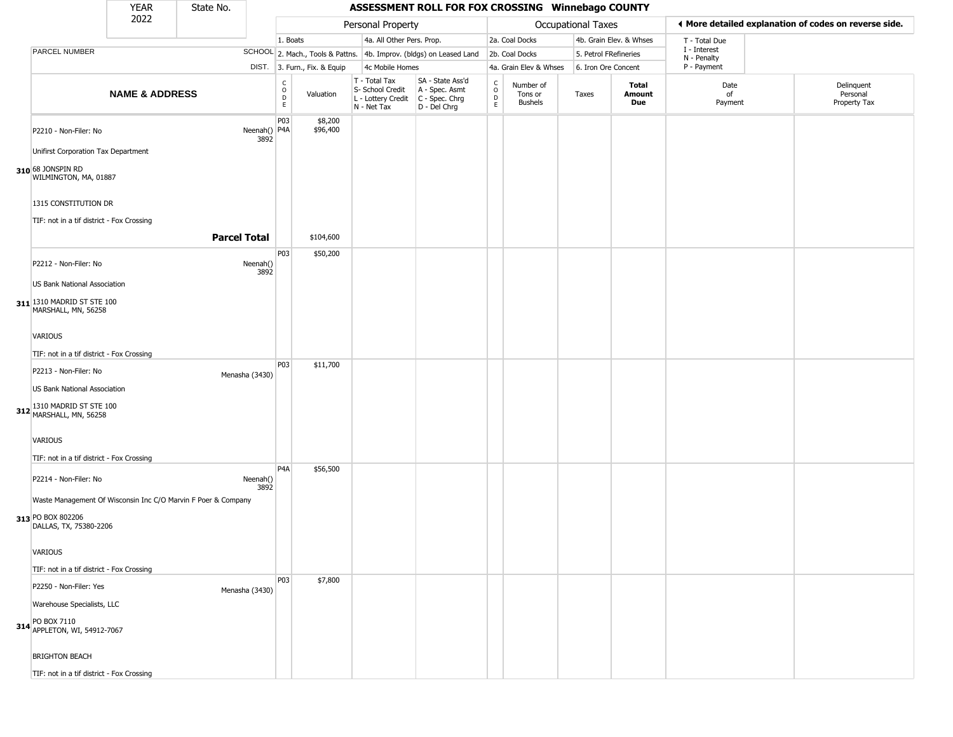|                                                                                                                                       | <b>YEAR</b>               | State No.           |                        |                                        |                              |                                                                        | ASSESSMENT ROLL FOR FOX CROSSING Winnebago COUNTY                    |                                                  |                                        |                           |                         |                             |                                                       |
|---------------------------------------------------------------------------------------------------------------------------------------|---------------------------|---------------------|------------------------|----------------------------------------|------------------------------|------------------------------------------------------------------------|----------------------------------------------------------------------|--------------------------------------------------|----------------------------------------|---------------------------|-------------------------|-----------------------------|-------------------------------------------------------|
|                                                                                                                                       | 2022                      |                     |                        |                                        |                              | Personal Property                                                      |                                                                      |                                                  |                                        | <b>Occupational Taxes</b> |                         |                             | ♦ More detailed explanation of codes on reverse side. |
|                                                                                                                                       |                           |                     |                        | 1. Boats                               |                              | 4a. All Other Pers. Prop.                                              |                                                                      |                                                  | 2a. Coal Docks                         |                           | 4b. Grain Elev. & Whses | T - Total Due               |                                                       |
| PARCEL NUMBER                                                                                                                         |                           |                     |                        |                                        |                              |                                                                        | SCHOOL 2. Mach., Tools & Pattns. 4b. Improv. (bldgs) on Leased Land  |                                                  | 2b. Coal Docks                         | 5. Petrol FRefineries     |                         | I - Interest<br>N - Penalty |                                                       |
|                                                                                                                                       |                           |                     |                        |                                        | DIST. 3. Furn., Fix. & Equip | 4c Mobile Homes                                                        |                                                                      |                                                  | 4a. Grain Elev & Whses                 | 6. Iron Ore Concent       |                         | P - Payment                 |                                                       |
|                                                                                                                                       | <b>NAME &amp; ADDRESS</b> |                     |                        | $_{\rm o}^{\rm c}$<br>D<br>$\mathsf E$ | Valuation                    | T - Total Tax<br>S- School Credit<br>L - Lottery Credit<br>N - Net Tax | SA - State Ass'd<br>A - Spec. Asmt<br>C - Spec. Chrg<br>D - Del Chrg | $_{\rm o}^{\rm c}$<br>$\mathsf D$<br>$\mathsf E$ | Number of<br>Tons or<br><b>Bushels</b> | Taxes                     | Total<br>Amount<br>Due  | Date<br>of<br>Payment       | Delinquent<br>Personal<br>Property Tax                |
| P2210 - Non-Filer: No<br>Unifirst Corporation Tax Department<br>310 68 JONSPIN RD<br>WILMINGTON, MA, 01887                            |                           |                     | Neenah()   P4A<br>3892 | P03                                    | \$8,200<br>\$96,400          |                                                                        |                                                                      |                                                  |                                        |                           |                         |                             |                                                       |
| 1315 CONSTITUTION DR<br>TIF: not in a tif district - Fox Crossing                                                                     |                           | <b>Parcel Total</b> |                        |                                        | \$104,600                    |                                                                        |                                                                      |                                                  |                                        |                           |                         |                             |                                                       |
|                                                                                                                                       |                           |                     |                        |                                        |                              |                                                                        |                                                                      |                                                  |                                        |                           |                         |                             |                                                       |
| P2212 - Non-Filer: No<br>US Bank National Association                                                                                 |                           |                     | Neenah()<br>3892       | P03                                    | \$50,200                     |                                                                        |                                                                      |                                                  |                                        |                           |                         |                             |                                                       |
| 311 1310 MADRID ST STE 100<br>MARSHALL, MN, 56258<br><b>VARIOUS</b>                                                                   |                           |                     |                        |                                        |                              |                                                                        |                                                                      |                                                  |                                        |                           |                         |                             |                                                       |
|                                                                                                                                       |                           |                     |                        |                                        |                              |                                                                        |                                                                      |                                                  |                                        |                           |                         |                             |                                                       |
| TIF: not in a tif district - Fox Crossing                                                                                             |                           |                     |                        |                                        |                              |                                                                        |                                                                      |                                                  |                                        |                           |                         |                             |                                                       |
| P2213 - Non-Filer: No<br>US Bank National Association<br>312 1310 MADRID ST STE 100<br>MARSHALL, MN, 56258                            |                           |                     | Menasha (3430)         | P03                                    | \$11,700                     |                                                                        |                                                                      |                                                  |                                        |                           |                         |                             |                                                       |
| VARIOUS<br>TIF: not in a tif district - Fox Crossing                                                                                  |                           |                     |                        |                                        |                              |                                                                        |                                                                      |                                                  |                                        |                           |                         |                             |                                                       |
| P2214 - Non-Filer: No<br>Waste Management Of Wisconsin Inc C/O Marvin F Poer & Company<br>313 PO BOX 802206<br>DALLAS, TX, 75380-2206 |                           |                     | Neenah()<br>3892       | P4A                                    | \$56,500                     |                                                                        |                                                                      |                                                  |                                        |                           |                         |                             |                                                       |
| VARIOUS<br>TIF: not in a tif district - Fox Crossing                                                                                  |                           |                     |                        |                                        |                              |                                                                        |                                                                      |                                                  |                                        |                           |                         |                             |                                                       |
| P2250 - Non-Filer: Yes<br>Warehouse Specialists, LLC<br>314 PO BOX 7110<br>APPLETON, WI, 54912-7067                                   |                           |                     | Menasha (3430)         | P03                                    | \$7,800                      |                                                                        |                                                                      |                                                  |                                        |                           |                         |                             |                                                       |
| <b>BRIGHTON BEACH</b><br>TIF: not in a tif district - Fox Crossing                                                                    |                           |                     |                        |                                        |                              |                                                                        |                                                                      |                                                  |                                        |                           |                         |                             |                                                       |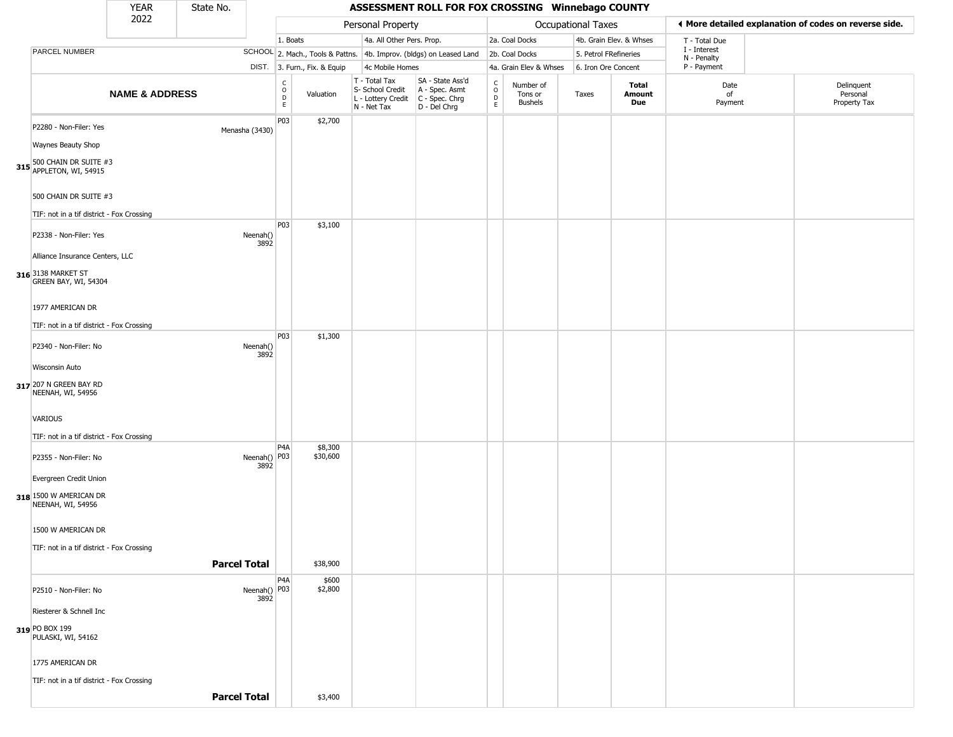|                                                                                                                    | YEAR                      | State No.           |                      |                                                   |                              |                                                                        | ASSESSMENT ROLL FOR FOX CROSSING Winnebago COUNTY                    |                                     |                                        |                       |                               |                             |                                                       |
|--------------------------------------------------------------------------------------------------------------------|---------------------------|---------------------|----------------------|---------------------------------------------------|------------------------------|------------------------------------------------------------------------|----------------------------------------------------------------------|-------------------------------------|----------------------------------------|-----------------------|-------------------------------|-----------------------------|-------------------------------------------------------|
|                                                                                                                    | 2022                      |                     |                      |                                                   |                              | Personal Property                                                      |                                                                      |                                     |                                        | Occupational Taxes    |                               |                             | ◀ More detailed explanation of codes on reverse side. |
|                                                                                                                    |                           |                     |                      | 1. Boats                                          |                              | 4a. All Other Pers. Prop.                                              |                                                                      |                                     | 2a. Coal Docks                         |                       | 4b. Grain Elev. & Whses       | T - Total Due               |                                                       |
| PARCEL NUMBER                                                                                                      |                           |                     |                      |                                                   |                              |                                                                        | SCHOOL 2. Mach., Tools & Pattns. 4b. Improv. (bldgs) on Leased Land  |                                     | 2b. Coal Docks                         | 5. Petrol FRefineries |                               | I - Interest<br>N - Penalty |                                                       |
|                                                                                                                    |                           |                     |                      |                                                   | DIST. 3. Furn., Fix. & Equip | 4c Mobile Homes                                                        |                                                                      |                                     | 4a. Grain Elev & Whses                 | 6. Iron Ore Concent   |                               | P - Payment                 |                                                       |
|                                                                                                                    | <b>NAME &amp; ADDRESS</b> |                     |                      | $\begin{array}{c}\nC \\ O \\ D \\ E\n\end{array}$ | Valuation                    | T - Total Tax<br>S- School Credit<br>L - Lottery Credit<br>N - Net Tax | SA - State Ass'd<br>A - Spec. Asmt<br>C - Spec. Chrg<br>D - Del Chrg | $\int_{0}^{c}$<br>$\mathsf{D}$<br>E | Number of<br>Tons or<br><b>Bushels</b> | Taxes                 | Total<br><b>Amount</b><br>Due | Date<br>of<br>Payment       | Delinquent<br>Personal<br>Property Tax                |
| P2280 - Non-Filer: Yes<br>Waynes Beauty Shop<br><b>315</b> 500 CHAIN DR SUITE #3<br><b>315</b> APPLETON, WI, 54915 |                           | Menasha (3430)      |                      | P03                                               | \$2,700                      |                                                                        |                                                                      |                                     |                                        |                       |                               |                             |                                                       |
| 500 CHAIN DR SUITE #3<br>TIF: not in a tif district - Fox Crossing                                                 |                           |                     |                      | P03                                               | \$3,100                      |                                                                        |                                                                      |                                     |                                        |                       |                               |                             |                                                       |
| P2338 - Non-Filer: Yes<br>Alliance Insurance Centers, LLC<br>316 3138 MARKET ST                                    |                           |                     | Neenah()<br>3892     |                                                   |                              |                                                                        |                                                                      |                                     |                                        |                       |                               |                             |                                                       |
| GREEN BAY, WI, 54304<br>1977 AMERICAN DR<br>TIF: not in a tif district - Fox Crossing                              |                           |                     |                      |                                                   |                              |                                                                        |                                                                      |                                     |                                        |                       |                               |                             |                                                       |
| P2340 - Non-Filer: No<br>Wisconsin Auto                                                                            |                           |                     | Neenah()<br>3892     | P03                                               | \$1,300                      |                                                                        |                                                                      |                                     |                                        |                       |                               |                             |                                                       |
| 317 207 N GREEN BAY RD<br>NEENAH, WI, 54956<br>VARIOUS<br>TIF: not in a tif district - Fox Crossing                |                           |                     |                      |                                                   |                              |                                                                        |                                                                      |                                     |                                        |                       |                               |                             |                                                       |
| P2355 - Non-Filer: No<br>Evergreen Credit Union<br>318 1500 W AMERICAN DR                                          |                           |                     | Neenah() P03<br>3892 | P4A                                               | \$8,300<br>\$30,600          |                                                                        |                                                                      |                                     |                                        |                       |                               |                             |                                                       |
| NEENAH, WI, 54956<br>1500 W AMERICAN DR<br>TIF: not in a tif district - Fox Crossing                               |                           |                     |                      |                                                   |                              |                                                                        |                                                                      |                                     |                                        |                       |                               |                             |                                                       |
|                                                                                                                    |                           | <b>Parcel Total</b> |                      |                                                   | \$38,900                     |                                                                        |                                                                      |                                     |                                        |                       |                               |                             |                                                       |
| P2510 - Non-Filer: No<br>Riesterer & Schnell Inc                                                                   |                           |                     | Neenah() P03<br>3892 | P4A                                               | \$600<br>\$2,800             |                                                                        |                                                                      |                                     |                                        |                       |                               |                             |                                                       |
| 319 PO BOX 199<br>PULASKI, WI, 54162                                                                               |                           |                     |                      |                                                   |                              |                                                                        |                                                                      |                                     |                                        |                       |                               |                             |                                                       |
| 1775 AMERICAN DR                                                                                                   |                           |                     |                      |                                                   |                              |                                                                        |                                                                      |                                     |                                        |                       |                               |                             |                                                       |
| TIF: not in a tif district - Fox Crossing                                                                          |                           | <b>Parcel Total</b> |                      |                                                   | \$3,400                      |                                                                        |                                                                      |                                     |                                        |                       |                               |                             |                                                       |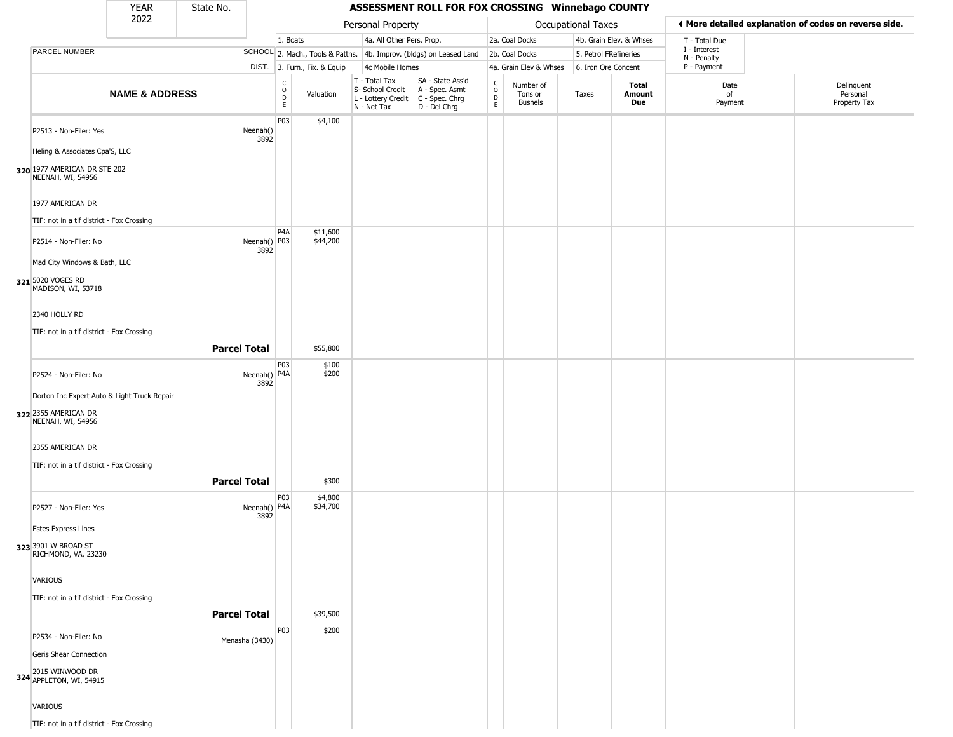|                                                   | YEAR                      | State No.           |                                       |                              |                                                                                       | ASSESSMENT ROLL FOR FOX CROSSING Winnebago COUNTY                   |                                   |                                        |                           |                         |                             |                                                       |
|---------------------------------------------------|---------------------------|---------------------|---------------------------------------|------------------------------|---------------------------------------------------------------------------------------|---------------------------------------------------------------------|-----------------------------------|----------------------------------------|---------------------------|-------------------------|-----------------------------|-------------------------------------------------------|
|                                                   | 2022                      |                     |                                       |                              | Personal Property                                                                     |                                                                     |                                   |                                        | <b>Occupational Taxes</b> |                         |                             | ◀ More detailed explanation of codes on reverse side. |
|                                                   |                           |                     | 1. Boats                              |                              | 4a. All Other Pers. Prop.                                                             |                                                                     |                                   | 2a. Coal Docks                         |                           | 4b. Grain Elev. & Whses | T - Total Due               |                                                       |
| PARCEL NUMBER                                     |                           |                     |                                       |                              |                                                                                       | SCHOOL 2. Mach., Tools & Pattns. 4b. Improv. (bldgs) on Leased Land |                                   | 2b. Coal Docks                         | 5. Petrol FRefineries     |                         | I - Interest<br>N - Penalty |                                                       |
|                                                   |                           |                     |                                       | DIST. 3. Furn., Fix. & Equip | 4c Mobile Homes                                                                       |                                                                     |                                   | 4a. Grain Elev & Whses                 | 6. Iron Ore Concent       |                         | P - Payment                 |                                                       |
|                                                   | <b>NAME &amp; ADDRESS</b> |                     | C<br>$\mathsf{o}$<br>$\mathsf D$<br>E | Valuation                    | T - Total Tax<br>S- School Credit<br>L - Lottery Credit C - Spec. Chrg<br>N - Net Tax | SA - State Ass'd<br>A - Spec. Asmt<br>D - Del Chrg                  | $\rm_{o}^{c}$<br>$\mathsf D$<br>E | Number of<br>Tons or<br><b>Bushels</b> | Taxes                     | Total<br>Amount<br>Due  | Date<br>of<br>Payment       | Delinquent<br>Personal<br>Property Tax                |
| P2513 - Non-Filer: Yes                            |                           | Neenah()<br>3892    | P03                                   | \$4,100                      |                                                                                       |                                                                     |                                   |                                        |                           |                         |                             |                                                       |
| Heling & Associates Cpa'S, LLC                    |                           |                     |                                       |                              |                                                                                       |                                                                     |                                   |                                        |                           |                         |                             |                                                       |
| 320 1977 AMERICAN DR STE 202<br>NEENAH, WI, 54956 |                           |                     |                                       |                              |                                                                                       |                                                                     |                                   |                                        |                           |                         |                             |                                                       |
| 1977 AMERICAN DR                                  |                           |                     |                                       |                              |                                                                                       |                                                                     |                                   |                                        |                           |                         |                             |                                                       |
| TIF: not in a tif district - Fox Crossing         |                           |                     |                                       |                              |                                                                                       |                                                                     |                                   |                                        |                           |                         |                             |                                                       |
| P2514 - Non-Filer: No                             |                           | 3892                | P <sub>4</sub> A<br>Neenah() P03      | \$11,600<br>\$44,200         |                                                                                       |                                                                     |                                   |                                        |                           |                         |                             |                                                       |
| Mad City Windows & Bath, LLC                      |                           |                     |                                       |                              |                                                                                       |                                                                     |                                   |                                        |                           |                         |                             |                                                       |
| 321 5020 VOGES RD<br>MADISON, WI, 53718           |                           |                     |                                       |                              |                                                                                       |                                                                     |                                   |                                        |                           |                         |                             |                                                       |
| 2340 HOLLY RD                                     |                           |                     |                                       |                              |                                                                                       |                                                                     |                                   |                                        |                           |                         |                             |                                                       |
| TIF: not in a tif district - Fox Crossing         |                           |                     |                                       |                              |                                                                                       |                                                                     |                                   |                                        |                           |                         |                             |                                                       |
|                                                   |                           | <b>Parcel Total</b> |                                       | \$55,800                     |                                                                                       |                                                                     |                                   |                                        |                           |                         |                             |                                                       |
|                                                   |                           |                     | P03                                   | \$100                        |                                                                                       |                                                                     |                                   |                                        |                           |                         |                             |                                                       |
| P2524 - Non-Filer: No                             |                           | 3892                | Neenah() P4A                          | \$200                        |                                                                                       |                                                                     |                                   |                                        |                           |                         |                             |                                                       |
| Dorton Inc Expert Auto & Light Truck Repair       |                           |                     |                                       |                              |                                                                                       |                                                                     |                                   |                                        |                           |                         |                             |                                                       |
| 322 2355 AMERICAN DR<br>NEENAH, WI, 54956         |                           |                     |                                       |                              |                                                                                       |                                                                     |                                   |                                        |                           |                         |                             |                                                       |
| 2355 AMERICAN DR                                  |                           |                     |                                       |                              |                                                                                       |                                                                     |                                   |                                        |                           |                         |                             |                                                       |
| TIF: not in a tif district - Fox Crossing         |                           |                     |                                       |                              |                                                                                       |                                                                     |                                   |                                        |                           |                         |                             |                                                       |
|                                                   |                           | <b>Parcel Total</b> |                                       | \$300                        |                                                                                       |                                                                     |                                   |                                        |                           |                         |                             |                                                       |
| P2527 - Non-Filer: Yes                            |                           | 3892                | P03<br>Neenah() P4A                   | \$4,800<br>\$34,700          |                                                                                       |                                                                     |                                   |                                        |                           |                         |                             |                                                       |
| <b>Estes Express Lines</b>                        |                           |                     |                                       |                              |                                                                                       |                                                                     |                                   |                                        |                           |                         |                             |                                                       |
| 323 3901 W BROAD ST<br>RICHMOND, VA, 23230        |                           |                     |                                       |                              |                                                                                       |                                                                     |                                   |                                        |                           |                         |                             |                                                       |
| VARIOUS                                           |                           |                     |                                       |                              |                                                                                       |                                                                     |                                   |                                        |                           |                         |                             |                                                       |
| TIF: not in a tif district - Fox Crossing         |                           |                     |                                       |                              |                                                                                       |                                                                     |                                   |                                        |                           |                         |                             |                                                       |
|                                                   |                           | <b>Parcel Total</b> |                                       | \$39,500                     |                                                                                       |                                                                     |                                   |                                        |                           |                         |                             |                                                       |
| P2534 - Non-Filer: No                             |                           | Menasha (3430)      | P03                                   | \$200                        |                                                                                       |                                                                     |                                   |                                        |                           |                         |                             |                                                       |
| Geris Shear Connection                            |                           |                     |                                       |                              |                                                                                       |                                                                     |                                   |                                        |                           |                         |                             |                                                       |
| 324 2015 WINWOOD DR<br>324 APPLETON, WI, 54915    |                           |                     |                                       |                              |                                                                                       |                                                                     |                                   |                                        |                           |                         |                             |                                                       |
| VARIOUS                                           |                           |                     |                                       |                              |                                                                                       |                                                                     |                                   |                                        |                           |                         |                             |                                                       |
| TIF: not in a tif district - Fox Crossing         |                           |                     |                                       |                              |                                                                                       |                                                                     |                                   |                                        |                           |                         |                             |                                                       |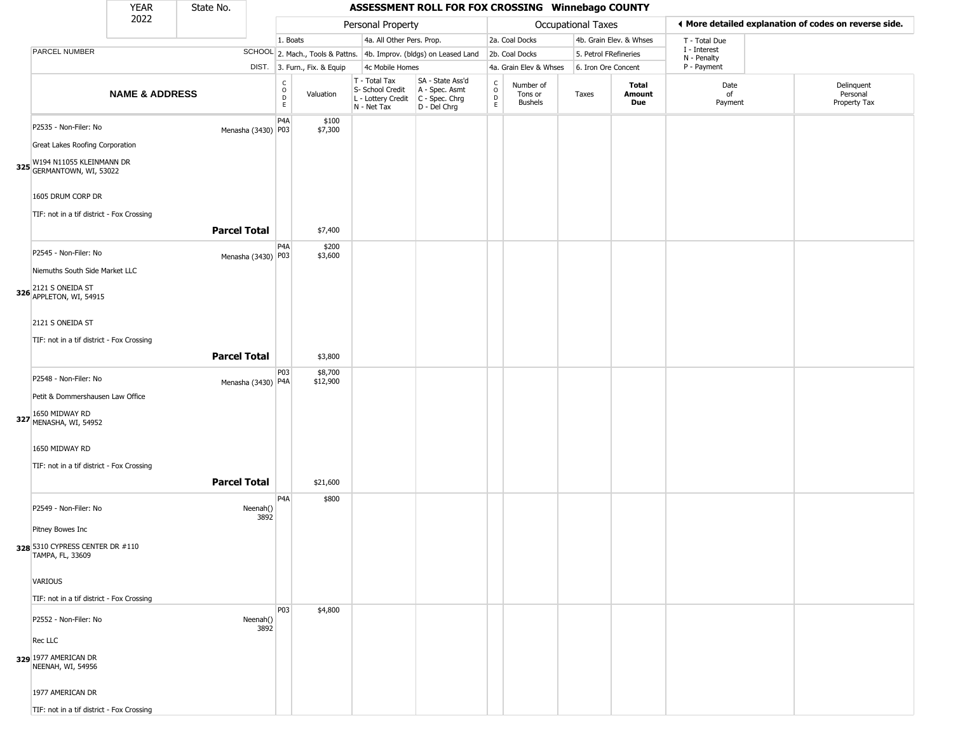|                                                                                                                                                                             | YEAR                      | State No.           |                    |                        |                              |                                                                        | ASSESSMENT ROLL FOR FOX CROSSING Winnebago COUNTY                    |                                                 |                                        |                       |                               |                             |                                                       |
|-----------------------------------------------------------------------------------------------------------------------------------------------------------------------------|---------------------------|---------------------|--------------------|------------------------|------------------------------|------------------------------------------------------------------------|----------------------------------------------------------------------|-------------------------------------------------|----------------------------------------|-----------------------|-------------------------------|-----------------------------|-------------------------------------------------------|
|                                                                                                                                                                             | 2022                      |                     |                    |                        |                              | Personal Property                                                      |                                                                      |                                                 |                                        | Occupational Taxes    |                               |                             | ♦ More detailed explanation of codes on reverse side. |
|                                                                                                                                                                             |                           |                     |                    | 1. Boats               |                              | 4a. All Other Pers. Prop.                                              |                                                                      |                                                 | 2a. Coal Docks                         |                       | 4b. Grain Elev. & Whses       | T - Total Due               |                                                       |
| PARCEL NUMBER                                                                                                                                                               |                           |                     |                    |                        |                              |                                                                        | SCHOOL 2. Mach., Tools & Pattns. 4b. Improv. (bldgs) on Leased Land  |                                                 | 2b. Coal Docks                         | 5. Petrol FRefineries |                               | I - Interest<br>N - Penalty |                                                       |
|                                                                                                                                                                             |                           |                     |                    |                        | DIST. 3. Furn., Fix. & Equip | 4c Mobile Homes                                                        |                                                                      |                                                 | 4a. Grain Elev & Whses                 | 6. Iron Ore Concent   |                               | P - Payment                 |                                                       |
|                                                                                                                                                                             | <b>NAME &amp; ADDRESS</b> |                     |                    | C<br>$\circ$<br>D<br>E | Valuation                    | T - Total Tax<br>S- School Credit<br>L - Lottery Credit<br>N - Net Tax | SA - State Ass'd<br>A - Spec. Asmt<br>C - Spec. Chrg<br>D - Del Chrg | $\begin{array}{c} C \\ O \\ D \\ E \end{array}$ | Number of<br>Tons or<br><b>Bushels</b> | Taxes                 | <b>Total</b><br>Amount<br>Due | Date<br>of<br>Payment       | Delinquent<br>Personal<br>Property Tax                |
| P2535 - Non-Filer: No<br>Great Lakes Roofing Corporation<br>325 W194 N11055 KLEINMANN DR<br>GERMANTOWN, WI, 53022                                                           |                           |                     | Menasha (3430) P03 | P <sub>4</sub> A       | \$100<br>\$7,300             |                                                                        |                                                                      |                                                 |                                        |                       |                               |                             |                                                       |
| 1605 DRUM CORP DR<br>TIF: not in a tif district - Fox Crossing                                                                                                              |                           | <b>Parcel Total</b> |                    |                        | \$7,400                      |                                                                        |                                                                      |                                                 |                                        |                       |                               |                             |                                                       |
| P2545 - Non-Filer: No<br>Niemuths South Side Market LLC<br>326 2121 S ONEIDA ST<br>326 APPLETON, WI, 54915<br>2121 S ONEIDA ST<br>TIF: not in a tif district - Fox Crossing |                           |                     | Menasha (3430) P03 | P <sub>4</sub> A       | \$200<br>\$3,600             |                                                                        |                                                                      |                                                 |                                        |                       |                               |                             |                                                       |
|                                                                                                                                                                             |                           | <b>Parcel Total</b> |                    |                        | \$3,800                      |                                                                        |                                                                      |                                                 |                                        |                       |                               |                             |                                                       |
| P2548 - Non-Filer: No<br>Petit & Dommershausen Law Office<br>327 1650 MIDWAY RD<br>MENASHA, WI, 54952<br>1650 MIDWAY RD                                                     |                           |                     | Menasha (3430) P4A | P03                    | \$8,700<br>\$12,900          |                                                                        |                                                                      |                                                 |                                        |                       |                               |                             |                                                       |
| TIF: not in a tif district - Fox Crossing                                                                                                                                   |                           | <b>Parcel Total</b> |                    |                        | \$21,600                     |                                                                        |                                                                      |                                                 |                                        |                       |                               |                             |                                                       |
| P2549 - Non-Filer: No<br>Pitney Bowes Inc<br>328 5310 CYPRESS CENTER DR #110<br>TAMPA, FL, 33609<br>VARIOUS                                                                 |                           |                     | Neenah()<br>3892   | P4A                    | \$800                        |                                                                        |                                                                      |                                                 |                                        |                       |                               |                             |                                                       |
| TIF: not in a tif district - Fox Crossing<br>P2552 - Non-Filer: No                                                                                                          |                           |                     | Neenah()<br>3892   | P03                    | \$4,800                      |                                                                        |                                                                      |                                                 |                                        |                       |                               |                             |                                                       |
| Rec LLC<br>329 1977 AMERICAN DR<br>NEENAH, WI, 54956<br>1977 AMERICAN DR                                                                                                    |                           |                     |                    |                        |                              |                                                                        |                                                                      |                                                 |                                        |                       |                               |                             |                                                       |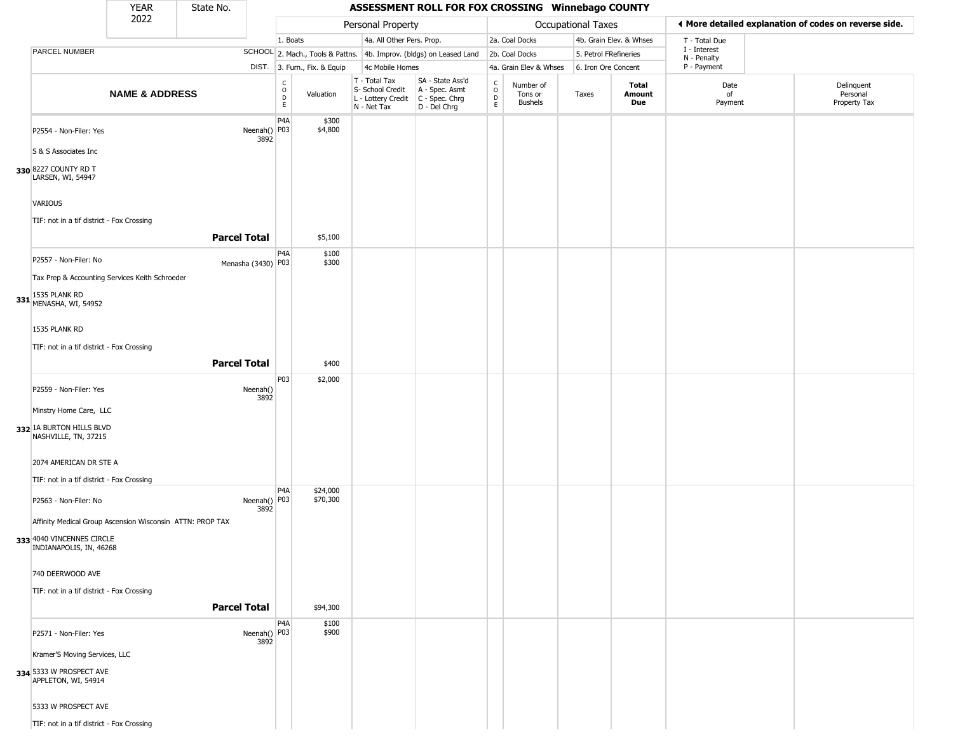|                                                                                                                                                                                                             | <b>YEAR</b>               | State No.           |                      |                              |                              |                                                                        | ASSESSMENT ROLL FOR FOX CROSSING Winnebago COUNTY                    |                                            |                                        |                           |                         |                             |                                                       |
|-------------------------------------------------------------------------------------------------------------------------------------------------------------------------------------------------------------|---------------------------|---------------------|----------------------|------------------------------|------------------------------|------------------------------------------------------------------------|----------------------------------------------------------------------|--------------------------------------------|----------------------------------------|---------------------------|-------------------------|-----------------------------|-------------------------------------------------------|
|                                                                                                                                                                                                             | 2022                      |                     |                      |                              |                              | Personal Property                                                      |                                                                      |                                            |                                        | <b>Occupational Taxes</b> |                         |                             | ◀ More detailed explanation of codes on reverse side. |
|                                                                                                                                                                                                             |                           |                     |                      | 1. Boats                     |                              | 4a. All Other Pers. Prop.                                              |                                                                      |                                            | 2a. Coal Docks                         |                           | 4b. Grain Elev. & Whses | T - Total Due               |                                                       |
| PARCEL NUMBER                                                                                                                                                                                               |                           |                     |                      |                              |                              |                                                                        | SCHOOL 2. Mach., Tools & Pattns. 4b. Improv. (bldgs) on Leased Land  |                                            | 2b. Coal Docks                         | 5. Petrol FRefineries     |                         | I - Interest<br>N - Penalty |                                                       |
|                                                                                                                                                                                                             |                           |                     |                      |                              | DIST. 3. Furn., Fix. & Equip | 4c Mobile Homes                                                        |                                                                      |                                            | 4a. Grain Elev & Whses                 | 6. Iron Ore Concent       |                         | P - Payment                 |                                                       |
|                                                                                                                                                                                                             | <b>NAME &amp; ADDRESS</b> |                     |                      | $_{\rm o}^{\rm c}$<br>D<br>E | Valuation                    | T - Total Tax<br>S- School Credit<br>L - Lottery Credit<br>N - Net Tax | SA - State Ass'd<br>A - Spec. Asmt<br>C - Spec. Chrg<br>D - Del Chrg | $\begin{array}{c} C \\ 0 \\ E \end{array}$ | Number of<br>Tons or<br><b>Bushels</b> | Taxes                     | Total<br>Amount<br>Due  | Date<br>of<br>Payment       | Delinquent<br>Personal<br>Property Tax                |
| P2554 - Non-Filer: Yes<br>S & S Associates Inc<br>330 8227 COUNTY RD T<br>LARSEN, WI, 54947                                                                                                                 |                           |                     | Neenah() P03<br>3892 | P <sub>4</sub> A             | \$300<br>\$4,800             |                                                                        |                                                                      |                                            |                                        |                           |                         |                             |                                                       |
| <b>VARIOUS</b><br>TIF: not in a tif district - Fox Crossing                                                                                                                                                 |                           |                     |                      |                              |                              |                                                                        |                                                                      |                                            |                                        |                           |                         |                             |                                                       |
|                                                                                                                                                                                                             |                           | <b>Parcel Total</b> |                      |                              | \$5,100                      |                                                                        |                                                                      |                                            |                                        |                           |                         |                             |                                                       |
| P2557 - Non-Filer: No<br>Tax Prep & Accounting Services Keith Schroeder<br>331 1535 PLANK RD<br>MENASHA, WI, 54952                                                                                          |                           | Menasha (3430) P03  |                      | P4A                          | \$100<br>\$300               |                                                                        |                                                                      |                                            |                                        |                           |                         |                             |                                                       |
| 1535 PLANK RD<br>TIF: not in a tif district - Fox Crossing                                                                                                                                                  |                           |                     |                      |                              |                              |                                                                        |                                                                      |                                            |                                        |                           |                         |                             |                                                       |
|                                                                                                                                                                                                             |                           | <b>Parcel Total</b> |                      |                              | \$400                        |                                                                        |                                                                      |                                            |                                        |                           |                         |                             |                                                       |
| P2559 - Non-Filer: Yes<br>Minstry Home Care, LLC<br>332 1A BURTON HILLS BLVD<br>NASHVILLE, TN, 37215<br>2074 AMERICAN DR STE A<br>TIF: not in a tif district - Fox Crossing                                 |                           |                     | Neenah()<br>3892     | P03                          | \$2,000                      |                                                                        |                                                                      |                                            |                                        |                           |                         |                             |                                                       |
| P2563 - Non-Filer: No<br>Affinity Medical Group Ascension Wisconsin ATTN: PROP TAX<br>333 4040 VINCENNES CIRCLE<br>INDIANAPOLIS, IN, 46268<br>740 DEERWOOD AVE<br>TIF: not in a tif district - Fox Crossing |                           |                     | Neenah() P03<br>3892 | P <sub>4</sub> A             | \$24,000<br>\$70,300         |                                                                        |                                                                      |                                            |                                        |                           |                         |                             |                                                       |
|                                                                                                                                                                                                             |                           | <b>Parcel Total</b> |                      |                              | \$94,300                     |                                                                        |                                                                      |                                            |                                        |                           |                         |                             |                                                       |
| P2571 - Non-Filer: Yes<br>Kramer'S Moving Services, LLC<br>334 5333 W PROSPECT AVE<br>APPLETON, WI, 54914<br>5333 W PROSPECT AVE<br>TIF: not in a tif district - Fox Crossing                               |                           |                     | Neenah() P03<br>3892 | P4A                          | \$100<br>\$900               |                                                                        |                                                                      |                                            |                                        |                           |                         |                             |                                                       |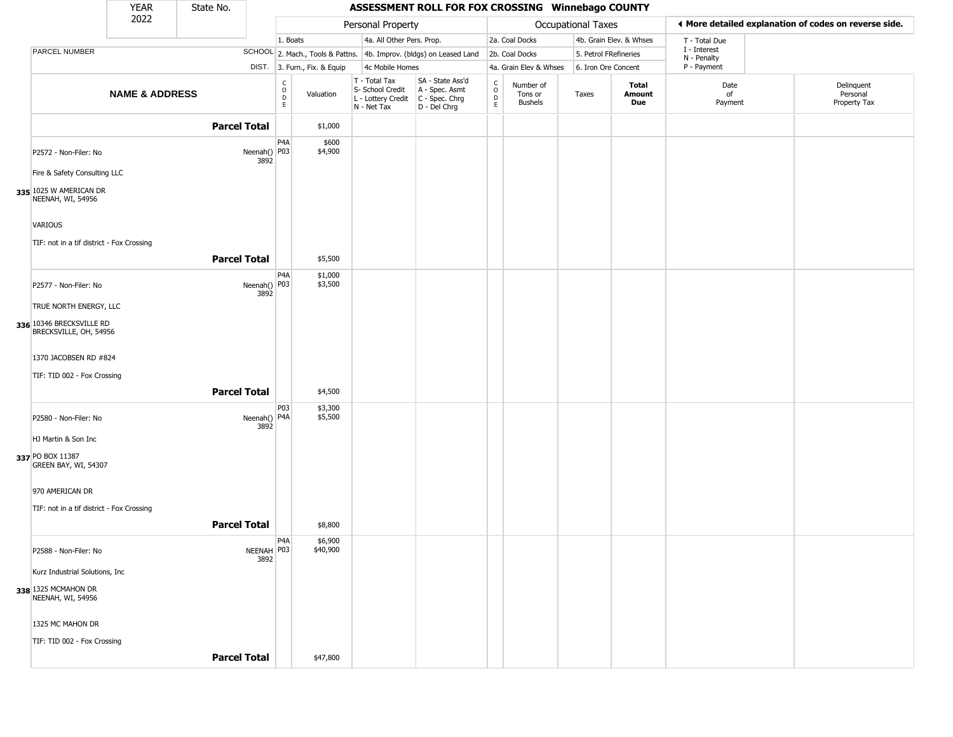|                                                       | <b>YEAR</b>               | State No. |                                                                  |                                                |                              |                                                                        | ASSESSMENT ROLL FOR FOX CROSSING Winnebago COUNTY                    |                                     |                                        |                       |                         |                             |                                                       |
|-------------------------------------------------------|---------------------------|-----------|------------------------------------------------------------------|------------------------------------------------|------------------------------|------------------------------------------------------------------------|----------------------------------------------------------------------|-------------------------------------|----------------------------------------|-----------------------|-------------------------|-----------------------------|-------------------------------------------------------|
|                                                       | 2022                      |           |                                                                  |                                                |                              | Personal Property                                                      |                                                                      |                                     |                                        | Occupational Taxes    |                         |                             | ♦ More detailed explanation of codes on reverse side. |
|                                                       |                           |           |                                                                  | 1. Boats                                       |                              | 4a. All Other Pers. Prop.                                              |                                                                      |                                     | 2a. Coal Docks                         |                       | 4b. Grain Elev. & Whses | T - Total Due               |                                                       |
| PARCEL NUMBER                                         |                           |           |                                                                  |                                                |                              |                                                                        | SCHOOL 2. Mach., Tools & Pattns. 4b. Improv. (bldgs) on Leased Land  |                                     | 2b. Coal Docks                         | 5. Petrol FRefineries |                         | I - Interest<br>N - Penalty |                                                       |
|                                                       |                           |           |                                                                  |                                                | DIST. 3. Furn., Fix. & Equip | 4c Mobile Homes                                                        |                                                                      |                                     | 4a. Grain Elev & Whses                 | 6. Iron Ore Concent   |                         | P - Payment                 |                                                       |
|                                                       | <b>NAME &amp; ADDRESS</b> |           |                                                                  | $\begin{matrix} 0 \\ 0 \\ D \end{matrix}$<br>E | Valuation                    | T - Total Tax<br>S- School Credit<br>L - Lottery Credit<br>N - Net Tax | SA - State Ass'd<br>A - Spec. Asmt<br>C - Spec. Chrg<br>D - Del Chrg | $\int_{0}^{c}$<br>$\mathsf{D}$<br>E | Number of<br>Tons or<br><b>Bushels</b> | Taxes                 | Total<br>Amount<br>Due  | Date<br>of<br>Payment       | Delinquent<br>Personal<br>Property Tax                |
|                                                       |                           |           | <b>Parcel Total</b>                                              |                                                | \$1,000                      |                                                                        |                                                                      |                                     |                                        |                       |                         |                             |                                                       |
| P2572 - Non-Filer: No<br>Fire & Safety Consulting LLC |                           |           | Neenah() P03<br>3892                                             | P <sub>4</sub> A                               | \$600<br>\$4,900             |                                                                        |                                                                      |                                     |                                        |                       |                         |                             |                                                       |
| 335 1025 W AMERICAN DR<br>NEENAH, WI, 54956           |                           |           |                                                                  |                                                |                              |                                                                        |                                                                      |                                     |                                        |                       |                         |                             |                                                       |
| VARIOUS                                               |                           |           |                                                                  |                                                |                              |                                                                        |                                                                      |                                     |                                        |                       |                         |                             |                                                       |
| TIF: not in a tif district - Fox Crossing             |                           |           | <b>Parcel Total</b>                                              |                                                | \$5,500                      |                                                                        |                                                                      |                                     |                                        |                       |                         |                             |                                                       |
|                                                       |                           |           |                                                                  | P <sub>4</sub> A                               | \$1,000                      |                                                                        |                                                                      |                                     |                                        |                       |                         |                             |                                                       |
| P2577 - Non-Filer: No                                 |                           |           | Neenah() $\begin{vmatrix} 1 & 0 \\ 0 & 0 \\ 0 & 0 \end{vmatrix}$ |                                                | \$3,500                      |                                                                        |                                                                      |                                     |                                        |                       |                         |                             |                                                       |
| TRUE NORTH ENERGY, LLC                                |                           |           |                                                                  |                                                |                              |                                                                        |                                                                      |                                     |                                        |                       |                         |                             |                                                       |
| 336 10346 BRECKSVILLE RD<br>BRECKSVILLE, OH, 54956    |                           |           |                                                                  |                                                |                              |                                                                        |                                                                      |                                     |                                        |                       |                         |                             |                                                       |
| 1370 JACOBSEN RD #824                                 |                           |           |                                                                  |                                                |                              |                                                                        |                                                                      |                                     |                                        |                       |                         |                             |                                                       |
| TIF: TID 002 - Fox Crossing                           |                           |           |                                                                  |                                                |                              |                                                                        |                                                                      |                                     |                                        |                       |                         |                             |                                                       |
|                                                       |                           |           | <b>Parcel Total</b>                                              |                                                | \$4,500                      |                                                                        |                                                                      |                                     |                                        |                       |                         |                             |                                                       |
| P2580 - Non-Filer: No                                 |                           |           | Neenah() P4A<br>3892                                             | P03                                            | \$3,300<br>\$5,500           |                                                                        |                                                                      |                                     |                                        |                       |                         |                             |                                                       |
| HJ Martin & Son Inc                                   |                           |           |                                                                  |                                                |                              |                                                                        |                                                                      |                                     |                                        |                       |                         |                             |                                                       |
| 337 PO BOX 11387<br>GREEN BAY, WI, 54307              |                           |           |                                                                  |                                                |                              |                                                                        |                                                                      |                                     |                                        |                       |                         |                             |                                                       |
| 970 AMERICAN DR                                       |                           |           |                                                                  |                                                |                              |                                                                        |                                                                      |                                     |                                        |                       |                         |                             |                                                       |
| TIF: not in a tif district - Fox Crossing             |                           |           |                                                                  |                                                |                              |                                                                        |                                                                      |                                     |                                        |                       |                         |                             |                                                       |
|                                                       |                           |           | <b>Parcel Total</b>                                              |                                                | \$8,800                      |                                                                        |                                                                      |                                     |                                        |                       |                         |                             |                                                       |
| P2588 - Non-Filer: No                                 |                           |           | NEENAH   P03<br>3892                                             | P4A                                            | \$6,900<br>\$40,900          |                                                                        |                                                                      |                                     |                                        |                       |                         |                             |                                                       |
| Kurz Industrial Solutions, Inc                        |                           |           |                                                                  |                                                |                              |                                                                        |                                                                      |                                     |                                        |                       |                         |                             |                                                       |
| 338 1325 MCMAHON DR<br>NEENAH, WI, 54956              |                           |           |                                                                  |                                                |                              |                                                                        |                                                                      |                                     |                                        |                       |                         |                             |                                                       |
| 1325 MC MAHON DR                                      |                           |           |                                                                  |                                                |                              |                                                                        |                                                                      |                                     |                                        |                       |                         |                             |                                                       |
| TIF: TID 002 - Fox Crossing                           |                           |           |                                                                  |                                                |                              |                                                                        |                                                                      |                                     |                                        |                       |                         |                             |                                                       |
|                                                       |                           |           | <b>Parcel Total</b>                                              |                                                | \$47,800                     |                                                                        |                                                                      |                                     |                                        |                       |                         |                             |                                                       |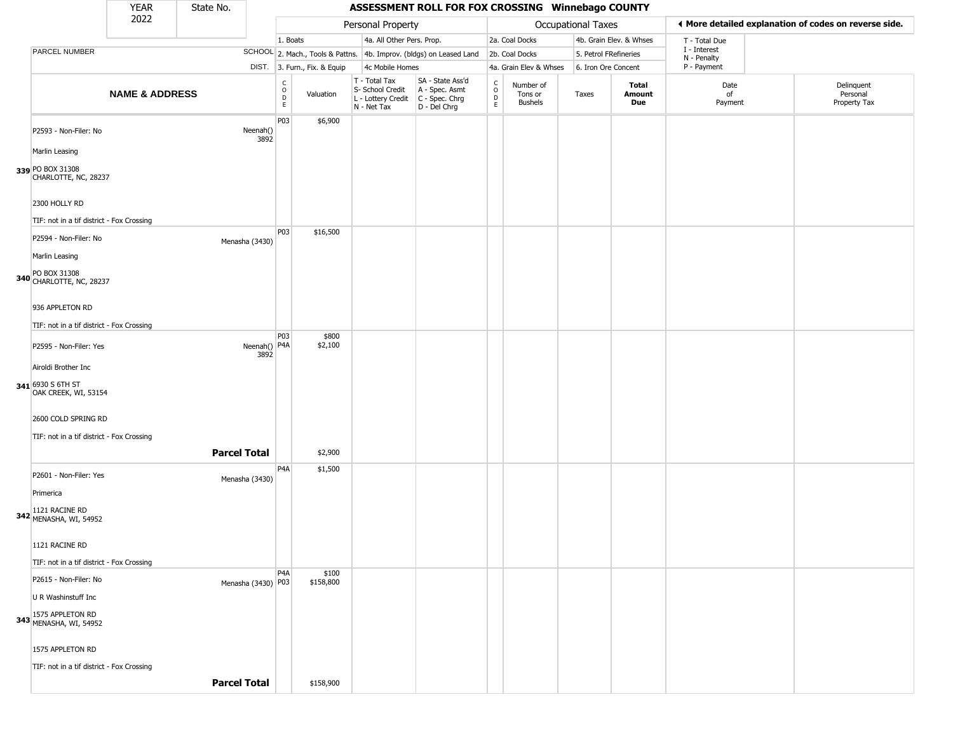|                                                           | <b>YEAR</b>               | State No.           |                      |                  |                              |                                                                        | ASSESSMENT ROLL FOR FOX CROSSING Winnebago COUNTY                    |                                          |                                        |                       |                         |                             |                                                       |
|-----------------------------------------------------------|---------------------------|---------------------|----------------------|------------------|------------------------------|------------------------------------------------------------------------|----------------------------------------------------------------------|------------------------------------------|----------------------------------------|-----------------------|-------------------------|-----------------------------|-------------------------------------------------------|
|                                                           | 2022                      |                     |                      |                  |                              | Personal Property                                                      |                                                                      |                                          |                                        | Occupational Taxes    |                         |                             | ♦ More detailed explanation of codes on reverse side. |
|                                                           |                           |                     |                      | 1. Boats         |                              | 4a. All Other Pers. Prop.                                              |                                                                      |                                          | 2a. Coal Docks                         |                       | 4b. Grain Elev. & Whses | T - Total Due               |                                                       |
| PARCEL NUMBER                                             |                           |                     |                      |                  |                              |                                                                        | SCHOOL 2. Mach., Tools & Pattns. 4b. Improv. (bldgs) on Leased Land  |                                          | 2b. Coal Docks                         | 5. Petrol FRefineries |                         | I - Interest<br>N - Penalty |                                                       |
|                                                           |                           |                     |                      |                  | DIST. 3. Furn., Fix. & Equip | 4c Mobile Homes                                                        |                                                                      |                                          | 4a. Grain Elev & Whses                 | 6. Iron Ore Concent   |                         | P - Payment                 |                                                       |
|                                                           | <b>NAME &amp; ADDRESS</b> |                     |                      | C<br>D<br>D<br>E | Valuation                    | T - Total Tax<br>S- School Credit<br>L - Lottery Credit<br>N - Net Tax | SA - State Ass'd<br>A - Spec. Asmt<br>C - Spec. Chrg<br>D - Del Chrg | $\mathsf{C}$<br>$\circ$<br>$\frac{D}{E}$ | Number of<br>Tons or<br><b>Bushels</b> | Taxes                 | Total<br>Amount<br>Due  | Date<br>of<br>Payment       | Delinquent<br>Personal<br>Property Tax                |
| P2593 - Non-Filer: No                                     |                           |                     | Neenah()<br>3892     | P03              | \$6,900                      |                                                                        |                                                                      |                                          |                                        |                       |                         |                             |                                                       |
| Marlin Leasing                                            |                           |                     |                      |                  |                              |                                                                        |                                                                      |                                          |                                        |                       |                         |                             |                                                       |
| 339 PO BOX 31308<br>CHARLOTTE, NC, 28237<br>2300 HOLLY RD |                           |                     |                      |                  |                              |                                                                        |                                                                      |                                          |                                        |                       |                         |                             |                                                       |
|                                                           |                           |                     |                      |                  |                              |                                                                        |                                                                      |                                          |                                        |                       |                         |                             |                                                       |
| TIF: not in a tif district - Fox Crossing                 |                           |                     |                      | P03              | \$16,500                     |                                                                        |                                                                      |                                          |                                        |                       |                         |                             |                                                       |
| P2594 - Non-Filer: No                                     |                           |                     | Menasha (3430)       |                  |                              |                                                                        |                                                                      |                                          |                                        |                       |                         |                             |                                                       |
| Marlin Leasing                                            |                           |                     |                      |                  |                              |                                                                        |                                                                      |                                          |                                        |                       |                         |                             |                                                       |
| PO BOX 31308<br>340 CHARLOTTE, NC, 28237                  |                           |                     |                      |                  |                              |                                                                        |                                                                      |                                          |                                        |                       |                         |                             |                                                       |
| 936 APPLETON RD                                           |                           |                     |                      |                  |                              |                                                                        |                                                                      |                                          |                                        |                       |                         |                             |                                                       |
| TIF: not in a tif district - Fox Crossing                 |                           |                     |                      |                  |                              |                                                                        |                                                                      |                                          |                                        |                       |                         |                             |                                                       |
| P2595 - Non-Filer: Yes                                    |                           |                     | Neenah() P4A<br>3892 | P03              | \$800<br>\$2,100             |                                                                        |                                                                      |                                          |                                        |                       |                         |                             |                                                       |
| Airoldi Brother Inc                                       |                           |                     |                      |                  |                              |                                                                        |                                                                      |                                          |                                        |                       |                         |                             |                                                       |
| 341 6930 S 6TH ST<br>OAK CREEK, WI, 53154                 |                           |                     |                      |                  |                              |                                                                        |                                                                      |                                          |                                        |                       |                         |                             |                                                       |
| 2600 COLD SPRING RD                                       |                           |                     |                      |                  |                              |                                                                        |                                                                      |                                          |                                        |                       |                         |                             |                                                       |
| TIF: not in a tif district - Fox Crossing                 |                           |                     |                      |                  |                              |                                                                        |                                                                      |                                          |                                        |                       |                         |                             |                                                       |
|                                                           |                           | <b>Parcel Total</b> |                      |                  | \$2,900                      |                                                                        |                                                                      |                                          |                                        |                       |                         |                             |                                                       |
| P2601 - Non-Filer: Yes                                    |                           |                     | Menasha (3430)       | P4A              | \$1,500                      |                                                                        |                                                                      |                                          |                                        |                       |                         |                             |                                                       |
| Primerica                                                 |                           |                     |                      |                  |                              |                                                                        |                                                                      |                                          |                                        |                       |                         |                             |                                                       |
| 342 1121 RACINE RD<br>MENASHA, WI, 54952                  |                           |                     |                      |                  |                              |                                                                        |                                                                      |                                          |                                        |                       |                         |                             |                                                       |
| 1121 RACINE RD                                            |                           |                     |                      |                  |                              |                                                                        |                                                                      |                                          |                                        |                       |                         |                             |                                                       |
| TIF: not in a tif district - Fox Crossing                 |                           |                     |                      |                  |                              |                                                                        |                                                                      |                                          |                                        |                       |                         |                             |                                                       |
| P2615 - Non-Filer: No                                     |                           |                     | Menasha (3430) P03   | P4A              | \$100<br>\$158,800           |                                                                        |                                                                      |                                          |                                        |                       |                         |                             |                                                       |
| U R Washinstuff Inc                                       |                           |                     |                      |                  |                              |                                                                        |                                                                      |                                          |                                        |                       |                         |                             |                                                       |
| 343 1575 APPLETON RD<br>MENASHA, WI, 54952                |                           |                     |                      |                  |                              |                                                                        |                                                                      |                                          |                                        |                       |                         |                             |                                                       |
| 1575 APPLETON RD                                          |                           |                     |                      |                  |                              |                                                                        |                                                                      |                                          |                                        |                       |                         |                             |                                                       |
| TIF: not in a tif district - Fox Crossing                 |                           |                     |                      |                  |                              |                                                                        |                                                                      |                                          |                                        |                       |                         |                             |                                                       |
|                                                           |                           | <b>Parcel Total</b> |                      |                  | \$158,900                    |                                                                        |                                                                      |                                          |                                        |                       |                         |                             |                                                       |
|                                                           |                           |                     |                      |                  |                              |                                                                        |                                                                      |                                          |                                        |                       |                         |                             |                                                       |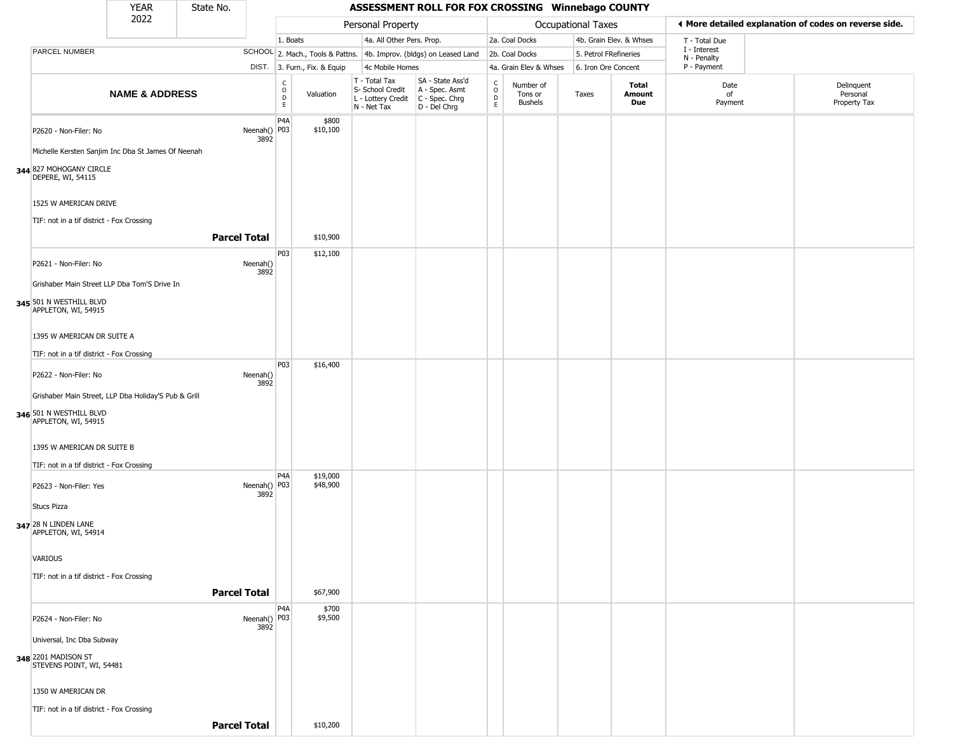|                                                                    | YEAR                      | State No.           |                      |                        |                              |                                                                                         |                                                                     | ASSESSMENT ROLL FOR FOX CROSSING Winnebago COUNTY |                                        |                       |                         |                                                       |                                        |
|--------------------------------------------------------------------|---------------------------|---------------------|----------------------|------------------------|------------------------------|-----------------------------------------------------------------------------------------|---------------------------------------------------------------------|---------------------------------------------------|----------------------------------------|-----------------------|-------------------------|-------------------------------------------------------|----------------------------------------|
|                                                                    | 2022                      |                     |                      |                        |                              | Personal Property                                                                       |                                                                     |                                                   |                                        | Occupational Taxes    |                         | ♦ More detailed explanation of codes on reverse side. |                                        |
|                                                                    |                           |                     |                      | 1. Boats               |                              | 4a. All Other Pers. Prop.                                                               |                                                                     |                                                   | 2a. Coal Docks                         |                       | 4b. Grain Elev. & Whses | T - Total Due                                         |                                        |
| PARCEL NUMBER                                                      |                           |                     |                      |                        |                              |                                                                                         | SCHOOL 2. Mach., Tools & Pattns. 4b. Improv. (bldgs) on Leased Land |                                                   | 2b. Coal Docks                         | 5. Petrol FRefineries |                         | I - Interest<br>N - Penalty                           |                                        |
|                                                                    |                           |                     |                      |                        | DIST. 3. Furn., Fix. & Equip | 4c Mobile Homes                                                                         |                                                                     |                                                   | 4a. Grain Elev & Whses                 | 6. Iron Ore Concent   |                         | P - Payment                                           |                                        |
|                                                                    | <b>NAME &amp; ADDRESS</b> |                     |                      | C<br>$\circ$<br>D<br>E | Valuation                    | T - Total Tax<br>S- School Credit<br>L - Lottery Credit   C - Spec. Chrg<br>N - Net Tax | SA - State Ass'd<br>A - Spec. Asmt<br>D - Del Chrg                  | $\rm _o^c$<br>D<br>E                              | Number of<br>Tons or<br><b>Bushels</b> | Taxes                 | Total<br>Amount<br>Due  | Date<br>of<br>Payment                                 | Delinquent<br>Personal<br>Property Tax |
| P2620 - Non-Filer: No                                              |                           |                     | Neenah() P03<br>3892 | P <sub>4</sub> A       | \$800<br>\$10,100            |                                                                                         |                                                                     |                                                   |                                        |                       |                         |                                                       |                                        |
| Michelle Kersten Sanjim Inc Dba St James Of Neenah                 |                           |                     |                      |                        |                              |                                                                                         |                                                                     |                                                   |                                        |                       |                         |                                                       |                                        |
| 344 827 MOHOGANY CIRCLE<br>DEPERE, WI, 54115                       |                           |                     |                      |                        |                              |                                                                                         |                                                                     |                                                   |                                        |                       |                         |                                                       |                                        |
| 1525 W AMERICAN DRIVE<br>TIF: not in a tif district - Fox Crossing |                           |                     |                      |                        |                              |                                                                                         |                                                                     |                                                   |                                        |                       |                         |                                                       |                                        |
|                                                                    |                           | <b>Parcel Total</b> |                      |                        | \$10,900                     |                                                                                         |                                                                     |                                                   |                                        |                       |                         |                                                       |                                        |
| P2621 - Non-Filer: No                                              |                           |                     | Neenah()<br>3892     | P03                    | \$12,100                     |                                                                                         |                                                                     |                                                   |                                        |                       |                         |                                                       |                                        |
| Grishaber Main Street LLP Dba Tom'S Drive In                       |                           |                     |                      |                        |                              |                                                                                         |                                                                     |                                                   |                                        |                       |                         |                                                       |                                        |
| 345 501 N WESTHILL BLVD<br>APPLETON, WI, 54915                     |                           |                     |                      |                        |                              |                                                                                         |                                                                     |                                                   |                                        |                       |                         |                                                       |                                        |
| 1395 W AMERICAN DR SUITE A                                         |                           |                     |                      |                        |                              |                                                                                         |                                                                     |                                                   |                                        |                       |                         |                                                       |                                        |
| TIF: not in a tif district - Fox Crossing                          |                           |                     |                      |                        |                              |                                                                                         |                                                                     |                                                   |                                        |                       |                         |                                                       |                                        |
| P2622 - Non-Filer: No                                              |                           |                     | Neenah()<br>3892     | P03                    | \$16,400                     |                                                                                         |                                                                     |                                                   |                                        |                       |                         |                                                       |                                        |
| Grishaber Main Street, LLP Dba Holiday'S Pub & Grill               |                           |                     |                      |                        |                              |                                                                                         |                                                                     |                                                   |                                        |                       |                         |                                                       |                                        |
| 346 501 N WESTHILL BLVD<br>APPLETON, WI, 54915                     |                           |                     |                      |                        |                              |                                                                                         |                                                                     |                                                   |                                        |                       |                         |                                                       |                                        |
| 1395 W AMERICAN DR SUITE B                                         |                           |                     |                      |                        |                              |                                                                                         |                                                                     |                                                   |                                        |                       |                         |                                                       |                                        |
| TIF: not in a tif district - Fox Crossing                          |                           |                     |                      |                        |                              |                                                                                         |                                                                     |                                                   |                                        |                       |                         |                                                       |                                        |
| P2623 - Non-Filer: Yes                                             |                           |                     | Neenah() P03<br>3892 | P4A                    | \$19,000<br>\$48,900         |                                                                                         |                                                                     |                                                   |                                        |                       |                         |                                                       |                                        |
| <b>Stucs Pizza</b>                                                 |                           |                     |                      |                        |                              |                                                                                         |                                                                     |                                                   |                                        |                       |                         |                                                       |                                        |
| 347 28 N LINDEN LANE<br>APPLETON, WI, 54914                        |                           |                     |                      |                        |                              |                                                                                         |                                                                     |                                                   |                                        |                       |                         |                                                       |                                        |
| <b>VARIOUS</b>                                                     |                           |                     |                      |                        |                              |                                                                                         |                                                                     |                                                   |                                        |                       |                         |                                                       |                                        |
| TIF: not in a tif district - Fox Crossing                          |                           |                     |                      |                        |                              |                                                                                         |                                                                     |                                                   |                                        |                       |                         |                                                       |                                        |
|                                                                    |                           | <b>Parcel Total</b> |                      |                        | \$67,900                     |                                                                                         |                                                                     |                                                   |                                        |                       |                         |                                                       |                                        |
| P2624 - Non-Filer: No                                              |                           |                     | Neenah() P03<br>3892 | P4A                    | \$700<br>\$9,500             |                                                                                         |                                                                     |                                                   |                                        |                       |                         |                                                       |                                        |
| Universal, Inc Dba Subway                                          |                           |                     |                      |                        |                              |                                                                                         |                                                                     |                                                   |                                        |                       |                         |                                                       |                                        |
| 348 2201 MADISON ST<br>STEVENS POINT, WI, 54481                    |                           |                     |                      |                        |                              |                                                                                         |                                                                     |                                                   |                                        |                       |                         |                                                       |                                        |
| 1350 W AMERICAN DR                                                 |                           |                     |                      |                        |                              |                                                                                         |                                                                     |                                                   |                                        |                       |                         |                                                       |                                        |
| TIF: not in a tif district - Fox Crossing                          |                           |                     |                      |                        |                              |                                                                                         |                                                                     |                                                   |                                        |                       |                         |                                                       |                                        |
|                                                                    |                           | <b>Parcel Total</b> |                      |                        | \$10,200                     |                                                                                         |                                                                     |                                                   |                                        |                       |                         |                                                       |                                        |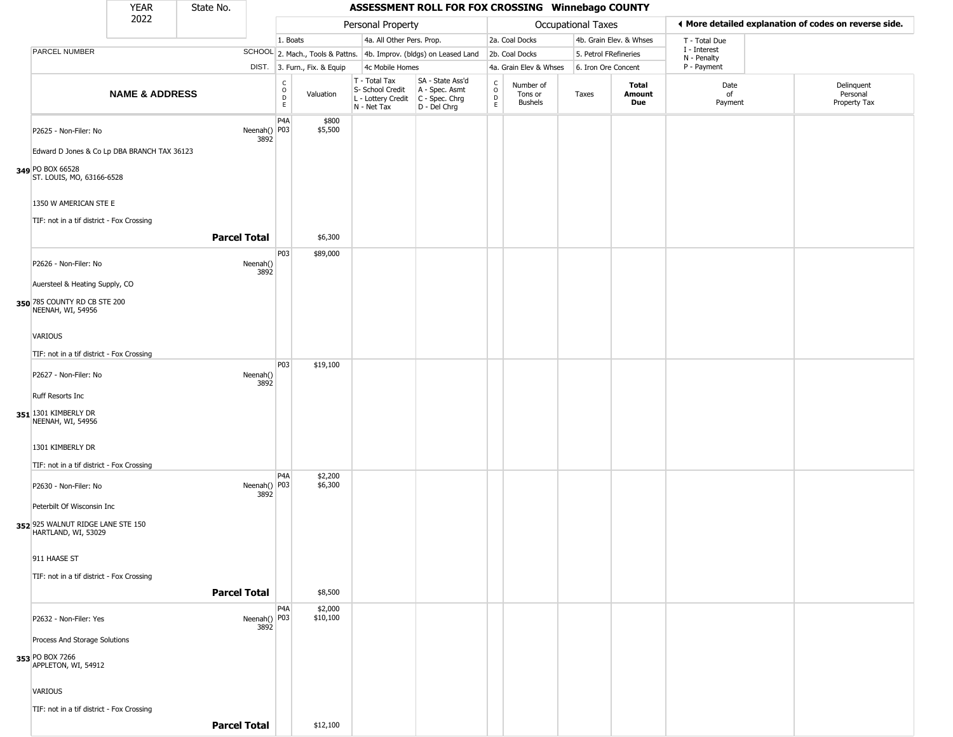|                                                   |                                | YEAR                                        | State No.           |                      |                                   |                              |                                                                        |                                                                      |                  |                                        | ASSESSMENT ROLL FOR FOX CROSSING Winnebago COUNTY |                         |                             |                                                       |  |
|---------------------------------------------------|--------------------------------|---------------------------------------------|---------------------|----------------------|-----------------------------------|------------------------------|------------------------------------------------------------------------|----------------------------------------------------------------------|------------------|----------------------------------------|---------------------------------------------------|-------------------------|-----------------------------|-------------------------------------------------------|--|
|                                                   |                                | 2022                                        |                     |                      |                                   |                              | Personal Property                                                      |                                                                      |                  |                                        | Occupational Taxes                                |                         |                             | ◀ More detailed explanation of codes on reverse side. |  |
|                                                   |                                |                                             |                     |                      | 1. Boats                          |                              | 4a. All Other Pers. Prop.                                              |                                                                      |                  | 2a. Coal Docks                         |                                                   | 4b. Grain Elev. & Whses | T - Total Due               |                                                       |  |
| PARCEL NUMBER                                     |                                |                                             |                     |                      |                                   |                              |                                                                        | SCHOOL 2. Mach., Tools & Pattns. 4b. Improv. (bldgs) on Leased Land  |                  | 2b. Coal Docks                         | 5. Petrol FRefineries                             |                         | I - Interest<br>N - Penalty |                                                       |  |
|                                                   |                                |                                             |                     |                      |                                   | DIST. 3. Furn., Fix. & Equip | 4c Mobile Homes                                                        |                                                                      |                  | 4a. Grain Elev & Whses                 | 6. Iron Ore Concent                               |                         | P - Payment                 |                                                       |  |
|                                                   |                                | <b>NAME &amp; ADDRESS</b>                   |                     |                      | c<br>$\circ$<br>$\mathsf{D}$<br>E | Valuation                    | T - Total Tax<br>S- School Credit<br>L - Lottery Credit<br>N - Net Tax | SA - State Ass'd<br>A - Spec. Asmt<br>C - Spec. Chrg<br>D - Del Chrg | C<br>D<br>E<br>E | Number of<br>Tons or<br><b>Bushels</b> | Taxes                                             | Total<br>Amount<br>Due  | Date<br>of<br>Payment       | Delinquent<br>Personal<br>Property Tax                |  |
|                                                   | P2625 - Non-Filer: No          |                                             |                     | Neenah() P03<br>3892 | P4A                               | \$800<br>\$5,500             |                                                                        |                                                                      |                  |                                        |                                                   |                         |                             |                                                       |  |
|                                                   |                                | Edward D Jones & Co Lp DBA BRANCH TAX 36123 |                     |                      |                                   |                              |                                                                        |                                                                      |                  |                                        |                                                   |                         |                             |                                                       |  |
| 349 PO BOX 66528                                  | ST. LOUIS, MO, 63166-6528      |                                             |                     |                      |                                   |                              |                                                                        |                                                                      |                  |                                        |                                                   |                         |                             |                                                       |  |
|                                                   | 1350 W AMERICAN STE E          |                                             |                     |                      |                                   |                              |                                                                        |                                                                      |                  |                                        |                                                   |                         |                             |                                                       |  |
|                                                   |                                | TIF: not in a tif district - Fox Crossing   |                     |                      |                                   |                              |                                                                        |                                                                      |                  |                                        |                                                   |                         |                             |                                                       |  |
|                                                   |                                |                                             | <b>Parcel Total</b> |                      |                                   | \$6,300                      |                                                                        |                                                                      |                  |                                        |                                                   |                         |                             |                                                       |  |
|                                                   | P2626 - Non-Filer: No          |                                             |                     | Neenah()<br>3892     | P03                               | \$89,000                     |                                                                        |                                                                      |                  |                                        |                                                   |                         |                             |                                                       |  |
|                                                   | Auersteel & Heating Supply, CO |                                             |                     |                      |                                   |                              |                                                                        |                                                                      |                  |                                        |                                                   |                         |                             |                                                       |  |
| 350 785 COUNTY RD CB STE 200<br>NEENAH, WI, 54956 |                                |                                             |                     |                      |                                   |                              |                                                                        |                                                                      |                  |                                        |                                                   |                         |                             |                                                       |  |
| <b>VARIOUS</b>                                    |                                |                                             |                     |                      |                                   |                              |                                                                        |                                                                      |                  |                                        |                                                   |                         |                             |                                                       |  |
|                                                   |                                | TIF: not in a tif district - Fox Crossing   |                     |                      |                                   |                              |                                                                        |                                                                      |                  |                                        |                                                   |                         |                             |                                                       |  |
|                                                   |                                |                                             |                     |                      | P03                               | \$19,100                     |                                                                        |                                                                      |                  |                                        |                                                   |                         |                             |                                                       |  |
|                                                   | P2627 - Non-Filer: No          |                                             |                     | Neenah()<br>3892     |                                   |                              |                                                                        |                                                                      |                  |                                        |                                                   |                         |                             |                                                       |  |
| Ruff Resorts Inc                                  |                                |                                             |                     |                      |                                   |                              |                                                                        |                                                                      |                  |                                        |                                                   |                         |                             |                                                       |  |
| 351 1301 KIMBERLY DR<br>NEENAH, WI, 54956         |                                |                                             |                     |                      |                                   |                              |                                                                        |                                                                      |                  |                                        |                                                   |                         |                             |                                                       |  |
| 1301 KIMBERLY DR                                  |                                |                                             |                     |                      |                                   |                              |                                                                        |                                                                      |                  |                                        |                                                   |                         |                             |                                                       |  |
|                                                   |                                | TIF: not in a tif district - Fox Crossing   |                     |                      |                                   |                              |                                                                        |                                                                      |                  |                                        |                                                   |                         |                             |                                                       |  |
|                                                   | P2630 - Non-Filer: No          |                                             |                     | Neenah() P03<br>3892 | P4A                               | \$2,200<br>\$6,300           |                                                                        |                                                                      |                  |                                        |                                                   |                         |                             |                                                       |  |
|                                                   | Peterbilt Of Wisconsin Inc     |                                             |                     |                      |                                   |                              |                                                                        |                                                                      |                  |                                        |                                                   |                         |                             |                                                       |  |
| 352 925 WALNUT RIDGE LANE STE 150                 | HARTLAND, WI, 53029            |                                             |                     |                      |                                   |                              |                                                                        |                                                                      |                  |                                        |                                                   |                         |                             |                                                       |  |
| 911 HAASE ST                                      |                                |                                             |                     |                      |                                   |                              |                                                                        |                                                                      |                  |                                        |                                                   |                         |                             |                                                       |  |
|                                                   |                                | TIF: not in a tif district - Fox Crossing   |                     |                      |                                   |                              |                                                                        |                                                                      |                  |                                        |                                                   |                         |                             |                                                       |  |
|                                                   |                                |                                             | <b>Parcel Total</b> |                      |                                   | \$8,500                      |                                                                        |                                                                      |                  |                                        |                                                   |                         |                             |                                                       |  |
|                                                   |                                |                                             |                     |                      | P <sub>4</sub> A                  | \$2,000                      |                                                                        |                                                                      |                  |                                        |                                                   |                         |                             |                                                       |  |
|                                                   | P2632 - Non-Filer: Yes         |                                             |                     | Neenah() P03<br>3892 |                                   | \$10,100                     |                                                                        |                                                                      |                  |                                        |                                                   |                         |                             |                                                       |  |
|                                                   | Process And Storage Solutions  |                                             |                     |                      |                                   |                              |                                                                        |                                                                      |                  |                                        |                                                   |                         |                             |                                                       |  |
| 353 PO BOX 7266                                   | APPLETON, WI, 54912            |                                             |                     |                      |                                   |                              |                                                                        |                                                                      |                  |                                        |                                                   |                         |                             |                                                       |  |
| VARIOUS                                           |                                |                                             |                     |                      |                                   |                              |                                                                        |                                                                      |                  |                                        |                                                   |                         |                             |                                                       |  |
|                                                   |                                | TIF: not in a tif district - Fox Crossing   |                     |                      |                                   |                              |                                                                        |                                                                      |                  |                                        |                                                   |                         |                             |                                                       |  |
|                                                   |                                |                                             | <b>Parcel Total</b> |                      |                                   | \$12,100                     |                                                                        |                                                                      |                  |                                        |                                                   |                         |                             |                                                       |  |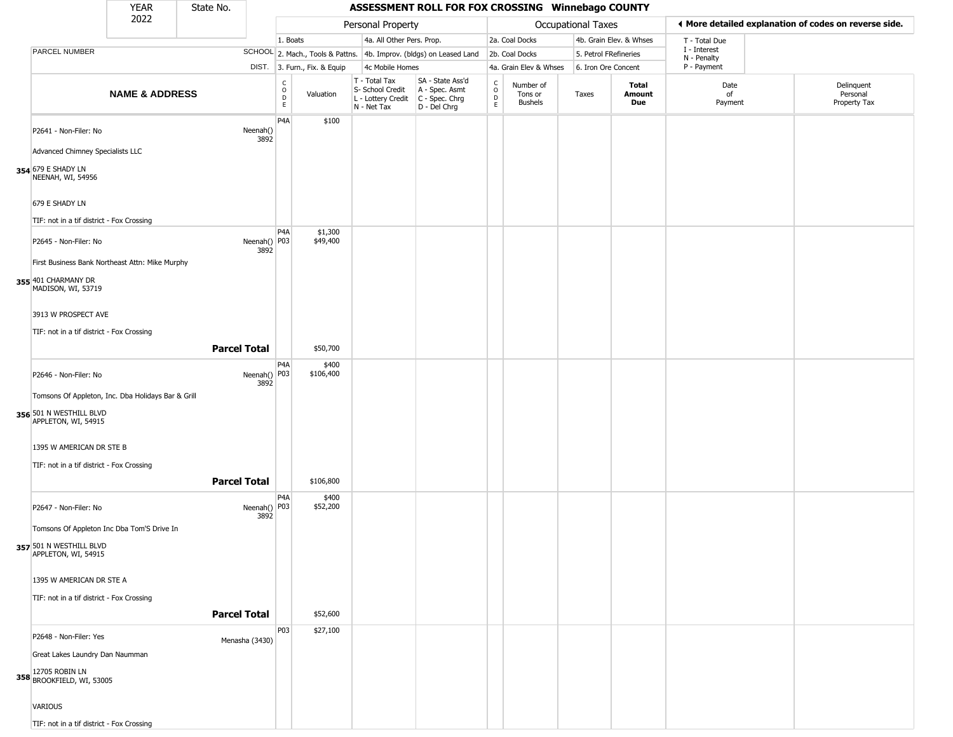|                                                                                                      | YEAR                      | State No.           |                      |                                                          |                              |                                                                        | ASSESSMENT ROLL FOR FOX CROSSING Winnebago COUNTY                    |                                                 |                                        |                       |                         |                                                       |                                        |
|------------------------------------------------------------------------------------------------------|---------------------------|---------------------|----------------------|----------------------------------------------------------|------------------------------|------------------------------------------------------------------------|----------------------------------------------------------------------|-------------------------------------------------|----------------------------------------|-----------------------|-------------------------|-------------------------------------------------------|----------------------------------------|
|                                                                                                      | 2022                      |                     |                      |                                                          |                              | Personal Property                                                      |                                                                      |                                                 |                                        | Occupational Taxes    |                         | ◀ More detailed explanation of codes on reverse side. |                                        |
|                                                                                                      |                           |                     |                      | 1. Boats                                                 |                              | 4a. All Other Pers. Prop.                                              |                                                                      |                                                 | 2a. Coal Docks                         |                       | 4b. Grain Elev. & Whses | T - Total Due                                         |                                        |
| PARCEL NUMBER                                                                                        |                           |                     |                      |                                                          |                              |                                                                        | SCHOOL 2. Mach., Tools & Pattns. 4b. Improv. (bldgs) on Leased Land  |                                                 | 2b. Coal Docks                         | 5. Petrol FRefineries |                         | I - Interest<br>N - Penalty                           |                                        |
|                                                                                                      |                           |                     |                      |                                                          | DIST. 3. Furn., Fix. & Equip | 4c Mobile Homes                                                        |                                                                      |                                                 | 4a. Grain Elev & Whses                 | 6. Iron Ore Concent   |                         | P - Payment                                           |                                        |
|                                                                                                      | <b>NAME &amp; ADDRESS</b> |                     |                      | $\begin{matrix} 0 \\ 0 \\ 0 \end{matrix}$<br>$\mathsf E$ | Valuation                    | T - Total Tax<br>S- School Credit<br>L - Lottery Credit<br>N - Net Tax | SA - State Ass'd<br>A - Spec. Asmt<br>C - Spec. Chrg<br>D - Del Chrg | $\begin{array}{c} C \\ O \\ D \\ E \end{array}$ | Number of<br>Tons or<br><b>Bushels</b> | Taxes                 | Total<br>Amount<br>Due  | Date<br>of<br>Payment                                 | Delinquent<br>Personal<br>Property Tax |
| P2641 - Non-Filer: No<br>Advanced Chimney Specialists LLC                                            |                           |                     | Neenah()<br>3892     | P4A                                                      | \$100                        |                                                                        |                                                                      |                                                 |                                        |                       |                         |                                                       |                                        |
| 354 679 E SHADY LN<br>NEENAH, WI, 54956                                                              |                           |                     |                      |                                                          |                              |                                                                        |                                                                      |                                                 |                                        |                       |                         |                                                       |                                        |
| 679 E SHADY LN<br>TIF: not in a tif district - Fox Crossing                                          |                           |                     |                      |                                                          |                              |                                                                        |                                                                      |                                                 |                                        |                       |                         |                                                       |                                        |
| P2645 - Non-Filer: No                                                                                |                           |                     | Neenah() P03<br>3892 | P <sub>4</sub> A                                         | \$1,300<br>\$49,400          |                                                                        |                                                                      |                                                 |                                        |                       |                         |                                                       |                                        |
| First Business Bank Northeast Attn: Mike Murphy<br>355 401 CHARMANY DR<br>MADISON, WI, 53719         |                           |                     |                      |                                                          |                              |                                                                        |                                                                      |                                                 |                                        |                       |                         |                                                       |                                        |
| 3913 W PROSPECT AVE<br>TIF: not in a tif district - Fox Crossing                                     |                           |                     |                      |                                                          |                              |                                                                        |                                                                      |                                                 |                                        |                       |                         |                                                       |                                        |
|                                                                                                      |                           | <b>Parcel Total</b> |                      |                                                          | \$50,700                     |                                                                        |                                                                      |                                                 |                                        |                       |                         |                                                       |                                        |
| P2646 - Non-Filer: No                                                                                |                           |                     | Neenah() P03<br>3892 | P <sub>4</sub> A                                         | \$400<br>\$106,400           |                                                                        |                                                                      |                                                 |                                        |                       |                         |                                                       |                                        |
| Tomsons Of Appleton, Inc. Dba Holidays Bar & Grill<br>356 501 N WESTHILL BLVD<br>APPLETON, WI, 54915 |                           |                     |                      |                                                          |                              |                                                                        |                                                                      |                                                 |                                        |                       |                         |                                                       |                                        |
| 1395 W AMERICAN DR STE B                                                                             |                           |                     |                      |                                                          |                              |                                                                        |                                                                      |                                                 |                                        |                       |                         |                                                       |                                        |
| TIF: not in a tif district - Fox Crossing                                                            |                           | <b>Parcel Total</b> |                      |                                                          | \$106,800                    |                                                                        |                                                                      |                                                 |                                        |                       |                         |                                                       |                                        |
| P2647 - Non-Filer: No                                                                                |                           |                     | Neenah() P03<br>3892 | P <sub>4</sub> A                                         | \$400<br>\$52,200            |                                                                        |                                                                      |                                                 |                                        |                       |                         |                                                       |                                        |
| Tomsons Of Appleton Inc Dba Tom'S Drive In<br>357 501 N WESTHILL BLVD                                |                           |                     |                      |                                                          |                              |                                                                        |                                                                      |                                                 |                                        |                       |                         |                                                       |                                        |
| APPLETON, WI, 54915                                                                                  |                           |                     |                      |                                                          |                              |                                                                        |                                                                      |                                                 |                                        |                       |                         |                                                       |                                        |
| 1395 W AMERICAN DR STE A                                                                             |                           |                     |                      |                                                          |                              |                                                                        |                                                                      |                                                 |                                        |                       |                         |                                                       |                                        |
| TIF: not in a tif district - Fox Crossing                                                            |                           |                     |                      |                                                          |                              |                                                                        |                                                                      |                                                 |                                        |                       |                         |                                                       |                                        |
|                                                                                                      |                           | <b>Parcel Total</b> |                      |                                                          | \$52,600                     |                                                                        |                                                                      |                                                 |                                        |                       |                         |                                                       |                                        |
| P2648 - Non-Filer: Yes                                                                               |                           |                     | Menasha (3430)       | P03                                                      | \$27,100                     |                                                                        |                                                                      |                                                 |                                        |                       |                         |                                                       |                                        |
| Great Lakes Laundry Dan Naumman<br>358 12705 ROBIN LN<br>358 BROOKFIELD, WI, 53005                   |                           |                     |                      |                                                          |                              |                                                                        |                                                                      |                                                 |                                        |                       |                         |                                                       |                                        |
| <b>VARIOUS</b>                                                                                       |                           |                     |                      |                                                          |                              |                                                                        |                                                                      |                                                 |                                        |                       |                         |                                                       |                                        |
| TIF: not in a tif district - Fox Crossing                                                            |                           |                     |                      |                                                          |                              |                                                                        |                                                                      |                                                 |                                        |                       |                         |                                                       |                                        |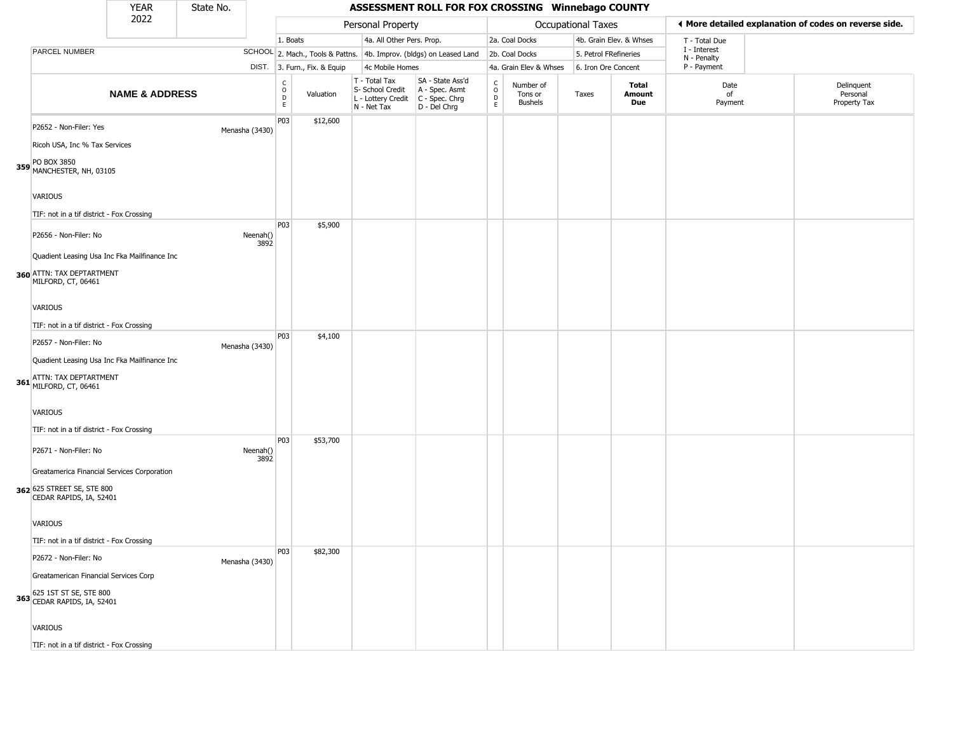|                                                                                                                                                                                              | YEAR                      | State No. |                  | ASSESSMENT ROLL FOR FOX CROSSING Winnebago COUNTY |                              |                                                                        |                                                                      |                                |                                        |                           |                               |                             |                                                       |
|----------------------------------------------------------------------------------------------------------------------------------------------------------------------------------------------|---------------------------|-----------|------------------|---------------------------------------------------|------------------------------|------------------------------------------------------------------------|----------------------------------------------------------------------|--------------------------------|----------------------------------------|---------------------------|-------------------------------|-----------------------------|-------------------------------------------------------|
|                                                                                                                                                                                              | 2022                      |           |                  |                                                   |                              | Personal Property                                                      |                                                                      |                                |                                        | <b>Occupational Taxes</b> |                               |                             | ♦ More detailed explanation of codes on reverse side. |
|                                                                                                                                                                                              |                           |           |                  | 1. Boats                                          |                              | 4a. All Other Pers. Prop.                                              |                                                                      |                                | 2a. Coal Docks                         |                           | 4b. Grain Elev. & Whses       | T - Total Due               |                                                       |
| PARCEL NUMBER                                                                                                                                                                                |                           |           |                  |                                                   |                              |                                                                        | SCHOOL 2. Mach., Tools & Pattns. 4b. Improv. (bldgs) on Leased Land  |                                | 2b. Coal Docks                         |                           | 5. Petrol FRefineries         | I - Interest<br>N - Penalty |                                                       |
|                                                                                                                                                                                              |                           |           |                  |                                                   | DIST. 3. Furn., Fix. & Equip | 4c Mobile Homes                                                        |                                                                      |                                | 4a. Grain Elev & Whses                 |                           | 6. Iron Ore Concent           | P - Payment                 |                                                       |
|                                                                                                                                                                                              | <b>NAME &amp; ADDRESS</b> |           |                  | С<br>$\circ$<br>D<br>E                            | Valuation                    | T - Total Tax<br>S- School Credit<br>L - Lottery Credit<br>N - Net Tax | SA - State Ass'd<br>A - Spec. Asmt<br>C - Spec. Chrg<br>D - Del Chrg | $\frac{c}{0}$<br>$\frac{D}{E}$ | Number of<br>Tons or<br><b>Bushels</b> | Taxes                     | <b>Total</b><br>Amount<br>Due | Date<br>of<br>Payment       | Delinquent<br>Personal<br>Property Tax                |
| P2652 - Non-Filer: Yes<br>Ricoh USA, Inc % Tax Services<br>359 PO BOX 3850<br>MANCHESTER, NH, 03105<br>VARIOUS<br>TIF: not in a tif district - Fox Crossing                                  |                           |           | Menasha (3430)   | P03                                               | \$12,600                     |                                                                        |                                                                      |                                |                                        |                           |                               |                             |                                                       |
| P2656 - Non-Filer: No<br>Quadient Leasing Usa Inc Fka Mailfinance Inc<br>360 ATTN: TAX DEPTARTMENT<br>MILFORD, CT, 06461<br>VARIOUS<br>TIF: not in a tif district - Fox Crossing             |                           |           | Neenah()<br>3892 | P03                                               | \$5,900                      |                                                                        |                                                                      |                                |                                        |                           |                               |                             |                                                       |
| P2657 - Non-Filer: No<br>Quadient Leasing Usa Inc Fka Mailfinance Inc<br>ATTN: TAX DEPTARTMENT<br>361 MILFORD, CT, 06461<br><b>VARIOUS</b><br>TIF: not in a tif district - Fox Crossing      |                           |           | Menasha (3430)   | P03                                               | \$4,100                      |                                                                        |                                                                      |                                |                                        |                           |                               |                             |                                                       |
| P2671 - Non-Filer: No<br>Greatamerica Financial Services Corporation<br>362 625 STREET SE, STE 800<br>CEDAR RAPIDS, IA, 52401<br><b>VARIOUS</b><br>TIF: not in a tif district - Fox Crossing |                           |           | Neenah()<br>3892 | P03                                               | \$53,700                     |                                                                        |                                                                      |                                |                                        |                           |                               |                             |                                                       |
| P2672 - Non-Filer: No<br>Greatamerican Financial Services Corp<br>363 625 1ST ST SE, STE 800<br>CEDAR RAPIDS, IA, 52401<br><b>VARIOUS</b>                                                    |                           |           | Menasha (3430)   | P03                                               | \$82,300                     |                                                                        |                                                                      |                                |                                        |                           |                               |                             |                                                       |

TIF: not in a tif district - Fox Crossing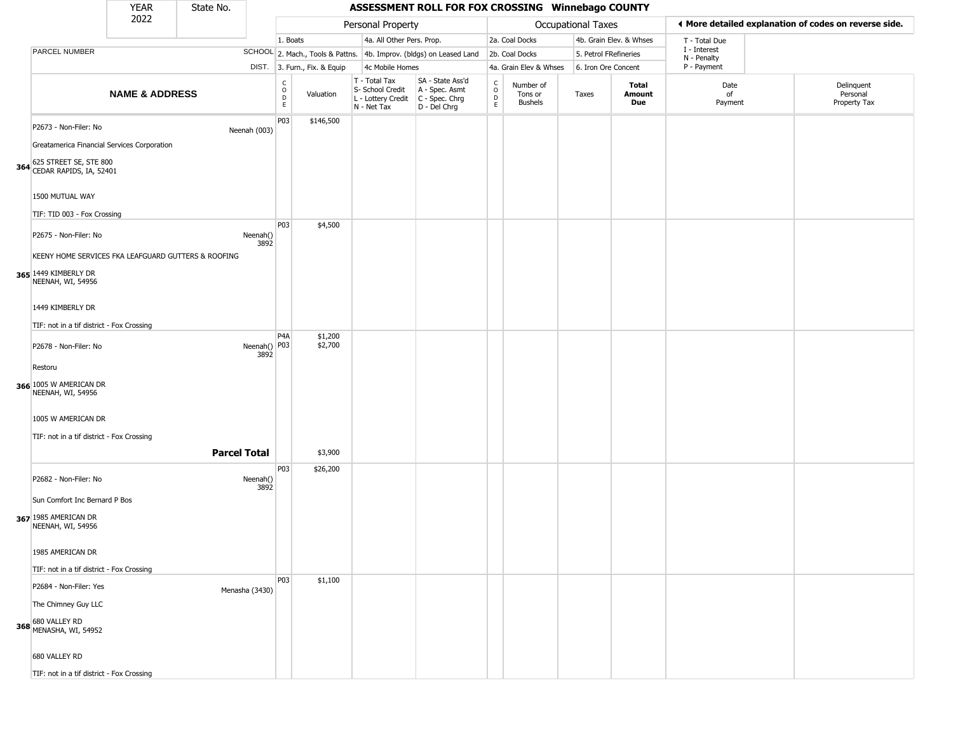| <b>YEAR</b><br>State No. |                                                                              |                           |                     |                      | ASSESSMENT ROLL FOR FOX CROSSING Winnebago COUNTY |                              |                                                                        |                                                                      |                                            |                                        |                           |                         |                             |                                                       |
|--------------------------|------------------------------------------------------------------------------|---------------------------|---------------------|----------------------|---------------------------------------------------|------------------------------|------------------------------------------------------------------------|----------------------------------------------------------------------|--------------------------------------------|----------------------------------------|---------------------------|-------------------------|-----------------------------|-------------------------------------------------------|
|                          |                                                                              | 2022                      |                     |                      |                                                   |                              | Personal Property                                                      |                                                                      |                                            |                                        | <b>Occupational Taxes</b> |                         |                             | ♦ More detailed explanation of codes on reverse side. |
|                          |                                                                              |                           |                     |                      | 1. Boats                                          |                              | 4a. All Other Pers. Prop.                                              |                                                                      |                                            | 2a. Coal Docks                         |                           | 4b. Grain Elev. & Whses | T - Total Due               |                                                       |
|                          | PARCEL NUMBER                                                                |                           |                     |                      |                                                   |                              |                                                                        | SCHOOL 2. Mach., Tools & Pattns. 4b. Improv. (bldgs) on Leased Land  |                                            | 2b. Coal Docks                         | 5. Petrol FRefineries     |                         | I - Interest<br>N - Penalty |                                                       |
|                          |                                                                              |                           |                     |                      |                                                   | DIST. 3. Furn., Fix. & Equip | 4c Mobile Homes                                                        |                                                                      |                                            | 4a. Grain Elev & Whses                 | 6. Iron Ore Concent       |                         | P - Payment                 |                                                       |
|                          |                                                                              | <b>NAME &amp; ADDRESS</b> |                     |                      | $\begin{array}{c}\nC \\ O \\ D\n\end{array}$      | Valuation                    | T - Total Tax<br>S- School Credit<br>L - Lottery Credit<br>N - Net Tax | SA - State Ass'd<br>A - Spec. Asmt<br>C - Spec. Chrg<br>D - Del Chrg | $\begin{array}{c} C \\ O \\ E \end{array}$ | Number of<br>Tons or<br><b>Bushels</b> | Taxes                     | Total<br>Amount<br>Due  | Date<br>of<br>Payment       | Delinquent<br>Personal<br>Property Tax                |
|                          | P2673 - Non-Filer: No<br>Greatamerica Financial Services Corporation         |                           |                     | Neenah (003)         | P03                                               | \$146,500                    |                                                                        |                                                                      |                                            |                                        |                           |                         |                             |                                                       |
|                          | 364 625 STREET SE, STE 800<br>1500 MUTUAL WAY<br>TIF: TID 003 - Fox Crossing |                           |                     |                      |                                                   |                              |                                                                        |                                                                      |                                            |                                        |                           |                         |                             |                                                       |
|                          |                                                                              |                           |                     |                      | P03                                               | \$4,500                      |                                                                        |                                                                      |                                            |                                        |                           |                         |                             |                                                       |
|                          | P2675 - Non-Filer: No<br>KEENY HOME SERVICES FKA LEAFGUARD GUTTERS & ROOFING |                           |                     | Neenah()<br>3892     |                                                   |                              |                                                                        |                                                                      |                                            |                                        |                           |                         |                             |                                                       |
|                          | 365 1449 KIMBERLY DR<br>NEENAH, WI, 54956                                    |                           |                     |                      |                                                   |                              |                                                                        |                                                                      |                                            |                                        |                           |                         |                             |                                                       |
|                          | 1449 KIMBERLY DR                                                             |                           |                     |                      |                                                   |                              |                                                                        |                                                                      |                                            |                                        |                           |                         |                             |                                                       |
|                          | TIF: not in a tif district - Fox Crossing                                    |                           |                     |                      |                                                   |                              |                                                                        |                                                                      |                                            |                                        |                           |                         |                             |                                                       |
|                          | P2678 - Non-Filer: No                                                        |                           |                     | Neenah() P03<br>3892 | P4A                                               | \$1,200<br>\$2,700           |                                                                        |                                                                      |                                            |                                        |                           |                         |                             |                                                       |
|                          | Restoru<br>366 1005 W AMERICAN DR<br>NEENAH, WI, 54956                       |                           |                     |                      |                                                   |                              |                                                                        |                                                                      |                                            |                                        |                           |                         |                             |                                                       |
|                          | 1005 W AMERICAN DR<br>TIF: not in a tif district - Fox Crossing              |                           |                     |                      |                                                   |                              |                                                                        |                                                                      |                                            |                                        |                           |                         |                             |                                                       |
|                          |                                                                              |                           | <b>Parcel Total</b> |                      |                                                   | \$3,900                      |                                                                        |                                                                      |                                            |                                        |                           |                         |                             |                                                       |
|                          | P2682 - Non-Filer: No                                                        |                           |                     | Neenah()<br>3892     | P03                                               | \$26,200                     |                                                                        |                                                                      |                                            |                                        |                           |                         |                             |                                                       |
|                          | Sun Comfort Inc Bernard P Bos<br>367 1985 AMERICAN DR<br>NEENAH, WI, 54956   |                           |                     |                      |                                                   |                              |                                                                        |                                                                      |                                            |                                        |                           |                         |                             |                                                       |
|                          | 1985 AMERICAN DR<br>TIF: not in a tif district - Fox Crossing                |                           |                     |                      |                                                   |                              |                                                                        |                                                                      |                                            |                                        |                           |                         |                             |                                                       |
|                          | P2684 - Non-Filer: Yes                                                       |                           |                     | Menasha (3430)       | P03                                               | \$1,100                      |                                                                        |                                                                      |                                            |                                        |                           |                         |                             |                                                       |
|                          | The Chimney Guy LLC                                                          |                           |                     |                      |                                                   |                              |                                                                        |                                                                      |                                            |                                        |                           |                         |                             |                                                       |
|                          | 368 680 VALLEY RD<br>MENASHA, WI, 54952                                      |                           |                     |                      |                                                   |                              |                                                                        |                                                                      |                                            |                                        |                           |                         |                             |                                                       |
|                          | 680 VALLEY RD                                                                |                           |                     |                      |                                                   |                              |                                                                        |                                                                      |                                            |                                        |                           |                         |                             |                                                       |
|                          | TIF: not in a tif district - Fox Crossing                                    |                           |                     |                      |                                                   |                              |                                                                        |                                                                      |                                            |                                        |                           |                         |                             |                                                       |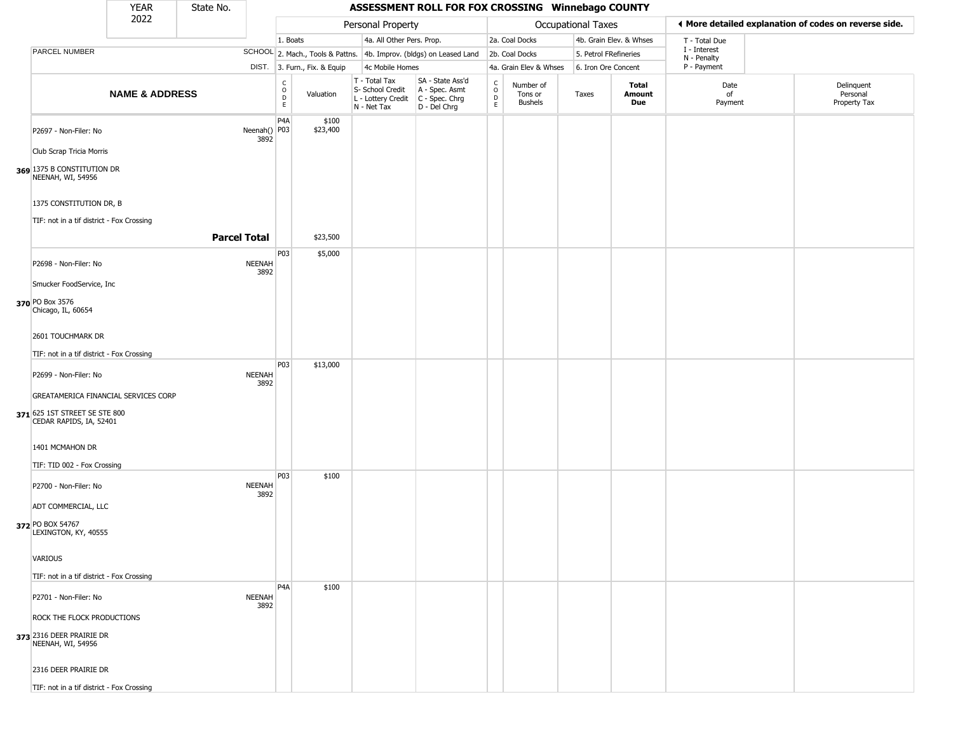|                                                          | <b>YEAR</b>               | State No.           |                       |                                      |                              |                                                                        | ASSESSMENT ROLL FOR FOX CROSSING Winnebago COUNTY                    |                                                      |                                 |                       |                         |                             |                                                       |
|----------------------------------------------------------|---------------------------|---------------------|-----------------------|--------------------------------------|------------------------------|------------------------------------------------------------------------|----------------------------------------------------------------------|------------------------------------------------------|---------------------------------|-----------------------|-------------------------|-----------------------------|-------------------------------------------------------|
|                                                          | 2022                      |                     |                       |                                      |                              | Personal Property                                                      |                                                                      |                                                      |                                 | Occupational Taxes    |                         |                             | ♦ More detailed explanation of codes on reverse side. |
|                                                          |                           |                     |                       | 1. Boats                             |                              | 4a. All Other Pers. Prop.                                              |                                                                      |                                                      | 2a. Coal Docks                  |                       | 4b. Grain Elev. & Whses | T - Total Due               |                                                       |
| PARCEL NUMBER                                            |                           |                     |                       |                                      |                              |                                                                        | SCHOOL 2. Mach., Tools & Pattns. 4b. Improv. (bldgs) on Leased Land  |                                                      | 2b. Coal Docks                  | 5. Petrol FRefineries |                         | I - Interest<br>N - Penalty |                                                       |
|                                                          |                           |                     |                       |                                      | DIST. 3. Furn., Fix. & Equip | 4c Mobile Homes                                                        |                                                                      |                                                      | 4a. Grain Elev & Whses          | 6. Iron Ore Concent   |                         | P - Payment                 |                                                       |
|                                                          | <b>NAME &amp; ADDRESS</b> |                     |                       | $_{\rm o}^{\rm c}$<br>$\overline{P}$ | Valuation                    | T - Total Tax<br>S- School Credit<br>L - Lottery Credit<br>N - Net Tax | SA - State Ass'd<br>A - Spec. Asmt<br>C - Spec. Chrg<br>D - Del Chrg | $\frac{c}{0}$<br>$\mathrel{\mathsf{D}}_{\mathsf{E}}$ | Number of<br>Tons or<br>Bushels | Taxes                 | Total<br>Amount<br>Due  | Date<br>of<br>Payment       | Delinquent<br>Personal<br>Property Tax                |
| P2697 - Non-Filer: No                                    |                           |                     | Neenah() P03<br>3892  | P <sub>4</sub> A                     | \$100<br>\$23,400            |                                                                        |                                                                      |                                                      |                                 |                       |                         |                             |                                                       |
| Club Scrap Tricia Morris                                 |                           |                     |                       |                                      |                              |                                                                        |                                                                      |                                                      |                                 |                       |                         |                             |                                                       |
| 369 1375 B CONSTITUTION DR<br>NEENAH, WI, 54956          |                           |                     |                       |                                      |                              |                                                                        |                                                                      |                                                      |                                 |                       |                         |                             |                                                       |
| 1375 CONSTITUTION DR, B                                  |                           |                     |                       |                                      |                              |                                                                        |                                                                      |                                                      |                                 |                       |                         |                             |                                                       |
| TIF: not in a tif district - Fox Crossing                |                           |                     |                       |                                      |                              |                                                                        |                                                                      |                                                      |                                 |                       |                         |                             |                                                       |
|                                                          |                           | <b>Parcel Total</b> |                       |                                      | \$23,500                     |                                                                        |                                                                      |                                                      |                                 |                       |                         |                             |                                                       |
| P2698 - Non-Filer: No                                    |                           |                     | <b>NEENAH</b><br>3892 | P03                                  | \$5,000                      |                                                                        |                                                                      |                                                      |                                 |                       |                         |                             |                                                       |
| Smucker FoodService, Inc                                 |                           |                     |                       |                                      |                              |                                                                        |                                                                      |                                                      |                                 |                       |                         |                             |                                                       |
| 370 PO Box 3576<br>Chicago, IL, 60654                    |                           |                     |                       |                                      |                              |                                                                        |                                                                      |                                                      |                                 |                       |                         |                             |                                                       |
| 2601 TOUCHMARK DR                                        |                           |                     |                       |                                      |                              |                                                                        |                                                                      |                                                      |                                 |                       |                         |                             |                                                       |
| TIF: not in a tif district - Fox Crossing                |                           |                     |                       |                                      |                              |                                                                        |                                                                      |                                                      |                                 |                       |                         |                             |                                                       |
| P2699 - Non-Filer: No                                    |                           |                     | <b>NEENAH</b><br>3892 | P03                                  | \$13,000                     |                                                                        |                                                                      |                                                      |                                 |                       |                         |                             |                                                       |
| GREATAMERICA FINANCIAL SERVICES CORP                     |                           |                     |                       |                                      |                              |                                                                        |                                                                      |                                                      |                                 |                       |                         |                             |                                                       |
| 371 625 1ST STREET SE STE 800<br>CEDAR RAPIDS, IA, 52401 |                           |                     |                       |                                      |                              |                                                                        |                                                                      |                                                      |                                 |                       |                         |                             |                                                       |
| 1401 MCMAHON DR                                          |                           |                     |                       |                                      |                              |                                                                        |                                                                      |                                                      |                                 |                       |                         |                             |                                                       |
| TIF: TID 002 - Fox Crossing                              |                           |                     |                       | P03                                  | \$100                        |                                                                        |                                                                      |                                                      |                                 |                       |                         |                             |                                                       |
| P2700 - Non-Filer: No                                    |                           |                     | <b>NEENAH</b><br>3892 |                                      |                              |                                                                        |                                                                      |                                                      |                                 |                       |                         |                             |                                                       |
| ADT COMMERCIAL, LLC                                      |                           |                     |                       |                                      |                              |                                                                        |                                                                      |                                                      |                                 |                       |                         |                             |                                                       |
| 372 PO BOX 54767<br>LEXINGTON, KY, 40555                 |                           |                     |                       |                                      |                              |                                                                        |                                                                      |                                                      |                                 |                       |                         |                             |                                                       |
| <b>VARIOUS</b>                                           |                           |                     |                       |                                      |                              |                                                                        |                                                                      |                                                      |                                 |                       |                         |                             |                                                       |
| TIF: not in a tif district - Fox Crossing                |                           |                     |                       |                                      |                              |                                                                        |                                                                      |                                                      |                                 |                       |                         |                             |                                                       |
|                                                          |                           |                     |                       | P <sub>4</sub> A                     | \$100                        |                                                                        |                                                                      |                                                      |                                 |                       |                         |                             |                                                       |
| P2701 - Non-Filer: No                                    |                           |                     | <b>NEENAH</b><br>3892 |                                      |                              |                                                                        |                                                                      |                                                      |                                 |                       |                         |                             |                                                       |
| ROCK THE FLOCK PRODUCTIONS                               |                           |                     |                       |                                      |                              |                                                                        |                                                                      |                                                      |                                 |                       |                         |                             |                                                       |
| 373 2316 DEER PRAIRIE DR<br>NEENAH, WI, 54956            |                           |                     |                       |                                      |                              |                                                                        |                                                                      |                                                      |                                 |                       |                         |                             |                                                       |
| 2316 DEER PRAIRIE DR                                     |                           |                     |                       |                                      |                              |                                                                        |                                                                      |                                                      |                                 |                       |                         |                             |                                                       |
| TIF: not in a tif district - Fox Crossing                |                           |                     |                       |                                      |                              |                                                                        |                                                                      |                                                      |                                 |                       |                         |                             |                                                       |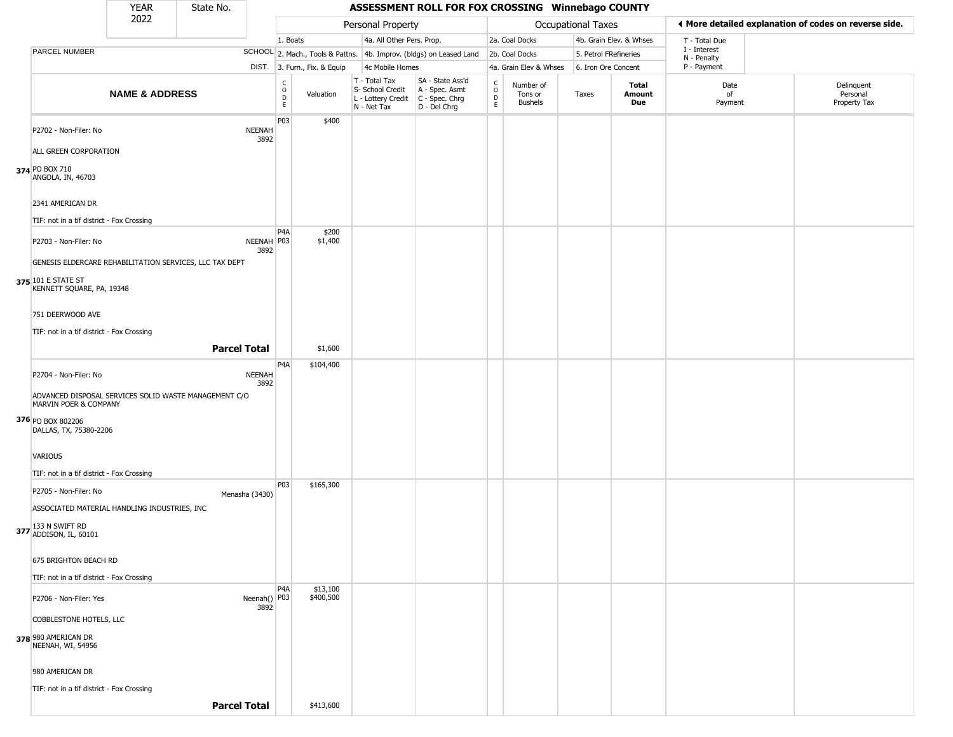|                                                                                | <b>YEAR</b>               | State No. |                       |                         |                              |                                                                        | ASSESSMENT ROLL FOR FOX CROSSING Winnebago COUNTY                      |                                   |                                        |                       |                         |                             |                                                       |
|--------------------------------------------------------------------------------|---------------------------|-----------|-----------------------|-------------------------|------------------------------|------------------------------------------------------------------------|------------------------------------------------------------------------|-----------------------------------|----------------------------------------|-----------------------|-------------------------|-----------------------------|-------------------------------------------------------|
|                                                                                | 2022                      |           |                       |                         |                              | Personal Property                                                      |                                                                        |                                   |                                        | Occupational Taxes    |                         |                             | ♦ More detailed explanation of codes on reverse side. |
|                                                                                |                           |           |                       | 1. Boats                |                              | 4a. All Other Pers. Prop.                                              |                                                                        |                                   | 2a. Coal Docks                         |                       | 4b. Grain Elev. & Whses | T - Total Due               |                                                       |
| PARCEL NUMBER                                                                  |                           |           |                       |                         |                              |                                                                        | SCHOOL 2. Mach., Tools & Pattns. 4b. Improv. (bldgs) on Leased Land    |                                   | 2b. Coal Docks                         | 5. Petrol FRefineries |                         | I - Interest<br>N - Penalty |                                                       |
|                                                                                |                           |           |                       |                         | DIST. 3. Furn., Fix. & Equip | 4c Mobile Homes                                                        |                                                                        |                                   | 4a. Grain Elev & Whses                 | 6. Iron Ore Concent   |                         | P - Payment                 |                                                       |
|                                                                                | <b>NAME &amp; ADDRESS</b> |           |                       | C<br>$\circ$<br>D<br>E. | Valuation                    | T - Total Tax<br>S- School Credit<br>L - Lottery Credit<br>N - Net Tax | SA - State Ass'd<br>A - Spec. Asmt<br>$C - Spec. Chrg$<br>D - Del Chrg | $\mathsf{C}$<br>$\circ$<br>D<br>E | Number of<br>Tons or<br><b>Bushels</b> | Taxes                 | Total<br>Amount<br>Due  | Date<br>of<br>Payment       | Delinquent<br>Personal<br>Property Tax                |
| P2702 - Non-Filer: No<br>ALL GREEN CORPORATION                                 |                           |           | <b>NEENAH</b><br>3892 | P03                     | \$400                        |                                                                        |                                                                        |                                   |                                        |                       |                         |                             |                                                       |
| 374 PO BOX 710<br>ANGOLA, IN, 46703                                            |                           |           |                       |                         |                              |                                                                        |                                                                        |                                   |                                        |                       |                         |                             |                                                       |
| 2341 AMERICAN DR                                                               |                           |           |                       |                         |                              |                                                                        |                                                                        |                                   |                                        |                       |                         |                             |                                                       |
| TIF: not in a tif district - Fox Crossing                                      |                           |           |                       | P <sub>4</sub> A        | \$200                        |                                                                        |                                                                        |                                   |                                        |                       |                         |                             |                                                       |
| P2703 - Non-Filer: No                                                          |                           |           | NEENAH   P03<br>3892  |                         | \$1,400                      |                                                                        |                                                                        |                                   |                                        |                       |                         |                             |                                                       |
| GENESIS ELDERCARE REHABILITATION SERVICES, LLC TAX DEPT                        |                           |           |                       |                         |                              |                                                                        |                                                                        |                                   |                                        |                       |                         |                             |                                                       |
| 375 101 E STATE ST<br>KENNETT SQUARE, PA, 19348                                |                           |           |                       |                         |                              |                                                                        |                                                                        |                                   |                                        |                       |                         |                             |                                                       |
| 751 DEERWOOD AVE                                                               |                           |           |                       |                         |                              |                                                                        |                                                                        |                                   |                                        |                       |                         |                             |                                                       |
| TIF: not in a tif district - Fox Crossing                                      |                           |           |                       |                         |                              |                                                                        |                                                                        |                                   |                                        |                       |                         |                             |                                                       |
|                                                                                |                           |           | <b>Parcel Total</b>   |                         | \$1,600                      |                                                                        |                                                                        |                                   |                                        |                       |                         |                             |                                                       |
| P2704 - Non-Filer: No                                                          |                           |           | <b>NEENAH</b><br>3892 | P <sub>4</sub> A        | \$104,400                    |                                                                        |                                                                        |                                   |                                        |                       |                         |                             |                                                       |
| ADVANCED DISPOSAL SERVICES SOLID WASTE MANAGEMENT C/O<br>MARVIN POER & COMPANY |                           |           |                       |                         |                              |                                                                        |                                                                        |                                   |                                        |                       |                         |                             |                                                       |
| 376 PO BOX 802206<br>DALLAS, TX, 75380-2206                                    |                           |           |                       |                         |                              |                                                                        |                                                                        |                                   |                                        |                       |                         |                             |                                                       |
| <b>VARIOUS</b>                                                                 |                           |           |                       |                         |                              |                                                                        |                                                                        |                                   |                                        |                       |                         |                             |                                                       |
| TIF: not in a tif district - Fox Crossing                                      |                           |           |                       | P03                     | \$165,300                    |                                                                        |                                                                        |                                   |                                        |                       |                         |                             |                                                       |
| P2705 - Non-Filer: No<br>ASSOCIATED MATERIAL HANDLING INDUSTRIES, INC          |                           |           | Menasha (3430)        |                         |                              |                                                                        |                                                                        |                                   |                                        |                       |                         |                             |                                                       |
| 377 133 N SWIFT RD<br>ADDISON, IL, 60101                                       |                           |           |                       |                         |                              |                                                                        |                                                                        |                                   |                                        |                       |                         |                             |                                                       |
| 675 BRIGHTON BEACH RD                                                          |                           |           |                       |                         |                              |                                                                        |                                                                        |                                   |                                        |                       |                         |                             |                                                       |
| TIF: not in a tif district - Fox Crossing                                      |                           |           |                       |                         |                              |                                                                        |                                                                        |                                   |                                        |                       |                         |                             |                                                       |
| P2706 - Non-Filer: Yes                                                         |                           |           | Neenah() P03<br>3892  | P <sub>4</sub> A        | \$13,100<br>\$400,500        |                                                                        |                                                                        |                                   |                                        |                       |                         |                             |                                                       |
| COBBLESTONE HOTELS, LLC                                                        |                           |           |                       |                         |                              |                                                                        |                                                                        |                                   |                                        |                       |                         |                             |                                                       |
| 378 980 AMERICAN DR<br>NEENAH, WI, 54956                                       |                           |           |                       |                         |                              |                                                                        |                                                                        |                                   |                                        |                       |                         |                             |                                                       |
| 980 AMERICAN DR                                                                |                           |           |                       |                         |                              |                                                                        |                                                                        |                                   |                                        |                       |                         |                             |                                                       |
| TIF: not in a tif district - Fox Crossing                                      |                           |           |                       |                         |                              |                                                                        |                                                                        |                                   |                                        |                       |                         |                             |                                                       |
|                                                                                |                           |           | <b>Parcel Total</b>   |                         | \$413,600                    |                                                                        |                                                                        |                                   |                                        |                       |                         |                             |                                                       |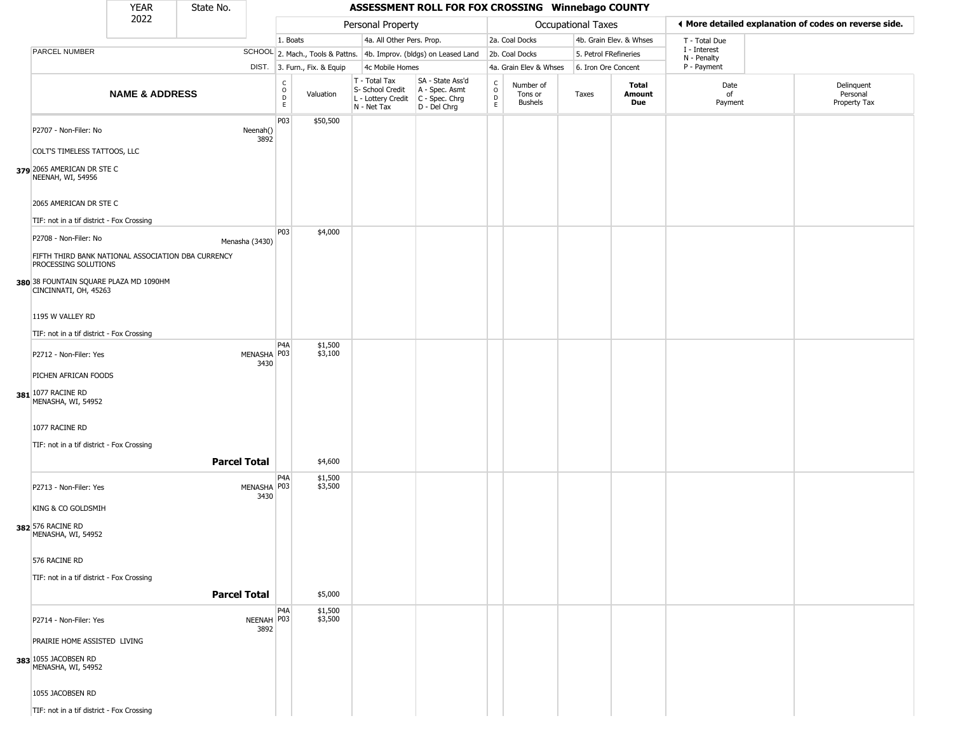|                                                                            | <b>YEAR</b>               | State No.           | ASSESSMENT ROLL FOR FOX CROSSING Winnebago COUNTY |                                  |                              |                                                                                         |                                                                     |                                            |                                        |                       |                         |                             |  |                                                       |
|----------------------------------------------------------------------------|---------------------------|---------------------|---------------------------------------------------|----------------------------------|------------------------------|-----------------------------------------------------------------------------------------|---------------------------------------------------------------------|--------------------------------------------|----------------------------------------|-----------------------|-------------------------|-----------------------------|--|-------------------------------------------------------|
|                                                                            | 2022                      |                     |                                                   |                                  |                              | Personal Property                                                                       |                                                                     |                                            |                                        | Occupational Taxes    |                         |                             |  | ♦ More detailed explanation of codes on reverse side. |
|                                                                            |                           |                     |                                                   | 1. Boats                         |                              | 4a. All Other Pers. Prop.                                                               |                                                                     |                                            | 2a. Coal Docks                         |                       | 4b. Grain Elev. & Whses | T - Total Due               |  |                                                       |
| PARCEL NUMBER                                                              |                           |                     |                                                   |                                  |                              |                                                                                         | SCHOOL 2. Mach., Tools & Pattns. 4b. Improv. (bldgs) on Leased Land |                                            | 2b. Coal Docks                         | 5. Petrol FRefineries |                         | I - Interest<br>N - Penalty |  |                                                       |
|                                                                            |                           |                     |                                                   |                                  | DIST. 3. Furn., Fix. & Equip | 4c Mobile Homes                                                                         |                                                                     |                                            | 4a. Grain Elev & Whses                 | 6. Iron Ore Concent   |                         | P - Payment                 |  |                                                       |
|                                                                            | <b>NAME &amp; ADDRESS</b> |                     |                                                   | C<br>$\circ$<br>$\mathsf D$<br>E | Valuation                    | T - Total Tax<br>S- School Credit<br>L - Lottery Credit   C - Spec. Chrg<br>N - Net Tax | SA - State Ass'd<br>A - Spec. Asmt<br>D - Del Chrg                  | $\begin{array}{c} C \\ 0 \\ E \end{array}$ | Number of<br>Tons or<br><b>Bushels</b> | Taxes                 | Total<br>Amount<br>Due  | Date<br>of<br>Payment       |  | Delinquent<br>Personal<br>Property Tax                |
| P2707 - Non-Filer: No                                                      |                           |                     | Neenah()<br>3892                                  | P03                              | \$50,500                     |                                                                                         |                                                                     |                                            |                                        |                       |                         |                             |  |                                                       |
| COLT'S TIMELESS TATTOOS, LLC                                               |                           |                     |                                                   |                                  |                              |                                                                                         |                                                                     |                                            |                                        |                       |                         |                             |  |                                                       |
| 379 2065 AMERICAN DR STE C<br>NEENAH, WI, 54956                            |                           |                     |                                                   |                                  |                              |                                                                                         |                                                                     |                                            |                                        |                       |                         |                             |  |                                                       |
| 2065 AMERICAN DR STE C                                                     |                           |                     |                                                   |                                  |                              |                                                                                         |                                                                     |                                            |                                        |                       |                         |                             |  |                                                       |
| TIF: not in a tif district - Fox Crossing                                  |                           |                     |                                                   | <b>P03</b>                       | \$4,000                      |                                                                                         |                                                                     |                                            |                                        |                       |                         |                             |  |                                                       |
| P2708 - Non-Filer: No                                                      |                           | Menasha (3430)      |                                                   |                                  |                              |                                                                                         |                                                                     |                                            |                                        |                       |                         |                             |  |                                                       |
| FIFTH THIRD BANK NATIONAL ASSOCIATION DBA CURRENCY<br>PROCESSING SOLUTIONS |                           |                     |                                                   |                                  |                              |                                                                                         |                                                                     |                                            |                                        |                       |                         |                             |  |                                                       |
| 380 38 FOUNTAIN SQUARE PLAZA MD 1090HM<br>CINCINNATI, OH, 45263            |                           |                     |                                                   |                                  |                              |                                                                                         |                                                                     |                                            |                                        |                       |                         |                             |  |                                                       |
| 1195 W VALLEY RD                                                           |                           |                     |                                                   |                                  |                              |                                                                                         |                                                                     |                                            |                                        |                       |                         |                             |  |                                                       |
| TIF: not in a tif district - Fox Crossing                                  |                           |                     |                                                   |                                  |                              |                                                                                         |                                                                     |                                            |                                        |                       |                         |                             |  |                                                       |
| P2712 - Non-Filer: Yes                                                     |                           |                     | MENASHA P03<br>3430                               | P <sub>4</sub> A                 | \$1,500<br>\$3,100           |                                                                                         |                                                                     |                                            |                                        |                       |                         |                             |  |                                                       |
| PICHEN AFRICAN FOODS                                                       |                           |                     |                                                   |                                  |                              |                                                                                         |                                                                     |                                            |                                        |                       |                         |                             |  |                                                       |
| 381 1077 RACINE RD<br>MENASHA, WI, 54952                                   |                           |                     |                                                   |                                  |                              |                                                                                         |                                                                     |                                            |                                        |                       |                         |                             |  |                                                       |
| 1077 RACINE RD                                                             |                           |                     |                                                   |                                  |                              |                                                                                         |                                                                     |                                            |                                        |                       |                         |                             |  |                                                       |
| TIF: not in a tif district - Fox Crossing                                  |                           |                     |                                                   |                                  |                              |                                                                                         |                                                                     |                                            |                                        |                       |                         |                             |  |                                                       |
|                                                                            |                           | <b>Parcel Total</b> |                                                   |                                  | \$4,600                      |                                                                                         |                                                                     |                                            |                                        |                       |                         |                             |  |                                                       |
| P2713 - Non-Filer: Yes                                                     |                           |                     | MENASHA P03<br>3430                               | P <sub>4</sub> A                 | \$1,500<br>\$3,500           |                                                                                         |                                                                     |                                            |                                        |                       |                         |                             |  |                                                       |
| KING & CO GOLDSMIH                                                         |                           |                     |                                                   |                                  |                              |                                                                                         |                                                                     |                                            |                                        |                       |                         |                             |  |                                                       |
| 382 576 RACINE RD<br>MENASHA, WI, 54952                                    |                           |                     |                                                   |                                  |                              |                                                                                         |                                                                     |                                            |                                        |                       |                         |                             |  |                                                       |
| 576 RACINE RD                                                              |                           |                     |                                                   |                                  |                              |                                                                                         |                                                                     |                                            |                                        |                       |                         |                             |  |                                                       |
| TIF: not in a tif district - Fox Crossing                                  |                           |                     |                                                   |                                  |                              |                                                                                         |                                                                     |                                            |                                        |                       |                         |                             |  |                                                       |
|                                                                            |                           | <b>Parcel Total</b> |                                                   |                                  | \$5,000                      |                                                                                         |                                                                     |                                            |                                        |                       |                         |                             |  |                                                       |
| P2714 - Non-Filer: Yes                                                     |                           |                     | NEENAH P03<br>3892                                | P <sub>4</sub> A                 | \$1,500<br>\$3,500           |                                                                                         |                                                                     |                                            |                                        |                       |                         |                             |  |                                                       |
| PRAIRIE HOME ASSISTED LIVING                                               |                           |                     |                                                   |                                  |                              |                                                                                         |                                                                     |                                            |                                        |                       |                         |                             |  |                                                       |
| 383 1055 JACOBSEN RD<br>MENASHA, WI, 54952                                 |                           |                     |                                                   |                                  |                              |                                                                                         |                                                                     |                                            |                                        |                       |                         |                             |  |                                                       |
| 1055 JACOBSEN RD                                                           |                           |                     |                                                   |                                  |                              |                                                                                         |                                                                     |                                            |                                        |                       |                         |                             |  |                                                       |
| TIF: not in a tif district - Fox Crossing                                  |                           |                     |                                                   |                                  |                              |                                                                                         |                                                                     |                                            |                                        |                       |                         |                             |  |                                                       |
|                                                                            |                           |                     |                                                   |                                  |                              |                                                                                         |                                                                     |                                            |                                        |                       |                         |                             |  |                                                       |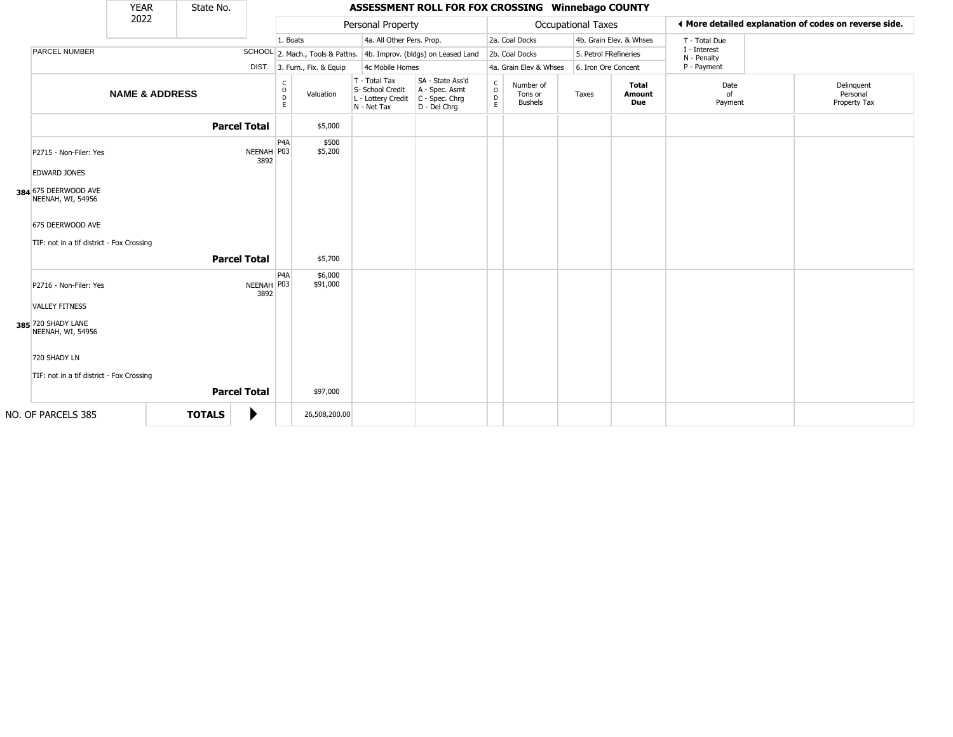|                                                               | <b>YEAR</b>               | State No.     |                     |                        |                              |                                                                        | ASSESSMENT ROLL FOR FOX CROSSING Winnebago COUNTY                    |                                              |                                        |                           |                         |                             |                                                       |
|---------------------------------------------------------------|---------------------------|---------------|---------------------|------------------------|------------------------------|------------------------------------------------------------------------|----------------------------------------------------------------------|----------------------------------------------|----------------------------------------|---------------------------|-------------------------|-----------------------------|-------------------------------------------------------|
|                                                               | 2022                      |               |                     |                        |                              | Personal Property                                                      |                                                                      |                                              |                                        | <b>Occupational Taxes</b> |                         |                             | ♦ More detailed explanation of codes on reverse side. |
|                                                               |                           |               |                     | 1. Boats               |                              | 4a. All Other Pers. Prop.                                              |                                                                      |                                              | 2a. Coal Docks                         |                           | 4b. Grain Elev. & Whses | T - Total Due               |                                                       |
| PARCEL NUMBER                                                 |                           |               |                     |                        |                              |                                                                        | SCHOOL 2. Mach., Tools & Pattns. 4b. Improv. (bldgs) on Leased Land  |                                              | 2b. Coal Docks                         | 5. Petrol FRefineries     |                         | I - Interest<br>N - Penalty |                                                       |
|                                                               |                           |               |                     |                        | DIST. 3. Furn., Fix. & Equip | 4c Mobile Homes                                                        |                                                                      |                                              | 4a. Grain Elev & Whses                 | 6. Iron Ore Concent       |                         | P - Payment                 |                                                       |
|                                                               | <b>NAME &amp; ADDRESS</b> |               |                     | C<br>$\circ$<br>D<br>E | Valuation                    | T - Total Tax<br>S- School Credit<br>L - Lottery Credit<br>N - Net Tax | SA - State Ass'd<br>A - Spec. Asmt<br>C - Spec. Chrg<br>D - Del Chrg | $\mathsf{C}$<br>$\circ$<br>$\mathsf{D}$<br>E | Number of<br>Tons or<br><b>Bushels</b> | Taxes                     | Total<br>Amount<br>Due  | Date<br>of<br>Payment       | Delinquent<br>Personal<br>Property Tax                |
|                                                               |                           |               | <b>Parcel Total</b> |                        | \$5,000                      |                                                                        |                                                                      |                                              |                                        |                           |                         |                             |                                                       |
| P2715 - Non-Filer: Yes<br><b>EDWARD JONES</b>                 |                           |               | NEENAH P03<br>3892  | P <sub>4</sub> A       | \$500<br>\$5,200             |                                                                        |                                                                      |                                              |                                        |                           |                         |                             |                                                       |
| 384 675 DEERWOOD AVE<br>NEENAH, WI, 54956                     |                           |               |                     |                        |                              |                                                                        |                                                                      |                                              |                                        |                           |                         |                             |                                                       |
| 675 DEERWOOD AVE<br>TIF: not in a tif district - Fox Crossing |                           |               |                     |                        |                              |                                                                        |                                                                      |                                              |                                        |                           |                         |                             |                                                       |
|                                                               |                           |               | <b>Parcel Total</b> |                        | \$5,700                      |                                                                        |                                                                      |                                              |                                        |                           |                         |                             |                                                       |
| P2716 - Non-Filer: Yes<br><b>VALLEY FITNESS</b>               |                           |               | NEENAH P03<br>3892  | P4A                    | \$6,000<br>\$91,000          |                                                                        |                                                                      |                                              |                                        |                           |                         |                             |                                                       |
| 385 720 SHADY LANE<br>NEENAH, WI, 54956                       |                           |               |                     |                        |                              |                                                                        |                                                                      |                                              |                                        |                           |                         |                             |                                                       |
| 720 SHADY LN                                                  |                           |               |                     |                        |                              |                                                                        |                                                                      |                                              |                                        |                           |                         |                             |                                                       |
| TIF: not in a tif district - Fox Crossing                     |                           |               |                     |                        |                              |                                                                        |                                                                      |                                              |                                        |                           |                         |                             |                                                       |
|                                                               |                           |               | <b>Parcel Total</b> |                        | \$97,000                     |                                                                        |                                                                      |                                              |                                        |                           |                         |                             |                                                       |
| NO. OF PARCELS 385                                            |                           | <b>TOTALS</b> | ▶                   |                        | 26,508,200.00                |                                                                        |                                                                      |                                              |                                        |                           |                         |                             |                                                       |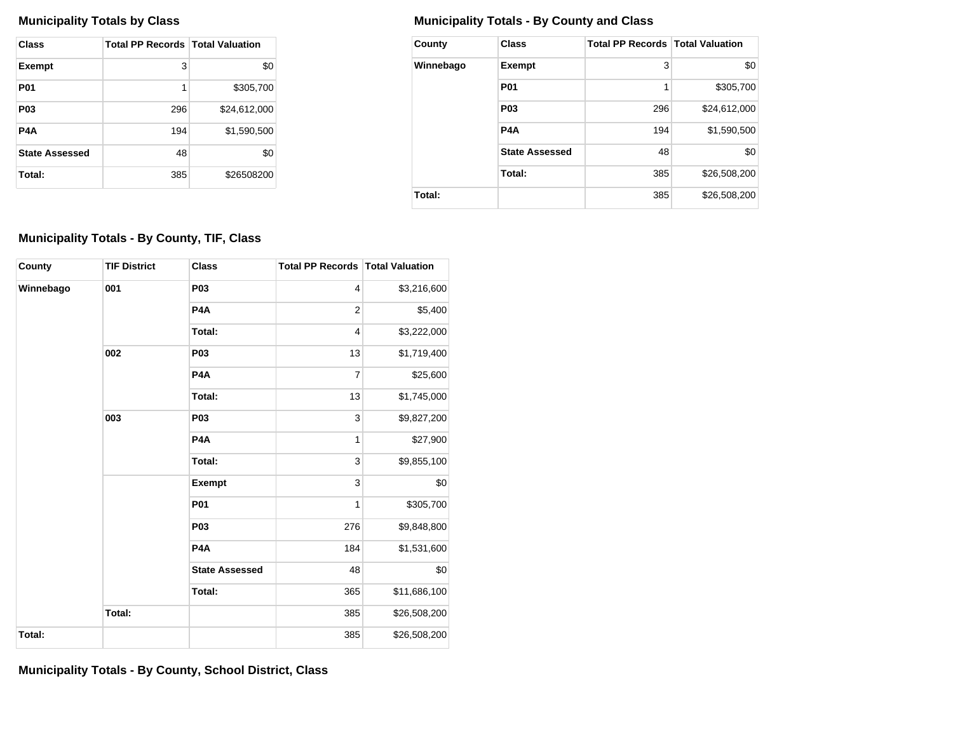| Class                 | <b>Total PP Records   Total Valuation</b> |              |
|-----------------------|-------------------------------------------|--------------|
| <b>Exempt</b>         | 3                                         | \$0          |
| <b>P01</b>            | 1                                         | \$305,700    |
| <b>P03</b>            | 296                                       | \$24,612,000 |
| P4A                   | 194                                       | \$1,590,500  |
| <b>State Assessed</b> | 48                                        | \$0          |
| Total:                | 385                                       | \$26508200   |

## **Municipality Totals by Class Municipality Totals - By County and Class**

| County    | <b>Class</b>          | <b>Total PP Records   Total Valuation</b> |              |
|-----------|-----------------------|-------------------------------------------|--------------|
| Winnebago | <b>Exempt</b>         | 3                                         | \$0          |
|           | <b>P01</b>            | 1                                         | \$305,700    |
|           | P <sub>0</sub> 3      | 296                                       | \$24,612,000 |
|           | P <sub>4</sub> A      | 194                                       | \$1,590,500  |
|           | <b>State Assessed</b> | 48                                        | \$0          |
|           | Total:                | 385                                       | \$26,508,200 |
| Total:    |                       | 385                                       | \$26,508,200 |

## **Municipality Totals - By County, TIF, Class**

| County    | <b>TIF District</b> | <b>Class</b>          | <b>Total PP Records   Total Valuation</b> |              |
|-----------|---------------------|-----------------------|-------------------------------------------|--------------|
| Winnebago | 001                 | <b>P03</b>            | $\overline{4}$                            | \$3,216,600  |
|           |                     | P <sub>4</sub> A      | $\overline{2}$                            | \$5,400      |
|           |                     | Total:                | $\overline{4}$                            | \$3,222,000  |
|           | 002                 | <b>P03</b>            | 13                                        | \$1,719,400  |
|           |                     | P <sub>4</sub> A      | 7                                         | \$25,600     |
|           |                     | Total:                | 13                                        | \$1,745,000  |
|           | 003                 | <b>P03</b>            | 3                                         | \$9,827,200  |
|           |                     | P <sub>4</sub> A      | 1                                         | \$27,900     |
|           |                     | Total:                | 3                                         | \$9,855,100  |
|           |                     | Exempt                | 3                                         | \$0          |
|           |                     | <b>P01</b>            | $\mathbf{1}$                              | \$305,700    |
|           |                     | <b>P03</b>            | 276                                       | \$9,848,800  |
|           |                     | P <sub>4</sub> A      | 184                                       | \$1,531,600  |
|           |                     | <b>State Assessed</b> | 48                                        | \$0          |
|           |                     | Total:                | 365                                       | \$11,686,100 |
|           | Total:              |                       | 385                                       | \$26,508,200 |
| Total:    |                     |                       | 385                                       | \$26,508,200 |

**Municipality Totals - By County, School District, Class**